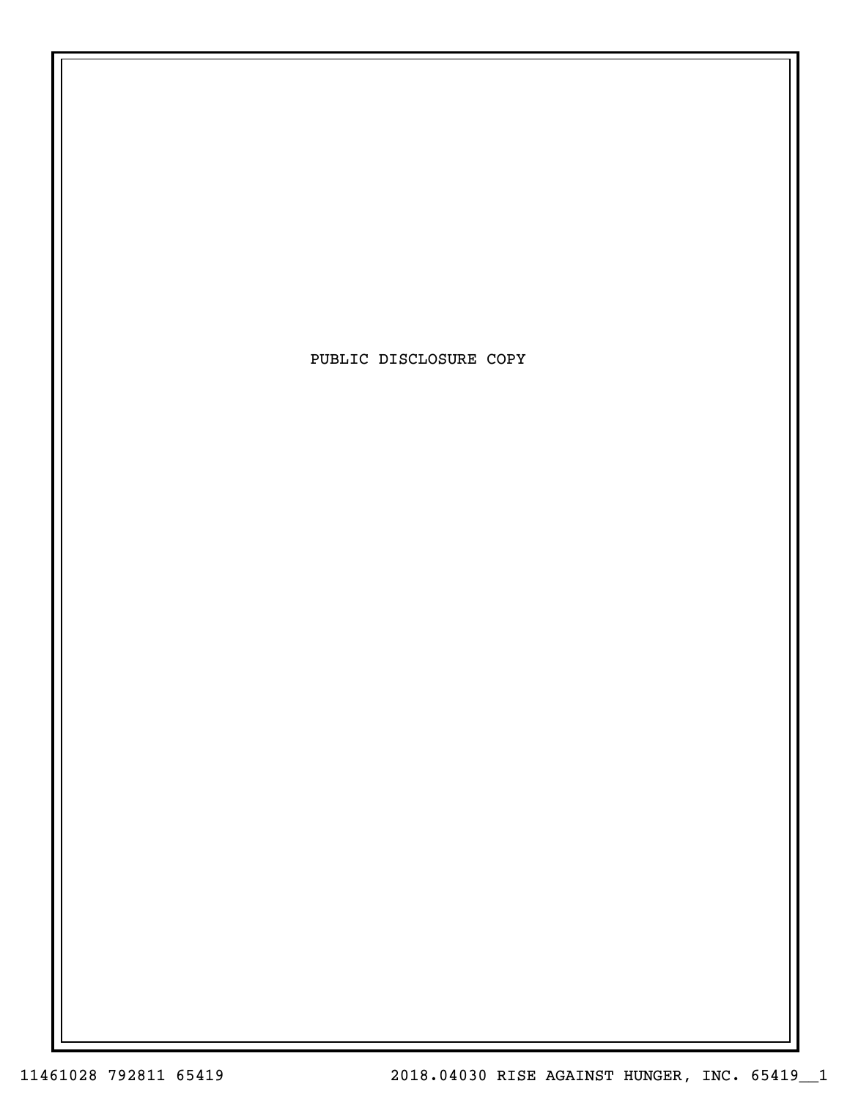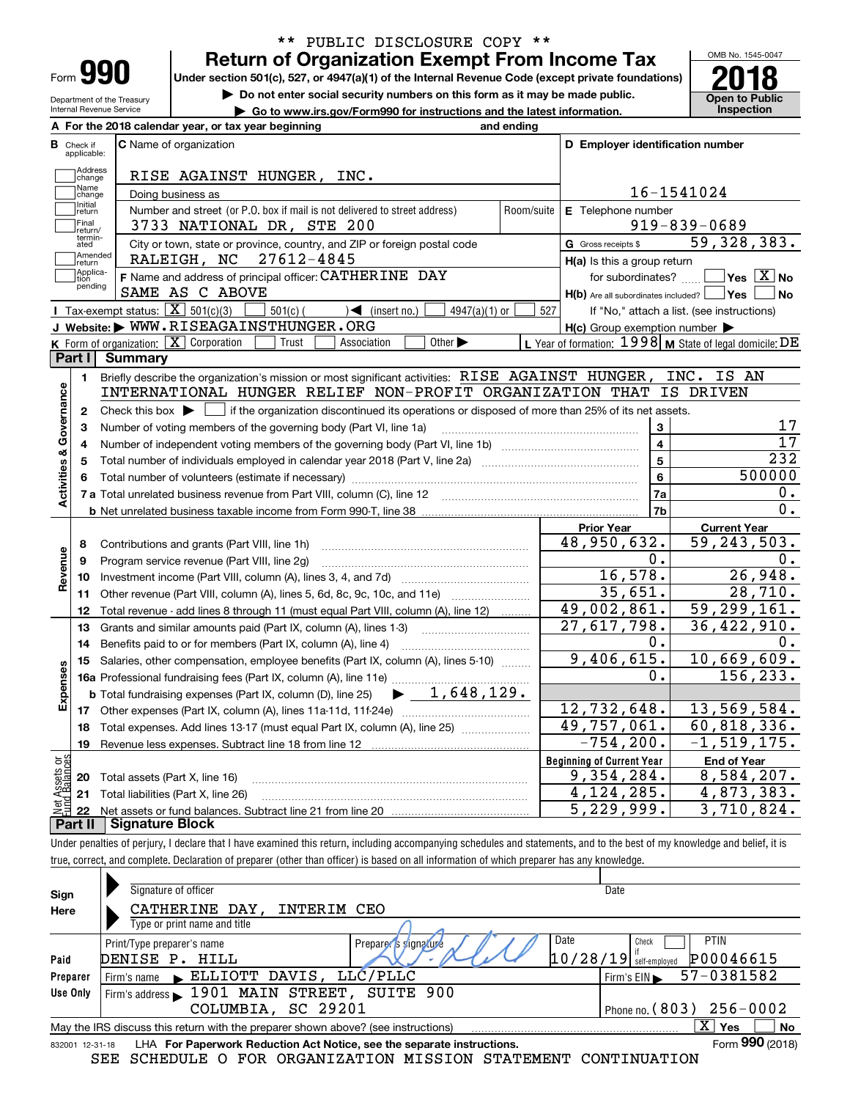| Form |  |
|------|--|

Department of the Treasury Internal Revenue Service

## **Return of Organization Exempt From Income Tax** \*\* PUBLIC DISCLOSURE COPY \*\*

**Under section 501(c), 527, or 4947(a)(1) of the Internal Revenue Code (except private foundations) 2018**

**| Do not enter social security numbers on this form as it may be made public.**

**| Go to www.irs.gov/Form990 for instructions and the latest information. Inspection**



|                         |                            | A For the 2018 calendar year, or tax year beginning                                                                                                 | and ending |                                                     |                                                           |
|-------------------------|----------------------------|-----------------------------------------------------------------------------------------------------------------------------------------------------|------------|-----------------------------------------------------|-----------------------------------------------------------|
| В                       | Check if<br>applicable:    | <b>C</b> Name of organization                                                                                                                       |            | D Employer identification number                    |                                                           |
|                         | Address<br>change          | RISE AGAINST HUNGER, INC.                                                                                                                           |            |                                                     |                                                           |
|                         | Name<br>change             | Doing business as                                                                                                                                   |            |                                                     | 16-1541024                                                |
|                         | Initial<br>return          | Number and street (or P.O. box if mail is not delivered to street address)                                                                          | Room/suite | E Telephone number                                  |                                                           |
|                         | Final                      | 3733 NATIONAL DR, STE 200                                                                                                                           |            |                                                     | $919 - 839 - 0689$                                        |
|                         | return/<br>termin-<br>ated | City or town, state or province, country, and ZIP or foreign postal code                                                                            |            | G Gross receipts \$                                 | 59,328,383.                                               |
|                         | Amended<br>Ireturn         | 27612-4845<br>RALEIGH, NC                                                                                                                           |            | H(a) Is this a group return                         |                                                           |
|                         | Applica-<br>tion           | F Name and address of principal officer: CATHERINE DAY                                                                                              |            | for subordinates?                                   | $\sqrt{}$ Yes $\sqrt{}$ X $\sqrt{}$ No                    |
|                         | pending                    | SAME AS C ABOVE                                                                                                                                     |            | $H(b)$ Are all subordinates included? $\Box$ Yes    | <b>No</b>                                                 |
|                         |                            | Tax-exempt status: $\boxed{\mathbf{X}}$ 501(c)(3)<br>$\sqrt{\frac{2}{1}}$ (insert no.)<br>$4947(a)(1)$ or<br>$501(c)$ (                             | 527        |                                                     | If "No," attach a list. (see instructions)                |
|                         |                            | J Website: WWW.RISEAGAINSTHUNGER.ORG                                                                                                                |            | $H(c)$ Group exemption number $\blacktriangleright$ |                                                           |
|                         |                            | <b>K</b> Form of organization: $\boxed{\mathbf{X}}$ Corporation<br>Other $\blacktriangleright$<br>Trust<br>Association                              |            |                                                     | L Year of formation: $1998$ M State of legal domicile: DE |
|                         | Part I                     | Summary                                                                                                                                             |            |                                                     |                                                           |
|                         | 1.                         | Briefly describe the organization's mission or most significant activities: RISE AGAINST HUNGER,                                                    |            |                                                     | INC. IS AN                                                |
|                         |                            | INTERNATIONAL HUNGER RELIEF NON-PROFIT ORGANIZATION THAT                                                                                            |            |                                                     | IS DRIVEN                                                 |
| Activities & Governance | $\mathbf{2}$               | Check this box $\blacktriangleright$ $\blacksquare$ if the organization discontinued its operations or disposed of more than 25% of its net assets. |            |                                                     |                                                           |
|                         | 3                          | Number of voting members of the governing body (Part VI, line 1a)                                                                                   |            | 3                                                   | 17                                                        |
|                         | 4                          |                                                                                                                                                     |            | $\overline{\mathbf{4}}$                             | 17                                                        |
|                         | 5                          |                                                                                                                                                     |            | $\overline{5}$                                      | $\overline{232}$                                          |
|                         |                            |                                                                                                                                                     |            | 6                                                   | 500000                                                    |
|                         |                            | 7 a Total unrelated business revenue from Part VIII, column (C), line 12 [11] [12] [11] [12] [11] [11] [12] [1                                      |            | 7a                                                  | О.                                                        |
|                         |                            |                                                                                                                                                     |            | 7b                                                  | 0.                                                        |
|                         |                            |                                                                                                                                                     |            | <b>Prior Year</b>                                   | <b>Current Year</b>                                       |
|                         | 8                          | Contributions and grants (Part VIII, line 1h)                                                                                                       |            | 48,950,632.                                         | $\overline{59}$ , 243, 503.                               |
| Revenue                 | 9                          | Program service revenue (Part VIII, line 2g)                                                                                                        |            | 0.                                                  | Ο.                                                        |
|                         | 10                         |                                                                                                                                                     |            | 16,578.                                             | 26,948.                                                   |
|                         | 11                         | Other revenue (Part VIII, column (A), lines 5, 6d, 8c, 9c, 10c, and 11e)                                                                            |            | 35,651.                                             | 28,710.                                                   |
|                         | 12                         | Total revenue - add lines 8 through 11 (must equal Part VIII, column (A), line 12)                                                                  |            | 49,002,861.                                         | 59,299,161.                                               |
|                         | 13                         | Grants and similar amounts paid (Part IX, column (A), lines 1-3)                                                                                    |            | $\overline{27,617,798}$ .                           | 36,422,910.                                               |
|                         | 14                         | Benefits paid to or for members (Part IX, column (A), line 4)                                                                                       |            | 0.                                                  | 0.                                                        |
|                         | 15                         | Salaries, other compensation, employee benefits (Part IX, column (A), lines 5-10)                                                                   |            | 9,406,615.                                          | 10,669,609.                                               |
|                         |                            | 16a Professional fundraising fees (Part IX, column (A), line 11e)                                                                                   |            | 0.                                                  | 156,233.                                                  |
| Expenses                |                            | $\blacktriangleright$ 1,648,129.<br><b>b</b> Total fundraising expenses (Part IX, column (D), line 25)                                              |            |                                                     |                                                           |
|                         |                            |                                                                                                                                                     |            | 12,732,648.                                         | 13,569,584.                                               |
|                         | 18                         | Total expenses. Add lines 13-17 (must equal Part IX, column (A), line 25)                                                                           |            | $\overline{49}$ , 757, 061.                         | 60, 818, 336.                                             |
|                         | 19                         |                                                                                                                                                     |            | $-754, 200.$                                        | $-1, 519, 175.$                                           |
| ăğ                      |                            |                                                                                                                                                     |            | <b>Beginning of Current Year</b>                    | <b>End of Year</b>                                        |
| Assets<br><b>Palgri</b> | 20                         | Total assets (Part X, line 16)                                                                                                                      |            | 9,354,284.                                          | 8,584,207.                                                |
|                         |                            | 21 Total liabilities (Part X, line 26)                                                                                                              |            | 4, 124, 285.                                        | 4,873,383.                                                |
| Jet                     | ~+ II                      | - Cianature Block                                                                                                                                   |            | 5,229,999.                                          | $\overline{3}$ , 710, 824.                                |

**Part II Signature Block**

Under penalties of perjury, I declare that I have examined this return, including accompanying schedules and statements, and to the best of my knowledge and belief, it is true, correct, and complete. Declaration of preparer (other than officer) is based on all information of which preparer has any knowledge.

| Sign            | Signature of officer                                                              | Date                                  |
|-----------------|-----------------------------------------------------------------------------------|---------------------------------------|
| Here            | CATHERINE DAY,<br>INTERIM<br>CEO                                                  |                                       |
|                 | Type or print name and title                                                      |                                       |
|                 | Date<br>Print/Type preparer's name<br>Preparer's signature                        | <b>PTIN</b><br>Check                  |
| Paid            | DENISE P. HILL                                                                    | $10/28/19$ self-employed<br>P00046615 |
| Preparer        | Firm's name $\blacktriangleright$ ELLIOTT DAVIS, LLC/PLLC                         | 57-0381582<br>Firm's $EIN$            |
| Use Only        | Firm's address 1901 MAIN STREET, SUITE 900                                        |                                       |
|                 | COLUMBIA, SC 29201                                                                | Phone no. $(803)$ $256 - 0002$        |
|                 | May the IRS discuss this return with the preparer shown above? (see instructions) | $\overline{X}$ Yes<br>No              |
| 832001 12-31-18 | LHA For Paperwork Reduction Act Notice, see the separate instructions.            | Form 990 (2018)                       |
|                 | SCHEDULE O FOR ORGANIZATION MISSION STATEMENT CONTINUATION<br>SEE                 |                                       |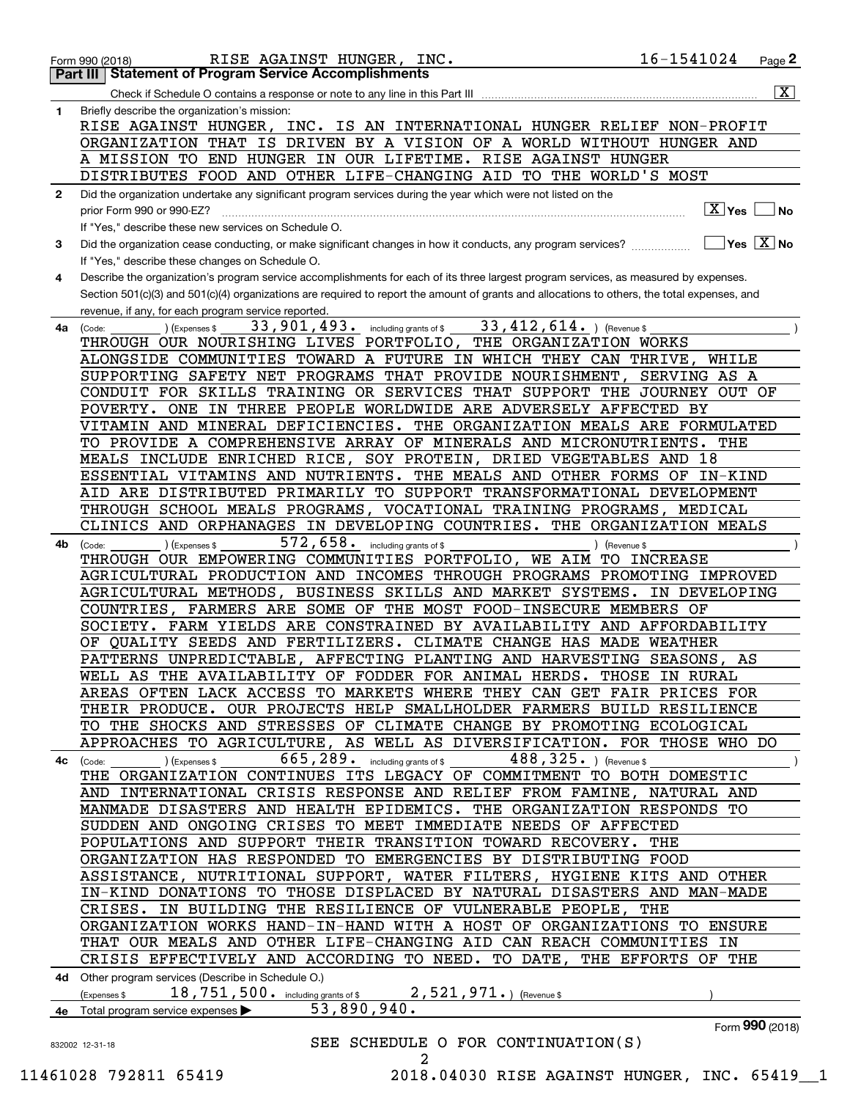|              | 16-1541024<br>RISE AGAINST HUNGER, INC.<br>Page 2<br>Form 990 (2018)                                                                                   |
|--------------|--------------------------------------------------------------------------------------------------------------------------------------------------------|
|              | <b>Part III Statement of Program Service Accomplishments</b>                                                                                           |
|              | $\overline{\mathbf{X}}$                                                                                                                                |
| 1            | Briefly describe the organization's mission:                                                                                                           |
|              | INC. IS AN INTERNATIONAL HUNGER RELIEF NON-PROFIT<br>RISE AGAINST HUNGER,                                                                              |
|              | ORGANIZATION THAT IS DRIVEN BY A VISION OF A WORLD WITHOUT HUNGER AND                                                                                  |
|              | A MISSION TO END HUNGER IN OUR LIFETIME. RISE AGAINST HUNGER                                                                                           |
|              | DISTRIBUTES FOOD AND OTHER LIFE-CHANGING AID TO THE WORLD'S MOST                                                                                       |
| $\mathbf{2}$ | Did the organization undertake any significant program services during the year which were not listed on the                                           |
|              | $\boxed{\text{X}}$ Yes $\boxed{\text{}}$<br>l No<br>prior Form 990 or 990-EZ?                                                                          |
|              | If "Yes," describe these new services on Schedule O.                                                                                                   |
| 3            | $\sqrt{}$ Yes $\sqrt{}$ X $\sqrt{}$ No<br>Did the organization cease conducting, or make significant changes in how it conducts, any program services? |
|              | If "Yes," describe these changes on Schedule O.                                                                                                        |
| 4            | Describe the organization's program service accomplishments for each of its three largest program services, as measured by expenses.                   |
|              | Section 501(c)(3) and 501(c)(4) organizations are required to report the amount of grants and allocations to others, the total expenses, and           |
|              | revenue, if any, for each program service reported.                                                                                                    |
| 4a           | $33$ , $412$ , $614$ . ) (Revenue \$<br>33,901,493.<br>) (Expenses \$<br>including grants of \$<br>(Code:                                              |
|              | THROUGH OUR NOURISHING LIVES PORTFOLIO, THE ORGANIZATION WORKS                                                                                         |
|              | ALONGSIDE COMMUNITIES TOWARD A FUTURE IN WHICH THEY CAN THRIVE,<br>WHILE                                                                               |
|              | SUPPORTING SAFETY NET PROGRAMS THAT PROVIDE NOURISHMENT,<br>SERVING AS A                                                                               |
|              | CONDUIT FOR SKILLS TRAINING OR SERVICES THAT SUPPORT THE JOURNEY OUT OF                                                                                |
|              | POVERTY. ONE IN THREE PEOPLE WORLDWIDE ARE ADVERSELY AFFECTED BY                                                                                       |
|              | VITAMIN AND MINERAL DEFICIENCIES. THE ORGANIZATION MEALS ARE FORMULATED                                                                                |
|              |                                                                                                                                                        |
|              | TO PROVIDE A COMPREHENSIVE ARRAY OF MINERALS AND MICRONUTRIENTS.<br>THE                                                                                |
|              | MEALS INCLUDE ENRICHED RICE, SOY PROTEIN, DRIED VEGETABLES AND 18                                                                                      |
|              | ESSENTIAL VITAMINS AND NUTRIENTS. THE MEALS AND OTHER FORMS OF<br>IN-KIND                                                                              |
|              | AID ARE DISTRIBUTED PRIMARILY TO SUPPORT TRANSFORMATIONAL DEVELOPMENT                                                                                  |
|              | THROUGH SCHOOL MEALS PROGRAMS, VOCATIONAL TRAINING PROGRAMS,<br><b>MEDICAL</b>                                                                         |
|              | CLINICS AND ORPHANAGES IN DEVELOPING COUNTRIES. THE ORGANIZATION MEALS                                                                                 |
| 4b           | 572,658.<br>including grants of \$<br>(Expenses \$<br>) (Revenue \$<br>(Code:                                                                          |
|              | THROUGH OUR EMPOWERING COMMUNITIES PORTFOLIO, WE AIM<br><b>TO INCREASE</b>                                                                             |
|              | AGRICULTURAL PRODUCTION AND INCOMES THROUGH PROGRAMS PROMOTING IMPROVED                                                                                |
|              | AGRICULTURAL METHODS, BUSINESS SKILLS AND MARKET SYSTEMS.<br>IN DEVELOPING                                                                             |
|              | COUNTRIES, FARMERS ARE SOME OF THE MOST FOOD-INSECURE MEMBERS OF                                                                                       |
|              | SOCIETY. FARM YIELDS ARE CONSTRAINED BY AVAILABILITY AND AFFORDABILITY                                                                                 |
|              | OF QUALITY SEEDS AND FERTILIZERS. CLIMATE CHANGE HAS MADE WEATHER                                                                                      |
|              | PATTERNS UNPREDICTABLE, AFFECTING PLANTING AND HARVESTING SEASONS, AS                                                                                  |
|              | WELL AS THE AVAILABILITY OF FODDER FOR ANIMAL HERDS. THOSE IN RURAL                                                                                    |
|              | AREAS OFTEN LACK ACCESS TO MARKETS WHERE THEY CAN GET FAIR PRICES FOR                                                                                  |
|              | THEIR PRODUCE. OUR PROJECTS HELP SMALLHOLDER FARMERS BUILD RESILIENCE                                                                                  |
|              | TO THE SHOCKS AND STRESSES OF CLIMATE CHANGE BY PROMOTING ECOLOGICAL                                                                                   |
|              | APPROACHES TO AGRICULTURE, AS WELL AS DIVERSIFICATION. FOR THOSE WHO DO                                                                                |
| 4с           | $665,289$ $\cdot$ including grants of \$<br>$488,325.$ ) (Revenue \$<br>) (Expenses \$<br>(Code:                                                       |
|              | THE ORGANIZATION CONTINUES ITS LEGACY OF COMMITMENT TO BOTH DOMESTIC                                                                                   |
|              | AND INTERNATIONAL CRISIS RESPONSE AND RELIEF FROM FAMINE, NATURAL AND                                                                                  |
|              | MANMADE DISASTERS AND HEALTH EPIDEMICS. THE ORGANIZATION RESPONDS TO                                                                                   |
|              | SUDDEN AND ONGOING CRISES TO MEET IMMEDIATE NEEDS OF AFFECTED                                                                                          |
|              | POPULATIONS AND SUPPORT THEIR TRANSITION TOWARD RECOVERY. THE                                                                                          |
|              | ORGANIZATION HAS RESPONDED TO EMERGENCIES BY DISTRIBUTING FOOD                                                                                         |
|              | ASSISTANCE, NUTRITIONAL SUPPORT, WATER FILTERS, HYGIENE KITS AND OTHER                                                                                 |
|              | IN-KIND DONATIONS TO THOSE DISPLACED BY NATURAL DISASTERS AND MAN-MADE                                                                                 |
|              | CRISES. IN BUILDING THE RESILIENCE OF VULNERABLE PEOPLE, THE                                                                                           |
|              | ORGANIZATION WORKS HAND-IN-HAND WITH A HOST OF ORGANIZATIONS TO ENSURE                                                                                 |
|              | THAT OUR MEALS AND OTHER LIFE-CHANGING AID CAN REACH COMMUNITIES IN                                                                                    |
|              | CRISIS EFFECTIVELY AND ACCORDING TO NEED. TO DATE, THE EFFORTS OF THE                                                                                  |
|              | 4d Other program services (Describe in Schedule O.)                                                                                                    |
|              | 18,751,500. including grants of \$2,521,971.) (Revenue \$<br>(Expenses \$                                                                              |
|              | 53,890,940.<br>4e Total program service expenses                                                                                                       |
|              | Form 990 (2018)                                                                                                                                        |
|              | SEE SCHEDULE O FOR CONTINUATION(S)<br>832002 12-31-18                                                                                                  |
|              | 2                                                                                                                                                      |
|              |                                                                                                                                                        |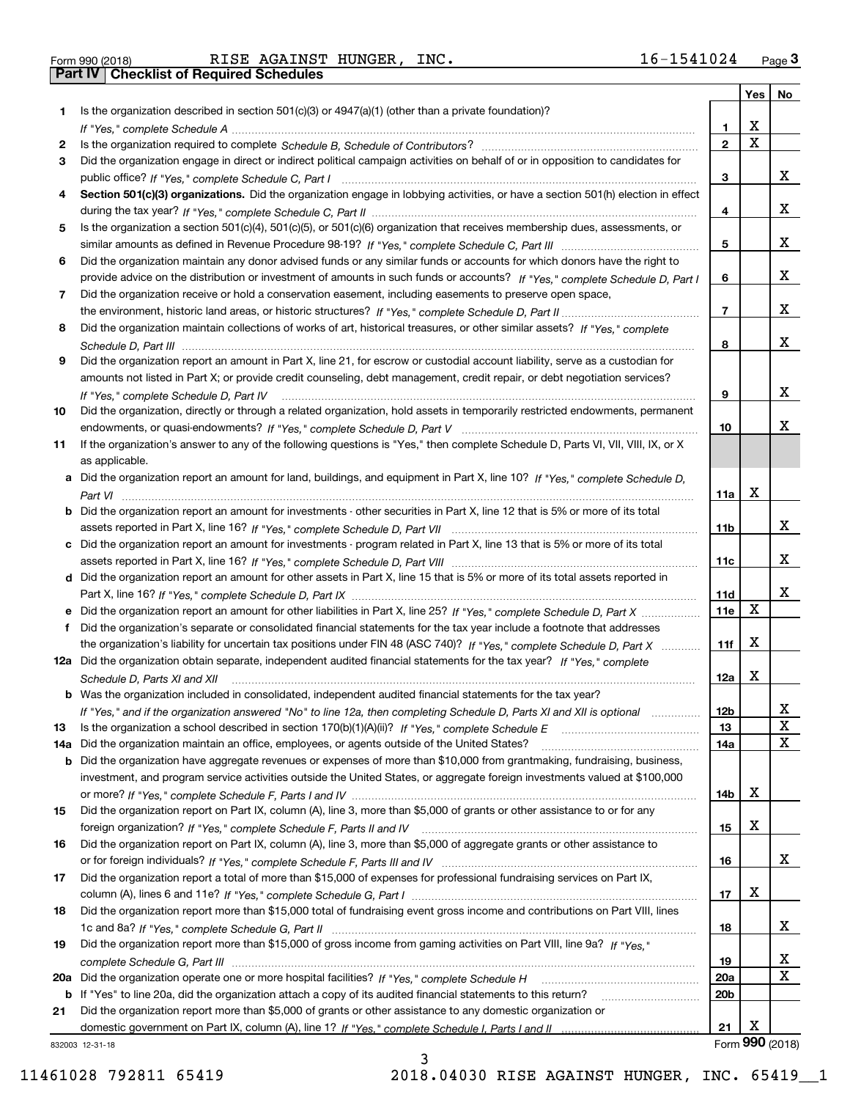Form 990 (2018) RISE AGAINST HUNGER, INC. 16-1541024 <sub>Page</sub> 3<br>**Part IV | Checklist of Required Schedules** 

|     |                                                                                                                                                                         |                 | Yes   No                |                 |
|-----|-------------------------------------------------------------------------------------------------------------------------------------------------------------------------|-----------------|-------------------------|-----------------|
| 1.  | Is the organization described in section 501(c)(3) or $4947(a)(1)$ (other than a private foundation)?                                                                   |                 |                         |                 |
|     |                                                                                                                                                                         | 1.              | X                       |                 |
| 2   |                                                                                                                                                                         | $\overline{2}$  | $\overline{\mathbf{x}}$ |                 |
| 3   | Did the organization engage in direct or indirect political campaign activities on behalf of or in opposition to candidates for                                         |                 |                         |                 |
|     |                                                                                                                                                                         | 3               |                         | x               |
| 4   | Section 501(c)(3) organizations. Did the organization engage in lobbying activities, or have a section 501(h) election in effect                                        |                 |                         |                 |
|     |                                                                                                                                                                         | 4               |                         | X               |
| 5   | Is the organization a section 501(c)(4), 501(c)(5), or 501(c)(6) organization that receives membership dues, assessments, or                                            |                 |                         |                 |
|     |                                                                                                                                                                         | 5               |                         | X               |
| 6   | Did the organization maintain any donor advised funds or any similar funds or accounts for which donors have the right to                                               |                 |                         |                 |
|     | provide advice on the distribution or investment of amounts in such funds or accounts? If "Yes," complete Schedule D, Part I                                            | 6               |                         | x               |
| 7   | Did the organization receive or hold a conservation easement, including easements to preserve open space,                                                               |                 |                         | X               |
|     |                                                                                                                                                                         | $\overline{7}$  |                         |                 |
| 8   | Did the organization maintain collections of works of art, historical treasures, or other similar assets? If "Yes," complete                                            |                 |                         | X               |
|     |                                                                                                                                                                         | 8               |                         |                 |
| 9   | Did the organization report an amount in Part X, line 21, for escrow or custodial account liability, serve as a custodian for                                           |                 |                         |                 |
|     | amounts not listed in Part X; or provide credit counseling, debt management, credit repair, or debt negotiation services?                                               | 9               |                         | x               |
| 10  | If "Yes," complete Schedule D, Part IV<br>Did the organization, directly or through a related organization, hold assets in temporarily restricted endowments, permanent |                 |                         |                 |
|     |                                                                                                                                                                         | 10              |                         | Χ               |
| 11  | If the organization's answer to any of the following questions is "Yes," then complete Schedule D, Parts VI, VII, VIII, IX, or X                                        |                 |                         |                 |
|     | as applicable.                                                                                                                                                          |                 |                         |                 |
|     | a Did the organization report an amount for land, buildings, and equipment in Part X, line 10? If "Yes," complete Schedule D,                                           |                 |                         |                 |
|     |                                                                                                                                                                         | 11a             | X                       |                 |
|     | <b>b</b> Did the organization report an amount for investments - other securities in Part X, line 12 that is 5% or more of its total                                    |                 |                         |                 |
|     |                                                                                                                                                                         | 11 <sub>b</sub> |                         | x               |
|     | c Did the organization report an amount for investments - program related in Part X, line 13 that is 5% or more of its total                                            |                 |                         |                 |
|     |                                                                                                                                                                         | 11c             |                         | x               |
|     | d Did the organization report an amount for other assets in Part X, line 15 that is 5% or more of its total assets reported in                                          |                 |                         |                 |
|     |                                                                                                                                                                         | 11d             |                         | x               |
|     | e Did the organization report an amount for other liabilities in Part X, line 25? If "Yes," complete Schedule D, Part X                                                 | 11e             | X                       |                 |
| f   | Did the organization's separate or consolidated financial statements for the tax year include a footnote that addresses                                                 |                 |                         |                 |
|     | the organization's liability for uncertain tax positions under FIN 48 (ASC 740)? If "Yes," complete Schedule D, Part X                                                  | 11f             | X                       |                 |
|     | 12a Did the organization obtain separate, independent audited financial statements for the tax year? If "Yes," complete                                                 |                 |                         |                 |
|     | Schedule D, Parts XI and XII                                                                                                                                            | 12a             | X                       |                 |
|     | b Was the organization included in consolidated, independent audited financial statements for the tax year?                                                             |                 |                         |                 |
|     | If "Yes," and if the organization answered "No" to line 12a, then completing Schedule D, Parts XI and XII is optional                                                   | 12b             |                         | ▵               |
| 13  |                                                                                                                                                                         | 13              |                         | X               |
| 14a | Did the organization maintain an office, employees, or agents outside of the United States?                                                                             | 14a             |                         | X               |
|     | <b>b</b> Did the organization have aggregate revenues or expenses of more than \$10,000 from grantmaking, fundraising, business,                                        |                 |                         |                 |
|     | investment, and program service activities outside the United States, or aggregate foreign investments valued at \$100,000                                              |                 |                         |                 |
|     |                                                                                                                                                                         | 14b             | х                       |                 |
| 15  | Did the organization report on Part IX, column (A), line 3, more than \$5,000 of grants or other assistance to or for any                                               |                 |                         |                 |
|     |                                                                                                                                                                         | 15              | X                       |                 |
| 16  | Did the organization report on Part IX, column (A), line 3, more than \$5,000 of aggregate grants or other assistance to                                                |                 |                         |                 |
|     |                                                                                                                                                                         | 16              |                         | x               |
| 17  | Did the organization report a total of more than \$15,000 of expenses for professional fundraising services on Part IX,                                                 |                 |                         |                 |
|     |                                                                                                                                                                         | 17              | X                       |                 |
| 18  | Did the organization report more than \$15,000 total of fundraising event gross income and contributions on Part VIII, lines                                            |                 |                         |                 |
|     |                                                                                                                                                                         | 18              |                         | x               |
| 19  | Did the organization report more than \$15,000 of gross income from gaming activities on Part VIII, line 9a? If "Yes."                                                  |                 |                         |                 |
|     |                                                                                                                                                                         | 19              |                         | х               |
|     |                                                                                                                                                                         | <b>20a</b>      |                         | $\mathbf x$     |
|     | b If "Yes" to line 20a, did the organization attach a copy of its audited financial statements to this return?                                                          | 20 <sub>b</sub> |                         |                 |
| 21  | Did the organization report more than \$5,000 of grants or other assistance to any domestic organization or                                                             |                 |                         |                 |
|     |                                                                                                                                                                         | 21              | X                       |                 |
|     | 332003 12-31-18                                                                                                                                                         |                 |                         | Form 990 (2018) |

3

832003 12-31-18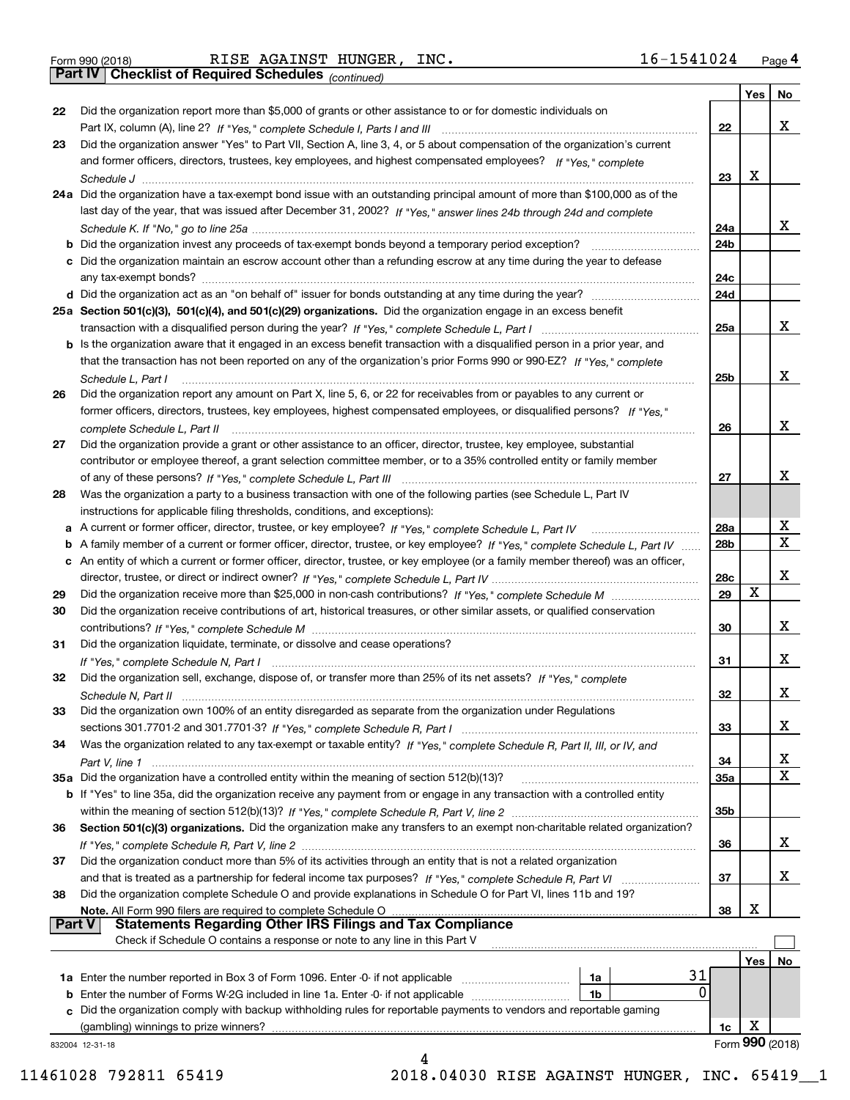*(continued)*

|               |                                                                                                                                    |     | Yes | No              |
|---------------|------------------------------------------------------------------------------------------------------------------------------------|-----|-----|-----------------|
| 22            | Did the organization report more than \$5,000 of grants or other assistance to or for domestic individuals on                      |     |     |                 |
|               |                                                                                                                                    | 22  |     | x               |
| 23            | Did the organization answer "Yes" to Part VII, Section A, line 3, 4, or 5 about compensation of the organization's current         |     |     |                 |
|               | and former officers, directors, trustees, key employees, and highest compensated employees? If "Yes," complete                     |     |     |                 |
|               |                                                                                                                                    | 23  | x   |                 |
|               | 24a Did the organization have a tax-exempt bond issue with an outstanding principal amount of more than \$100,000 as of the        |     |     |                 |
|               | last day of the year, that was issued after December 31, 2002? If "Yes," answer lines 24b through 24d and complete                 |     |     |                 |
|               |                                                                                                                                    | 24a |     | x               |
|               | <b>b</b> Did the organization invest any proceeds of tax-exempt bonds beyond a temporary period exception?                         | 24b |     |                 |
|               | c Did the organization maintain an escrow account other than a refunding escrow at any time during the year to defease             |     |     |                 |
|               |                                                                                                                                    | 24c |     |                 |
|               |                                                                                                                                    | 24d |     |                 |
|               | 25a Section 501(c)(3), 501(c)(4), and 501(c)(29) organizations. Did the organization engage in an excess benefit                   |     |     |                 |
|               |                                                                                                                                    | 25a |     | x               |
|               | b Is the organization aware that it engaged in an excess benefit transaction with a disqualified person in a prior year, and       |     |     |                 |
|               | that the transaction has not been reported on any of the organization's prior Forms 990 or 990-EZ? If "Yes," complete              |     |     |                 |
|               | Schedule L, Part I                                                                                                                 | 25b |     | x               |
| 26            | Did the organization report any amount on Part X, line 5, 6, or 22 for receivables from or payables to any current or              |     |     |                 |
|               | former officers, directors, trustees, key employees, highest compensated employees, or disqualified persons? If "Yes."             |     |     |                 |
|               |                                                                                                                                    | 26  |     | x               |
| 27            | Did the organization provide a grant or other assistance to an officer, director, trustee, key employee, substantial               |     |     |                 |
|               | contributor or employee thereof, a grant selection committee member, or to a 35% controlled entity or family member                |     |     |                 |
|               |                                                                                                                                    | 27  |     | х               |
| 28            | Was the organization a party to a business transaction with one of the following parties (see Schedule L, Part IV                  |     |     |                 |
|               | instructions for applicable filing thresholds, conditions, and exceptions):                                                        |     |     |                 |
|               | a A current or former officer, director, trustee, or key employee? If "Yes," complete Schedule L, Part IV                          | 28a |     | x               |
|               | b A family member of a current or former officer, director, trustee, or key employee? If "Yes," complete Schedule L, Part IV       | 28b |     | $\mathbf X$     |
|               | c An entity of which a current or former officer, director, trustee, or key employee (or a family member thereof) was an officer,  |     |     |                 |
|               |                                                                                                                                    | 28c |     | x               |
| 29            |                                                                                                                                    | 29  | X   |                 |
| 30            | Did the organization receive contributions of art, historical treasures, or other similar assets, or qualified conservation        |     |     |                 |
|               |                                                                                                                                    | 30  |     | x               |
| 31            | Did the organization liquidate, terminate, or dissolve and cease operations?                                                       |     |     |                 |
|               |                                                                                                                                    | 31  |     | х               |
| 32            | Did the organization sell, exchange, dispose of, or transfer more than 25% of its net assets? If "Yes," complete                   |     |     |                 |
|               |                                                                                                                                    | 32  |     | х               |
| 33            | Did the organization own 100% of an entity disregarded as separate from the organization under Regulations                         |     |     |                 |
|               |                                                                                                                                    | 33  |     | х               |
| 34            | Was the organization related to any tax-exempt or taxable entity? If "Yes," complete Schedule R, Part II, III, or IV, and          |     |     |                 |
|               |                                                                                                                                    | 34  |     | X               |
|               | 35a Did the organization have a controlled entity within the meaning of section 512(b)(13)?                                        | 35a |     | X               |
|               | <b>b</b> If "Yes" to line 35a, did the organization receive any payment from or engage in any transaction with a controlled entity |     |     |                 |
|               |                                                                                                                                    | 35b |     |                 |
| 36            | Section 501(c)(3) organizations. Did the organization make any transfers to an exempt non-charitable related organization?         |     |     |                 |
|               |                                                                                                                                    | 36  |     | x               |
| 37            | Did the organization conduct more than 5% of its activities through an entity that is not a related organization                   |     |     |                 |
|               |                                                                                                                                    | 37  |     | x               |
| 38            | Did the organization complete Schedule O and provide explanations in Schedule O for Part VI, lines 11b and 19?                     |     |     |                 |
|               | Note. All Form 990 filers are required to complete Schedule O                                                                      | 38  | X   |                 |
| <b>Part V</b> | <b>Statements Regarding Other IRS Filings and Tax Compliance</b>                                                                   |     |     |                 |
|               | Check if Schedule O contains a response or note to any line in this Part V                                                         |     |     |                 |
|               |                                                                                                                                    |     | Yes | No              |
|               | 31<br><b>1a</b> Enter the number reported in Box 3 of Form 1096. Enter -0- if not applicable <i>manumumumum</i><br>1a              |     |     |                 |
|               | 0<br><b>b</b> Enter the number of Forms W-2G included in line 1a. Enter -0- if not applicable<br>1b                                |     |     |                 |
|               | c Did the organization comply with backup withholding rules for reportable payments to vendors and reportable gaming               |     |     |                 |
|               | (gambling) winnings to prize winners?                                                                                              | 1c  | х   |                 |
|               | 832004 12-31-18                                                                                                                    |     |     | Form 990 (2018) |
|               | 4                                                                                                                                  |     |     |                 |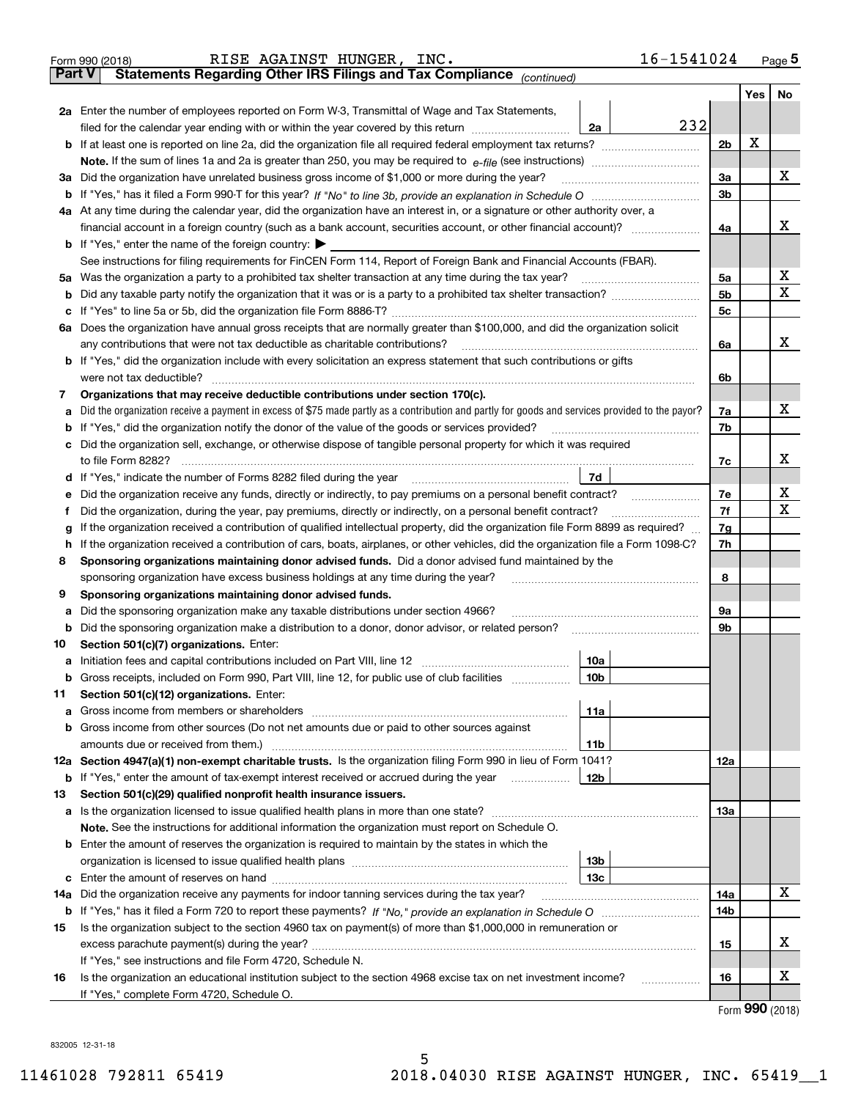|               | RISE AGAINST HUNGER,<br>INC.<br>Form 990 (2018)                                                                                                                                                                                                                                    | 16-1541024     |            | $Page$ <sup>5</sup> |  |  |  |
|---------------|------------------------------------------------------------------------------------------------------------------------------------------------------------------------------------------------------------------------------------------------------------------------------------|----------------|------------|---------------------|--|--|--|
| <b>Part V</b> | Statements Regarding Other IRS Filings and Tax Compliance (continued)                                                                                                                                                                                                              |                |            |                     |  |  |  |
|               |                                                                                                                                                                                                                                                                                    |                | Yes        | No                  |  |  |  |
|               | 2a Enter the number of employees reported on Form W-3, Transmittal of Wage and Tax Statements,                                                                                                                                                                                     |                |            |                     |  |  |  |
|               | filed for the calendar year ending with or within the year covered by this return <i>manumumumum</i><br>2a                                                                                                                                                                         | 232            |            |                     |  |  |  |
|               |                                                                                                                                                                                                                                                                                    | 2 <sub>b</sub> | х          |                     |  |  |  |
|               |                                                                                                                                                                                                                                                                                    |                |            |                     |  |  |  |
|               | 3a Did the organization have unrelated business gross income of \$1,000 or more during the year?                                                                                                                                                                                   | 3a             |            | х                   |  |  |  |
|               |                                                                                                                                                                                                                                                                                    | 3b             |            |                     |  |  |  |
|               | 4a At any time during the calendar year, did the organization have an interest in, or a signature or other authority over, a                                                                                                                                                       |                |            |                     |  |  |  |
|               |                                                                                                                                                                                                                                                                                    | 4a             |            | x                   |  |  |  |
|               | <b>b</b> If "Yes," enter the name of the foreign country: $\blacktriangleright$                                                                                                                                                                                                    |                |            |                     |  |  |  |
|               | See instructions for filing requirements for FinCEN Form 114, Report of Foreign Bank and Financial Accounts (FBAR).                                                                                                                                                                |                |            |                     |  |  |  |
| 5a            | Was the organization a party to a prohibited tax shelter transaction at any time during the tax year?                                                                                                                                                                              | 5a             |            | х                   |  |  |  |
| b             |                                                                                                                                                                                                                                                                                    | 5b             |            | х                   |  |  |  |
| c             |                                                                                                                                                                                                                                                                                    | 5c             |            |                     |  |  |  |
|               | 6a Does the organization have annual gross receipts that are normally greater than \$100,000, and did the organization solicit                                                                                                                                                     |                |            |                     |  |  |  |
|               | any contributions that were not tax deductible as charitable contributions?                                                                                                                                                                                                        | 6a             |            | x                   |  |  |  |
|               | <b>b</b> If "Yes," did the organization include with every solicitation an express statement that such contributions or gifts                                                                                                                                                      |                |            |                     |  |  |  |
|               | were not tax deductible? www.communication.com/www.communication.com/www.communication.com/www.communication.com                                                                                                                                                                   | 6b             |            |                     |  |  |  |
| 7             | Organizations that may receive deductible contributions under section 170(c).                                                                                                                                                                                                      |                |            |                     |  |  |  |
| а             | Did the organization receive a payment in excess of \$75 made partly as a contribution and partly for goods and services provided to the payor?                                                                                                                                    | 7a             |            | х                   |  |  |  |
| b             | If "Yes," did the organization notify the donor of the value of the goods or services provided?                                                                                                                                                                                    | 7b             |            |                     |  |  |  |
| с             | Did the organization sell, exchange, or otherwise dispose of tangible personal property for which it was required                                                                                                                                                                  |                |            |                     |  |  |  |
|               |                                                                                                                                                                                                                                                                                    | 7c             |            | x                   |  |  |  |
|               | 7d                                                                                                                                                                                                                                                                                 |                |            |                     |  |  |  |
| е             |                                                                                                                                                                                                                                                                                    | 7e<br>7f       |            | X<br>X              |  |  |  |
| f             | Did the organization, during the year, pay premiums, directly or indirectly, on a personal benefit contract?                                                                                                                                                                       |                |            |                     |  |  |  |
| g             | If the organization received a contribution of qualified intellectual property, did the organization file Form 8899 as required?                                                                                                                                                   | 7g             |            |                     |  |  |  |
| h.            | If the organization received a contribution of cars, boats, airplanes, or other vehicles, did the organization file a Form 1098-C?                                                                                                                                                 | 7h             |            |                     |  |  |  |
| 8             | Sponsoring organizations maintaining donor advised funds. Did a donor advised fund maintained by the                                                                                                                                                                               |                |            |                     |  |  |  |
|               | sponsoring organization have excess business holdings at any time during the year?                                                                                                                                                                                                 | 8              |            |                     |  |  |  |
| 9             | Sponsoring organizations maintaining donor advised funds.                                                                                                                                                                                                                          |                |            |                     |  |  |  |
| а             | Did the sponsoring organization make any taxable distributions under section 4966?                                                                                                                                                                                                 | 9а             |            |                     |  |  |  |
| b             | Did the sponsoring organization make a distribution to a donor, donor advisor, or related person?                                                                                                                                                                                  | 9b             |            |                     |  |  |  |
| 10            | Section 501(c)(7) organizations. Enter:                                                                                                                                                                                                                                            |                |            |                     |  |  |  |
|               | 10a<br>a Initiation fees and capital contributions included on Part VIII, line 12 [111] [11] [11] Initiation fees and capital contributions included on Part VIII, line 12<br> 10b <br>Gross receipts, included on Form 990, Part VIII, line 12, for public use of club facilities |                |            |                     |  |  |  |
| 11            | Section 501(c)(12) organizations. Enter:                                                                                                                                                                                                                                           |                |            |                     |  |  |  |
| a             | 11a                                                                                                                                                                                                                                                                                |                |            |                     |  |  |  |
| b             | Gross income from other sources (Do not net amounts due or paid to other sources against                                                                                                                                                                                           |                |            |                     |  |  |  |
|               | 11 <sub>b</sub>                                                                                                                                                                                                                                                                    |                |            |                     |  |  |  |
|               | 12a Section 4947(a)(1) non-exempt charitable trusts. Is the organization filing Form 990 in lieu of Form 1041?                                                                                                                                                                     | 12a            |            |                     |  |  |  |
|               | 12b<br><b>b</b> If "Yes," enter the amount of tax-exempt interest received or accrued during the year <i>manument</i> of the set of the set of the set of the set of the set of the set of the set of the set of the set of the set of the set                                     |                |            |                     |  |  |  |
| 13            | Section 501(c)(29) qualified nonprofit health insurance issuers.                                                                                                                                                                                                                   |                |            |                     |  |  |  |
|               | <b>a</b> Is the organization licensed to issue qualified health plans in more than one state?                                                                                                                                                                                      | 13а            |            |                     |  |  |  |
|               | Note. See the instructions for additional information the organization must report on Schedule O.                                                                                                                                                                                  |                |            |                     |  |  |  |
| b             | Enter the amount of reserves the organization is required to maintain by the states in which the                                                                                                                                                                                   |                |            |                     |  |  |  |
|               | 13b                                                                                                                                                                                                                                                                                |                |            |                     |  |  |  |
| c             | 13с                                                                                                                                                                                                                                                                                |                |            |                     |  |  |  |
| 14a           | Did the organization receive any payments for indoor tanning services during the tax year?                                                                                                                                                                                         | 14a            |            | х                   |  |  |  |
|               |                                                                                                                                                                                                                                                                                    | 14b            |            |                     |  |  |  |
| 15            | Is the organization subject to the section 4960 tax on payment(s) of more than \$1,000,000 in remuneration or                                                                                                                                                                      |                |            |                     |  |  |  |
|               |                                                                                                                                                                                                                                                                                    | 15             |            | X                   |  |  |  |
|               | If "Yes," see instructions and file Form 4720, Schedule N.                                                                                                                                                                                                                         |                |            |                     |  |  |  |
| 16            | Is the organization an educational institution subject to the section 4968 excise tax on net investment income?                                                                                                                                                                    | 16             |            | X                   |  |  |  |
|               | If "Yes," complete Form 4720, Schedule O.                                                                                                                                                                                                                                          |                | <u>nnn</u> |                     |  |  |  |

Form (2018) **990**

832005 12-31-18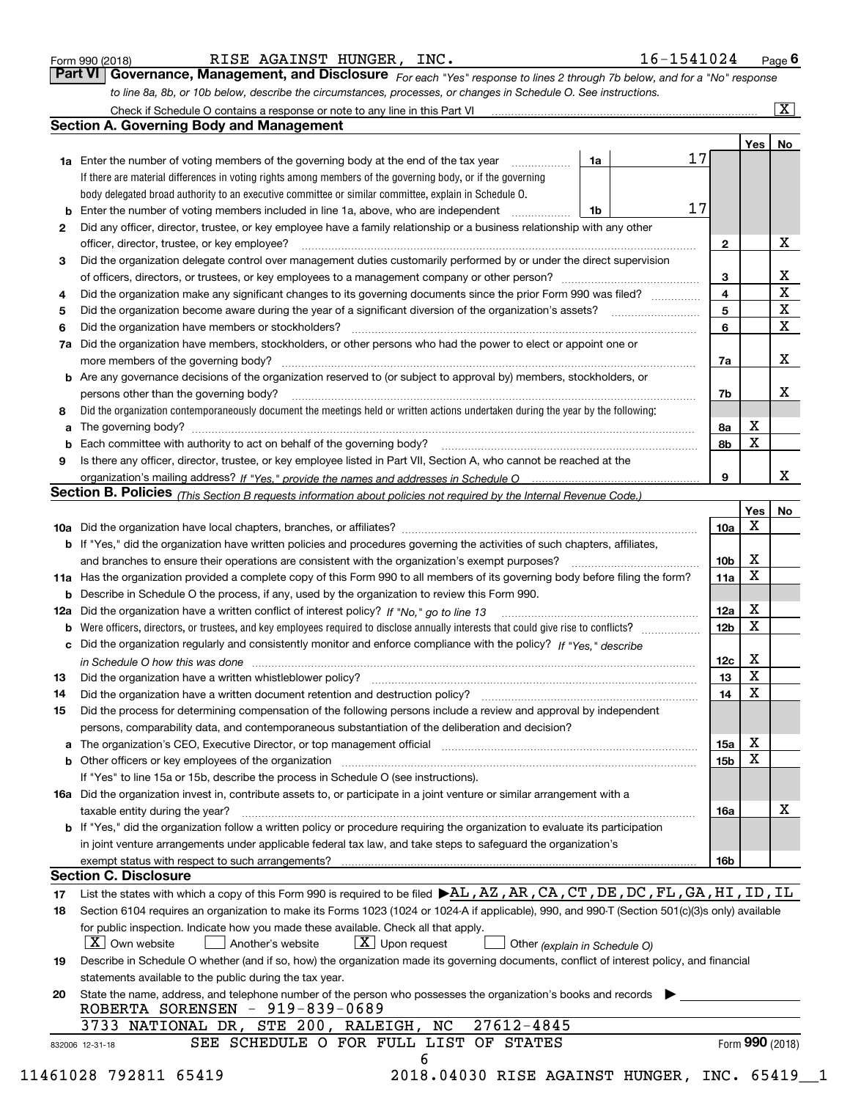| Form 990 (2018) |  |  |
|-----------------|--|--|

RISE AGAINST HUNGER, INC. 16-1541024

*For each "Yes" response to lines 2 through 7b below, and for a "No" response to line 8a, 8b, or 10b below, describe the circumstances, processes, or changes in Schedule O. See instructions.* Form 990 (2018) **COMB REGIVE BET AGAINST HUNGER, INC.** The same set also also a page 6 response to lines 2 through 7b below, and for a "No" response **Part VI Governance, Management, and Disclosure** *For each "Yes" respon* 

|     | Check if Schedule O contains a response or note to any line in this Part VI                                                                                           |                 |     | $\overline{\mathbf{X}}$ |
|-----|-----------------------------------------------------------------------------------------------------------------------------------------------------------------------|-----------------|-----|-------------------------|
|     | <b>Section A. Governing Body and Management</b>                                                                                                                       |                 |     |                         |
|     |                                                                                                                                                                       |                 | Yes | No                      |
|     | 17<br>1a<br><b>1a</b> Enter the number of voting members of the governing body at the end of the tax year<br>.                                                        |                 |     |                         |
|     | If there are material differences in voting rights among members of the governing body, or if the governing                                                           |                 |     |                         |
|     | body delegated broad authority to an executive committee or similar committee, explain in Schedule O.                                                                 |                 |     |                         |
|     | 17<br>Enter the number of voting members included in line 1a, above, who are independent<br>1b                                                                        |                 |     |                         |
| 2   | Did any officer, director, trustee, or key employee have a family relationship or a business relationship with any other                                              |                 |     |                         |
|     | officer, director, trustee, or key employee?                                                                                                                          | $\mathbf{2}$    |     | х                       |
| 3   | Did the organization delegate control over management duties customarily performed by or under the direct supervision                                                 |                 |     |                         |
|     |                                                                                                                                                                       | 3               |     | х                       |
| 4   | Did the organization make any significant changes to its governing documents since the prior Form 990 was filed?                                                      | 4               |     | X                       |
| 5   |                                                                                                                                                                       | 5               |     | X                       |
| 6   | Did the organization have members or stockholders?                                                                                                                    | 6               |     | X                       |
| 7a  | Did the organization have members, stockholders, or other persons who had the power to elect or appoint one or                                                        |                 |     |                         |
|     | more members of the governing body?                                                                                                                                   | 7a              |     | х                       |
| b   | Are any governance decisions of the organization reserved to (or subject to approval by) members, stockholders, or                                                    |                 |     |                         |
|     | persons other than the governing body?                                                                                                                                | 7b              |     | х                       |
| 8   | Did the organization contemporaneously document the meetings held or written actions undertaken during the year by the following:                                     |                 |     |                         |
| a   |                                                                                                                                                                       | 8a              | х   |                         |
|     | Each committee with authority to act on behalf of the governing body? manufactured committee with authority to act on behalf of the governing body?                   | 8b              | X   |                         |
| 9   | Is there any officer, director, trustee, or key employee listed in Part VII, Section A, who cannot be reached at the                                                  |                 |     |                         |
|     |                                                                                                                                                                       | 9               |     | x                       |
|     | <b>Section B. Policies</b> (This Section B requests information about policies not required by the Internal Revenue Code.)                                            |                 |     |                         |
|     |                                                                                                                                                                       |                 | Yes | No                      |
|     |                                                                                                                                                                       | 10a             | X   |                         |
|     | <b>b</b> If "Yes," did the organization have written policies and procedures governing the activities of such chapters, affiliates,                                   |                 |     |                         |
|     | and branches to ensure their operations are consistent with the organization's exempt purposes?                                                                       | 10 <sub>b</sub> | X   |                         |
| 11a | Has the organization provided a complete copy of this Form 990 to all members of its governing body before filing the form?                                           | 11a             | X   |                         |
| b   | Describe in Schedule O the process, if any, used by the organization to review this Form 990.                                                                         |                 |     |                         |
| 12a | Did the organization have a written conflict of interest policy? If "No," go to line 13                                                                               | 12a             | X   |                         |
| b   |                                                                                                                                                                       | 12 <sub>b</sub> | Χ   |                         |
| c   | Did the organization regularly and consistently monitor and enforce compliance with the policy? If "Yes," describe                                                    |                 |     |                         |
|     | in Schedule O how this was done encourance and an international control of the state of the state of the state o                                                      | 12c             | X   |                         |
| 13  | Did the organization have a written whistleblower policy?                                                                                                             | 13              | X   |                         |
| 14  | Did the organization have a written document retention and destruction policy?                                                                                        | 14              | X   |                         |
| 15  | Did the process for determining compensation of the following persons include a review and approval by independent                                                    |                 |     |                         |
|     | persons, comparability data, and contemporaneous substantiation of the deliberation and decision?                                                                     |                 |     |                         |
|     | The organization's CEO, Executive Director, or top management official manufactured content of the organization's CEO, Executive Director, or top management official | 15a             | х   |                         |
|     | Other officers or key employees of the organization                                                                                                                   | <b>15b</b>      | X   |                         |
|     | If "Yes" to line 15a or 15b, describe the process in Schedule O (see instructions).                                                                                   |                 |     |                         |
|     | 16a Did the organization invest in, contribute assets to, or participate in a joint venture or similar arrangement with a                                             |                 |     |                         |
|     | taxable entity during the year?                                                                                                                                       | 16a             |     | х                       |
|     | b If "Yes," did the organization follow a written policy or procedure requiring the organization to evaluate its participation                                        |                 |     |                         |
|     | in joint venture arrangements under applicable federal tax law, and take steps to safeguard the organization's                                                        |                 |     |                         |
|     | exempt status with respect to such arrangements?                                                                                                                      | 16b             |     |                         |
|     | <b>Section C. Disclosure</b>                                                                                                                                          |                 |     |                         |
| 17  | List the states with which a copy of this Form 990 is required to be filed $\blacktriangleright$ AL, AZ, AR, CA, CT, DE, DC, FL, GA, HI, ID, IL                       |                 |     |                         |
| 18  | Section 6104 requires an organization to make its Forms 1023 (1024 or 1024-A if applicable), 990, and 990-T (Section 501(c)(3)s only) available                       |                 |     |                         |
|     | for public inspection. Indicate how you made these available. Check all that apply.                                                                                   |                 |     |                         |
|     | $X$ Own website<br>$X$ Upon request<br>Another's website<br>Other (explain in Schedule O)                                                                             |                 |     |                         |
| 19  | Describe in Schedule O whether (and if so, how) the organization made its governing documents, conflict of interest policy, and financial                             |                 |     |                         |
|     | statements available to the public during the tax year.                                                                                                               |                 |     |                         |
| 20  | State the name, address, and telephone number of the person who possesses the organization's books and records                                                        |                 |     |                         |
|     | ROBERTA SORENSEN - 919-839-0689                                                                                                                                       |                 |     |                         |
|     | 27612-4845<br>3733 NATIONAL DR, STE 200, RALEIGH, NC                                                                                                                  |                 |     |                         |
|     | SEE SCHEDULE O FOR FULL LIST OF STATES<br>832006 12-31-18                                                                                                             |                 |     | Form 990 (2018)         |
|     | 6                                                                                                                                                                     |                 |     |                         |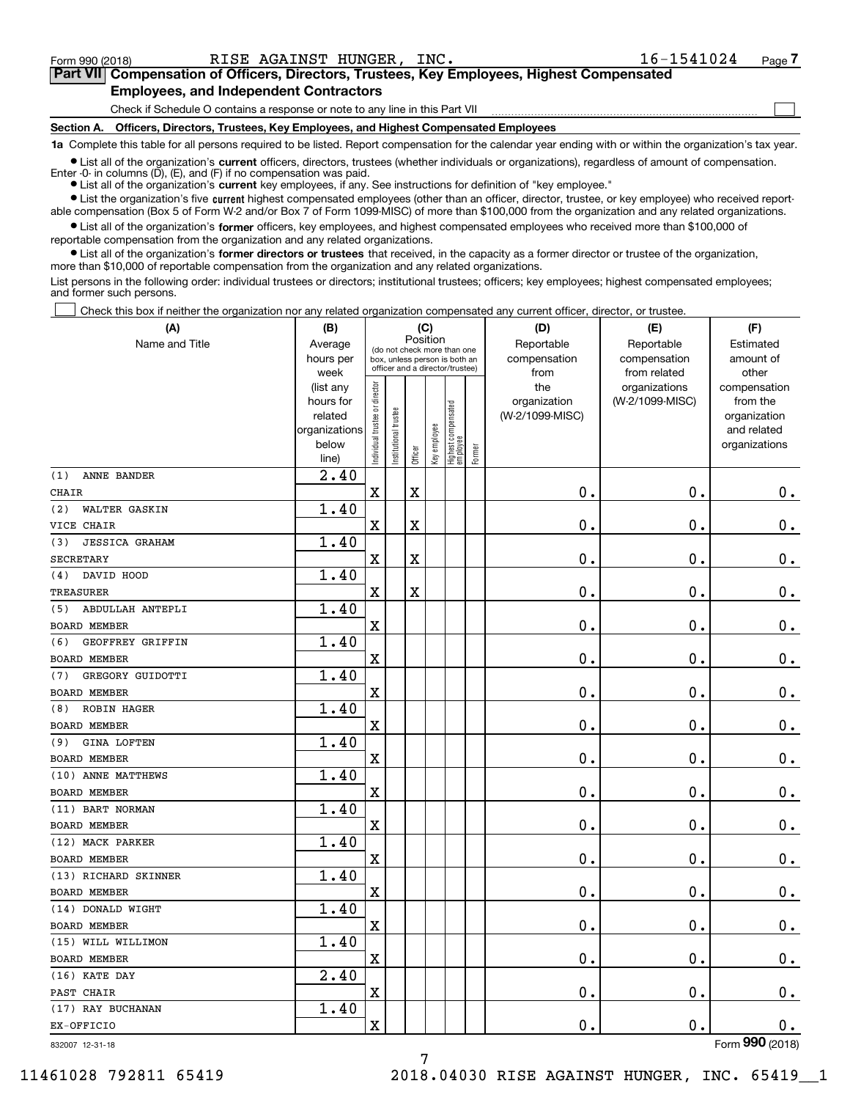$\mathcal{L}^{\text{max}}$ 

| Form 990 (2018) |                                               | RISE AGAINST HUNGER, INC. |                                                                                            | 16-1541024 | Page 7 |
|-----------------|-----------------------------------------------|---------------------------|--------------------------------------------------------------------------------------------|------------|--------|
|                 |                                               |                           | Part VII Compensation of Officers, Directors, Trustees, Key Employees, Highest Compensated |            |        |
|                 | <b>Employees, and Independent Contractors</b> |                           |                                                                                            |            |        |

Check if Schedule O contains a response or note to any line in this Part VII

**Section A. Officers, Directors, Trustees, Key Employees, and Highest Compensated Employees**

**1a**  Complete this table for all persons required to be listed. Report compensation for the calendar year ending with or within the organization's tax year.

**•** List all of the organization's current officers, directors, trustees (whether individuals or organizations), regardless of amount of compensation. Enter -0- in columns  $(D)$ ,  $(E)$ , and  $(F)$  if no compensation was paid.

● List all of the organization's **current** key employees, if any. See instructions for definition of "key employee."

**•** List the organization's five current highest compensated employees (other than an officer, director, trustee, or key employee) who received reportable compensation (Box 5 of Form W-2 and/or Box 7 of Form 1099-MISC) of more than \$100,000 from the organization and any related organizations.

 $\bullet$  List all of the organization's **former** officers, key employees, and highest compensated employees who received more than \$100,000 of reportable compensation from the organization and any related organizations.

**•** List all of the organization's former directors or trustees that received, in the capacity as a former director or trustee of the organization, more than \$10,000 of reportable compensation from the organization and any related organizations.

List persons in the following order: individual trustees or directors; institutional trustees; officers; key employees; highest compensated employees; and former such persons.

Check this box if neither the organization nor any related organization compensated any current officer, director, or trustee.  $\mathcal{L}^{\text{max}}$ 

| (A)                          | (B)                      |                                |                       |          | (C)          |                                  |        | (D)             | (E)             | (F)                         |
|------------------------------|--------------------------|--------------------------------|-----------------------|----------|--------------|----------------------------------|--------|-----------------|-----------------|-----------------------------|
| Name and Title               | Average                  |                                |                       | Position |              | (do not check more than one      |        | Reportable      | Reportable      | Estimated                   |
|                              | hours per                |                                |                       |          |              | box, unless person is both an    |        | compensation    | compensation    | amount of                   |
|                              | week                     |                                |                       |          |              | officer and a director/trustee)  |        | from            | from related    | other                       |
|                              | (list any                |                                |                       |          |              |                                  |        | the             | organizations   | compensation                |
|                              | hours for                |                                |                       |          |              |                                  |        | organization    | (W-2/1099-MISC) | from the                    |
|                              | related<br>organizations |                                |                       |          |              |                                  |        | (W-2/1099-MISC) |                 | organization<br>and related |
|                              | below                    |                                |                       |          |              |                                  |        |                 |                 | organizations               |
|                              | line)                    | Individual trustee or director | Institutional trustee | Officer  | Key employee | Highest compensated<br> employee | Former |                 |                 |                             |
| ANNE BANDER<br>(1)           | 2.40                     |                                |                       |          |              |                                  |        |                 |                 |                             |
| <b>CHAIR</b>                 |                          | X                              |                       | X        |              |                                  |        | 0.              | $\mathbf 0$ .   | 0.                          |
| WALTER GASKIN<br>(2)         | 1.40                     |                                |                       |          |              |                                  |        |                 |                 |                             |
| VICE CHAIR                   |                          | X                              |                       | X        |              |                                  |        | 0.              | $\mathbf 0$ .   | 0.                          |
| <b>JESSICA GRAHAM</b><br>(3) | 1.40                     |                                |                       |          |              |                                  |        |                 |                 |                             |
| <b>SECRETARY</b>             |                          | X                              |                       | X        |              |                                  |        | 0.              | $\mathbf 0$ .   | $0$ .                       |
| DAVID HOOD<br>(4)            | 1.40                     |                                |                       |          |              |                                  |        |                 |                 |                             |
| TREASURER                    |                          | X                              |                       | X        |              |                                  |        | 0.              | $\mathbf 0$ .   | $0$ .                       |
| ABDULLAH ANTEPLI<br>(5)      | 1.40                     |                                |                       |          |              |                                  |        |                 |                 |                             |
| <b>BOARD MEMBER</b>          |                          | X                              |                       |          |              |                                  |        | 0.              | $\mathbf 0$ .   | $\mathbf 0$ .               |
| GEOFFREY GRIFFIN<br>(6)      | 1.40                     |                                |                       |          |              |                                  |        |                 |                 |                             |
| <b>BOARD MEMBER</b>          |                          | X                              |                       |          |              |                                  |        | 0.              | $\mathbf 0$ .   | $\mathbf 0$ .               |
| GREGORY GUIDOTTI<br>(7)      | 1.40                     |                                |                       |          |              |                                  |        |                 |                 |                             |
| <b>BOARD MEMBER</b>          |                          | X                              |                       |          |              |                                  |        | 0.              | $\mathbf 0$ .   | $0$ .                       |
| <b>ROBIN HAGER</b><br>(8)    | 1.40                     |                                |                       |          |              |                                  |        |                 |                 |                             |
| <b>BOARD MEMBER</b>          |                          | X                              |                       |          |              |                                  |        | 0.              | $\mathbf 0$ .   | $0$ .                       |
| GINA LOFTEN<br>(9)           | 1.40                     |                                |                       |          |              |                                  |        |                 |                 |                             |
| <b>BOARD MEMBER</b>          |                          | X                              |                       |          |              |                                  |        | 0.              | 0.              | $\mathbf 0$ .               |
| (10) ANNE MATTHEWS           | 1.40                     |                                |                       |          |              |                                  |        |                 |                 |                             |
| <b>BOARD MEMBER</b>          |                          | X                              |                       |          |              |                                  |        | 0.              | 0.              | $0$ .                       |
| (11) BART NORMAN             | 1.40                     |                                |                       |          |              |                                  |        |                 |                 |                             |
| <b>BOARD MEMBER</b>          |                          | X                              |                       |          |              |                                  |        | 0.              | 0.              | $0$ .                       |
| (12) MACK PARKER             | 1.40                     |                                |                       |          |              |                                  |        |                 |                 |                             |
| <b>BOARD MEMBER</b>          |                          | X                              |                       |          |              |                                  |        | 0.              | 0.              | 0.                          |
| (13) RICHARD SKINNER         | 1.40                     |                                |                       |          |              |                                  |        |                 |                 |                             |
| BOARD MEMBER                 |                          | X                              |                       |          |              |                                  |        | 0.              | 0.              | 0.                          |
| (14) DONALD WIGHT            | 1.40                     |                                |                       |          |              |                                  |        |                 |                 |                             |
| BOARD MEMBER                 |                          | X                              |                       |          |              |                                  |        | 0.              | 0.              | 0.                          |
| (15) WILL WILLIMON           | 1.40                     |                                |                       |          |              |                                  |        |                 |                 |                             |
| BOARD MEMBER                 |                          | x                              |                       |          |              |                                  |        | $\mathbf 0$ .   | $\mathbf 0$ .   | $\overline{0}$ .            |
| (16) KATE DAY                | 2.40                     |                                |                       |          |              |                                  |        |                 |                 |                             |
| PAST CHAIR                   |                          | x                              |                       |          |              |                                  |        | 0.              | $\mathbf 0$ .   | 0.                          |
| (17) RAY BUCHANAN            | 1.40                     |                                |                       |          |              |                                  |        |                 |                 |                             |
| EX-OFFICIO                   |                          | x                              |                       |          |              |                                  |        | $\mathbf 0$ .   | $\mathbf 0$ .   | 0.                          |
| 832007 12-31-18              |                          |                                |                       |          |              |                                  |        |                 |                 | Form 990 (2018)             |

7

832007 12-31-18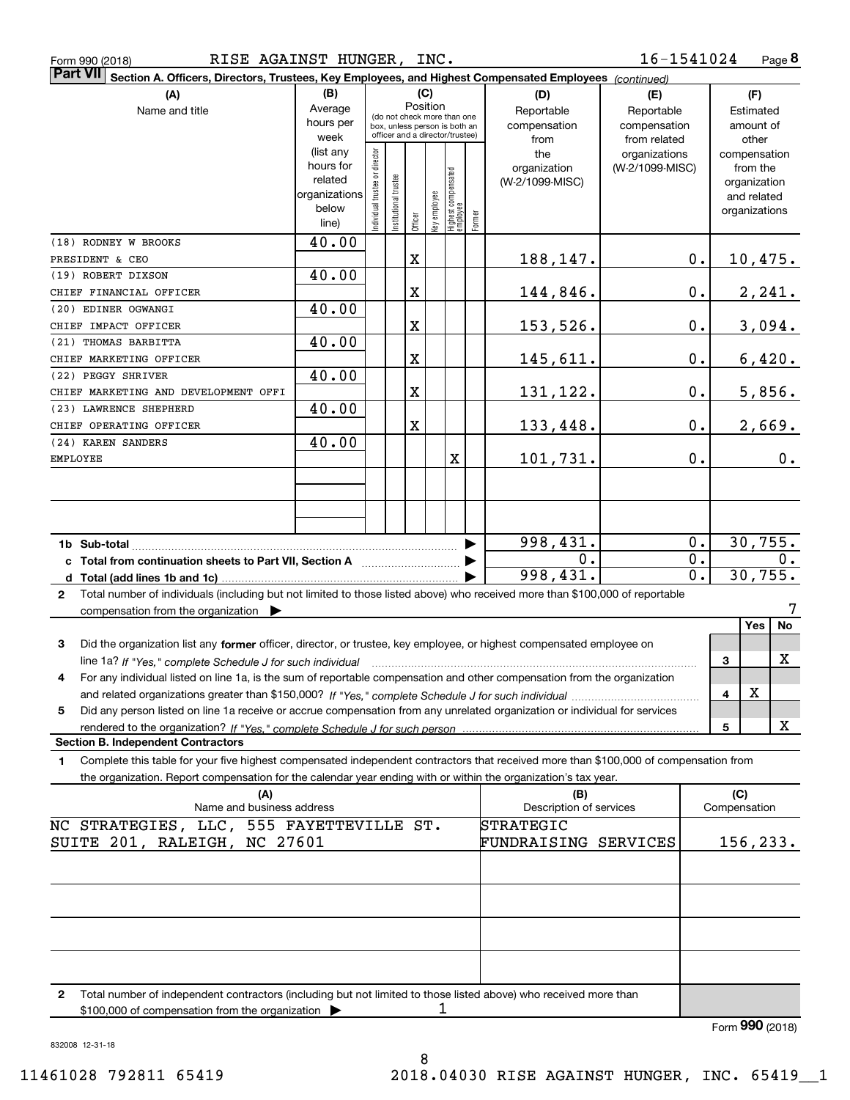| Form 990 (2018) | RISE AGAINST HUNGER,<br>INC. | 16-1541024<br>Page |
|-----------------|------------------------------|--------------------|
|-----------------|------------------------------|--------------------|

| 16-1541024<br>RISE AGAINST HUNGER, INC.<br>Page 8<br>Form 990 (2018)                                                                         |                |                                 |                       |             |                                                              |                                  |        |                                |                 |                  |                     |                 |
|----------------------------------------------------------------------------------------------------------------------------------------------|----------------|---------------------------------|-----------------------|-------------|--------------------------------------------------------------|----------------------------------|--------|--------------------------------|-----------------|------------------|---------------------|-----------------|
| Part VII Section A. Officers, Directors, Trustees, Key Employees, and Highest Compensated Employees (continued)                              |                |                                 |                       |             |                                                              |                                  |        |                                |                 |                  |                     |                 |
| (A)                                                                                                                                          | (B)            |                                 |                       | (C)         |                                                              |                                  |        | (D)                            | (E)             |                  |                     | (F)             |
| Average<br>Name and title                                                                                                                    |                |                                 |                       |             | Position                                                     |                                  |        | Reportable                     | Reportable      |                  |                     | Estimated       |
|                                                                                                                                              | hours per      |                                 |                       |             | (do not check more than one<br>box, unless person is both an |                                  |        | compensation                   | compensation    |                  |                     | amount of       |
|                                                                                                                                              | week           | officer and a director/trustee) |                       |             |                                                              |                                  | from   | from related                   |                 |                  | other               |                 |
|                                                                                                                                              | (list any      |                                 |                       |             |                                                              |                                  |        | the                            | organizations   |                  |                     | compensation    |
|                                                                                                                                              | hours for      |                                 |                       |             |                                                              |                                  |        | organization                   | (W-2/1099-MISC) |                  |                     | from the        |
|                                                                                                                                              | related        |                                 |                       |             |                                                              |                                  |        | (W-2/1099-MISC)                |                 |                  |                     | organization    |
|                                                                                                                                              | organizations  |                                 |                       |             |                                                              |                                  |        |                                |                 |                  |                     | and related     |
|                                                                                                                                              | below<br>line) | ndividual trustee or director   | Institutional trustee | Officer     | Key employee                                                 | Highest compensated<br> employee | Former |                                |                 |                  |                     | organizations   |
|                                                                                                                                              |                |                                 |                       |             |                                                              |                                  |        |                                |                 |                  |                     |                 |
| (18) RODNEY W BROOKS                                                                                                                         | 40.00          |                                 |                       |             |                                                              |                                  |        |                                |                 |                  |                     |                 |
| PRESIDENT & CEO                                                                                                                              |                |                                 |                       | $\mathbf X$ |                                                              |                                  |        | <u>188,147.</u>                |                 | $0$ .            |                     | <u>10,475.</u>  |
| (19) ROBERT DIXSON                                                                                                                           | 40.00          |                                 |                       |             |                                                              |                                  |        |                                |                 |                  |                     |                 |
| CHIEF FINANCIAL OFFICER                                                                                                                      |                |                                 |                       | $\mathbf X$ |                                                              |                                  |        | 144,846.                       |                 | $0$ .            |                     | <u>2,241.</u>   |
| (20) EDINER OGWANGI                                                                                                                          | 40.00          |                                 |                       |             |                                                              |                                  |        |                                |                 |                  |                     |                 |
| CHIEF IMPACT OFFICER                                                                                                                         |                |                                 |                       | $\mathbf X$ |                                                              |                                  |        | 153,526.                       |                 | $\mathbf 0$ .    |                     | 3,094.          |
| (21) THOMAS BARBITTA                                                                                                                         | 40.00          |                                 |                       |             |                                                              |                                  |        |                                |                 |                  |                     |                 |
| CHIEF MARKETING OFFICER                                                                                                                      |                |                                 |                       | $\mathbf X$ |                                                              |                                  |        | 145,611.                       |                 | $\mathbf 0$ .    |                     | 6,420.          |
| (22) PEGGY SHRIVER                                                                                                                           | 40.00          |                                 |                       |             |                                                              |                                  |        |                                |                 |                  |                     |                 |
| CHIEF MARKETING AND DEVELOPMENT OFFI                                                                                                         |                |                                 |                       | $\mathbf X$ |                                                              |                                  |        | <u>131,122.</u>                |                 | $\mathbf 0$ .    |                     | 5,856.          |
| (23) LAWRENCE SHEPHERD                                                                                                                       | 40.00          |                                 |                       |             |                                                              |                                  |        |                                |                 |                  |                     |                 |
| CHIEF OPERATING OFFICER                                                                                                                      |                |                                 |                       | $\mathbf X$ |                                                              |                                  |        | <u>133,448.</u>                |                 | $0$ .            |                     | 2,669.          |
| (24) KAREN SANDERS                                                                                                                           | 40.00          |                                 |                       |             |                                                              |                                  |        |                                |                 |                  |                     |                 |
| EMPLOYEE                                                                                                                                     |                |                                 |                       |             |                                                              | X                                |        | 101,731.                       |                 | $0$ .            |                     | 0.              |
|                                                                                                                                              |                |                                 |                       |             |                                                              |                                  |        |                                |                 |                  |                     |                 |
|                                                                                                                                              |                |                                 |                       |             |                                                              |                                  |        |                                |                 |                  |                     |                 |
|                                                                                                                                              |                |                                 |                       |             |                                                              |                                  |        |                                |                 |                  |                     |                 |
|                                                                                                                                              |                |                                 |                       |             |                                                              |                                  |        |                                |                 |                  |                     |                 |
|                                                                                                                                              |                |                                 |                       |             |                                                              |                                  |        |                                |                 |                  |                     |                 |
| 998,431.<br>1b Sub-total                                                                                                                     |                |                                 |                       |             | $0$ .                                                        | 30, 755.                         |        |                                |                 |                  |                     |                 |
| c Total from continuation sheets to Part VII, Section A <b>manual</b> Testion Section A                                                      |                |                                 |                       |             |                                                              |                                  |        | 0.                             |                 | $\overline{0}$ . | $\mathbf{0}$ .      |                 |
|                                                                                                                                              |                |                                 |                       |             |                                                              |                                  |        | 998,431.                       |                 | $\overline{0}$ . |                     | 30, 755.        |
| Total number of individuals (including but not limited to those listed above) who received more than \$100,000 of reportable<br>$\mathbf{2}$ |                |                                 |                       |             |                                                              |                                  |        |                                |                 |                  |                     |                 |
| compensation from the organization $\blacktriangleright$                                                                                     |                |                                 |                       |             |                                                              |                                  |        |                                |                 |                  |                     |                 |
|                                                                                                                                              |                |                                 |                       |             |                                                              |                                  |        |                                |                 |                  |                     | No<br>Yes       |
| 3<br>Did the organization list any former officer, director, or trustee, key employee, or highest compensated employee on                    |                |                                 |                       |             |                                                              |                                  |        |                                |                 |                  |                     |                 |
|                                                                                                                                              |                |                                 |                       |             |                                                              |                                  |        |                                |                 |                  | 3                   | X               |
| For any individual listed on line 1a, is the sum of reportable compensation and other compensation from the organization<br>4                |                |                                 |                       |             |                                                              |                                  |        |                                |                 |                  |                     |                 |
|                                                                                                                                              |                |                                 |                       |             |                                                              |                                  |        |                                |                 |                  | 4                   | х               |
| Did any person listed on line 1a receive or accrue compensation from any unrelated organization or individual for services<br>5              |                |                                 |                       |             |                                                              |                                  |        |                                |                 |                  |                     |                 |
|                                                                                                                                              |                |                                 |                       |             |                                                              |                                  |        |                                |                 |                  | 5                   | х               |
| <b>Section B. Independent Contractors</b>                                                                                                    |                |                                 |                       |             |                                                              |                                  |        |                                |                 |                  |                     |                 |
| Complete this table for your five highest compensated independent contractors that received more than \$100,000 of compensation from<br>1.   |                |                                 |                       |             |                                                              |                                  |        |                                |                 |                  |                     |                 |
| the organization. Report compensation for the calendar year ending with or within the organization's tax year.                               |                |                                 |                       |             |                                                              |                                  |        |                                |                 |                  |                     |                 |
|                                                                                                                                              |                |                                 |                       |             |                                                              |                                  |        |                                |                 |                  |                     |                 |
| (A)<br>Name and business address                                                                                                             |                |                                 |                       |             |                                                              |                                  |        | (B)<br>Description of services |                 |                  | (C)<br>Compensation |                 |
|                                                                                                                                              |                |                                 |                       |             |                                                              |                                  |        | STRATEGIC                      |                 |                  |                     |                 |
| NC STRATEGIES, LLC, 555 FAYETTEVILLE ST.                                                                                                     |                |                                 |                       |             |                                                              |                                  |        |                                |                 |                  |                     |                 |
| SUITE 201, RALEIGH, NC 27601                                                                                                                 |                |                                 |                       |             |                                                              |                                  |        | FUNDRAISING SERVICES           |                 |                  |                     | 156, 233.       |
|                                                                                                                                              |                |                                 |                       |             |                                                              |                                  |        |                                |                 |                  |                     |                 |
|                                                                                                                                              |                |                                 |                       |             |                                                              |                                  |        |                                |                 |                  |                     |                 |
|                                                                                                                                              |                |                                 |                       |             |                                                              |                                  |        |                                |                 |                  |                     |                 |
|                                                                                                                                              |                |                                 |                       |             |                                                              |                                  |        |                                |                 |                  |                     |                 |
|                                                                                                                                              |                |                                 |                       |             |                                                              |                                  |        |                                |                 |                  |                     |                 |
|                                                                                                                                              |                |                                 |                       |             |                                                              |                                  |        |                                |                 |                  |                     |                 |
|                                                                                                                                              |                |                                 |                       |             |                                                              |                                  |        |                                |                 |                  |                     |                 |
|                                                                                                                                              |                |                                 |                       |             |                                                              |                                  |        |                                |                 |                  |                     |                 |
| Total number of independent contractors (including but not limited to those listed above) who received more than<br>$\mathbf{2}$             |                |                                 |                       |             |                                                              |                                  |        |                                |                 |                  |                     |                 |
| \$100,000 of compensation from the organization                                                                                              |                |                                 |                       |             | 1                                                            |                                  |        |                                |                 |                  |                     |                 |
|                                                                                                                                              |                |                                 |                       |             |                                                              |                                  |        |                                |                 |                  |                     | Form 990 (2018) |

832008 12-31-18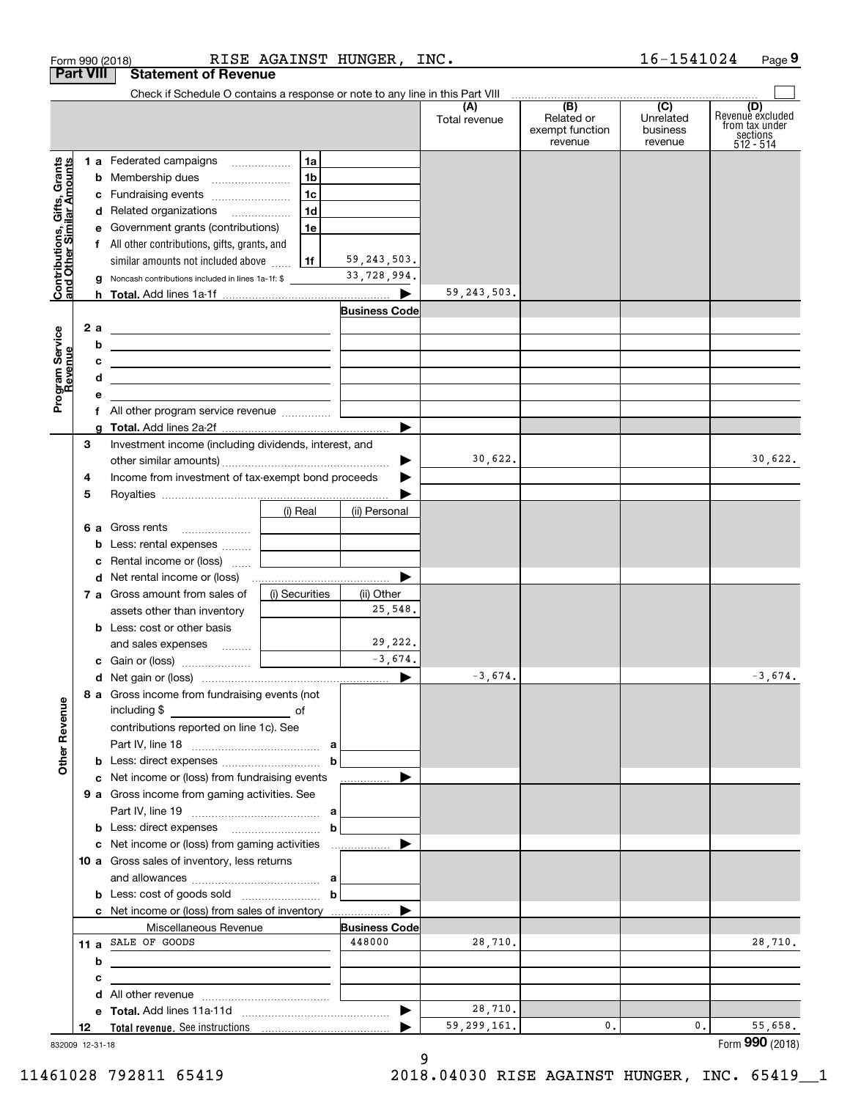|                                                           | RISE AGAINST HUNGER, INC.<br>Form 990 (2018)                                                                              |                                   |                      |               |                                          | 16-1541024                       | Page 9                                                             |
|-----------------------------------------------------------|---------------------------------------------------------------------------------------------------------------------------|-----------------------------------|----------------------|---------------|------------------------------------------|----------------------------------|--------------------------------------------------------------------|
| <b>Part VIII</b>                                          | <b>Statement of Revenue</b>                                                                                               |                                   |                      |               |                                          |                                  |                                                                    |
|                                                           | Check if Schedule O contains a response or note to any line in this Part VIII (A) (B) (C) C D                             |                                   |                      |               |                                          |                                  |                                                                    |
|                                                           |                                                                                                                           |                                   |                      | Total revenue | Related or<br>exempt function<br>revenue | Unrelated<br>business<br>revenue | (D)<br>Revenue excluded<br>from tax under<br>sections<br>512 - 514 |
|                                                           | 1 a Federated campaigns                                                                                                   | 1a                                |                      |               |                                          |                                  |                                                                    |
| Contributions, Gifts, Grants<br>and Other Similar Amounts | <b>b</b> Membership dues                                                                                                  | 1 <sub>b</sub>                    |                      |               |                                          |                                  |                                                                    |
|                                                           | c Fundraising events                                                                                                      | 1 <sub>c</sub>                    |                      |               |                                          |                                  |                                                                    |
|                                                           | d Related organizations                                                                                                   | 1d                                |                      |               |                                          |                                  |                                                                    |
|                                                           | e Government grants (contributions)                                                                                       | 1e                                |                      |               |                                          |                                  |                                                                    |
|                                                           | f All other contributions, gifts, grants, and                                                                             |                                   |                      |               |                                          |                                  |                                                                    |
|                                                           | similar amounts not included above                                                                                        | 1f                                | 59, 243, 503.        |               |                                          |                                  |                                                                    |
|                                                           | Noncash contributions included in lines 1a-1f: \$<br>g                                                                    |                                   | 33,728,994.          |               |                                          |                                  |                                                                    |
|                                                           |                                                                                                                           |                                   | ▶                    | 59, 243, 503. |                                          |                                  |                                                                    |
|                                                           |                                                                                                                           |                                   | <b>Business Code</b> |               |                                          |                                  |                                                                    |
| 2 a                                                       | <u> Alexandria de la contrada de la contrada de la contrada de la contrada de la contrada de la contrada de la c</u>      |                                   |                      |               |                                          |                                  |                                                                    |
|                                                           | b<br><u> 1989 - Johann Barn, fransk politik amerikansk politik (</u>                                                      |                                   |                      |               |                                          |                                  |                                                                    |
|                                                           | с<br><u> 1989 - Johann Barn, fransk politik amerikansk politik (</u>                                                      |                                   |                      |               |                                          |                                  |                                                                    |
| Program Service<br>Revenue                                | d<br><u> 1989 - Johann John Stein, mars an de Frankrik (f. 1989)</u>                                                      |                                   |                      |               |                                          |                                  |                                                                    |
|                                                           | е<br>the control of the control of the control of                                                                         |                                   |                      |               |                                          |                                  |                                                                    |
|                                                           | f All other program service revenue                                                                                       |                                   |                      |               |                                          |                                  |                                                                    |
|                                                           | a                                                                                                                         |                                   |                      |               |                                          |                                  |                                                                    |
| З                                                         | Investment income (including dividends, interest, and                                                                     |                                   |                      |               |                                          |                                  |                                                                    |
|                                                           |                                                                                                                           |                                   | ▶                    | 30,622.       |                                          |                                  | 30,622.                                                            |
| 4                                                         | Income from investment of tax-exempt bond proceeds                                                                        |                                   |                      |               |                                          |                                  |                                                                    |
| 5                                                         |                                                                                                                           |                                   |                      |               |                                          |                                  |                                                                    |
|                                                           |                                                                                                                           | (i) Real                          | (ii) Personal        |               |                                          |                                  |                                                                    |
|                                                           |                                                                                                                           | and the control of the control of |                      |               |                                          |                                  |                                                                    |
|                                                           |                                                                                                                           |                                   |                      |               |                                          |                                  |                                                                    |
|                                                           | Rental income or (loss)<br>c                                                                                              | and the control of the control of |                      |               |                                          |                                  |                                                                    |
|                                                           |                                                                                                                           |                                   | ▶                    |               |                                          |                                  |                                                                    |
|                                                           | 7 a Gross amount from sales of                                                                                            | (i) Securities                    | (ii) Other           |               |                                          |                                  |                                                                    |
|                                                           | assets other than inventory                                                                                               |                                   | 25,548.              |               |                                          |                                  |                                                                    |
|                                                           | <b>b</b> Less: cost or other basis                                                                                        |                                   |                      |               |                                          |                                  |                                                                    |
|                                                           | and sales expenses    <b>Conservant</b>                                                                                   |                                   | 29,222.              |               |                                          |                                  |                                                                    |
|                                                           |                                                                                                                           |                                   | $-3,674.$            |               |                                          |                                  |                                                                    |
|                                                           |                                                                                                                           |                                   |                      | $-3,674.$     |                                          |                                  | $-3,674.$                                                          |
|                                                           | 8 a Gross income from fundraising events (not                                                                             |                                   |                      |               |                                          |                                  |                                                                    |
|                                                           | contributions reported on line 1c). See                                                                                   |                                   |                      |               |                                          |                                  |                                                                    |
|                                                           |                                                                                                                           |                                   |                      |               |                                          |                                  |                                                                    |
|                                                           |                                                                                                                           |                                   |                      |               |                                          |                                  |                                                                    |
|                                                           | c Net income or (loss) from fundraising events                                                                            |                                   | .                    |               |                                          |                                  |                                                                    |
|                                                           | <b>9 a</b> Gross income from gaming activities. See                                                                       |                                   |                      |               |                                          |                                  |                                                                    |
|                                                           |                                                                                                                           |                                   |                      |               |                                          |                                  |                                                                    |
|                                                           |                                                                                                                           | $\mathbf b$                       |                      |               |                                          |                                  |                                                                    |
|                                                           |                                                                                                                           |                                   |                      |               |                                          |                                  |                                                                    |
|                                                           | 10 a Gross sales of inventory, less returns                                                                               |                                   |                      |               |                                          |                                  |                                                                    |
|                                                           |                                                                                                                           |                                   |                      |               |                                          |                                  |                                                                    |
|                                                           | <b>b</b> Less: cost of goods sold $\begin{bmatrix} b & b \end{bmatrix}$                                                   |                                   |                      |               |                                          |                                  |                                                                    |
|                                                           |                                                                                                                           |                                   |                      |               |                                          |                                  |                                                                    |
|                                                           | Miscellaneous Revenue                                                                                                     |                                   | <b>Business Code</b> |               |                                          |                                  |                                                                    |
|                                                           | 11 a SALE OF GOODS                                                                                                        |                                   | 448000               | 28,710.       |                                          |                                  | 28,710.                                                            |
|                                                           | b<br><u> 1989 - Johann Stein, marwolaethau a bhann an t-Amhair an t-Amhair an t-Amhair an t-Amhair an t-Amhair an t-A</u> |                                   |                      |               |                                          |                                  |                                                                    |
|                                                           | с<br><u> 1989 - Johann Stein, mars an deutscher Stein und der Stein und der Stein und der Stein und der Stein und der</u> |                                   |                      |               |                                          |                                  |                                                                    |
|                                                           |                                                                                                                           |                                   |                      |               |                                          |                                  |                                                                    |
|                                                           |                                                                                                                           |                                   |                      | 28,710.       |                                          |                                  |                                                                    |
|                                                           |                                                                                                                           |                                   |                      | 59, 299, 161. | 0.                                       | 0.                               | 55,658.                                                            |

832009 12-31-18

9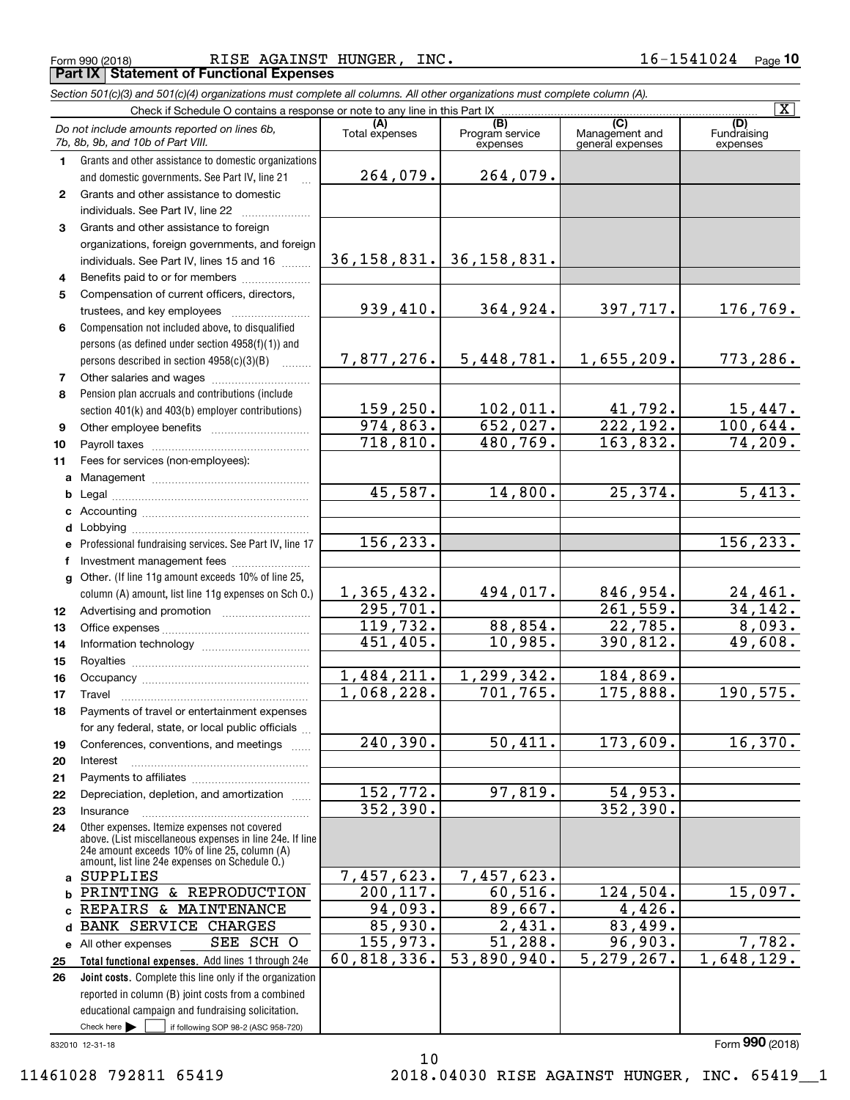Form 990 (2018) RISE AGAINST HUNGER, INC. 16-1541024 Page **Part IX Statement of Functional Expenses**

*Section 501(c)(3) and 501(c)(4) organizations must complete all columns. All other organizations must complete column (A).*

|                 | Check if Schedule O contains a response or note to any line in this Part IX                                                                                                                                 |                         |                                    |                                    | $\overline{\mathbf{x}}$        |
|-----------------|-------------------------------------------------------------------------------------------------------------------------------------------------------------------------------------------------------------|-------------------------|------------------------------------|------------------------------------|--------------------------------|
|                 | Do not include amounts reported on lines 6b,<br>7b, 8b, 9b, and 10b of Part VIII.                                                                                                                           | Total expenses          | (B)<br>Program service<br>expenses | Management and<br>general expenses | (D)<br>Fundraising<br>expenses |
| 1.              | Grants and other assistance to domestic organizations                                                                                                                                                       |                         |                                    |                                    |                                |
|                 | and domestic governments. See Part IV, line 21                                                                                                                                                              | 264,079.                | 264,079.                           |                                    |                                |
| $\mathbf{2}$    | Grants and other assistance to domestic                                                                                                                                                                     |                         |                                    |                                    |                                |
|                 | individuals. See Part IV, line 22                                                                                                                                                                           |                         |                                    |                                    |                                |
| 3               | Grants and other assistance to foreign                                                                                                                                                                      |                         |                                    |                                    |                                |
|                 | organizations, foreign governments, and foreign                                                                                                                                                             |                         |                                    |                                    |                                |
|                 | individuals. See Part IV, lines 15 and 16                                                                                                                                                                   |                         | 36, 158, 831. 36, 158, 831.        |                                    |                                |
| 4               | Benefits paid to or for members <i>manufactured</i>                                                                                                                                                         |                         |                                    |                                    |                                |
| 5               | Compensation of current officers, directors,                                                                                                                                                                |                         |                                    |                                    |                                |
|                 |                                                                                                                                                                                                             | 939,410.                | 364,924.                           | 397,717.                           | 176,769.                       |
| 6               | Compensation not included above, to disqualified                                                                                                                                                            |                         |                                    |                                    |                                |
|                 | persons (as defined under section 4958(f)(1)) and                                                                                                                                                           |                         |                                    |                                    |                                |
|                 | persons described in section 4958(c)(3)(B)                                                                                                                                                                  | 7,877,276.              | 5,448,781.                         | 1,655,209.                         | 773,286.                       |
| 7               | Other salaries and wages                                                                                                                                                                                    |                         |                                    |                                    |                                |
| 8               | Pension plan accruals and contributions (include                                                                                                                                                            |                         |                                    |                                    |                                |
|                 | section 401(k) and 403(b) employer contributions)                                                                                                                                                           | 159,250.                | 102,011.                           | $\frac{41,792}{222,192}$           | <u>15,447.</u>                 |
| 9               |                                                                                                                                                                                                             | 974,863.                | 652,027.                           |                                    | 100,644.                       |
| 10              |                                                                                                                                                                                                             | 718,810.                | 480,769.                           | 163,832.                           | 74,209.                        |
| 11              | Fees for services (non-employees):                                                                                                                                                                          |                         |                                    |                                    |                                |
| a               |                                                                                                                                                                                                             |                         |                                    |                                    |                                |
| b               |                                                                                                                                                                                                             | 45,587.                 | 14,800.                            | 25,374.                            | 5,413.                         |
| c               |                                                                                                                                                                                                             |                         |                                    |                                    |                                |
| d               |                                                                                                                                                                                                             | 156, 233.               |                                    |                                    | 156, 233.                      |
| e               | Professional fundraising services. See Part IV, line 17                                                                                                                                                     |                         |                                    |                                    |                                |
| f               | Investment management fees                                                                                                                                                                                  |                         |                                    |                                    |                                |
| $\mathbf{q}$    | Other. (If line 11g amount exceeds 10% of line 25,                                                                                                                                                          | 1,365,432.              | 494,017.                           | 846,954.                           |                                |
|                 | column (A) amount, list line 11g expenses on Sch O.)                                                                                                                                                        | 295,701.                |                                    | 261,559.                           | <u>24,461.</u><br>34, 142.     |
| 12 <sup>°</sup> |                                                                                                                                                                                                             | 119,732.                | 88,854.                            | 22,785.                            | 8,093.                         |
| 13<br>14        |                                                                                                                                                                                                             | 451,405.                | 10,985.                            | 390,812.                           | 49,608.                        |
| 15              |                                                                                                                                                                                                             |                         |                                    |                                    |                                |
| 16              |                                                                                                                                                                                                             | 1,484,211.              | 1,299,342.                         | 184,869.                           |                                |
| 17              | Travel                                                                                                                                                                                                      | 1,068,228.              | 701, 765.                          | 175,888.                           | 190,575.                       |
| 18              | Payments of travel or entertainment expenses                                                                                                                                                                |                         |                                    |                                    |                                |
|                 | for any federal, state, or local public officials                                                                                                                                                           |                         |                                    |                                    |                                |
| 19              | Conferences, conventions, and meetings                                                                                                                                                                      | 240,390.                | 50,411.                            | 173,609.                           | 16,370.                        |
| 20              | Interest                                                                                                                                                                                                    |                         |                                    |                                    |                                |
| 21              |                                                                                                                                                                                                             |                         |                                    |                                    |                                |
| 22              | Depreciation, depletion, and amortization                                                                                                                                                                   | 152, 772.               | 97,819.                            | 54,953.                            |                                |
| 23              | Insurance                                                                                                                                                                                                   | 352, 390.               |                                    | 352,390.                           |                                |
| 24              | Other expenses. Itemize expenses not covered<br>above. (List miscellaneous expenses in line 24e. If line<br>24e amount exceeds 10% of line 25, column (A)<br>amount, list line 24e expenses on Schedule O.) |                         |                                    |                                    |                                |
| a               | <b>SUPPLIES</b>                                                                                                                                                                                             | 7,457,623.              | 7,457,623.                         |                                    |                                |
| b               | PRINTING & REPRODUCTION                                                                                                                                                                                     | $\overline{200}$ , 117. | 60, 516.                           | 124,504.                           | 15,097.                        |
|                 | REPAIRS & MAINTENANCE                                                                                                                                                                                       | $94,093$ .              | 89,667.                            | 4,426.                             |                                |
| d               | <b>BANK SERVICE CHARGES</b>                                                                                                                                                                                 | 85,930.                 | 2,431.                             | 83,499.                            |                                |
| е               | SEE SCH O<br>All other expenses                                                                                                                                                                             | 155,973.                | 51, 288.                           | 96,903.                            | 7,782.                         |
| 25              | Total functional expenses. Add lines 1 through 24e                                                                                                                                                          | 60,818,336.             | 53,890,940.                        | 5,279,267.                         | 1,648,129.                     |
| 26              | Joint costs. Complete this line only if the organization                                                                                                                                                    |                         |                                    |                                    |                                |
|                 | reported in column (B) joint costs from a combined                                                                                                                                                          |                         |                                    |                                    |                                |
|                 | educational campaign and fundraising solicitation.                                                                                                                                                          |                         |                                    |                                    |                                |
|                 | Check here $\blacktriangleright$<br>if following SOP 98-2 (ASC 958-720)                                                                                                                                     |                         |                                    |                                    |                                |
|                 | 832010 12-31-18                                                                                                                                                                                             |                         |                                    |                                    | Form 990 (2018)                |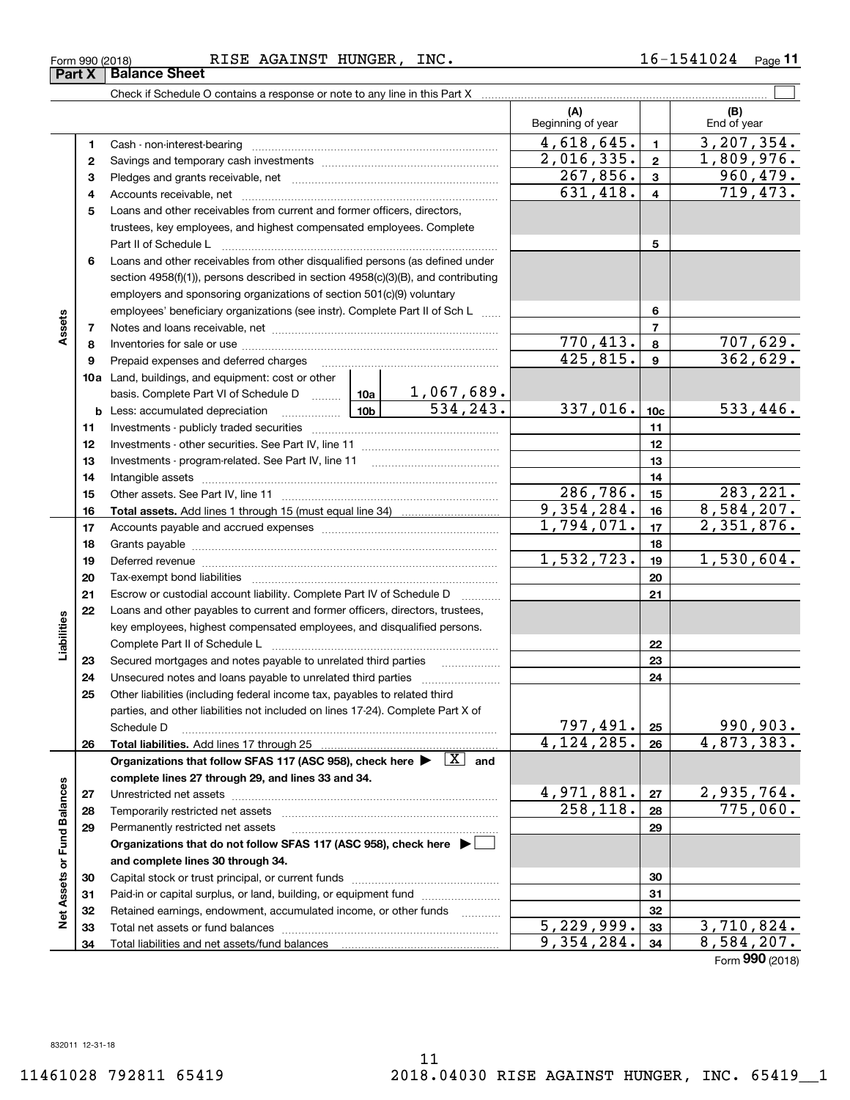Check if Schedule O contains a response or note to any line in this Part X **Part X Balance Sheet**

|                             |          |                                                                                                                                     |            |                               | (A)<br>Beginning of year |                | (B)<br>End of year |
|-----------------------------|----------|-------------------------------------------------------------------------------------------------------------------------------------|------------|-------------------------------|--------------------------|----------------|--------------------|
|                             | 1        | Cash - non-interest-bearing                                                                                                         |            |                               | 4,618,645.               | $\blacksquare$ | 3, 207, 354.       |
|                             | 2        |                                                                                                                                     |            |                               | 2,016,335.               | $\mathbf{2}$   | 1,809,976.         |
|                             | з        |                                                                                                                                     |            |                               | 267,856.                 | $\mathbf{3}$   | 960,479.           |
|                             | 4        |                                                                                                                                     |            |                               | 631,418.                 | $\overline{4}$ | 719,473.           |
|                             | 5        | Loans and other receivables from current and former officers, directors,                                                            |            |                               |                          |                |                    |
|                             |          | trustees, key employees, and highest compensated employees. Complete                                                                |            |                               |                          |                |                    |
|                             |          | Part II of Schedule L                                                                                                               |            | 5                             |                          |                |                    |
|                             | 6        | Loans and other receivables from other disqualified persons (as defined under                                                       |            |                               |                          |                |                    |
|                             |          | section 4958(f)(1)), persons described in section 4958(c)(3)(B), and contributing                                                   |            |                               |                          |                |                    |
|                             |          | employers and sponsoring organizations of section 501(c)(9) voluntary                                                               |            |                               |                          |                |                    |
|                             |          | employees' beneficiary organizations (see instr). Complete Part II of Sch L                                                         |            |                               |                          | 6              |                    |
| Assets                      | 7        |                                                                                                                                     |            |                               |                          | $\overline{7}$ |                    |
|                             | 8        |                                                                                                                                     |            |                               | 770, 413.                | 8              | <u>707,629.</u>    |
|                             | 9        | Prepaid expenses and deferred charges [11] [11] Prepaid expenses and deferred charges [11] [11] American metal                      |            |                               | 425,815.                 | 9              | 362,629.           |
|                             |          | 10a Land, buildings, and equipment: cost or other                                                                                   |            |                               |                          |                |                    |
|                             |          | basis. Complete Part VI of Schedule D  10a                                                                                          |            | $\frac{1,067,689.}{534,243.}$ |                          |                |                    |
|                             |          | $\frac{10b}{10b}$<br><b>b</b> Less: accumulated depreciation                                                                        | 337,016.   | 10 <sub>c</sub>               | 533,446.                 |                |                    |
|                             | 11       |                                                                                                                                     |            |                               | 11                       |                |                    |
|                             | 12       |                                                                                                                                     |            | 12                            |                          |                |                    |
|                             | 13       |                                                                                                                                     |            |                               | 13                       |                |                    |
|                             | 14       | Intangible assets                                                                                                                   |            |                               | 14                       |                |                    |
|                             | 15       |                                                                                                                                     |            |                               | 286,786.                 | 15             | 283, 221.          |
|                             | 16       |                                                                                                                                     |            |                               | 9,354,284.               | 16             | 8,584,207.         |
|                             | 17       |                                                                                                                                     | 1,794,071. | 17                            | 2,351,876.               |                |                    |
|                             | 18       |                                                                                                                                     |            | 18                            |                          |                |                    |
|                             | 19       | Deferred revenue imminimum contracts and the contracts of the contracts and the contracts of the contracts of                       |            |                               | 1,532,723.               | 19             | 1,530,604.         |
|                             | 20       | Tax-exempt bond liabilities                                                                                                         |            |                               |                          | 20             |                    |
|                             | 21       | Escrow or custodial account liability. Complete Part IV of Schedule D                                                               |            | .                             |                          | 21             |                    |
|                             | 22       | Loans and other payables to current and former officers, directors, trustees,                                                       |            |                               |                          |                |                    |
| Liabilities                 |          | key employees, highest compensated employees, and disqualified persons.                                                             |            |                               |                          |                |                    |
|                             |          | Complete Part II of Schedule L                                                                                                      |            |                               |                          | 22             |                    |
|                             | 23       | Secured mortgages and notes payable to unrelated third parties                                                                      |            |                               |                          | 23             |                    |
|                             | 24<br>25 | Other liabilities (including federal income tax, payables to related third                                                          |            |                               |                          | 24             |                    |
|                             |          | parties, and other liabilities not included on lines 17-24). Complete Part X of                                                     |            |                               |                          |                |                    |
|                             |          | Schedule D                                                                                                                          |            |                               | 797,491.                 | 25             | 990,903.           |
|                             | 26       |                                                                                                                                     |            |                               | 4, 124, 285.             | 26             | 4,873,383.         |
|                             |          | Organizations that follow SFAS 117 (ASC 958), check here $\blacktriangleright \begin{array}{ c } \hline X & \text{and} \end{array}$ |            |                               |                          |                |                    |
|                             |          | complete lines 27 through 29, and lines 33 and 34.                                                                                  |            |                               |                          |                |                    |
|                             | 27       |                                                                                                                                     |            |                               | 4,971,881.               | 27             | 2,935,764.         |
|                             | 28       | Temporarily restricted net assets                                                                                                   |            | 258, 118.                     | 28                       | 775,060.       |                    |
|                             | 29       | Permanently restricted net assets                                                                                                   |            |                               |                          | 29             |                    |
|                             |          | Organizations that do not follow SFAS 117 (ASC 958), check here ▶ □                                                                 |            |                               |                          |                |                    |
| Net Assets or Fund Balances |          | and complete lines 30 through 34.                                                                                                   |            |                               |                          |                |                    |
|                             | 30       |                                                                                                                                     |            |                               |                          | 30             |                    |
|                             | 31       | Paid-in or capital surplus, or land, building, or equipment fund                                                                    |            |                               |                          | 31             |                    |
|                             | 32       | Retained earnings, endowment, accumulated income, or other funds                                                                    |            | 1.1.1.1.1.1.1.1.1             |                          | 32             |                    |
|                             | 33       |                                                                                                                                     |            |                               | $\overline{5,229},999.$  | 33             | <u>3,710,824.</u>  |
|                             | 34       |                                                                                                                                     |            |                               | 9,354,284.               | 34             | 8,584,207.         |

Form (2018) **990**

╤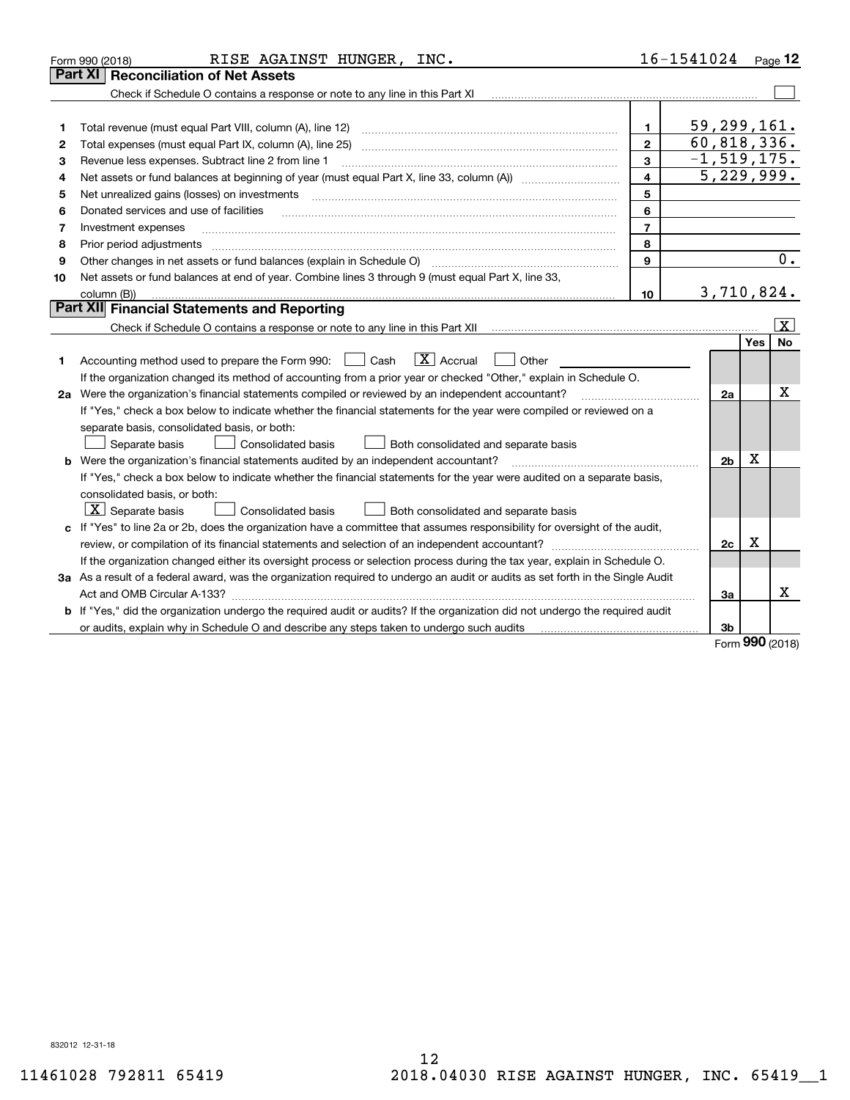|    | RISE AGAINST HUNGER, INC.<br>Form 990 (2018)                                                                                    |                         | 16-1541024 Page 12          |            |                         |
|----|---------------------------------------------------------------------------------------------------------------------------------|-------------------------|-----------------------------|------------|-------------------------|
|    | <b>Part XI   Reconciliation of Net Assets</b>                                                                                   |                         |                             |            |                         |
|    | Check if Schedule O contains a response or note to any line in this Part XI                                                     |                         |                             |            |                         |
|    |                                                                                                                                 |                         |                             |            |                         |
| 1  | Total revenue (must equal Part VIII, column (A), line 12)                                                                       | 1.                      | 59,299,161.                 |            |                         |
| 2  |                                                                                                                                 | $\mathbf{2}$            | $\overline{60, 818, 336}$ . |            |                         |
| 3  | Revenue less expenses. Subtract line 2 from line 1                                                                              | 3                       | $-1,519,175.$               |            |                         |
| 4  |                                                                                                                                 | $\overline{\mathbf{4}}$ | 5,229,999.                  |            |                         |
| 5  | Net unrealized gains (losses) on investments                                                                                    | 5                       |                             |            |                         |
| 6  | Donated services and use of facilities                                                                                          | 6                       |                             |            |                         |
| 7  | Investment expenses                                                                                                             | $\overline{7}$          |                             |            |                         |
| 8  | Prior period adjustments                                                                                                        | 8                       |                             |            |                         |
| 9  | Other changes in net assets or fund balances (explain in Schedule O) [11] [2000] [2000] [2000] [2000] [2000] [                  | 9                       |                             |            | 0.                      |
| 10 | Net assets or fund balances at end of year. Combine lines 3 through 9 (must equal Part X, line 33,                              |                         |                             |            |                         |
|    | column (B))                                                                                                                     | 10                      | 3,710,824.                  |            |                         |
|    | Part XII Financial Statements and Reporting                                                                                     |                         |                             |            |                         |
|    |                                                                                                                                 |                         |                             |            | $\overline{\mathbf{x}}$ |
|    |                                                                                                                                 |                         |                             | Yes        | No                      |
| 1  | $\boxed{\mathbf{X}}$ Accrual<br>Accounting method used to prepare the Form 990: <u>June</u> Cash<br>Other                       |                         |                             |            |                         |
|    | If the organization changed its method of accounting from a prior year or checked "Other," explain in Schedule O.               |                         |                             |            |                         |
|    | 2a Were the organization's financial statements compiled or reviewed by an independent accountant?                              |                         | 2a                          |            | х                       |
|    | If "Yes," check a box below to indicate whether the financial statements for the year were compiled or reviewed on a            |                         |                             |            |                         |
|    | separate basis, consolidated basis, or both:                                                                                    |                         |                             |            |                         |
|    | Both consolidated and separate basis<br>Separate basis<br>Consolidated basis                                                    |                         |                             |            |                         |
|    | <b>b</b> Were the organization's financial statements audited by an independent accountant?                                     |                         | 2 <sub>b</sub>              | X          |                         |
|    | If "Yes," check a box below to indicate whether the financial statements for the year were audited on a separate basis,         |                         |                             |            |                         |
|    | consolidated basis, or both:                                                                                                    |                         |                             |            |                         |
|    | $\lfloor x \rfloor$ Separate basis<br><b>Consolidated basis</b><br>Both consolidated and separate basis                         |                         |                             |            |                         |
|    | c If "Yes" to line 2a or 2b, does the organization have a committee that assumes responsibility for oversight of the audit,     |                         |                             |            |                         |
|    | review, or compilation of its financial statements and selection of an independent accountant?                                  |                         | 2c                          | x          |                         |
|    | If the organization changed either its oversight process or selection process during the tax year, explain in Schedule O.       |                         |                             |            |                         |
|    | 3a As a result of a federal award, was the organization required to undergo an audit or audits as set forth in the Single Audit |                         |                             |            |                         |
|    |                                                                                                                                 |                         | За                          |            | х                       |
|    | b If "Yes," did the organization undergo the required audit or audits? If the organization did not undergo the required audit   |                         |                             |            |                         |
|    | or audits, explain why in Schedule O and describe any steps taken to undergo such audits                                        |                         | 3b                          | <u>nnn</u> |                         |

Form (2018) **990**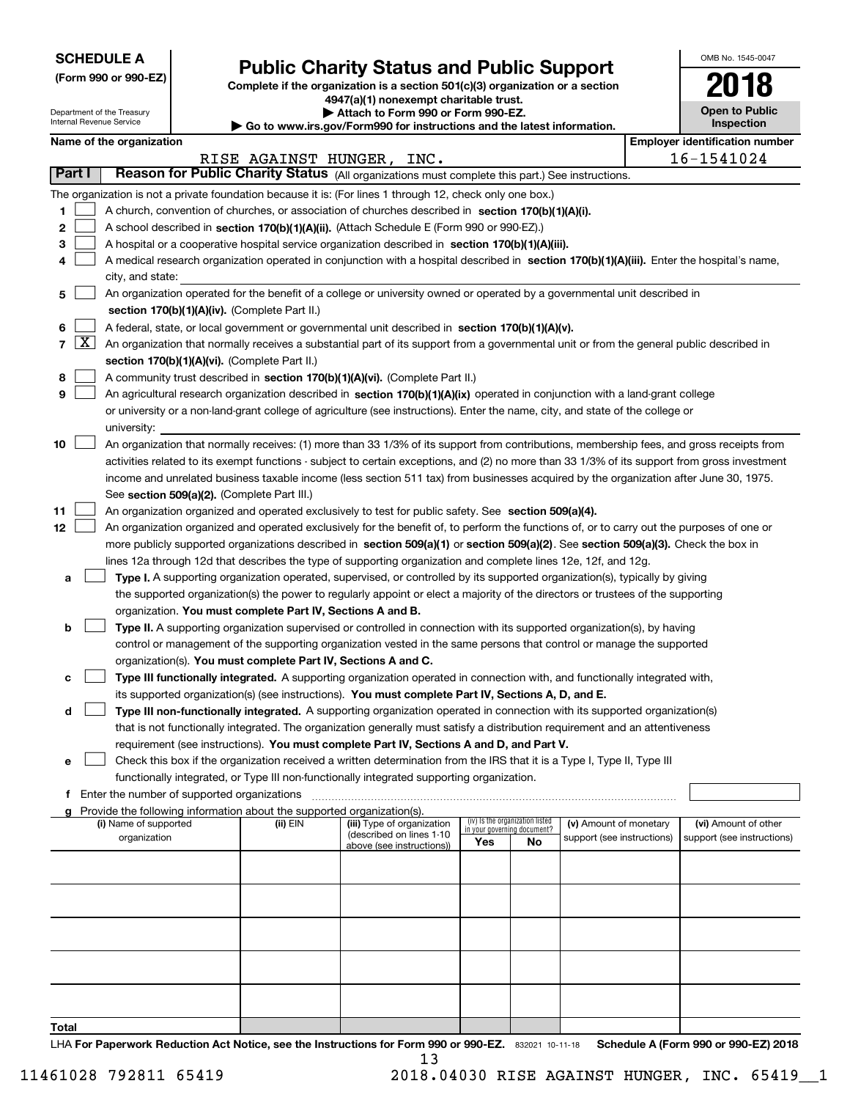| <b>SCHEDULE A</b> |
|-------------------|
|-------------------|

Department of the Treasury Internal Revenue Service

**(Form 990 or 990-EZ)**

## **Public Charity Status and Public Support**

**Complete if the organization is a section 501(c)(3) organization or a section 4947(a)(1) nonexempt charitable trust.**

**| Attach to Form 990 or Form 990-EZ.** 

**| Go to www.irs.gov/Form990 for instructions and the latest information.**

| OMB No. 1545-0047                   |
|-------------------------------------|
| 2018                                |
| <b>Open to Public</b><br>Inspection |

## **Name of the organization Employer identification number**

|       |        |                                                                                                                                                          |          | RISE AGAINST HUNGER, INC.                             |                                                                |    |                            |  | 16-1541024                 |
|-------|--------|----------------------------------------------------------------------------------------------------------------------------------------------------------|----------|-------------------------------------------------------|----------------------------------------------------------------|----|----------------------------|--|----------------------------|
|       | Part I | Reason for Public Charity Status (All organizations must complete this part.) See instructions.                                                          |          |                                                       |                                                                |    |                            |  |                            |
|       |        | The organization is not a private foundation because it is: (For lines 1 through 12, check only one box.)                                                |          |                                                       |                                                                |    |                            |  |                            |
| 1     |        | A church, convention of churches, or association of churches described in section 170(b)(1)(A)(i).                                                       |          |                                                       |                                                                |    |                            |  |                            |
| 2     |        | A school described in section 170(b)(1)(A)(ii). (Attach Schedule E (Form 990 or 990-EZ).)                                                                |          |                                                       |                                                                |    |                            |  |                            |
| з     |        | A hospital or a cooperative hospital service organization described in section 170(b)(1)(A)(iii).                                                        |          |                                                       |                                                                |    |                            |  |                            |
| 4     |        | A medical research organization operated in conjunction with a hospital described in section 170(b)(1)(A)(iii). Enter the hospital's name,               |          |                                                       |                                                                |    |                            |  |                            |
|       |        | city, and state:                                                                                                                                         |          |                                                       |                                                                |    |                            |  |                            |
| 5     |        | An organization operated for the benefit of a college or university owned or operated by a governmental unit described in                                |          |                                                       |                                                                |    |                            |  |                            |
|       |        | section 170(b)(1)(A)(iv). (Complete Part II.)                                                                                                            |          |                                                       |                                                                |    |                            |  |                            |
| 6     |        | A federal, state, or local government or governmental unit described in section $170(b)(1)(A)(v)$ .                                                      |          |                                                       |                                                                |    |                            |  |                            |
|       | 7   X  | An organization that normally receives a substantial part of its support from a governmental unit or from the general public described in                |          |                                                       |                                                                |    |                            |  |                            |
|       |        | section 170(b)(1)(A)(vi). (Complete Part II.)                                                                                                            |          |                                                       |                                                                |    |                            |  |                            |
| 8     |        | A community trust described in section 170(b)(1)(A)(vi). (Complete Part II.)                                                                             |          |                                                       |                                                                |    |                            |  |                            |
| 9     |        | An agricultural research organization described in section 170(b)(1)(A)(ix) operated in conjunction with a land-grant college                            |          |                                                       |                                                                |    |                            |  |                            |
|       |        | or university or a non-land-grant college of agriculture (see instructions). Enter the name, city, and state of the college or                           |          |                                                       |                                                                |    |                            |  |                            |
| 10    |        | university:<br>An organization that normally receives: (1) more than 33 1/3% of its support from contributions, membership fees, and gross receipts from |          |                                                       |                                                                |    |                            |  |                            |
|       |        | activities related to its exempt functions - subject to certain exceptions, and (2) no more than 33 1/3% of its support from gross investment            |          |                                                       |                                                                |    |                            |  |                            |
|       |        | income and unrelated business taxable income (less section 511 tax) from businesses acquired by the organization after June 30, 1975.                    |          |                                                       |                                                                |    |                            |  |                            |
|       |        | See section 509(a)(2). (Complete Part III.)                                                                                                              |          |                                                       |                                                                |    |                            |  |                            |
| 11    |        | An organization organized and operated exclusively to test for public safety. See section 509(a)(4).                                                     |          |                                                       |                                                                |    |                            |  |                            |
| 12    |        | An organization organized and operated exclusively for the benefit of, to perform the functions of, or to carry out the purposes of one or               |          |                                                       |                                                                |    |                            |  |                            |
|       |        | more publicly supported organizations described in section 509(a)(1) or section 509(a)(2). See section 509(a)(3). Check the box in                       |          |                                                       |                                                                |    |                            |  |                            |
|       |        | lines 12a through 12d that describes the type of supporting organization and complete lines 12e, 12f, and 12g.                                           |          |                                                       |                                                                |    |                            |  |                            |
| а     |        | Type I. A supporting organization operated, supervised, or controlled by its supported organization(s), typically by giving                              |          |                                                       |                                                                |    |                            |  |                            |
|       |        | the supported organization(s) the power to regularly appoint or elect a majority of the directors or trustees of the supporting                          |          |                                                       |                                                                |    |                            |  |                            |
|       |        | organization. You must complete Part IV, Sections A and B.                                                                                               |          |                                                       |                                                                |    |                            |  |                            |
| b     |        | Type II. A supporting organization supervised or controlled in connection with its supported organization(s), by having                                  |          |                                                       |                                                                |    |                            |  |                            |
|       |        | control or management of the supporting organization vested in the same persons that control or manage the supported                                     |          |                                                       |                                                                |    |                            |  |                            |
|       |        | organization(s). You must complete Part IV, Sections A and C.                                                                                            |          |                                                       |                                                                |    |                            |  |                            |
| с     |        | Type III functionally integrated. A supporting organization operated in connection with, and functionally integrated with,                               |          |                                                       |                                                                |    |                            |  |                            |
|       |        | its supported organization(s) (see instructions). You must complete Part IV, Sections A, D, and E.                                                       |          |                                                       |                                                                |    |                            |  |                            |
| d     |        | Type III non-functionally integrated. A supporting organization operated in connection with its supported organization(s)                                |          |                                                       |                                                                |    |                            |  |                            |
|       |        | that is not functionally integrated. The organization generally must satisfy a distribution requirement and an attentiveness                             |          |                                                       |                                                                |    |                            |  |                            |
|       |        | requirement (see instructions). You must complete Part IV, Sections A and D, and Part V.                                                                 |          |                                                       |                                                                |    |                            |  |                            |
| е     |        | Check this box if the organization received a written determination from the IRS that it is a Type I, Type II, Type III                                  |          |                                                       |                                                                |    |                            |  |                            |
| f     |        | functionally integrated, or Type III non-functionally integrated supporting organization.<br>Enter the number of supported organizations                 |          |                                                       |                                                                |    |                            |  |                            |
| a     |        | Provide the following information about the supported organization(s).                                                                                   |          |                                                       |                                                                |    |                            |  |                            |
|       |        | (i) Name of supported                                                                                                                                    | (ii) EIN | (iii) Type of organization                            | (iv) Is the organization listed<br>in your governing document? |    | (v) Amount of monetary     |  | (vi) Amount of other       |
|       |        | organization                                                                                                                                             |          | (described on lines 1-10<br>above (see instructions)) | Yes                                                            | No | support (see instructions) |  | support (see instructions) |
|       |        |                                                                                                                                                          |          |                                                       |                                                                |    |                            |  |                            |
|       |        |                                                                                                                                                          |          |                                                       |                                                                |    |                            |  |                            |
|       |        |                                                                                                                                                          |          |                                                       |                                                                |    |                            |  |                            |
|       |        |                                                                                                                                                          |          |                                                       |                                                                |    |                            |  |                            |
|       |        |                                                                                                                                                          |          |                                                       |                                                                |    |                            |  |                            |
|       |        |                                                                                                                                                          |          |                                                       |                                                                |    |                            |  |                            |
|       |        |                                                                                                                                                          |          |                                                       |                                                                |    |                            |  |                            |
|       |        |                                                                                                                                                          |          |                                                       |                                                                |    |                            |  |                            |
|       |        |                                                                                                                                                          |          |                                                       |                                                                |    |                            |  |                            |
| Total |        |                                                                                                                                                          |          |                                                       |                                                                |    |                            |  |                            |

LHA For Paperwork Reduction Act Notice, see the Instructions for Form 990 or 990-EZ. 832021 10-11-18 Schedule A (Form 990 or 990-EZ) 2018 13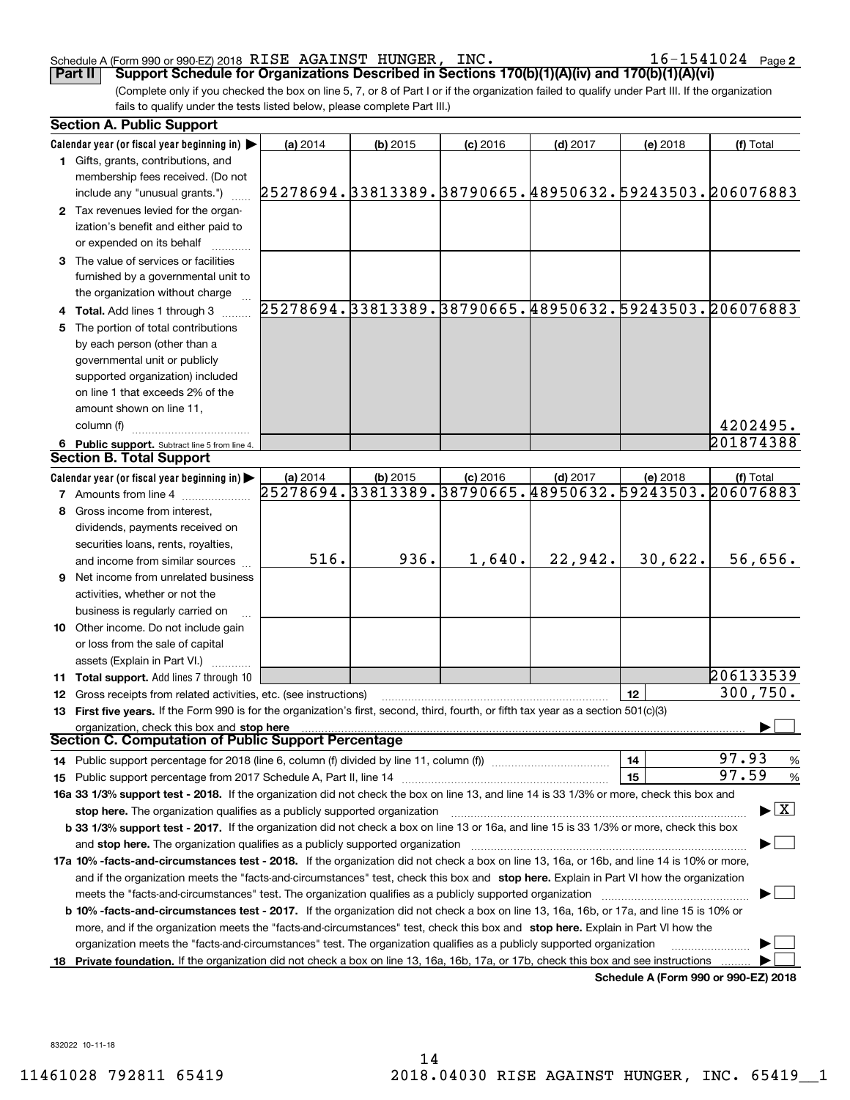### Schedule A (Form 990 or 990-EZ) 2018 K<code>LSE AGALNS'I' HUNGER,INC</code> National contracts to the logal page RISE AGAINST HUNGER, INC. 16-1541024

 $16 - 1541024$  Page 2

(Complete only if you checked the box on line 5, 7, or 8 of Part I or if the organization failed to qualify under Part III. If the organization fails to qualify under the tests listed below, please complete Part III.) **Part II Support Schedule for Organizations Described in Sections 170(b)(1)(A)(iv) and 170(b)(1)(A)(vi)**

|    | <b>Section A. Public Support</b>                                                                                                                                                                            |          |            |            |            |          |                                                        |
|----|-------------------------------------------------------------------------------------------------------------------------------------------------------------------------------------------------------------|----------|------------|------------|------------|----------|--------------------------------------------------------|
|    | Calendar year (or fiscal year beginning in) $\blacktriangleright$                                                                                                                                           | (a) 2014 | $(b)$ 2015 | $(c)$ 2016 | $(d)$ 2017 | (e) 2018 | (f) Total                                              |
|    | 1 Gifts, grants, contributions, and<br>membership fees received. (Do not                                                                                                                                    |          |            |            |            |          |                                                        |
|    | include any "unusual grants.")                                                                                                                                                                              |          |            |            |            |          | 25278694.33813389.38790665.48950632.59243503.206076883 |
|    | 2 Tax revenues levied for the organ-                                                                                                                                                                        |          |            |            |            |          |                                                        |
|    | ization's benefit and either paid to                                                                                                                                                                        |          |            |            |            |          |                                                        |
|    | or expended on its behalf                                                                                                                                                                                   |          |            |            |            |          |                                                        |
|    | 3 The value of services or facilities                                                                                                                                                                       |          |            |            |            |          |                                                        |
|    | furnished by a governmental unit to                                                                                                                                                                         |          |            |            |            |          |                                                        |
|    | the organization without charge                                                                                                                                                                             |          |            |            |            |          |                                                        |
|    | 4 Total. Add lines 1 through 3                                                                                                                                                                              |          |            |            |            |          | 25278694.33813389.38790665.48950632.59243503.206076883 |
|    | 5 The portion of total contributions                                                                                                                                                                        |          |            |            |            |          |                                                        |
|    | by each person (other than a                                                                                                                                                                                |          |            |            |            |          |                                                        |
|    | governmental unit or publicly                                                                                                                                                                               |          |            |            |            |          |                                                        |
|    | supported organization) included                                                                                                                                                                            |          |            |            |            |          |                                                        |
|    | on line 1 that exceeds 2% of the                                                                                                                                                                            |          |            |            |            |          |                                                        |
|    | amount shown on line 11,                                                                                                                                                                                    |          |            |            |            |          |                                                        |
|    | column (f)                                                                                                                                                                                                  |          |            |            |            |          | 4202495.                                               |
|    | 6 Public support. Subtract line 5 from line 4.                                                                                                                                                              |          |            |            |            |          | 201874388                                              |
|    | Section B. Total Support                                                                                                                                                                                    |          |            |            |            |          |                                                        |
|    | Calendar year (or fiscal year beginning in)                                                                                                                                                                 | (a) 2014 | $(b)$ 2015 | $(c)$ 2016 | $(d)$ 2017 | (e) 2018 | (f) Total                                              |
|    | <b>7</b> Amounts from line 4                                                                                                                                                                                |          |            |            |            |          | 25278694.33813389.38790665.48950632.59243503.206076883 |
|    | 8 Gross income from interest,                                                                                                                                                                               |          |            |            |            |          |                                                        |
|    | dividends, payments received on                                                                                                                                                                             |          |            |            |            |          |                                                        |
|    | securities loans, rents, royalties,                                                                                                                                                                         |          |            |            |            |          |                                                        |
|    | and income from similar sources                                                                                                                                                                             | 516.     | 936.       | 1,640.     | 22,942.    | 30,622.  | 56,656.                                                |
|    | <b>9</b> Net income from unrelated business                                                                                                                                                                 |          |            |            |            |          |                                                        |
|    | activities, whether or not the                                                                                                                                                                              |          |            |            |            |          |                                                        |
|    | business is regularly carried on                                                                                                                                                                            |          |            |            |            |          |                                                        |
|    | 10 Other income. Do not include gain                                                                                                                                                                        |          |            |            |            |          |                                                        |
|    | or loss from the sale of capital                                                                                                                                                                            |          |            |            |            |          |                                                        |
|    | assets (Explain in Part VI.) <b>Constant</b>                                                                                                                                                                |          |            |            |            |          | 206133539                                              |
|    | <b>11 Total support.</b> Add lines 7 through 10                                                                                                                                                             |          |            |            |            | 12       | 300, 750.                                              |
|    | 12 Gross receipts from related activities, etc. (see instructions)<br>13 First five years. If the Form 990 is for the organization's first, second, third, fourth, or fifth tax year as a section 501(c)(3) |          |            |            |            |          |                                                        |
|    |                                                                                                                                                                                                             |          |            |            |            |          |                                                        |
|    | organization, check this box and stop here<br>Section C. Computation of Public Support Percentage                                                                                                           |          |            |            |            |          |                                                        |
|    | 14 Public support percentage for 2018 (line 6, column (f) divided by line 11, column (f) <i>manumeronominimi</i> ng                                                                                         |          |            |            |            | 14       | 97.93<br>%                                             |
|    |                                                                                                                                                                                                             |          |            |            |            | 15       | 97.59<br>%                                             |
|    | 16a 33 1/3% support test - 2018. If the organization did not check the box on line 13, and line 14 is 33 1/3% or more, check this box and                                                                   |          |            |            |            |          |                                                        |
|    | stop here. The organization qualifies as a publicly supported organization                                                                                                                                  |          |            |            |            |          | $\blacktriangleright$ $\mid$ X                         |
|    | b 33 1/3% support test - 2017. If the organization did not check a box on line 13 or 16a, and line 15 is 33 1/3% or more, check this box                                                                    |          |            |            |            |          |                                                        |
|    | and stop here. The organization qualifies as a publicly supported organization                                                                                                                              |          |            |            |            |          |                                                        |
|    | 17a 10% -facts-and-circumstances test - 2018. If the organization did not check a box on line 13, 16a, or 16b, and line 14 is 10% or more,                                                                  |          |            |            |            |          |                                                        |
|    | and if the organization meets the "facts-and-circumstances" test, check this box and stop here. Explain in Part VI how the organization                                                                     |          |            |            |            |          |                                                        |
|    | meets the "facts-and-circumstances" test. The organization qualifies as a publicly supported organization                                                                                                   |          |            |            |            |          |                                                        |
|    | b 10% -facts-and-circumstances test - 2017. If the organization did not check a box on line 13, 16a, 16b, or 17a, and line 15 is 10% or                                                                     |          |            |            |            |          |                                                        |
|    | more, and if the organization meets the "facts-and-circumstances" test, check this box and stop here. Explain in Part VI how the                                                                            |          |            |            |            |          |                                                        |
|    | organization meets the "facts-and-circumstances" test. The organization qualifies as a publicly supported organization                                                                                      |          |            |            |            |          |                                                        |
| 18 | Private foundation. If the organization did not check a box on line 13, 16a, 16b, 17a, or 17b, check this box and see instructions                                                                          |          |            |            |            |          |                                                        |
|    |                                                                                                                                                                                                             |          |            |            |            |          | Schedule A (Form 990 or 990-EZ) 2018                   |

832022 10-11-18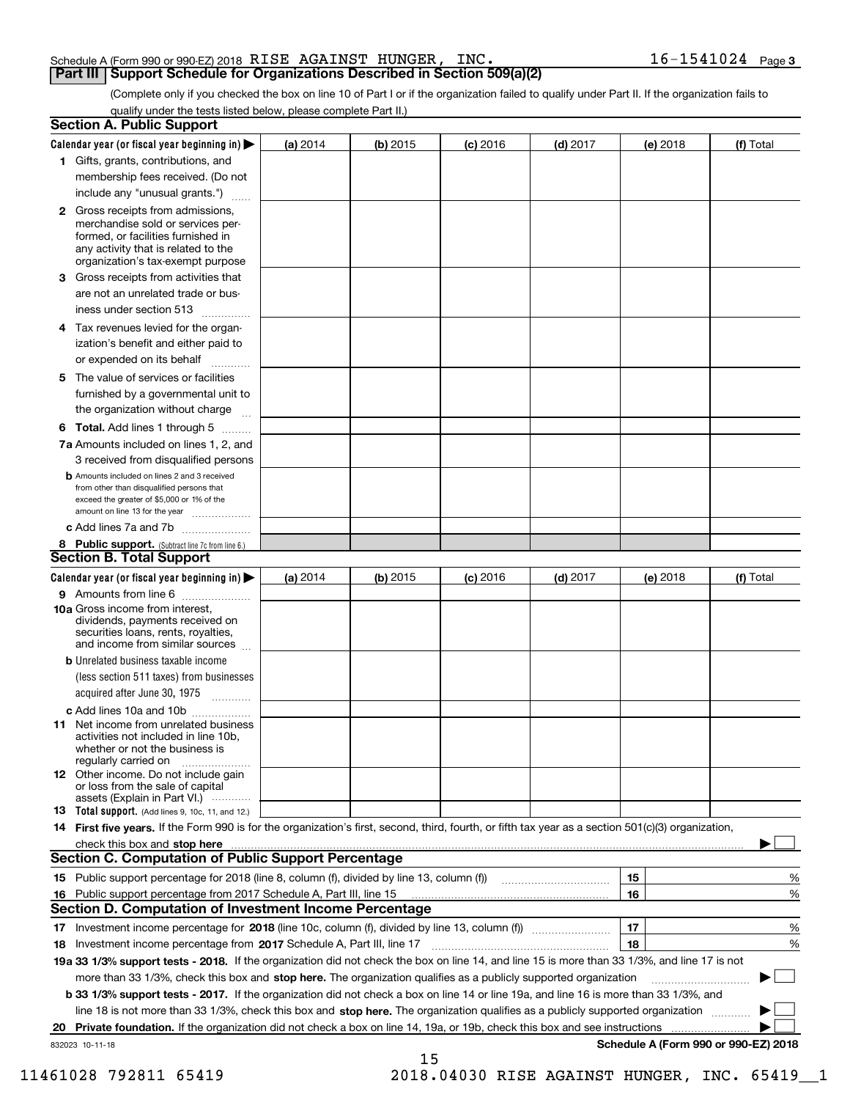## Schedule A (Form 990 or 990-EZ) 2018 Page RISE AGAINST HUNGER, INC. 16-1541024 **Part III Support Schedule for Organizations Described in Section 509(a)(2)**

(Complete only if you checked the box on line 10 of Part I or if the organization failed to qualify under Part II. If the organization fails to qualify under the tests listed below, please complete Part II.)

|    | <b>Section A. Public Support</b>                                                                                                                                                                                                                      |            |            |            |            |          |                                      |
|----|-------------------------------------------------------------------------------------------------------------------------------------------------------------------------------------------------------------------------------------------------------|------------|------------|------------|------------|----------|--------------------------------------|
|    | Calendar year (or fiscal year beginning in) $\blacktriangleright$                                                                                                                                                                                     | (a) 2014   | $(b)$ 2015 | $(c)$ 2016 | $(d)$ 2017 | (e) 2018 | (f) Total                            |
|    | 1 Gifts, grants, contributions, and                                                                                                                                                                                                                   |            |            |            |            |          |                                      |
|    | membership fees received. (Do not                                                                                                                                                                                                                     |            |            |            |            |          |                                      |
|    | include any "unusual grants.")                                                                                                                                                                                                                        |            |            |            |            |          |                                      |
|    | 2 Gross receipts from admissions,<br>merchandise sold or services per-<br>formed, or facilities furnished in<br>any activity that is related to the<br>organization's tax-exempt purpose                                                              |            |            |            |            |          |                                      |
|    | 3 Gross receipts from activities that<br>are not an unrelated trade or bus-                                                                                                                                                                           |            |            |            |            |          |                                      |
|    | iness under section 513                                                                                                                                                                                                                               |            |            |            |            |          |                                      |
|    | 4 Tax revenues levied for the organ-                                                                                                                                                                                                                  |            |            |            |            |          |                                      |
|    | ization's benefit and either paid to<br>or expended on its behalf<br>.                                                                                                                                                                                |            |            |            |            |          |                                      |
|    | 5 The value of services or facilities                                                                                                                                                                                                                 |            |            |            |            |          |                                      |
|    | furnished by a governmental unit to                                                                                                                                                                                                                   |            |            |            |            |          |                                      |
|    | the organization without charge                                                                                                                                                                                                                       |            |            |            |            |          |                                      |
|    | <b>6 Total.</b> Add lines 1 through 5                                                                                                                                                                                                                 |            |            |            |            |          |                                      |
|    | 7a Amounts included on lines 1, 2, and<br>3 received from disqualified persons                                                                                                                                                                        |            |            |            |            |          |                                      |
|    | <b>b</b> Amounts included on lines 2 and 3 received<br>from other than disqualified persons that<br>exceed the greater of \$5,000 or 1% of the<br>amount on line 13 for the year                                                                      |            |            |            |            |          |                                      |
|    | c Add lines 7a and 7b                                                                                                                                                                                                                                 |            |            |            |            |          |                                      |
|    | 8 Public support. (Subtract line 7c from line 6.)                                                                                                                                                                                                     |            |            |            |            |          |                                      |
|    | <b>Section B. Total Support</b>                                                                                                                                                                                                                       |            |            |            |            |          |                                      |
|    | Calendar year (or fiscal year beginning in) $\blacktriangleright$                                                                                                                                                                                     | (a) $2014$ | $(b)$ 2015 | $(c)$ 2016 | $(d)$ 2017 | (e) 2018 | (f) Total                            |
|    | 9 Amounts from line 6                                                                                                                                                                                                                                 |            |            |            |            |          |                                      |
|    | 10a Gross income from interest,<br>dividends, payments received on<br>securities loans, rents, royalties,<br>and income from similar sources                                                                                                          |            |            |            |            |          |                                      |
|    | <b>b</b> Unrelated business taxable income<br>(less section 511 taxes) from businesses                                                                                                                                                                |            |            |            |            |          |                                      |
|    | acquired after June 30, 1975                                                                                                                                                                                                                          |            |            |            |            |          |                                      |
|    | c Add lines 10a and 10b<br>11 Net income from unrelated business<br>activities not included in line 10b,<br>whether or not the business is<br>regularly carried on                                                                                    |            |            |            |            |          |                                      |
|    | 12 Other income. Do not include gain<br>or loss from the sale of capital<br>assets (Explain in Part VI.)                                                                                                                                              |            |            |            |            |          |                                      |
|    | <b>13</b> Total support. (Add lines 9, 10c, 11, and 12.)                                                                                                                                                                                              |            |            |            |            |          |                                      |
|    | 14 First five years. If the Form 990 is for the organization's first, second, third, fourth, or fifth tax year as a section 501(c)(3) organization,                                                                                                   |            |            |            |            |          |                                      |
|    | check this box and stop here <i>machine and content and stop</i> here <i>manufacture and stop</i> here <i>manufacture</i> and <b>stop here</b> <i>manufacture manufacture and stop</i> here <i>manufacture manufacture manufacture manufacture ma</i> |            |            |            |            |          |                                      |
|    | <b>Section C. Computation of Public Support Percentage</b>                                                                                                                                                                                            |            |            |            |            |          |                                      |
|    | 15 Public support percentage for 2018 (line 8, column (f), divided by line 13, column (f))                                                                                                                                                            |            |            |            |            | 15       | %                                    |
|    | 16 Public support percentage from 2017 Schedule A, Part III, line 15                                                                                                                                                                                  |            |            |            |            | 16       | %                                    |
|    | <b>Section D. Computation of Investment Income Percentage</b>                                                                                                                                                                                         |            |            |            |            |          |                                      |
|    | 17 Investment income percentage for 2018 (line 10c, column (f), divided by line 13, column (f))                                                                                                                                                       |            |            |            |            | 17       | %                                    |
|    | <b>18</b> Investment income percentage from <b>2017</b> Schedule A, Part III, line 17                                                                                                                                                                 |            |            |            |            | 18       | %                                    |
|    | 19a 33 1/3% support tests - 2018. If the organization did not check the box on line 14, and line 15 is more than 33 1/3%, and line 17 is not                                                                                                          |            |            |            |            |          |                                      |
|    | more than 33 1/3%, check this box and stop here. The organization qualifies as a publicly supported organization                                                                                                                                      |            |            |            |            |          | ▶                                    |
|    | b 33 1/3% support tests - 2017. If the organization did not check a box on line 14 or line 19a, and line 16 is more than 33 1/3%, and                                                                                                                 |            |            |            |            |          |                                      |
|    | line 18 is not more than 33 1/3%, check this box and stop here. The organization qualifies as a publicly supported organization                                                                                                                       |            |            |            |            |          |                                      |
| 20 | <b>Private foundation.</b> If the organization did not check a box on line 14, 19a, or 19b, check this box and see instructions                                                                                                                       |            |            |            |            |          |                                      |
|    | 832023 10-11-18                                                                                                                                                                                                                                       |            | 15         |            |            |          | Schedule A (Form 990 or 990-EZ) 2018 |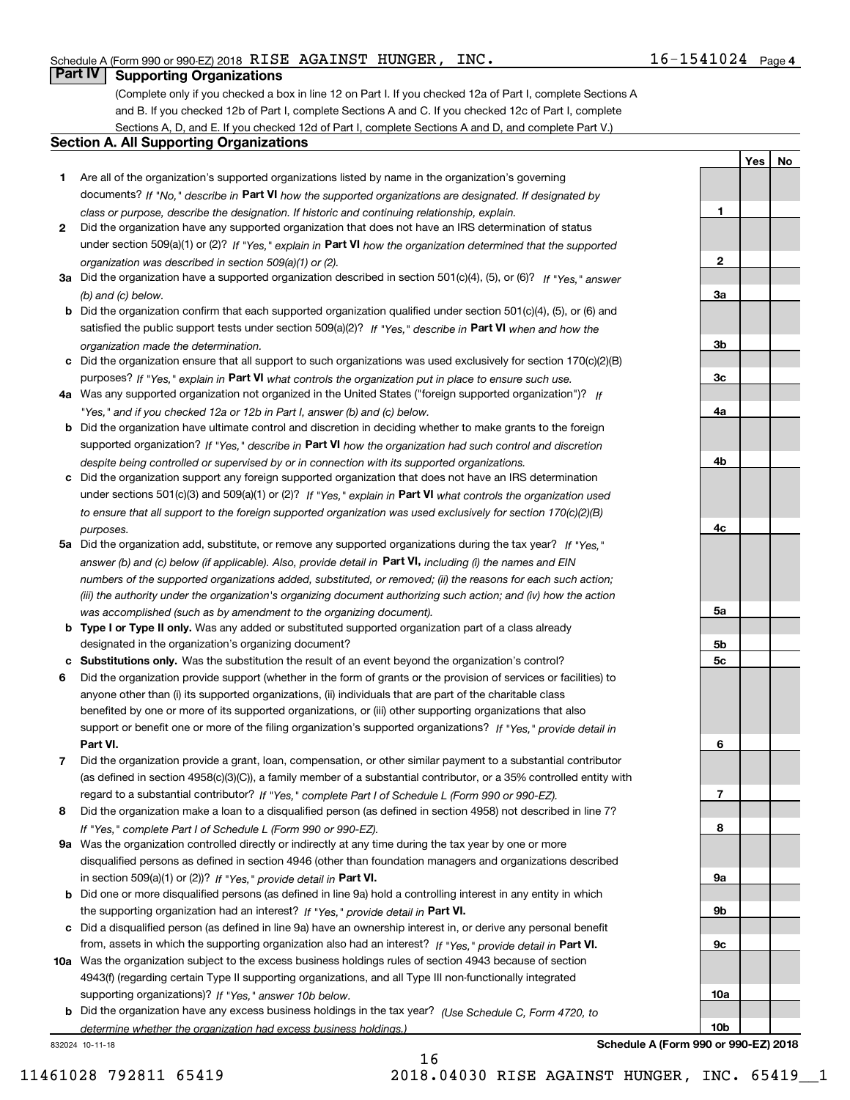**2**

**YesNo**

## **Part IV Supporting Organizations**

(Complete only if you checked a box in line 12 on Part I. If you checked 12a of Part I, complete Sections A and B. If you checked 12b of Part I, complete Sections A and C. If you checked 12c of Part I, complete Sections A, D, and E. If you checked 12d of Part I, complete Sections A and D, and complete Part V.)

## **Section A. All Supporting Organizations**

- **1** Are all of the organization's supported organizations listed by name in the organization's governing documents? If "No," describe in **Part VI** how the supported organizations are designated. If designated by *class or purpose, describe the designation. If historic and continuing relationship, explain.*
- **2** Did the organization have any supported organization that does not have an IRS determination of status under section 509(a)(1) or (2)? If "Yes," explain in Part VI how the organization determined that the supported *organization was described in section 509(a)(1) or (2).*
- **3a** Did the organization have a supported organization described in section 501(c)(4), (5), or (6)? If "Yes," answer *(b) and (c) below.*
- **b** Did the organization confirm that each supported organization qualified under section 501(c)(4), (5), or (6) and satisfied the public support tests under section 509(a)(2)? If "Yes," describe in **Part VI** when and how the *organization made the determination.*
- **c**Did the organization ensure that all support to such organizations was used exclusively for section 170(c)(2)(B) purposes? If "Yes," explain in **Part VI** what controls the organization put in place to ensure such use.
- **4a***If* Was any supported organization not organized in the United States ("foreign supported organization")? *"Yes," and if you checked 12a or 12b in Part I, answer (b) and (c) below.*
- **b** Did the organization have ultimate control and discretion in deciding whether to make grants to the foreign supported organization? If "Yes," describe in **Part VI** how the organization had such control and discretion *despite being controlled or supervised by or in connection with its supported organizations.*
- **c** Did the organization support any foreign supported organization that does not have an IRS determination under sections 501(c)(3) and 509(a)(1) or (2)? If "Yes," explain in **Part VI** what controls the organization used *to ensure that all support to the foreign supported organization was used exclusively for section 170(c)(2)(B) purposes.*
- **5a** Did the organization add, substitute, or remove any supported organizations during the tax year? If "Yes," answer (b) and (c) below (if applicable). Also, provide detail in **Part VI,** including (i) the names and EIN *numbers of the supported organizations added, substituted, or removed; (ii) the reasons for each such action; (iii) the authority under the organization's organizing document authorizing such action; and (iv) how the action was accomplished (such as by amendment to the organizing document).*
- **b** Type I or Type II only. Was any added or substituted supported organization part of a class already designated in the organization's organizing document?
- **cSubstitutions only.**  Was the substitution the result of an event beyond the organization's control?
- **6** Did the organization provide support (whether in the form of grants or the provision of services or facilities) to **Part VI.** *If "Yes," provide detail in* support or benefit one or more of the filing organization's supported organizations? anyone other than (i) its supported organizations, (ii) individuals that are part of the charitable class benefited by one or more of its supported organizations, or (iii) other supporting organizations that also
- **7**Did the organization provide a grant, loan, compensation, or other similar payment to a substantial contributor *If "Yes," complete Part I of Schedule L (Form 990 or 990-EZ).* regard to a substantial contributor? (as defined in section 4958(c)(3)(C)), a family member of a substantial contributor, or a 35% controlled entity with
- **8** Did the organization make a loan to a disqualified person (as defined in section 4958) not described in line 7? *If "Yes," complete Part I of Schedule L (Form 990 or 990-EZ).*
- **9a** Was the organization controlled directly or indirectly at any time during the tax year by one or more in section 509(a)(1) or (2))? If "Yes," *provide detail in* <code>Part VI.</code> disqualified persons as defined in section 4946 (other than foundation managers and organizations described
- **b** Did one or more disqualified persons (as defined in line 9a) hold a controlling interest in any entity in which the supporting organization had an interest? If "Yes," provide detail in P**art VI**.
- **c**Did a disqualified person (as defined in line 9a) have an ownership interest in, or derive any personal benefit from, assets in which the supporting organization also had an interest? If "Yes," provide detail in P**art VI.**
- **10a** Was the organization subject to the excess business holdings rules of section 4943 because of section supporting organizations)? If "Yes," answer 10b below. 4943(f) (regarding certain Type II supporting organizations, and all Type III non-functionally integrated
- **b** Did the organization have any excess business holdings in the tax year? (Use Schedule C, Form 4720, to *determine whether the organization had excess business holdings.)*

16

832024 10-11-18

**3a3b3c4a4b4c5a 5b5c6789a 9b9c10a**

**Schedule A (Form 990 or 990-EZ) 2018**

**10b**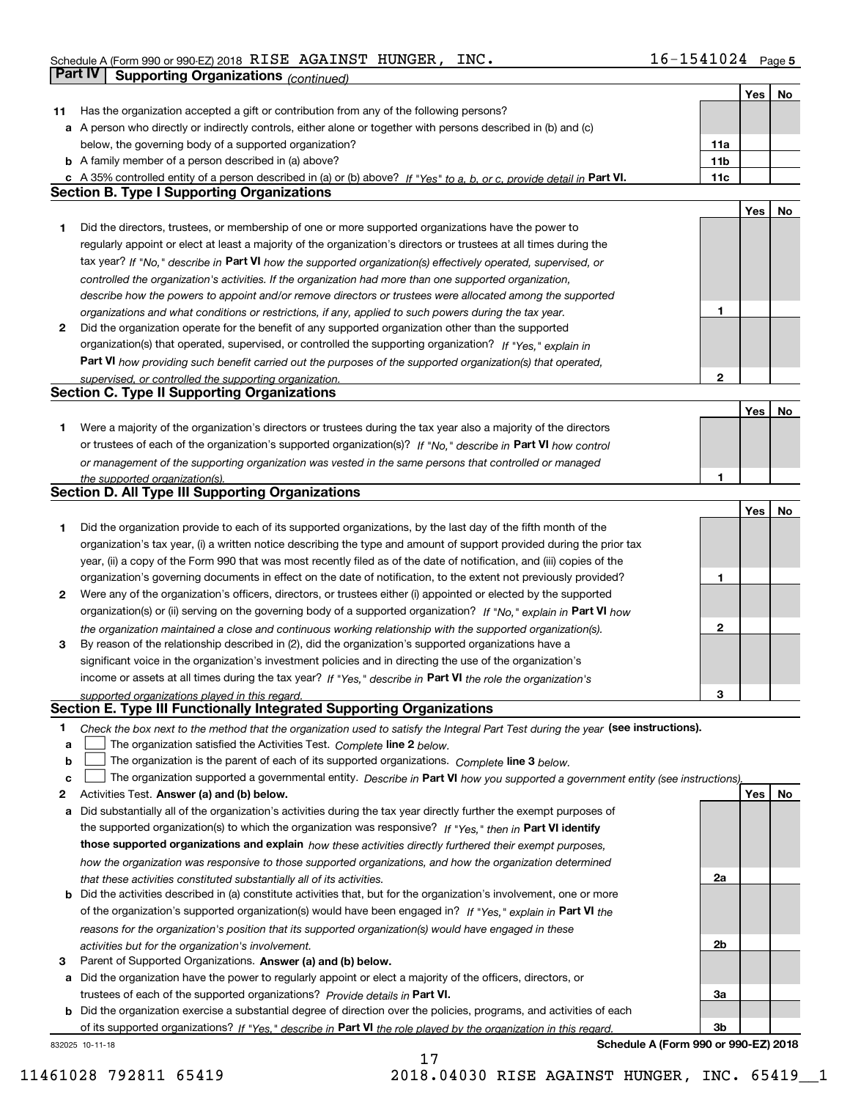|              |                                                                                                                                   |                 | Yes | No |
|--------------|-----------------------------------------------------------------------------------------------------------------------------------|-----------------|-----|----|
| 11           | Has the organization accepted a gift or contribution from any of the following persons?                                           |                 |     |    |
|              | a A person who directly or indirectly controls, either alone or together with persons described in (b) and (c)                    |                 |     |    |
|              | below, the governing body of a supported organization?                                                                            | 11a             |     |    |
|              | <b>b</b> A family member of a person described in (a) above?                                                                      | 11 <sub>b</sub> |     |    |
|              | c A 35% controlled entity of a person described in (a) or (b) above? If "Yes" to a, b, or c, provide detail in Part VI.           | 11c             |     |    |
|              | <b>Section B. Type I Supporting Organizations</b>                                                                                 |                 |     |    |
|              |                                                                                                                                   |                 | Yes | No |
| 1            | Did the directors, trustees, or membership of one or more supported organizations have the power to                               |                 |     |    |
|              | regularly appoint or elect at least a majority of the organization's directors or trustees at all times during the                |                 |     |    |
|              | tax year? If "No," describe in Part VI how the supported organization(s) effectively operated, supervised, or                     |                 |     |    |
|              | controlled the organization's activities. If the organization had more than one supported organization,                           |                 |     |    |
|              | describe how the powers to appoint and/or remove directors or trustees were allocated among the supported                         |                 |     |    |
|              | organizations and what conditions or restrictions, if any, applied to such powers during the tax year.                            | 1               |     |    |
| $\mathbf{2}$ | Did the organization operate for the benefit of any supported organization other than the supported                               |                 |     |    |
|              | organization(s) that operated, supervised, or controlled the supporting organization? If "Yes," explain in                        |                 |     |    |
|              | Part VI how providing such benefit carried out the purposes of the supported organization(s) that operated,                       |                 |     |    |
|              | supervised, or controlled the supporting organization.                                                                            | $\mathbf{2}$    |     |    |
|              | <b>Section C. Type II Supporting Organizations</b>                                                                                |                 |     |    |
|              |                                                                                                                                   |                 | Yes | No |
| 1.           | Were a majority of the organization's directors or trustees during the tax year also a majority of the directors                  |                 |     |    |
|              | or trustees of each of the organization's supported organization(s)? If "No," describe in Part VI how control                     |                 |     |    |
|              | or management of the supporting organization was vested in the same persons that controlled or managed                            |                 |     |    |
|              | the supported organization(s).                                                                                                    | 1               |     |    |
|              | Section D. All Type III Supporting Organizations                                                                                  |                 |     |    |
|              |                                                                                                                                   |                 | Yes | No |
| 1            | Did the organization provide to each of its supported organizations, by the last day of the fifth month of the                    |                 |     |    |
|              | organization's tax year, (i) a written notice describing the type and amount of support provided during the prior tax             |                 |     |    |
|              | year, (ii) a copy of the Form 990 that was most recently filed as of the date of notification, and (iii) copies of the            |                 |     |    |
|              | organization's governing documents in effect on the date of notification, to the extent not previously provided?                  | 1               |     |    |
| 2            | Were any of the organization's officers, directors, or trustees either (i) appointed or elected by the supported                  |                 |     |    |
|              | organization(s) or (ii) serving on the governing body of a supported organization? If "No," explain in Part VI how                |                 |     |    |
|              | the organization maintained a close and continuous working relationship with the supported organization(s).                       | $\mathbf{2}$    |     |    |
| 3            | By reason of the relationship described in (2), did the organization's supported organizations have a                             |                 |     |    |
|              | significant voice in the organization's investment policies and in directing the use of the organization's                        |                 |     |    |
|              | income or assets at all times during the tax year? If "Yes," describe in Part VI the role the organization's                      |                 |     |    |
|              | supported organizations played in this regard.                                                                                    | 3               |     |    |
|              | Section E. Type III Functionally Integrated Supporting Organizations                                                              |                 |     |    |
| 1.           | Check the box next to the method that the organization used to satisfy the Integral Part Test during the year (see instructions). |                 |     |    |
| а            | The organization satisfied the Activities Test. Complete line 2 below.                                                            |                 |     |    |
| b            | The organization is the parent of each of its supported organizations. Complete line 3 below.                                     |                 |     |    |
| с            | The organization supported a governmental entity. Describe in Part VI how you supported a government entity (see instructions),   |                 |     |    |
| 2            | Activities Test. Answer (a) and (b) below.                                                                                        |                 | Yes | No |
| а            | Did substantially all of the organization's activities during the tax year directly further the exempt purposes of                |                 |     |    |
|              | the supported organization(s) to which the organization was responsive? If "Yes," then in Part VI identify                        |                 |     |    |
|              | those supported organizations and explain how these activities directly furthered their exempt purposes,                          |                 |     |    |
|              | how the organization was responsive to those supported organizations, and how the organization determined                         |                 |     |    |
|              | that these activities constituted substantially all of its activities.                                                            | 2a              |     |    |
| b            | Did the activities described in (a) constitute activities that, but for the organization's involvement, one or more               |                 |     |    |
|              | of the organization's supported organization(s) would have been engaged in? If "Yes," explain in Part VI the                      |                 |     |    |
|              | reasons for the organization's position that its supported organization(s) would have engaged in these                            |                 |     |    |
|              | activities but for the organization's involvement.                                                                                | 2b              |     |    |
| 3            | Parent of Supported Organizations. Answer (a) and (b) below.                                                                      |                 |     |    |
| а            | Did the organization have the power to regularly appoint or elect a majority of the officers, directors, or                       |                 |     |    |
|              | trustees of each of the supported organizations? Provide details in Part VI.                                                      | За              |     |    |
| b            | Did the organization exercise a substantial degree of direction over the policies, programs, and activities of each               |                 |     |    |
|              | of its supported organizations? If "Yes," describe in Part VI the role played by the organization in this regard.                 | 3b              |     |    |
|              |                                                                                                                                   |                 |     |    |

832025 10-11-18

**Schedule A (Form 990 or 990-EZ) 2018**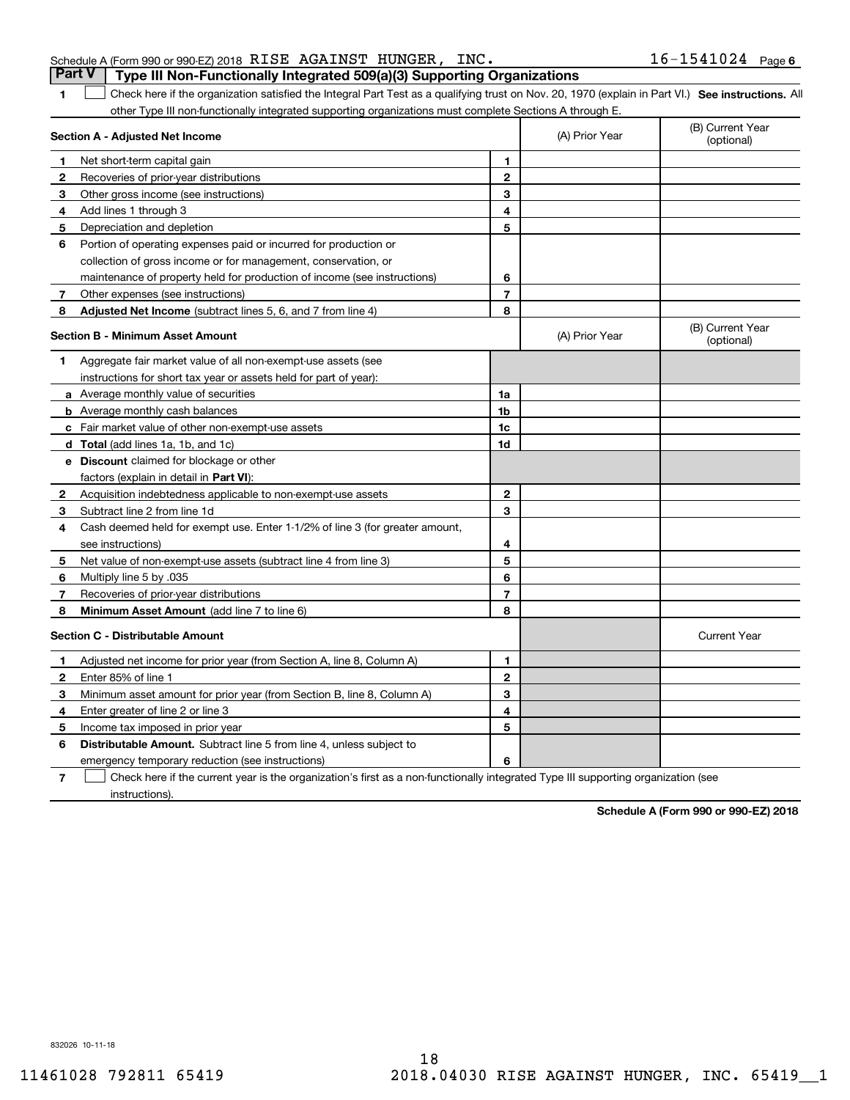## Schedule A (Form 990 or 990-EZ) 2018 Page RISE AGAINST HUNGER, INC. 16-1541024 **Part V Type III Non-Functionally Integrated 509(a)(3) Supporting Organizations**

1 Check here if the organization satisfied the Integral Part Test as a qualifying trust on Nov. 20, 1970 (explain in Part VI.) See instructions. All other Type III non-functionally integrated supporting organizations must complete Sections A through E.

|              | Section A - Adjusted Net Income                                              | (A) Prior Year | (B) Current Year<br>(optional) |                                |
|--------------|------------------------------------------------------------------------------|----------------|--------------------------------|--------------------------------|
| 1            | Net short-term capital gain                                                  | 1              |                                |                                |
| 2            | Recoveries of prior-year distributions                                       | $\mathbf{2}$   |                                |                                |
| З            | Other gross income (see instructions)                                        | 3              |                                |                                |
| 4            | Add lines 1 through 3                                                        | 4              |                                |                                |
| 5            | Depreciation and depletion                                                   | 5              |                                |                                |
| 6            | Portion of operating expenses paid or incurred for production or             |                |                                |                                |
|              | collection of gross income or for management, conservation, or               |                |                                |                                |
|              | maintenance of property held for production of income (see instructions)     | 6              |                                |                                |
| 7            | Other expenses (see instructions)                                            | $\overline{7}$ |                                |                                |
| 8            | Adjusted Net Income (subtract lines 5, 6, and 7 from line 4)                 | 8              |                                |                                |
|              | <b>Section B - Minimum Asset Amount</b>                                      |                | (A) Prior Year                 | (B) Current Year<br>(optional) |
| 1            | Aggregate fair market value of all non-exempt-use assets (see                |                |                                |                                |
|              | instructions for short tax year or assets held for part of year):            |                |                                |                                |
|              | a Average monthly value of securities                                        | 1a             |                                |                                |
|              | <b>b</b> Average monthly cash balances                                       | 1 <sub>b</sub> |                                |                                |
|              | <b>c</b> Fair market value of other non-exempt-use assets                    | 1c             |                                |                                |
|              | <b>d</b> Total (add lines 1a, 1b, and 1c)                                    | 1d             |                                |                                |
|              | <b>e</b> Discount claimed for blockage or other                              |                |                                |                                |
|              | factors (explain in detail in Part VI):                                      |                |                                |                                |
| 2            | Acquisition indebtedness applicable to non-exempt-use assets                 | $\overline{2}$ |                                |                                |
| З            | Subtract line 2 from line 1d                                                 | 3              |                                |                                |
| 4            | Cash deemed held for exempt use. Enter 1-1/2% of line 3 (for greater amount, |                |                                |                                |
|              | see instructions)                                                            | 4              |                                |                                |
| 5.           | Net value of non-exempt-use assets (subtract line 4 from line 3)             | 5              |                                |                                |
| 6            | Multiply line 5 by .035                                                      | 6              |                                |                                |
| 7            | Recoveries of prior-year distributions                                       | $\overline{7}$ |                                |                                |
| 8            | Minimum Asset Amount (add line 7 to line 6)                                  | 8              |                                |                                |
|              | <b>Section C - Distributable Amount</b>                                      |                |                                | <b>Current Year</b>            |
| 1            | Adjusted net income for prior year (from Section A, line 8, Column A)        | 1              |                                |                                |
| $\mathbf{2}$ | Enter 85% of line 1                                                          | $\overline{2}$ |                                |                                |
| 3            | Minimum asset amount for prior year (from Section B, line 8, Column A)       | 3              |                                |                                |
| 4            | Enter greater of line 2 or line 3                                            | 4              |                                |                                |
| 5            | Income tax imposed in prior year                                             | 5              |                                |                                |
| 6            | Distributable Amount. Subtract line 5 from line 4, unless subject to         |                |                                |                                |
|              | emergency temporary reduction (see instructions)                             | 6              |                                |                                |
|              |                                                                              |                |                                |                                |

**7**Check here if the current year is the organization's first as a non-functionally integrated Type III supporting organization (see instructions).

**Schedule A (Form 990 or 990-EZ) 2018**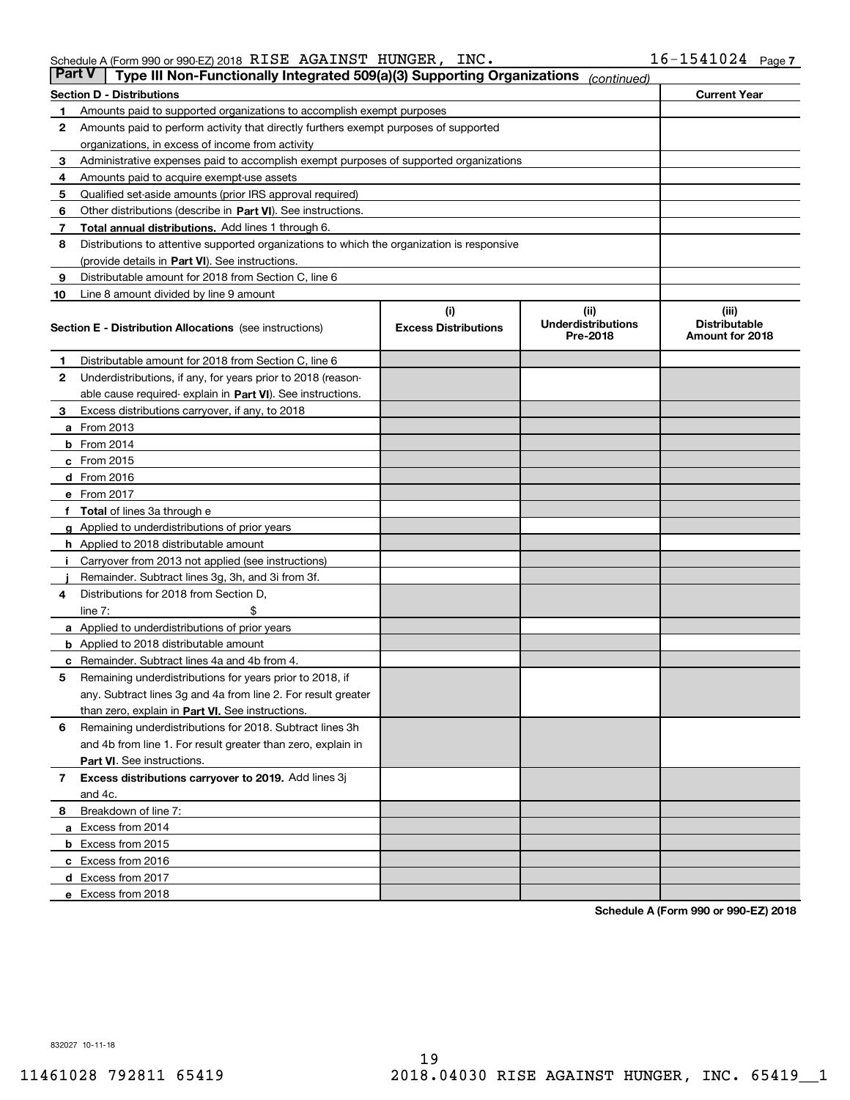## Schedule A (Form 990 or 990-EZ) 2018 Page RISE AGAINST HUNGER, INC. 16-1541024

| <b>Part V</b> | Type III Non-Functionally Integrated 509(a)(3) Supporting Organizations                    |                             | (continued)                           |                                         |
|---------------|--------------------------------------------------------------------------------------------|-----------------------------|---------------------------------------|-----------------------------------------|
|               | <b>Section D - Distributions</b>                                                           |                             |                                       | <b>Current Year</b>                     |
| 1             | Amounts paid to supported organizations to accomplish exempt purposes                      |                             |                                       |                                         |
| 2             | Amounts paid to perform activity that directly furthers exempt purposes of supported       |                             |                                       |                                         |
|               | organizations, in excess of income from activity                                           |                             |                                       |                                         |
| 3             | Administrative expenses paid to accomplish exempt purposes of supported organizations      |                             |                                       |                                         |
| 4             | Amounts paid to acquire exempt-use assets                                                  |                             |                                       |                                         |
| 5             | Qualified set-aside amounts (prior IRS approval required)                                  |                             |                                       |                                         |
| 6             | Other distributions (describe in Part VI). See instructions.                               |                             |                                       |                                         |
| 7             | <b>Total annual distributions.</b> Add lines 1 through 6.                                  |                             |                                       |                                         |
| 8             | Distributions to attentive supported organizations to which the organization is responsive |                             |                                       |                                         |
|               | (provide details in Part VI). See instructions.                                            |                             |                                       |                                         |
| 9             | Distributable amount for 2018 from Section C, line 6                                       |                             |                                       |                                         |
| 10            | Line 8 amount divided by line 9 amount                                                     |                             |                                       |                                         |
|               |                                                                                            | (i)                         | (iii)                                 | (iii)                                   |
|               | <b>Section E - Distribution Allocations</b> (see instructions)                             | <b>Excess Distributions</b> | <b>Underdistributions</b><br>Pre-2018 | <b>Distributable</b><br>Amount for 2018 |
| 1             | Distributable amount for 2018 from Section C, line 6                                       |                             |                                       |                                         |
| 2             | Underdistributions, if any, for years prior to 2018 (reason-                               |                             |                                       |                                         |
|               | able cause required- explain in Part VI). See instructions.                                |                             |                                       |                                         |
| З             | Excess distributions carryover, if any, to 2018                                            |                             |                                       |                                         |
|               | <b>a</b> From 2013                                                                         |                             |                                       |                                         |
|               | <b>b</b> From 2014                                                                         |                             |                                       |                                         |
|               | $c$ From 2015                                                                              |                             |                                       |                                         |
|               | d From 2016                                                                                |                             |                                       |                                         |
|               | e From 2017                                                                                |                             |                                       |                                         |
|               | Total of lines 3a through e                                                                |                             |                                       |                                         |
| g             | Applied to underdistributions of prior years                                               |                             |                                       |                                         |
|               | <b>h</b> Applied to 2018 distributable amount                                              |                             |                                       |                                         |
|               | Carryover from 2013 not applied (see instructions)                                         |                             |                                       |                                         |
|               | Remainder. Subtract lines 3g, 3h, and 3i from 3f.                                          |                             |                                       |                                         |
| 4             | Distributions for 2018 from Section D,                                                     |                             |                                       |                                         |
|               | line $7:$                                                                                  |                             |                                       |                                         |
|               | <b>a</b> Applied to underdistributions of prior years                                      |                             |                                       |                                         |
|               | <b>b</b> Applied to 2018 distributable amount                                              |                             |                                       |                                         |
|               | c Remainder. Subtract lines 4a and 4b from 4.                                              |                             |                                       |                                         |
| 5             | Remaining underdistributions for years prior to 2018, if                                   |                             |                                       |                                         |
|               | any. Subtract lines 3g and 4a from line 2. For result greater                              |                             |                                       |                                         |
|               | than zero, explain in Part VI. See instructions.                                           |                             |                                       |                                         |
| 6             | Remaining underdistributions for 2018. Subtract lines 3h                                   |                             |                                       |                                         |
|               | and 4b from line 1. For result greater than zero, explain in                               |                             |                                       |                                         |
|               | Part VI. See instructions.                                                                 |                             |                                       |                                         |
| 7             | Excess distributions carryover to 2019. Add lines 3j                                       |                             |                                       |                                         |
|               | and 4c.                                                                                    |                             |                                       |                                         |
| 8             | Breakdown of line 7:                                                                       |                             |                                       |                                         |
|               | a Excess from 2014                                                                         |                             |                                       |                                         |
|               | <b>b</b> Excess from 2015                                                                  |                             |                                       |                                         |
|               | c Excess from 2016                                                                         |                             |                                       |                                         |
|               | d Excess from 2017                                                                         |                             |                                       |                                         |
|               | e Excess from 2018                                                                         |                             |                                       |                                         |

**Schedule A (Form 990 or 990-EZ) 2018**

832027 10-11-18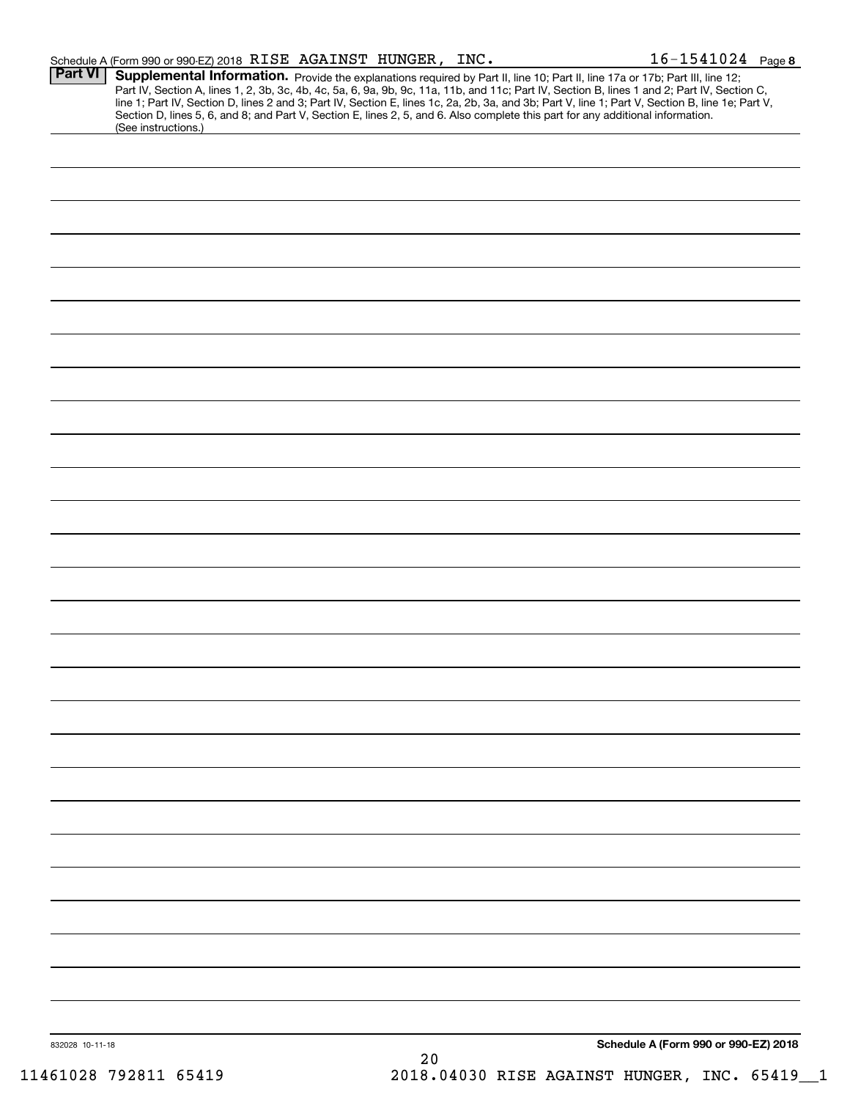|                 | Schedule A (Form 990 or 990-EZ) 2018 RISE AGAINST HUNGER, INC.                                                                                                                                                                                                                                                                                                                                                                                                                                                                                                                              |      |  | $16 - 1541024$ Page 8                |
|-----------------|---------------------------------------------------------------------------------------------------------------------------------------------------------------------------------------------------------------------------------------------------------------------------------------------------------------------------------------------------------------------------------------------------------------------------------------------------------------------------------------------------------------------------------------------------------------------------------------------|------|--|--------------------------------------|
| <b>Part VI</b>  | Supplemental Information. Provide the explanations required by Part II, line 10; Part II, line 17a or 17b; Part III, line 12;<br>Part IV, Section A, lines 1, 2, 3b, 3c, 4b, 4c, 5a, 6, 9a, 9b, 9c, 11a, 11b, and 11c; Part IV, Section B, lines 1 and 2; Part IV, Section C,<br>line 1; Part IV, Section D, lines 2 and 3; Part IV, Section E, lines 1c, 2a, 2b, 3a, and 3b; Part V, line 1; Part V, Section B, line 1e; Part V,<br>Section D, lines 5, 6, and 8; and Part V, Section E, lines 2, 5, and 6. Also complete this part for any additional information.<br>(See instructions.) |      |  |                                      |
|                 |                                                                                                                                                                                                                                                                                                                                                                                                                                                                                                                                                                                             |      |  |                                      |
|                 |                                                                                                                                                                                                                                                                                                                                                                                                                                                                                                                                                                                             |      |  |                                      |
|                 |                                                                                                                                                                                                                                                                                                                                                                                                                                                                                                                                                                                             |      |  |                                      |
|                 |                                                                                                                                                                                                                                                                                                                                                                                                                                                                                                                                                                                             |      |  |                                      |
|                 |                                                                                                                                                                                                                                                                                                                                                                                                                                                                                                                                                                                             |      |  |                                      |
|                 |                                                                                                                                                                                                                                                                                                                                                                                                                                                                                                                                                                                             |      |  |                                      |
|                 |                                                                                                                                                                                                                                                                                                                                                                                                                                                                                                                                                                                             |      |  |                                      |
|                 |                                                                                                                                                                                                                                                                                                                                                                                                                                                                                                                                                                                             |      |  |                                      |
|                 |                                                                                                                                                                                                                                                                                                                                                                                                                                                                                                                                                                                             |      |  |                                      |
|                 |                                                                                                                                                                                                                                                                                                                                                                                                                                                                                                                                                                                             |      |  |                                      |
|                 |                                                                                                                                                                                                                                                                                                                                                                                                                                                                                                                                                                                             |      |  |                                      |
|                 |                                                                                                                                                                                                                                                                                                                                                                                                                                                                                                                                                                                             |      |  |                                      |
|                 |                                                                                                                                                                                                                                                                                                                                                                                                                                                                                                                                                                                             |      |  |                                      |
|                 |                                                                                                                                                                                                                                                                                                                                                                                                                                                                                                                                                                                             |      |  |                                      |
|                 |                                                                                                                                                                                                                                                                                                                                                                                                                                                                                                                                                                                             |      |  |                                      |
|                 |                                                                                                                                                                                                                                                                                                                                                                                                                                                                                                                                                                                             |      |  |                                      |
|                 |                                                                                                                                                                                                                                                                                                                                                                                                                                                                                                                                                                                             |      |  |                                      |
|                 |                                                                                                                                                                                                                                                                                                                                                                                                                                                                                                                                                                                             |      |  |                                      |
|                 |                                                                                                                                                                                                                                                                                                                                                                                                                                                                                                                                                                                             |      |  |                                      |
|                 |                                                                                                                                                                                                                                                                                                                                                                                                                                                                                                                                                                                             |      |  |                                      |
|                 |                                                                                                                                                                                                                                                                                                                                                                                                                                                                                                                                                                                             |      |  |                                      |
|                 |                                                                                                                                                                                                                                                                                                                                                                                                                                                                                                                                                                                             |      |  |                                      |
|                 |                                                                                                                                                                                                                                                                                                                                                                                                                                                                                                                                                                                             |      |  |                                      |
|                 |                                                                                                                                                                                                                                                                                                                                                                                                                                                                                                                                                                                             |      |  |                                      |
|                 |                                                                                                                                                                                                                                                                                                                                                                                                                                                                                                                                                                                             |      |  |                                      |
|                 |                                                                                                                                                                                                                                                                                                                                                                                                                                                                                                                                                                                             |      |  |                                      |
|                 |                                                                                                                                                                                                                                                                                                                                                                                                                                                                                                                                                                                             |      |  |                                      |
| 832028 10-11-18 |                                                                                                                                                                                                                                                                                                                                                                                                                                                                                                                                                                                             | $20$ |  | Schedule A (Form 990 or 990-EZ) 2018 |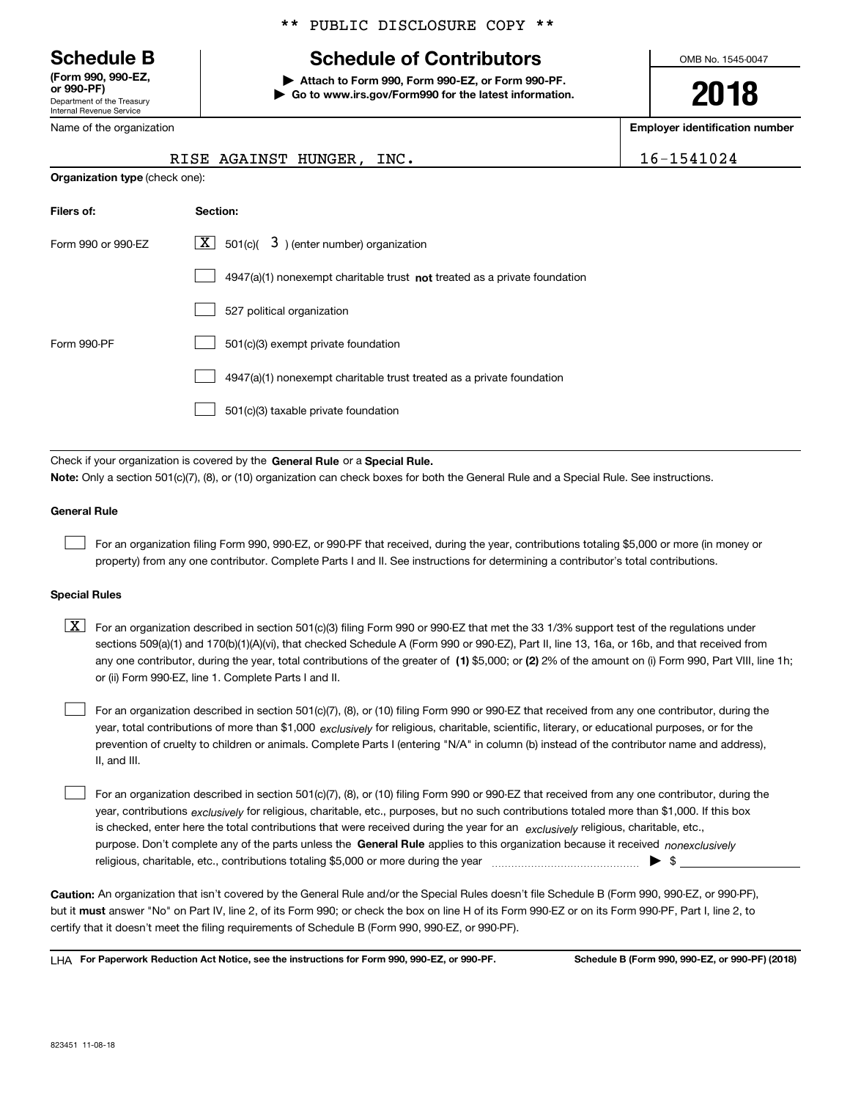Department of the Treasury Internal Revenue Service **(Form 990, 990-EZ, or 990-PF)**

Name of the organization

**Organization type** (check one):

## \*\* PUBLIC DISCLOSURE COPY \*\*

## **Schedule B Schedule of Contributors**

**| Attach to Form 990, Form 990-EZ, or Form 990-PF. | Go to www.irs.gov/Form990 for the latest information.** OMB No. 1545-0047

**2018**

**Employer identification number**

|  |  |  |  | 1541024 |  |
|--|--|--|--|---------|--|
|  |  |  |  |         |  |

| RISE AGAINST HUNGER, INC. |  | 16-1541024 |
|---------------------------|--|------------|
|                           |  |            |

| Filers of:         | Section:                                                                  |
|--------------------|---------------------------------------------------------------------------|
| Form 990 or 990-EZ | $\lfloor x \rfloor$ 501(c)( 3) (enter number) organization                |
|                    | 4947(a)(1) nonexempt charitable trust not treated as a private foundation |
|                    | 527 political organization                                                |
| Form 990-PF        | 501(c)(3) exempt private foundation                                       |
|                    | 4947(a)(1) nonexempt charitable trust treated as a private foundation     |
|                    | 501(c)(3) taxable private foundation                                      |

Check if your organization is covered by the **General Rule** or a **Special Rule. Note:**  Only a section 501(c)(7), (8), or (10) organization can check boxes for both the General Rule and a Special Rule. See instructions.

## **General Rule**

 $\mathcal{L}^{\text{max}}$ 

For an organization filing Form 990, 990-EZ, or 990-PF that received, during the year, contributions totaling \$5,000 or more (in money or property) from any one contributor. Complete Parts I and II. See instructions for determining a contributor's total contributions.

### **Special Rules**

any one contributor, during the year, total contributions of the greater of  $\,$  (1) \$5,000; or **(2)** 2% of the amount on (i) Form 990, Part VIII, line 1h;  $\boxed{\textbf{X}}$  For an organization described in section 501(c)(3) filing Form 990 or 990-EZ that met the 33 1/3% support test of the regulations under sections 509(a)(1) and 170(b)(1)(A)(vi), that checked Schedule A (Form 990 or 990-EZ), Part II, line 13, 16a, or 16b, and that received from or (ii) Form 990-EZ, line 1. Complete Parts I and II.

year, total contributions of more than \$1,000 *exclusively* for religious, charitable, scientific, literary, or educational purposes, or for the For an organization described in section 501(c)(7), (8), or (10) filing Form 990 or 990-EZ that received from any one contributor, during the prevention of cruelty to children or animals. Complete Parts I (entering "N/A" in column (b) instead of the contributor name and address), II, and III.  $\mathcal{L}^{\text{max}}$ 

purpose. Don't complete any of the parts unless the **General Rule** applies to this organization because it received *nonexclusively* year, contributions <sub>exclusively</sub> for religious, charitable, etc., purposes, but no such contributions totaled more than \$1,000. If this box is checked, enter here the total contributions that were received during the year for an  $\;$ exclusively religious, charitable, etc., For an organization described in section 501(c)(7), (8), or (10) filing Form 990 or 990-EZ that received from any one contributor, during the religious, charitable, etc., contributions totaling \$5,000 or more during the year  $\Box$ — $\Box$   $\Box$  $\mathcal{L}^{\text{max}}$ 

**Caution:**  An organization that isn't covered by the General Rule and/or the Special Rules doesn't file Schedule B (Form 990, 990-EZ, or 990-PF),  **must** but it answer "No" on Part IV, line 2, of its Form 990; or check the box on line H of its Form 990-EZ or on its Form 990-PF, Part I, line 2, to certify that it doesn't meet the filing requirements of Schedule B (Form 990, 990-EZ, or 990-PF).

**For Paperwork Reduction Act Notice, see the instructions for Form 990, 990-EZ, or 990-PF. Schedule B (Form 990, 990-EZ, or 990-PF) (2018)** LHA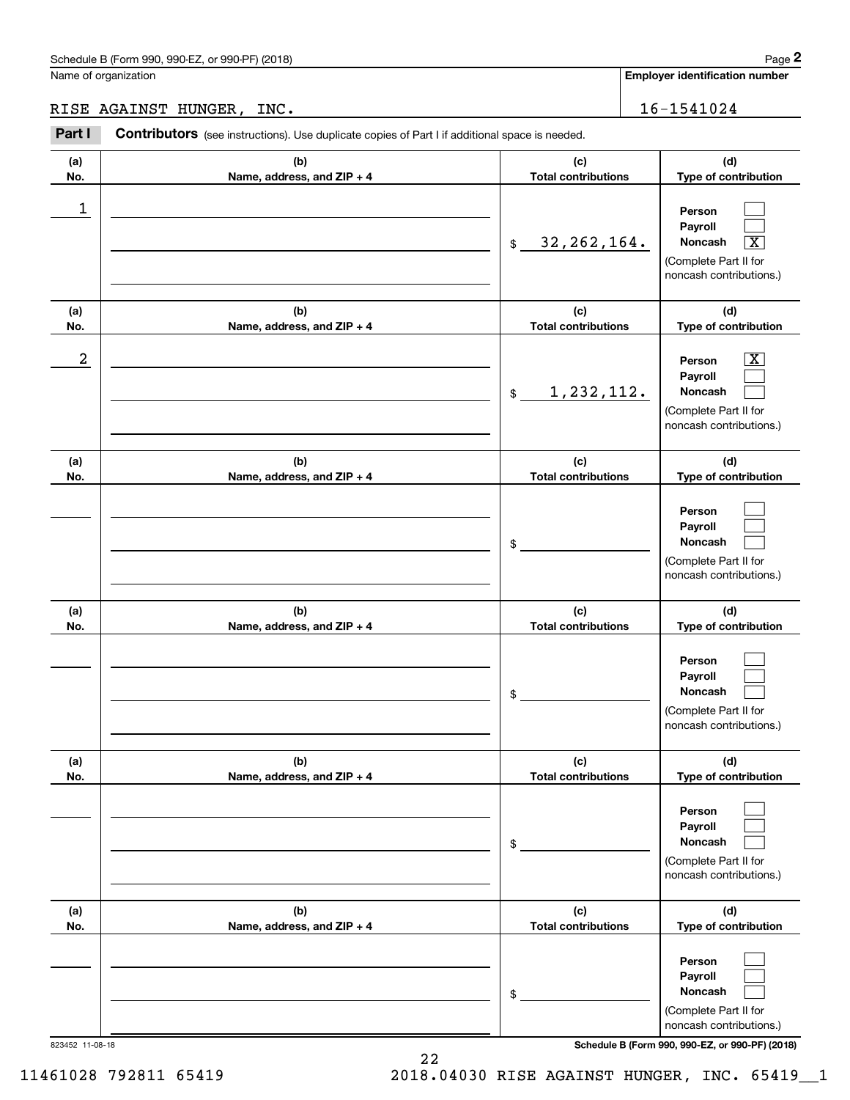|                  | Schedule B (Form 990, 990-EZ, or 990-PF) (2018)                                                |                                          | Page 2                                                                                                      |
|------------------|------------------------------------------------------------------------------------------------|------------------------------------------|-------------------------------------------------------------------------------------------------------------|
|                  | Name of organization                                                                           |                                          | <b>Employer identification number</b>                                                                       |
|                  | RISE AGAINST HUNGER, INC.                                                                      |                                          | 16-1541024                                                                                                  |
| Part I           | Contributors (see instructions). Use duplicate copies of Part I if additional space is needed. |                                          |                                                                                                             |
| (a)<br>No.       | (b)<br>Name, address, and ZIP + 4                                                              | (c)<br><b>Total contributions</b>        | (d)<br>Type of contribution                                                                                 |
| 1                |                                                                                                | 32, 262, 164.<br>$$\tilde{\phantom{a}}$$ | Person<br>Payroll<br>Noncash<br>$\overline{\textbf{X}}$<br>(Complete Part II for<br>noncash contributions.) |
| (a)<br>No.       | (b)<br>Name, address, and ZIP + 4                                                              | (c)<br><b>Total contributions</b>        | (d)<br>Type of contribution                                                                                 |
| $\boldsymbol{2}$ |                                                                                                | 1,232,112.<br>$\frac{1}{2}$              | $\overline{\mathbf{X}}$<br>Person<br>Payroll<br>Noncash<br>(Complete Part II for<br>noncash contributions.) |
| (a)<br>No.       | (b)<br>Name, address, and ZIP + 4                                                              | (c)<br><b>Total contributions</b>        | (d)<br>Type of contribution                                                                                 |
|                  |                                                                                                | \$                                       | Person<br>Payroll<br>Noncash<br>(Complete Part II for<br>noncash contributions.)                            |
| (a)<br>No.       | (b)<br>Name, address, and ZIP + 4                                                              | (c)<br><b>Total contributions</b>        | (d)<br>Type of contribution                                                                                 |
|                  |                                                                                                | \$                                       | Person<br>Payroll<br>Noncash<br>(Complete Part II for<br>noncash contributions.)                            |
| (a)<br>No.       | (b)<br>Name, address, and ZIP + 4                                                              | (c)<br><b>Total contributions</b>        | (d)<br>Type of contribution                                                                                 |
|                  |                                                                                                | \$                                       | Person<br>Payroll<br>Noncash<br>(Complete Part II for<br>noncash contributions.)                            |
| (a)<br>No.       | (b)<br>Name, address, and ZIP + 4                                                              | (c)<br><b>Total contributions</b>        | (d)<br>Type of contribution                                                                                 |
|                  |                                                                                                | \$                                       | Person<br>Payroll<br>Noncash<br>(Complete Part II for                                                       |

823452 11-08-18 **Schedule B (Form 990, 990-EZ, or 990-PF) (2018)**

noncash contributions.)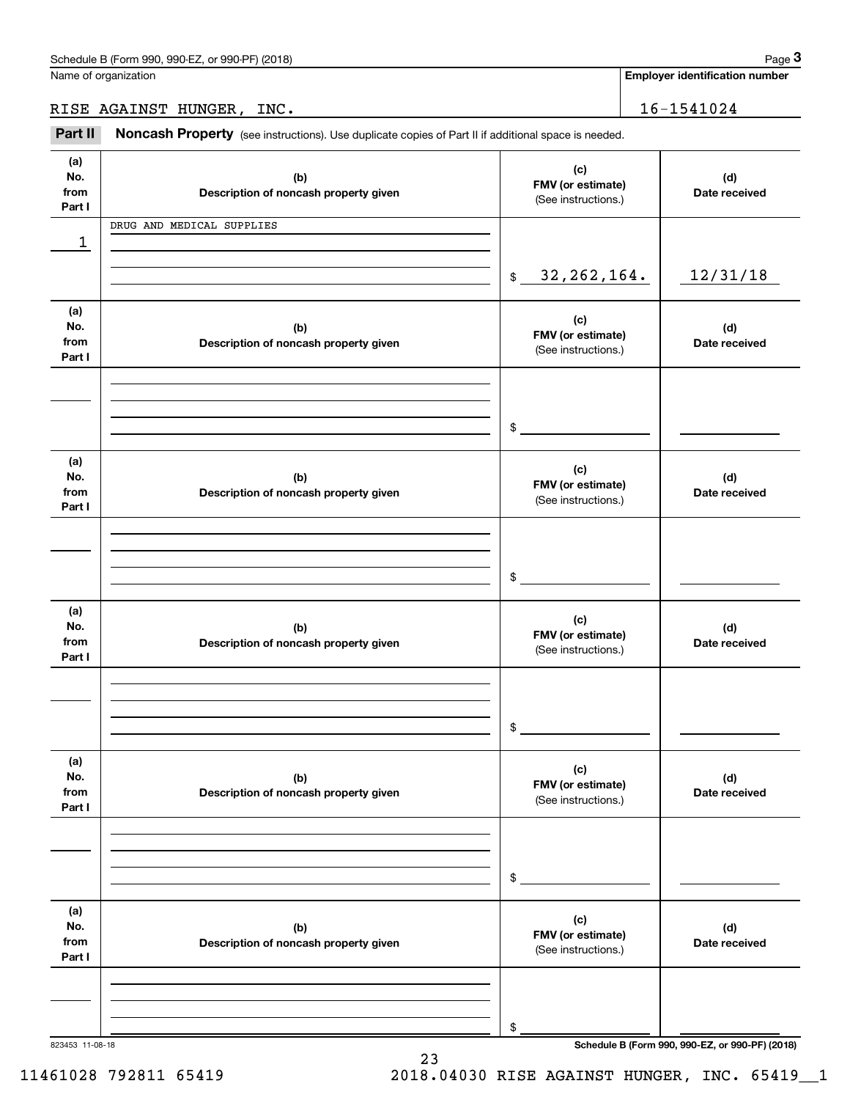**Employer identification number**

RISE AGAINST HUNGER, INC. 16-1541024

Chedule B (Form 990, 990-EZ, or 990-PF) (2018)<br> **2Part II is AGAINST HUNGER, INC.**<br> **2Part II Noncash Property** (see instructions). Use duplicate copies of Part II if additional space is needed.

| (a)<br>No.<br>from<br>Part I | (b)<br>Description of noncash property given | (c)<br>FMV (or estimate)<br>(See instructions.) | (d)<br>Date received                            |
|------------------------------|----------------------------------------------|-------------------------------------------------|-------------------------------------------------|
| 1                            | DRUG AND MEDICAL SUPPLIES                    |                                                 |                                                 |
|                              |                                              |                                                 |                                                 |
|                              |                                              | \$32, 262, 164.                                 | 12/31/18                                        |
| (a)<br>No.<br>from<br>Part I | (b)<br>Description of noncash property given | (c)<br>FMV (or estimate)<br>(See instructions.) | (d)<br>Date received                            |
|                              |                                              |                                                 |                                                 |
|                              |                                              | $\frac{1}{2}$                                   |                                                 |
| (a)<br>No.<br>from<br>Part I | (b)<br>Description of noncash property given | (c)<br>FMV (or estimate)<br>(See instructions.) | (d)<br>Date received                            |
|                              |                                              |                                                 |                                                 |
|                              |                                              |                                                 |                                                 |
|                              |                                              | $$\overbrace{\hspace{2.5cm}}$                   |                                                 |
| (a)<br>No.<br>from<br>Part I | (b)<br>Description of noncash property given | (c)<br>FMV (or estimate)<br>(See instructions.) | (d)<br>Date received                            |
|                              |                                              |                                                 |                                                 |
|                              |                                              |                                                 |                                                 |
|                              |                                              | $\frac{1}{2}$                                   |                                                 |
| (a)<br>No.<br>from<br>Part I | (b)<br>Description of noncash property given | (c)<br>FMV (or estimate)<br>(See instructions.) | (d)<br>Date received                            |
|                              |                                              |                                                 |                                                 |
|                              |                                              |                                                 |                                                 |
|                              |                                              | \$                                              |                                                 |
| (a)<br>No.<br>from<br>Part I | (b)<br>Description of noncash property given | (c)<br>FMV (or estimate)<br>(See instructions.) | (d)<br>Date received                            |
|                              |                                              |                                                 |                                                 |
|                              |                                              |                                                 |                                                 |
| 823453 11-08-18              |                                              | \$                                              | Schedule B (Form 990, 990-EZ, or 990-PF) (2018) |

23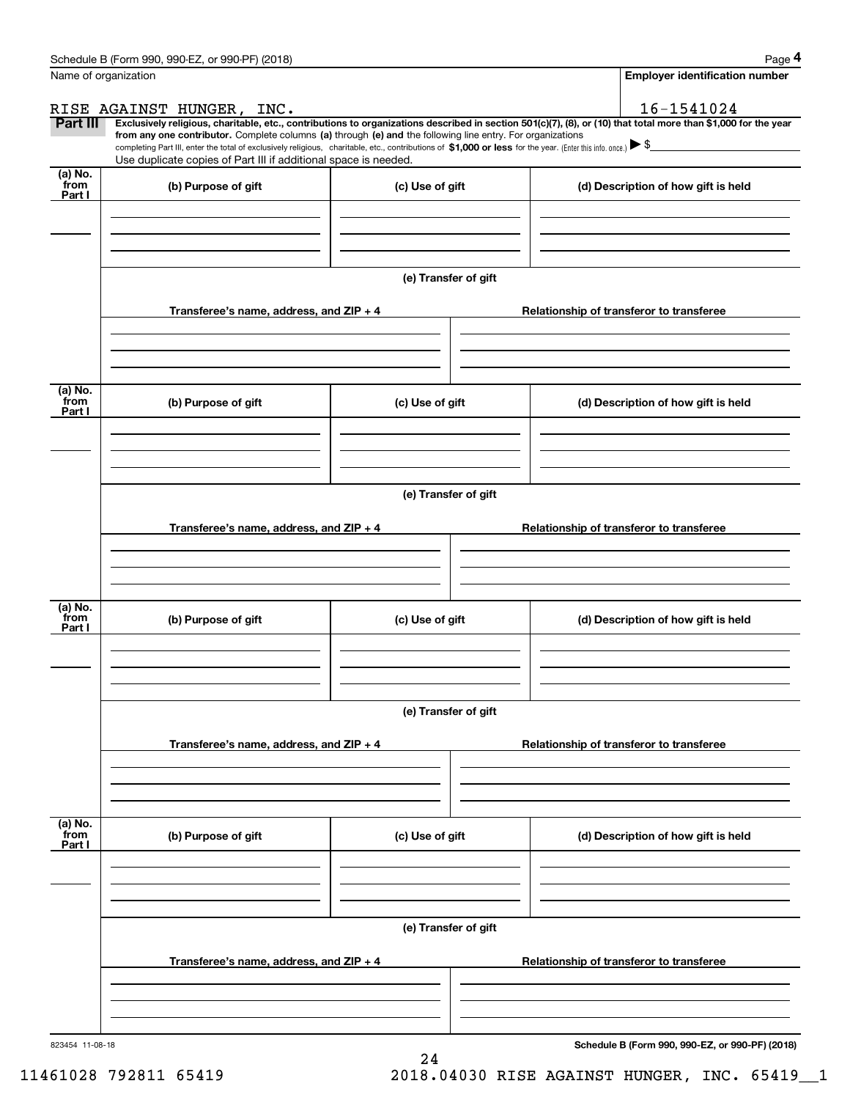|                           | Schedule B (Form 990, 990-EZ, or 990-PF) (2018)                                                                                                                                                                                                                              |                      |  | Page 4                                          |  |  |  |  |
|---------------------------|------------------------------------------------------------------------------------------------------------------------------------------------------------------------------------------------------------------------------------------------------------------------------|----------------------|--|-------------------------------------------------|--|--|--|--|
| Name of organization      |                                                                                                                                                                                                                                                                              |                      |  | Employer identification number                  |  |  |  |  |
|                           | RISE AGAINST HUNGER, INC.                                                                                                                                                                                                                                                    |                      |  | 16-1541024                                      |  |  |  |  |
| Part III                  | Exclusively religious, charitable, etc., contributions to organizations described in section 501(c)(7), (8), or (10) that total more than \$1,000 for the year<br>from any one contributor. Complete columns (a) through (e) and the following line entry. For organizations |                      |  |                                                 |  |  |  |  |
|                           | completing Part III, enter the total of exclusively religious, charitable, etc., contributions of \$1,000 or less for the year. (Enter this info. once.) \\$                                                                                                                 |                      |  |                                                 |  |  |  |  |
|                           | Use duplicate copies of Part III if additional space is needed.                                                                                                                                                                                                              |                      |  |                                                 |  |  |  |  |
| (a) No.<br>from<br>Part I | (b) Purpose of gift                                                                                                                                                                                                                                                          | (c) Use of gift      |  | (d) Description of how gift is held             |  |  |  |  |
|                           |                                                                                                                                                                                                                                                                              |                      |  |                                                 |  |  |  |  |
|                           |                                                                                                                                                                                                                                                                              |                      |  |                                                 |  |  |  |  |
|                           |                                                                                                                                                                                                                                                                              | (e) Transfer of gift |  |                                                 |  |  |  |  |
|                           | Transferee's name, address, and ZIP + 4                                                                                                                                                                                                                                      |                      |  | Relationship of transferor to transferee        |  |  |  |  |
|                           |                                                                                                                                                                                                                                                                              |                      |  |                                                 |  |  |  |  |
| (a) No.<br>from<br>Part I | (b) Purpose of gift                                                                                                                                                                                                                                                          | (c) Use of gift      |  | (d) Description of how gift is held             |  |  |  |  |
|                           |                                                                                                                                                                                                                                                                              |                      |  |                                                 |  |  |  |  |
|                           |                                                                                                                                                                                                                                                                              | (e) Transfer of gift |  |                                                 |  |  |  |  |
|                           | Transferee's name, address, and $ZIP + 4$<br>Relationship of transferor to transferee                                                                                                                                                                                        |                      |  |                                                 |  |  |  |  |
|                           |                                                                                                                                                                                                                                                                              |                      |  |                                                 |  |  |  |  |
|                           |                                                                                                                                                                                                                                                                              |                      |  |                                                 |  |  |  |  |
| (a) No.<br>from<br>Part I | (b) Purpose of gift                                                                                                                                                                                                                                                          | (c) Use of gift      |  | (d) Description of how gift is held             |  |  |  |  |
|                           |                                                                                                                                                                                                                                                                              |                      |  |                                                 |  |  |  |  |
|                           | (e) Transfer of gift                                                                                                                                                                                                                                                         |                      |  |                                                 |  |  |  |  |
|                           | Transferee's name, address, and ZIP + 4                                                                                                                                                                                                                                      |                      |  | Relationship of transferor to transferee        |  |  |  |  |
|                           |                                                                                                                                                                                                                                                                              |                      |  |                                                 |  |  |  |  |
| (a) No.<br>from           |                                                                                                                                                                                                                                                                              |                      |  |                                                 |  |  |  |  |
| Part I                    | (b) Purpose of gift                                                                                                                                                                                                                                                          | (c) Use of gift      |  | (d) Description of how gift is held             |  |  |  |  |
|                           |                                                                                                                                                                                                                                                                              |                      |  |                                                 |  |  |  |  |
|                           | (e) Transfer of gift                                                                                                                                                                                                                                                         |                      |  |                                                 |  |  |  |  |
|                           | Transferee's name, address, and $ZIP + 4$                                                                                                                                                                                                                                    |                      |  | Relationship of transferor to transferee        |  |  |  |  |
|                           |                                                                                                                                                                                                                                                                              |                      |  |                                                 |  |  |  |  |
|                           |                                                                                                                                                                                                                                                                              |                      |  |                                                 |  |  |  |  |
| 823454 11-08-18           |                                                                                                                                                                                                                                                                              |                      |  | Schedule B (Form 990, 990-EZ, or 990-PF) (2018) |  |  |  |  |

**Schedule B (Form 990, 990-EZ, or 990-PF) (2018)**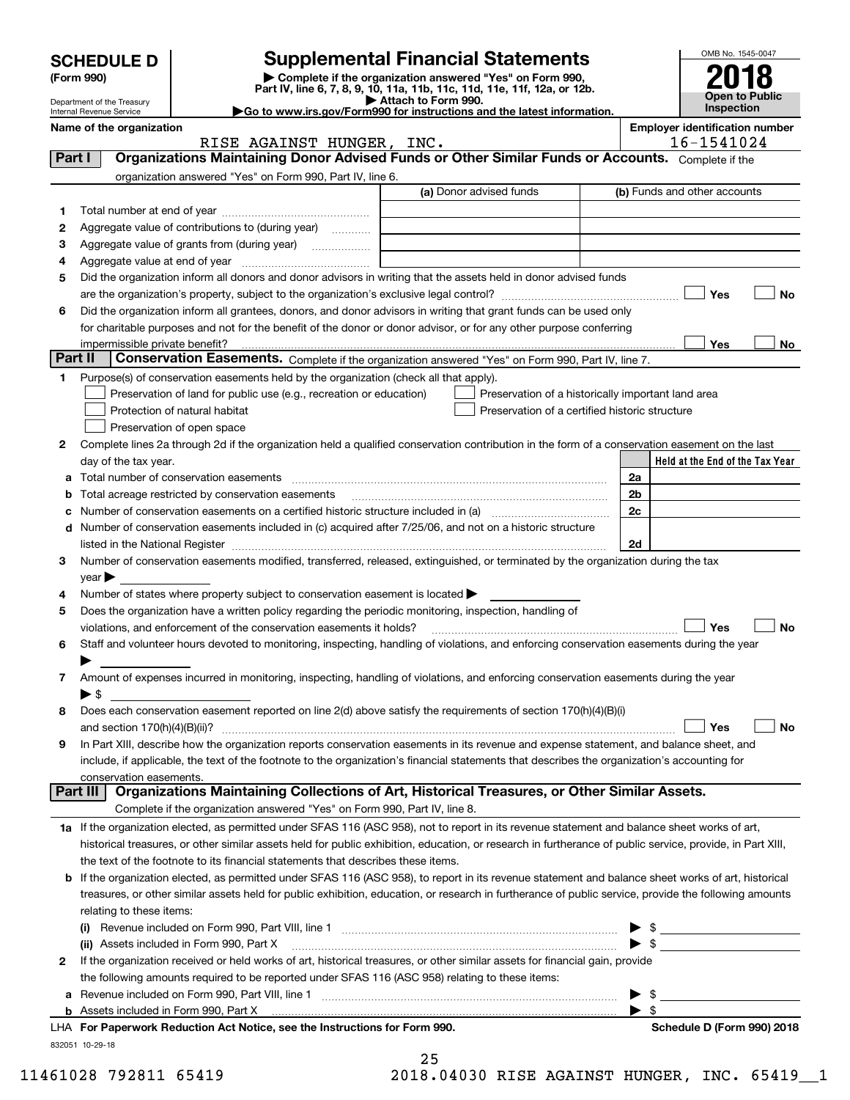|         |                                                                                                                                                                              |                                                                                                        | <b>Supplemental Financial Statements</b>                                                                                                                  |    | OMB No. 1545-0047                     |  |  |
|---------|------------------------------------------------------------------------------------------------------------------------------------------------------------------------------|--------------------------------------------------------------------------------------------------------|-----------------------------------------------------------------------------------------------------------------------------------------------------------|----|---------------------------------------|--|--|
|         | <b>SCHEDULE D</b><br>(Form 990)                                                                                                                                              |                                                                                                        |                                                                                                                                                           |    |                                       |  |  |
|         |                                                                                                                                                                              |                                                                                                        | <b>Open to Public</b>                                                                                                                                     |    |                                       |  |  |
|         | Attach to Form 990.<br>Department of the Treasury<br><b>Inspection</b><br>Go to www.irs.gov/Form990 for instructions and the latest information.<br>Internal Revenue Service |                                                                                                        |                                                                                                                                                           |    |                                       |  |  |
|         | Name of the organization                                                                                                                                                     |                                                                                                        |                                                                                                                                                           |    | <b>Employer identification number</b> |  |  |
| Part I  |                                                                                                                                                                              | RISE AGAINST HUNGER, INC.                                                                              | Organizations Maintaining Donor Advised Funds or Other Similar Funds or Accounts. Complete if the                                                         |    | 16-1541024                            |  |  |
|         |                                                                                                                                                                              | organization answered "Yes" on Form 990, Part IV, line 6.                                              |                                                                                                                                                           |    |                                       |  |  |
|         |                                                                                                                                                                              |                                                                                                        | (a) Donor advised funds                                                                                                                                   |    | (b) Funds and other accounts          |  |  |
| 1       |                                                                                                                                                                              |                                                                                                        |                                                                                                                                                           |    |                                       |  |  |
| 2       |                                                                                                                                                                              | Aggregate value of contributions to (during year)                                                      |                                                                                                                                                           |    |                                       |  |  |
| з       |                                                                                                                                                                              | Aggregate value of grants from (during year) <i></i>                                                   |                                                                                                                                                           |    |                                       |  |  |
| 4       |                                                                                                                                                                              |                                                                                                        |                                                                                                                                                           |    |                                       |  |  |
| 5       |                                                                                                                                                                              |                                                                                                        | Did the organization inform all donors and donor advisors in writing that the assets held in donor advised funds                                          |    |                                       |  |  |
|         |                                                                                                                                                                              |                                                                                                        |                                                                                                                                                           |    | Yes<br>No                             |  |  |
| 6       |                                                                                                                                                                              |                                                                                                        | Did the organization inform all grantees, donors, and donor advisors in writing that grant funds can be used only                                         |    |                                       |  |  |
|         |                                                                                                                                                                              |                                                                                                        | for charitable purposes and not for the benefit of the donor or donor advisor, or for any other purpose conferring                                        |    |                                       |  |  |
| Part II | impermissible private benefit?                                                                                                                                               |                                                                                                        | Conservation Easements. Complete if the organization answered "Yes" on Form 990, Part IV, line 7.                                                         |    | Yes<br>No                             |  |  |
| 1       |                                                                                                                                                                              | Purpose(s) of conservation easements held by the organization (check all that apply).                  |                                                                                                                                                           |    |                                       |  |  |
|         |                                                                                                                                                                              | Preservation of land for public use (e.g., recreation or education)                                    | Preservation of a historically important land area                                                                                                        |    |                                       |  |  |
|         |                                                                                                                                                                              | Protection of natural habitat                                                                          | Preservation of a certified historic structure                                                                                                            |    |                                       |  |  |
|         |                                                                                                                                                                              | Preservation of open space                                                                             |                                                                                                                                                           |    |                                       |  |  |
| 2       |                                                                                                                                                                              |                                                                                                        | Complete lines 2a through 2d if the organization held a qualified conservation contribution in the form of a conservation easement on the last            |    |                                       |  |  |
|         | day of the tax year.                                                                                                                                                         |                                                                                                        |                                                                                                                                                           |    | Held at the End of the Tax Year       |  |  |
|         |                                                                                                                                                                              |                                                                                                        |                                                                                                                                                           | 2a |                                       |  |  |
|         |                                                                                                                                                                              | Total acreage restricted by conservation easements                                                     |                                                                                                                                                           | 2b |                                       |  |  |
|         |                                                                                                                                                                              |                                                                                                        | Number of conservation easements on a certified historic structure included in (a) manufacture included in (a)                                            | 2c |                                       |  |  |
| d       |                                                                                                                                                                              |                                                                                                        | Number of conservation easements included in (c) acquired after 7/25/06, and not on a historic structure                                                  |    |                                       |  |  |
|         | listed in the National Register                                                                                                                                              |                                                                                                        |                                                                                                                                                           | 2d |                                       |  |  |
| з       |                                                                                                                                                                              |                                                                                                        | Number of conservation easements modified, transferred, released, extinguished, or terminated by the organization during the tax                          |    |                                       |  |  |
|         | $\vee$ ear                                                                                                                                                                   |                                                                                                        |                                                                                                                                                           |    |                                       |  |  |
| 4       |                                                                                                                                                                              | Number of states where property subject to conservation easement is located $\blacktriangleright$      |                                                                                                                                                           |    |                                       |  |  |
| 5       |                                                                                                                                                                              | Does the organization have a written policy regarding the periodic monitoring, inspection, handling of |                                                                                                                                                           |    | Yes<br>No                             |  |  |
| 6       |                                                                                                                                                                              | violations, and enforcement of the conservation easements it holds?                                    | Staff and volunteer hours devoted to monitoring, inspecting, handling of violations, and enforcing conservation easements during the year                 |    |                                       |  |  |
|         |                                                                                                                                                                              |                                                                                                        |                                                                                                                                                           |    |                                       |  |  |
| 7       |                                                                                                                                                                              |                                                                                                        | Amount of expenses incurred in monitoring, inspecting, handling of violations, and enforcing conservation easements during the year                       |    |                                       |  |  |
|         | $\blacktriangleright$ \$                                                                                                                                                     |                                                                                                        |                                                                                                                                                           |    |                                       |  |  |
| 8       |                                                                                                                                                                              |                                                                                                        | Does each conservation easement reported on line 2(d) above satisfy the requirements of section 170(h)(4)(B)(i)                                           |    |                                       |  |  |
|         | and section $170(h)(4)(B)(ii)?$                                                                                                                                              |                                                                                                        |                                                                                                                                                           |    | Yes<br><b>No</b>                      |  |  |
| 9       |                                                                                                                                                                              |                                                                                                        | In Part XIII, describe how the organization reports conservation easements in its revenue and expense statement, and balance sheet, and                   |    |                                       |  |  |
|         |                                                                                                                                                                              |                                                                                                        | include, if applicable, the text of the footnote to the organization's financial statements that describes the organization's accounting for              |    |                                       |  |  |
|         | conservation easements.<br>Part III                                                                                                                                          |                                                                                                        | Organizations Maintaining Collections of Art, Historical Treasures, or Other Similar Assets.                                                              |    |                                       |  |  |
|         |                                                                                                                                                                              | Complete if the organization answered "Yes" on Form 990, Part IV, line 8.                              |                                                                                                                                                           |    |                                       |  |  |
|         |                                                                                                                                                                              |                                                                                                        | 1a If the organization elected, as permitted under SFAS 116 (ASC 958), not to report in its revenue statement and balance sheet works of art,             |    |                                       |  |  |
|         |                                                                                                                                                                              |                                                                                                        | historical treasures, or other similar assets held for public exhibition, education, or research in furtherance of public service, provide, in Part XIII, |    |                                       |  |  |
|         |                                                                                                                                                                              | the text of the footnote to its financial statements that describes these items.                       |                                                                                                                                                           |    |                                       |  |  |
| b       |                                                                                                                                                                              |                                                                                                        | If the organization elected, as permitted under SFAS 116 (ASC 958), to report in its revenue statement and balance sheet works of art, historical         |    |                                       |  |  |
|         |                                                                                                                                                                              |                                                                                                        | treasures, or other similar assets held for public exhibition, education, or research in furtherance of public service, provide the following amounts     |    |                                       |  |  |
|         | relating to these items:                                                                                                                                                     |                                                                                                        |                                                                                                                                                           |    |                                       |  |  |
|         |                                                                                                                                                                              |                                                                                                        |                                                                                                                                                           |    |                                       |  |  |
|         |                                                                                                                                                                              | (ii) Assets included in Form 990, Part X                                                               |                                                                                                                                                           |    |                                       |  |  |
| 2       |                                                                                                                                                                              |                                                                                                        | If the organization received or held works of art, historical treasures, or other similar assets for financial gain, provide                              |    |                                       |  |  |
|         |                                                                                                                                                                              | the following amounts required to be reported under SFAS 116 (ASC 958) relating to these items:        |                                                                                                                                                           |    |                                       |  |  |
|         |                                                                                                                                                                              |                                                                                                        |                                                                                                                                                           |    |                                       |  |  |
| b       |                                                                                                                                                                              |                                                                                                        |                                                                                                                                                           |    | $\blacktriangleright$ \$              |  |  |

832051 10-29-18 **For Paperwork Reduction Act Notice, see the Instructions for Form 990. Schedule D (Form 990) 2018** LHA

11461028 792811 65419 2018.04030 RISE AGAINST HUNGER, INC. 65419\_\_1

25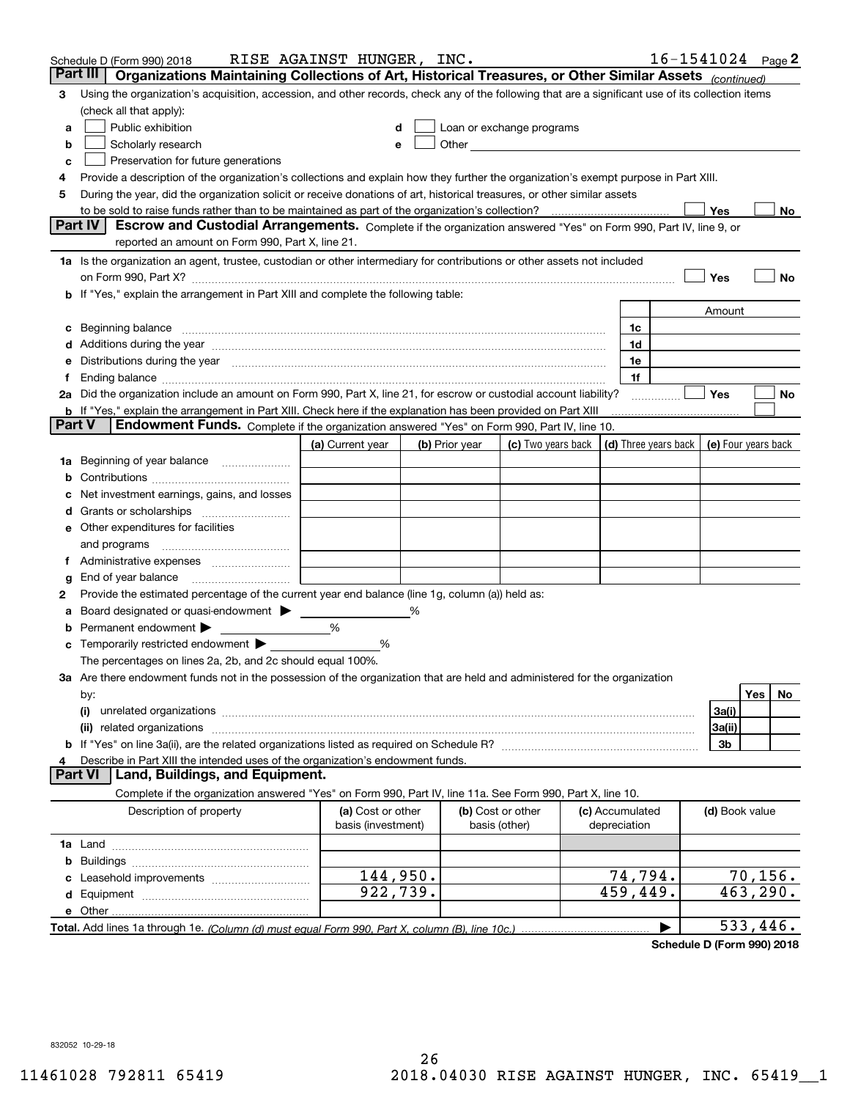|        | Schedule D (Form 990) 2018                                                                                                                                                                                                     | RISE AGAINST HUNGER, INC. |   |                |                                                                                                                                                                                                                               |                 |   |                | $16 - 1541024$ Page 2 |
|--------|--------------------------------------------------------------------------------------------------------------------------------------------------------------------------------------------------------------------------------|---------------------------|---|----------------|-------------------------------------------------------------------------------------------------------------------------------------------------------------------------------------------------------------------------------|-----------------|---|----------------|-----------------------|
|        | Part III<br>Organizations Maintaining Collections of Art, Historical Treasures, or Other Similar Assets (continued)                                                                                                            |                           |   |                |                                                                                                                                                                                                                               |                 |   |                |                       |
| 3      | Using the organization's acquisition, accession, and other records, check any of the following that are a significant use of its collection items<br>(check all that apply):                                                   |                           |   |                |                                                                                                                                                                                                                               |                 |   |                |                       |
| a      | Public exhibition                                                                                                                                                                                                              |                           |   |                | Loan or exchange programs                                                                                                                                                                                                     |                 |   |                |                       |
| b      | Scholarly research                                                                                                                                                                                                             |                           |   |                | Other and the contract of the contract of the contract of the contract of the contract of the contract of the contract of the contract of the contract of the contract of the contract of the contract of the contract of the |                 |   |                |                       |
| с      | Preservation for future generations                                                                                                                                                                                            |                           |   |                |                                                                                                                                                                                                                               |                 |   |                |                       |
| 4      | Provide a description of the organization's collections and explain how they further the organization's exempt purpose in Part XIII.                                                                                           |                           |   |                |                                                                                                                                                                                                                               |                 |   |                |                       |
| 5      | During the year, did the organization solicit or receive donations of art, historical treasures, or other similar assets                                                                                                       |                           |   |                |                                                                                                                                                                                                                               |                 |   |                |                       |
|        | to be sold to raise funds rather than to be maintained as part of the organization's collection?                                                                                                                               |                           |   |                |                                                                                                                                                                                                                               | . <u>.</u> .    |   | Yes            | No                    |
|        | Escrow and Custodial Arrangements. Complete if the organization answered "Yes" on Form 990, Part IV, line 9, or<br><b>Part IV</b>                                                                                              |                           |   |                |                                                                                                                                                                                                                               |                 |   |                |                       |
|        | reported an amount on Form 990, Part X, line 21.                                                                                                                                                                               |                           |   |                |                                                                                                                                                                                                                               |                 |   |                |                       |
|        | 1a Is the organization an agent, trustee, custodian or other intermediary for contributions or other assets not included                                                                                                       |                           |   |                |                                                                                                                                                                                                                               |                 |   |                |                       |
|        | on Form 990, Part X? [11] matter continuum matter contract to the contract of the contract of the contract of the contract of the contract of the contract of the contract of the contract of the contract of the contract of  |                           |   |                |                                                                                                                                                                                                                               |                 |   | Yes            | No                    |
|        | <b>b</b> If "Yes," explain the arrangement in Part XIII and complete the following table:                                                                                                                                      |                           |   |                |                                                                                                                                                                                                                               |                 |   |                |                       |
|        |                                                                                                                                                                                                                                |                           |   |                |                                                                                                                                                                                                                               |                 |   | Amount         |                       |
| c      | Beginning balance <u>www.maren.communication.communication.communication.communication.com</u>                                                                                                                                 |                           |   |                |                                                                                                                                                                                                                               | 1c              |   |                |                       |
|        |                                                                                                                                                                                                                                |                           |   |                |                                                                                                                                                                                                                               | 1d              |   |                |                       |
|        | e Distributions during the year manufactured and continuum and contact the year manufactured and contact the year manufactured and contact the year manufactured and contact the year manufactured and contact the year manufa |                           |   |                |                                                                                                                                                                                                                               | 1e              |   |                |                       |
|        |                                                                                                                                                                                                                                |                           |   |                |                                                                                                                                                                                                                               | 1f              |   |                |                       |
|        | 2a Did the organization include an amount on Form 990, Part X, line 21, for escrow or custodial account liability?                                                                                                             |                           |   |                |                                                                                                                                                                                                                               |                 | . | Yes            | No                    |
| Part V | <b>b</b> If "Yes," explain the arrangement in Part XIII. Check here if the explanation has been provided on Part XIII                                                                                                          |                           |   |                |                                                                                                                                                                                                                               |                 |   |                |                       |
|        | Endowment Funds. Complete if the organization answered "Yes" on Form 990, Part IV, line 10.                                                                                                                                    |                           |   |                |                                                                                                                                                                                                                               |                 |   |                |                       |
|        |                                                                                                                                                                                                                                | (a) Current year          |   | (b) Prior year | (c) Two years back $\vert$ (d) Three years back $\vert$ (e) Four years back                                                                                                                                                   |                 |   |                |                       |
|        | 1a Beginning of year balance                                                                                                                                                                                                   |                           |   |                |                                                                                                                                                                                                                               |                 |   |                |                       |
| b      |                                                                                                                                                                                                                                |                           |   |                |                                                                                                                                                                                                                               |                 |   |                |                       |
|        | Net investment earnings, gains, and losses                                                                                                                                                                                     |                           |   |                |                                                                                                                                                                                                                               |                 |   |                |                       |
|        | e Other expenditures for facilities                                                                                                                                                                                            |                           |   |                |                                                                                                                                                                                                                               |                 |   |                |                       |
|        | and programs                                                                                                                                                                                                                   |                           |   |                |                                                                                                                                                                                                                               |                 |   |                |                       |
|        | f Administrative expenses                                                                                                                                                                                                      |                           |   |                |                                                                                                                                                                                                                               |                 |   |                |                       |
| g      |                                                                                                                                                                                                                                |                           |   |                |                                                                                                                                                                                                                               |                 |   |                |                       |
| 2      | Provide the estimated percentage of the current year end balance (line 1g, column (a)) held as:                                                                                                                                |                           |   |                |                                                                                                                                                                                                                               |                 |   |                |                       |
| а      | Board designated or quasi-endowment                                                                                                                                                                                            |                           | % |                |                                                                                                                                                                                                                               |                 |   |                |                       |
| b      | Permanent endowment                                                                                                                                                                                                            | %                         |   |                |                                                                                                                                                                                                                               |                 |   |                |                       |
|        | <b>c</b> Temporarily restricted endowment $\blacktriangleright$                                                                                                                                                                | %                         |   |                |                                                                                                                                                                                                                               |                 |   |                |                       |
|        | The percentages on lines 2a, 2b, and 2c should equal 100%.                                                                                                                                                                     |                           |   |                |                                                                                                                                                                                                                               |                 |   |                |                       |
|        | 3a Are there endowment funds not in the possession of the organization that are held and administered for the organization                                                                                                     |                           |   |                |                                                                                                                                                                                                                               |                 |   |                |                       |
|        | by:                                                                                                                                                                                                                            |                           |   |                |                                                                                                                                                                                                                               |                 |   |                | Yes<br>No.            |
|        | (i)                                                                                                                                                                                                                            |                           |   |                |                                                                                                                                                                                                                               |                 |   | 3a(i)          |                       |
|        |                                                                                                                                                                                                                                |                           |   |                |                                                                                                                                                                                                                               |                 |   | 3a(ii)         |                       |
|        |                                                                                                                                                                                                                                |                           |   |                |                                                                                                                                                                                                                               |                 |   | 3b             |                       |
|        | Describe in Part XIII the intended uses of the organization's endowment funds.                                                                                                                                                 |                           |   |                |                                                                                                                                                                                                                               |                 |   |                |                       |
|        | Land, Buildings, and Equipment.<br>Part VI                                                                                                                                                                                     |                           |   |                |                                                                                                                                                                                                                               |                 |   |                |                       |
|        | Complete if the organization answered "Yes" on Form 990, Part IV, line 11a. See Form 990, Part X, line 10.                                                                                                                     |                           |   |                |                                                                                                                                                                                                                               |                 |   |                |                       |
|        | Description of property                                                                                                                                                                                                        | (a) Cost or other         |   |                | (b) Cost or other                                                                                                                                                                                                             | (c) Accumulated |   | (d) Book value |                       |
|        |                                                                                                                                                                                                                                | basis (investment)        |   |                | basis (other)                                                                                                                                                                                                                 | depreciation    |   |                |                       |
|        |                                                                                                                                                                                                                                |                           |   |                |                                                                                                                                                                                                                               |                 |   |                |                       |
| b      |                                                                                                                                                                                                                                |                           |   |                |                                                                                                                                                                                                                               |                 |   |                |                       |
|        | Leasehold improvements                                                                                                                                                                                                         | 144,950.                  |   |                |                                                                                                                                                                                                                               | 74,794.         |   |                | 70, 156.              |
|        |                                                                                                                                                                                                                                | 922,739.                  |   |                |                                                                                                                                                                                                                               | 459,449.        |   |                | 463,290.              |
|        |                                                                                                                                                                                                                                |                           |   |                |                                                                                                                                                                                                                               |                 |   |                | 533,446.              |
|        |                                                                                                                                                                                                                                |                           |   |                |                                                                                                                                                                                                                               |                 | ▶ |                |                       |

**Schedule D (Form 990) 2018**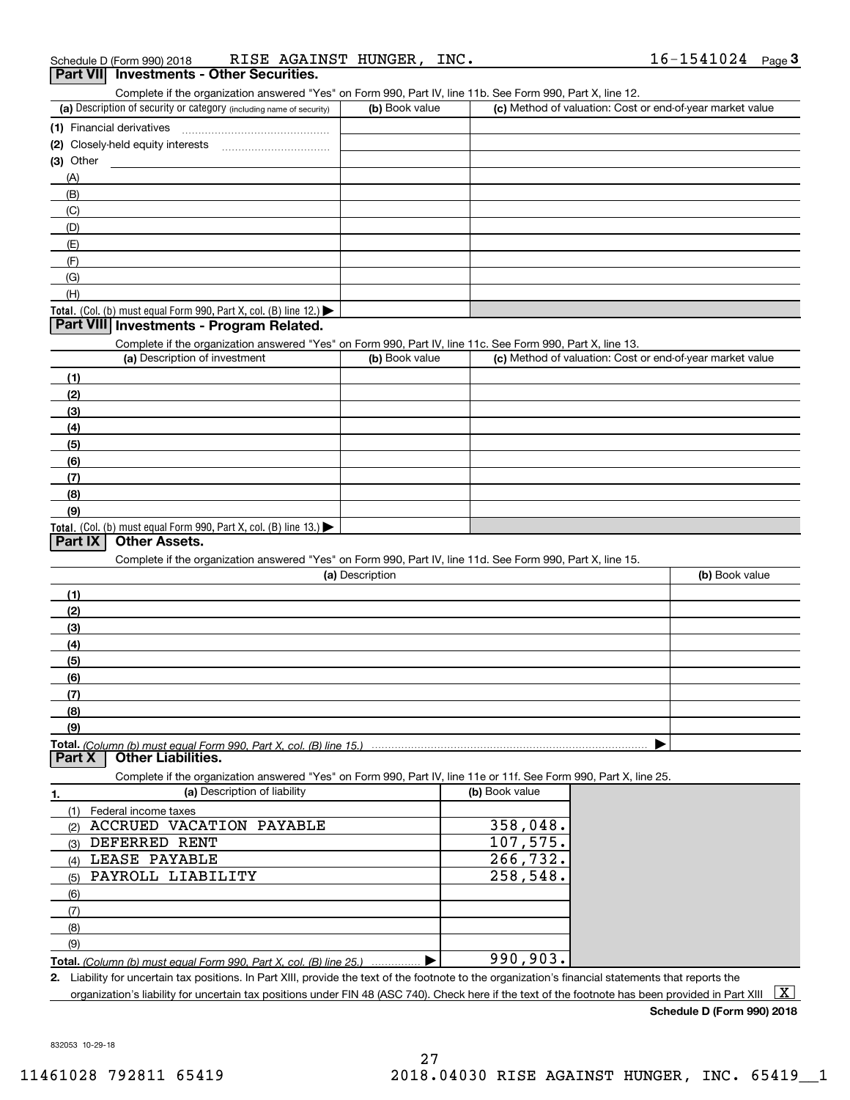| <b>Part VII</b> Investments - Other Securities. |                      |      |                     |  |
|-------------------------------------------------|----------------------|------|---------------------|--|
| Schedule D (Form 990) 2018                      | RISE AGAINST HUNGER, | INC. | $16 - 1541024$ Page |  |

| Part VIII Investments - Other Securities.                                                                  |
|------------------------------------------------------------------------------------------------------------|
| Complete if the organization answered "Yes" on Form 990. Part IV, line 11b, See Form 990, Part X, line 12. |

| (a) Description of security or category (including name of security)                          | (b) Book value | (c) Method of valuation: Cost or end-of-year market value |
|-----------------------------------------------------------------------------------------------|----------------|-----------------------------------------------------------|
| (1) Financial derivatives                                                                     |                |                                                           |
| (2) Closely-held equity interests                                                             |                |                                                           |
| $(3)$ Other                                                                                   |                |                                                           |
| (A)                                                                                           |                |                                                           |
| (B)                                                                                           |                |                                                           |
| (C)                                                                                           |                |                                                           |
| (D)                                                                                           |                |                                                           |
| (E)                                                                                           |                |                                                           |
| (F)                                                                                           |                |                                                           |
| (G)                                                                                           |                |                                                           |
| (H)                                                                                           |                |                                                           |
| <b>Total.</b> (Col. (b) must equal Form 990, Part X, col. (B) line 12.) $\blacktriangleright$ |                |                                                           |

## **Part VIII Investments - Program Related.**

Complete if the organization answered "Yes" on Form 990, Part IV, line 11c. See Form 990, Part X, line 13.

| (a) Description of investment                                    | (b) Book value | (c) Method of valuation: Cost or end-of-year market value |
|------------------------------------------------------------------|----------------|-----------------------------------------------------------|
| (1)                                                              |                |                                                           |
| (2)                                                              |                |                                                           |
| $\frac{1}{2}$                                                    |                |                                                           |
| (4)                                                              |                |                                                           |
| $\left(5\right)$                                                 |                |                                                           |
| (6)                                                              |                |                                                           |
| (7)                                                              |                |                                                           |
| (8)                                                              |                |                                                           |
| (9)                                                              |                |                                                           |
| Total. (Col. (b) must equal Form 990, Part X, col. (B) line 13.) |                |                                                           |

## **Part IX Other Assets.**

Complete if the organization answered "Yes" on Form 990, Part IV, line 11d. See Form 990, Part X, line 15.

| (a) Description  | (b) Book value |
|------------------|----------------|
| (1)              |                |
| (2)              |                |
| $\left(3\right)$ |                |
| (4)              |                |
| $\frac{1}{2}$    |                |
| (6)              |                |
|                  |                |
| (8)              |                |
| (9)              |                |
|                  |                |

**Part X Other Liabilities.**

Complete if the organization answered "Yes" on Form 990, Part IV, line 11e or 11f. See Form 990, Part X, line 25.

|     | (a) Description of liability                                            | (b) Book value |
|-----|-------------------------------------------------------------------------|----------------|
|     | Federal income taxes                                                    |                |
| (2) | ACCRUED VACATION PAYABLE                                                | 358,048.       |
| (3) | DEFERRED RENT                                                           | 107,575.       |
| (4) | LEASE PAYABLE                                                           | 266,732.       |
| (5) | PAYROLL LIABILITY                                                       | 258,548.       |
| (6) |                                                                         |                |
| (7) |                                                                         |                |
| (8) |                                                                         |                |
| (9) |                                                                         |                |
|     | Total. (Column (b) must equal Form 990, Part X, col. (B) line 25.)<br>. | 990,903.       |

**2.**Liability for uncertain tax positions. In Part XIII, provide the text of the footnote to the organization's financial statements that reports the

organization's liability for uncertain tax positions under FIN 48 (ASC 740). Check here if the text of the footnote has been provided in Part XIII  $~\boxed{\rm X}$ 

**Schedule D (Form 990) 2018**

832053 10-29-18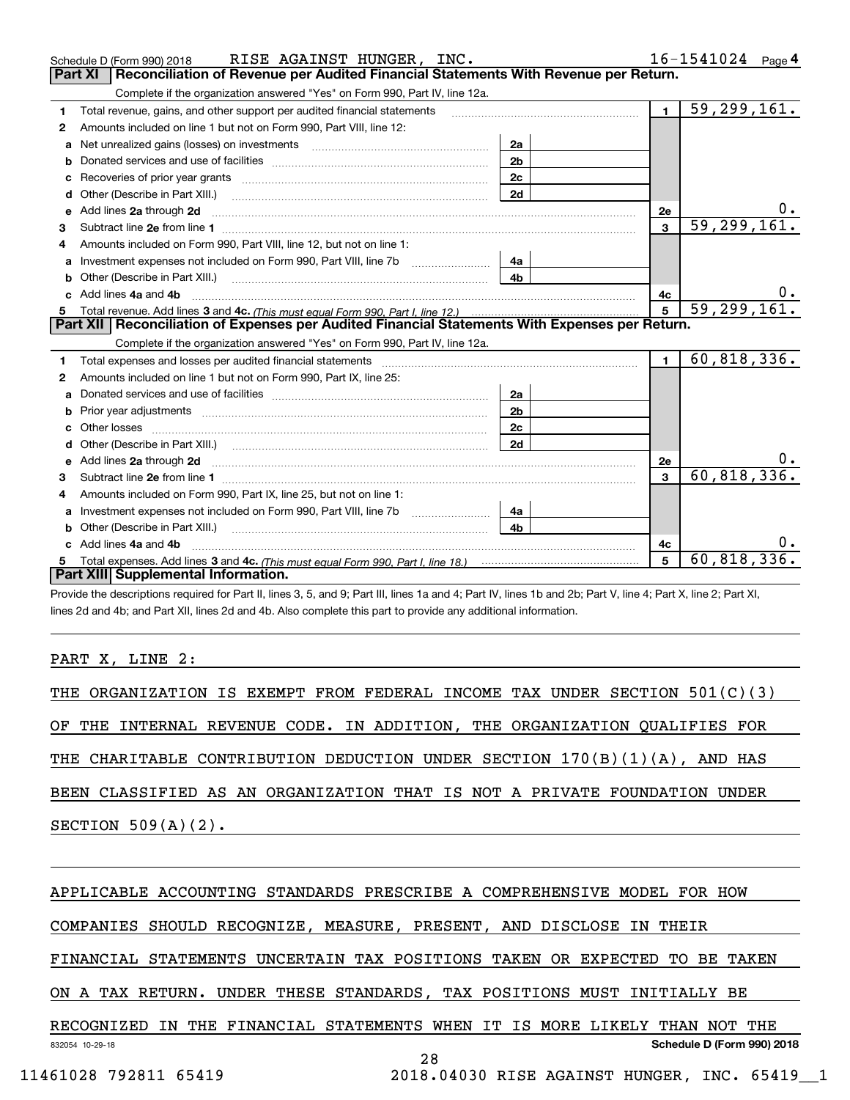|    | RISE AGAINST HUNGER, INC.<br>Schedule D (Form 990) 2018                                                                                                                                                                             |                |                | $16 - 1541024$ Page 4 |
|----|-------------------------------------------------------------------------------------------------------------------------------------------------------------------------------------------------------------------------------------|----------------|----------------|-----------------------|
|    | <b>Part XI</b><br>Reconciliation of Revenue per Audited Financial Statements With Revenue per Return.                                                                                                                               |                |                |                       |
|    | Complete if the organization answered "Yes" on Form 990, Part IV, line 12a.                                                                                                                                                         |                |                |                       |
| 1  | Total revenue, gains, and other support per audited financial statements                                                                                                                                                            |                | $\blacksquare$ | 59, 299, 161.         |
| 2  | Amounts included on line 1 but not on Form 990, Part VIII, line 12:                                                                                                                                                                 |                |                |                       |
| a  | Net unrealized gains (losses) on investments [11] matter contracts and the unrealized gains (losses) on investments                                                                                                                 | 2a             |                |                       |
|    |                                                                                                                                                                                                                                     | 2 <sub>b</sub> |                |                       |
|    |                                                                                                                                                                                                                                     | 2 <sub>c</sub> |                |                       |
| d  | Other (Describe in Part XIII.) <b>Construction Contract Construction</b> [                                                                                                                                                          | 2d             |                |                       |
| е  | Add lines 2a through 2d                                                                                                                                                                                                             |                | 2e             | υ.                    |
| 3  |                                                                                                                                                                                                                                     |                | $\mathbf{3}$   | 59, 299, 161.         |
| 4  | Amounts included on Form 990, Part VIII, line 12, but not on line 1:                                                                                                                                                                |                |                |                       |
|    |                                                                                                                                                                                                                                     |                |                |                       |
|    |                                                                                                                                                                                                                                     | 4 <sub>b</sub> |                |                       |
| c. | Add lines 4a and 4b                                                                                                                                                                                                                 |                | 4с             |                       |
|    |                                                                                                                                                                                                                                     | $\overline{5}$ | 59, 299, 161.  |                       |
|    |                                                                                                                                                                                                                                     |                |                |                       |
|    | Part XII   Reconciliation of Expenses per Audited Financial Statements With Expenses per Return.                                                                                                                                    |                |                |                       |
|    | Complete if the organization answered "Yes" on Form 990, Part IV, line 12a.                                                                                                                                                         |                |                |                       |
| 1  | Total expenses and losses per audited financial statements [11] [12] contraction control of the statements [11] [12] and the statements [12] and the statements [12] and the statements [12] and the statements and the statem      |                | $\blacksquare$ | 60, 818, 336.         |
| 2  | Amounts included on line 1 but not on Form 990, Part IX, line 25:                                                                                                                                                                   |                |                |                       |
| a  |                                                                                                                                                                                                                                     | 2a             |                |                       |
|    |                                                                                                                                                                                                                                     | 2 <sub>b</sub> |                |                       |
|    |                                                                                                                                                                                                                                     | 2 <sub>c</sub> |                |                       |
| d  |                                                                                                                                                                                                                                     | 2d             |                |                       |
|    | Add lines 2a through 2d <b>contained a contained a contained a contained a</b> contained a contact the state of the state of the state of the state of the state of the state of the state of the state of the state of the state o |                | 2e             |                       |
|    |                                                                                                                                                                                                                                     |                | 3              | 60, 818, 336.         |
| 4  | Amounts included on Form 990, Part IX, line 25, but not on line 1:                                                                                                                                                                  |                |                |                       |
|    |                                                                                                                                                                                                                                     | 4a             |                |                       |
|    |                                                                                                                                                                                                                                     | 4 <sub>b</sub> |                |                       |
| c. | Add lines 4a and 4b                                                                                                                                                                                                                 |                | 4с             |                       |
|    | Part XIII Supplemental Information.                                                                                                                                                                                                 |                | 5              | 60, 818, 336.         |

Provide the descriptions required for Part II, lines 3, 5, and 9; Part III, lines 1a and 4; Part IV, lines 1b and 2b; Part V, line 4; Part X, line 2; Part XI, lines 2d and 4b; and Part XII, lines 2d and 4b. Also complete this part to provide any additional information.

## PART X, LINE 2:

|  |  |                       |  |  |  |  | THE ORGANIZATION IS EXEMPT FROM FEDERAL INCOME TAX UNDER SECTION 501(C)(3) |  |  |  |
|--|--|-----------------------|--|--|--|--|----------------------------------------------------------------------------|--|--|--|
|  |  |                       |  |  |  |  | OF THE INTERNAL REVENUE CODE. IN ADDITION, THE ORGANIZATION QUALIFIES FOR  |  |  |  |
|  |  |                       |  |  |  |  | THE CHARITABLE CONTRIBUTION DEDUCTION UNDER SECTION 170(B)(1)(A), AND HAS  |  |  |  |
|  |  |                       |  |  |  |  | BEEN CLASSIFIED AS AN ORGANIZATION THAT IS NOT A PRIVATE FOUNDATION UNDER  |  |  |  |
|  |  | SECTION $509(A)(2)$ . |  |  |  |  |                                                                            |  |  |  |
|  |  |                       |  |  |  |  |                                                                            |  |  |  |

## APPLICABLE ACCOUNTING STANDARDS PRESCRIBE A COMPREHENSIVE MODEL FOR HOW

COMPANIES SHOULD RECOGNIZE, MEASURE, PRESENT, AND DISCLOSE IN THEIR

FINANCIAL STATEMENTS UNCERTAIN TAX POSITIONS TAKEN OR EXPECTED TO BE TAKEN

## ON A TAX RETURN. UNDER THESE STANDARDS, TAX POSITIONS MUST INITIALLY BE

832054 10-29-18 **Schedule D (Form 990) 2018** RECOGNIZED IN THE FINANCIAL STATEMENTS WHEN IT IS MORE LIKELY THAN NOT THE 28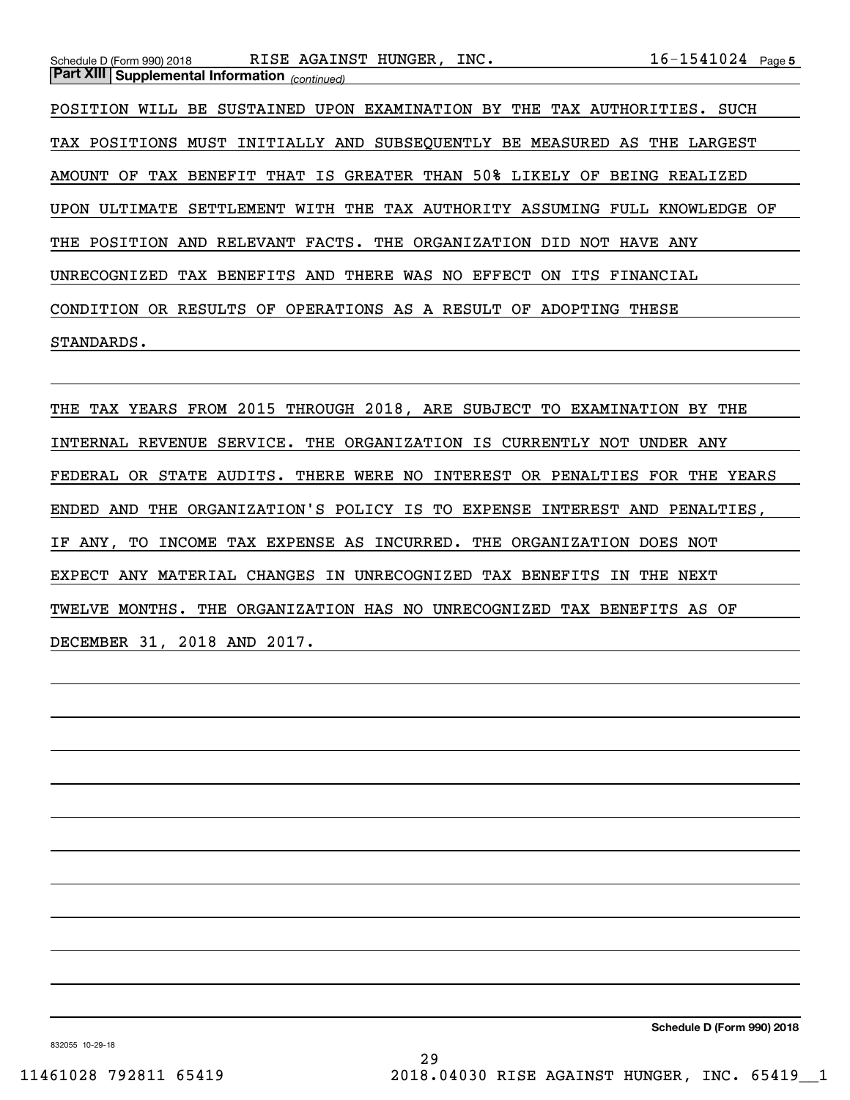| Schedule D (Form 990) 2018                            | RISE AGAINST HUNGER, INC.                                        | $16 - 1541024$ Page 5 |
|-------------------------------------------------------|------------------------------------------------------------------|-----------------------|
| <b>Part XIII Supplemental Information</b> (continued) |                                                                  |                       |
| POSITION<br>WILL                                      | BE SUSTAINED UPON EXAMINATION BY THE TAX AUTHORITIES.            | SUCH                  |
|                                                       | TAX POSITIONS MUST INITIALLY AND SUBSEOUENTLY BE MEASURED AS THE | LARGEST               |
| OF<br>AMOUNT                                          | TAX BENEFIT THAT IS GREATER THAN 50% LIKELY OF                   | BEING REALIZED        |
| UPON ULTIMATE                                         | SETTLEMENT WITH THE TAX AUTHORITY ASSUMING FULL KNOWLEDGE OF     |                       |
| THE POSITION<br>AND                                   | RELEVANT FACTS. THE ORGANIZATION<br>DID<br>NOT                   | <b>HAVE ANY</b>       |
| BENEFITS AND<br>UNRECOGNIZED<br>TAX                   | THERE<br>WAS NO<br>EFFECT<br>0N<br>ITS                           | FINANCIAL             |

CONDITION OR RESULTS OF OPERATIONS AS A RESULT OF ADOPTING THESE

## STANDARDS.

THE TAX YEARS FROM 2015 THROUGH 2018, ARE SUBJECT TO EXAMINATION BY THE INTERNAL REVENUE SERVICE. THE ORGANIZATION IS CURRENTLY NOT UNDER ANY FEDERAL OR STATE AUDITS. THERE WERE NO INTEREST OR PENALTIES FOR THE YEARS ENDED AND THE ORGANIZATION'S POLICY IS TO EXPENSE INTEREST AND PENALTIES, IF ANY, TO INCOME TAX EXPENSE AS INCURRED. THE ORGANIZATION DOES NOT EXPECT ANY MATERIAL CHANGES IN UNRECOGNIZED TAX BENEFITS IN THE NEXT TWELVE MONTHS. THE ORGANIZATION HAS NO UNRECOGNIZED TAX BENEFITS AS OF DECEMBER 31, 2018 AND 2017.

832055 10-29-18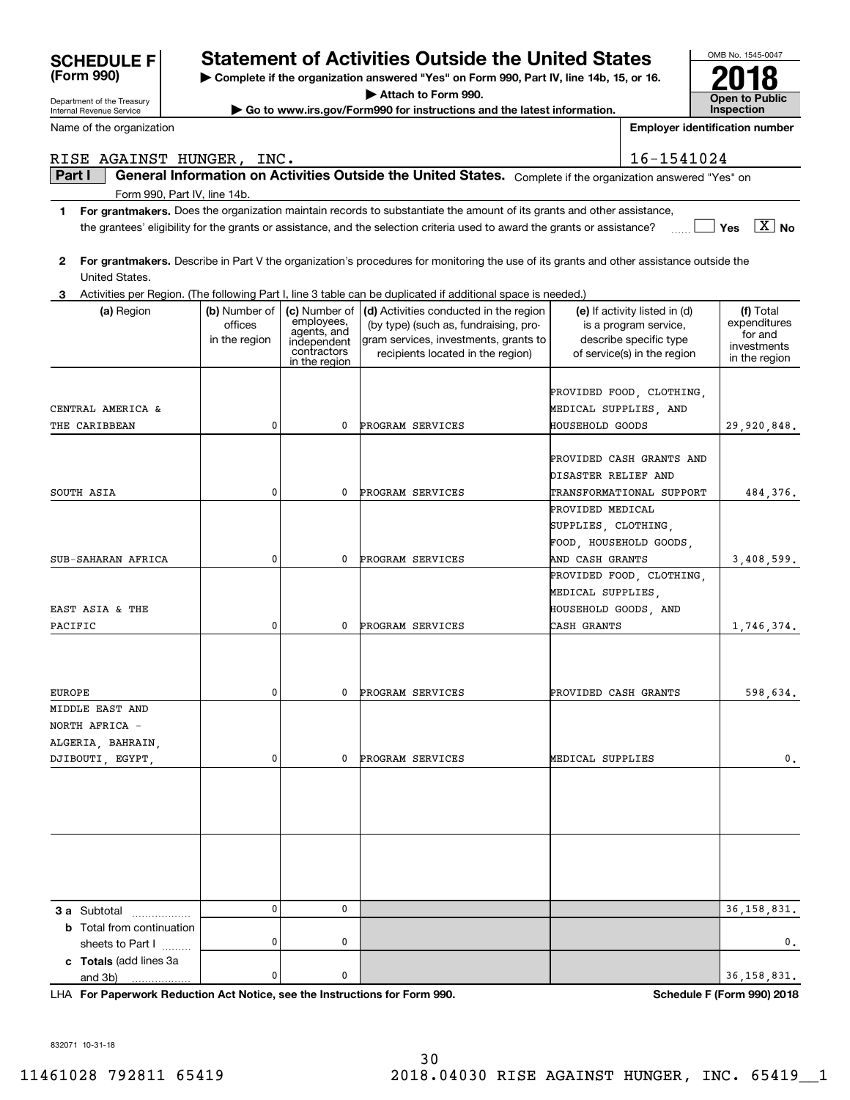| Internal Revenue Service         |               |                            | $\blacktriangleright$ Go to www.irs.gov/Form990 for instructions and the latest information.                                            |                       |                                                       | <b>Inspection</b>       |
|----------------------------------|---------------|----------------------------|-----------------------------------------------------------------------------------------------------------------------------------------|-----------------------|-------------------------------------------------------|-------------------------|
| Name of the organization         |               |                            |                                                                                                                                         |                       | <b>Employer identification number</b>                 |                         |
| RISE AGAINST HUNGER, INC.        |               |                            |                                                                                                                                         |                       | 16-1541024                                            |                         |
| Part I                           |               |                            | General Information on Activities Outside the United States. Complete if the organization answered "Yes" on                             |                       |                                                       |                         |
| Form 990, Part IV, line 14b.     |               |                            |                                                                                                                                         |                       |                                                       |                         |
| 1                                |               |                            | For grantmakers. Does the organization maintain records to substantiate the amount of its grants and other assistance,                  |                       |                                                       |                         |
|                                  |               |                            | the grantees' eligibility for the grants or assistance, and the selection criteria used to award the grants or assistance?              |                       |                                                       | $X \mid No$<br>Yes      |
| 2<br>United States.              |               |                            | For grantmakers. Describe in Part V the organization's procedures for monitoring the use of its grants and other assistance outside the |                       |                                                       |                         |
|                                  |               |                            | Activities per Region. (The following Part I, line 3 table can be duplicated if additional space is needed.)                            |                       |                                                       |                         |
| (a) Region                       | (b) Number of | (c) Number of              | (d) Activities conducted in the region                                                                                                  |                       | (e) If activity listed in (d)                         | (f) Total               |
|                                  | offices       | employees,<br>agents, and  | (by type) (such as, fundraising, pro-                                                                                                   |                       | is a program service,                                 | expenditures<br>for and |
|                                  | in the region | independent<br>contractors | gram services, investments, grants to<br>recipients located in the region)                                                              |                       | describe specific type<br>of service(s) in the region | investments             |
|                                  |               | in the region              |                                                                                                                                         |                       |                                                       | in the region           |
|                                  |               |                            |                                                                                                                                         |                       |                                                       |                         |
|                                  |               |                            |                                                                                                                                         |                       | PROVIDED FOOD, CLOTHING,                              |                         |
| CENTRAL AMERICA &                |               |                            |                                                                                                                                         | MEDICAL SUPPLIES, AND |                                                       |                         |
| THE CARIBBEAN                    | 0             | 0                          | <b>PROGRAM SERVICES</b>                                                                                                                 | HOUSEHOLD GOODS       |                                                       | 29,920,848.             |
|                                  |               |                            |                                                                                                                                         |                       | PROVIDED CASH GRANTS AND                              |                         |
|                                  |               |                            |                                                                                                                                         | DISASTER RELIEF AND   |                                                       |                         |
| SOUTH ASIA                       | 0             | 0                          | PROGRAM SERVICES                                                                                                                        |                       | TRANSFORMATIONAL SUPPORT                              | 484,376.                |
|                                  |               |                            |                                                                                                                                         | PROVIDED MEDICAL      |                                                       |                         |
|                                  |               |                            |                                                                                                                                         | SUPPLIES, CLOTHING,   |                                                       |                         |
|                                  |               |                            |                                                                                                                                         |                       | FOOD, HOUSEHOLD GOODS,                                |                         |
| SUB-SAHARAN AFRICA               | 0             | 0                          | PROGRAM SERVICES                                                                                                                        | AND CASH GRANTS       |                                                       | 3,408,599.              |
|                                  |               |                            |                                                                                                                                         |                       | PROVIDED FOOD, CLOTHING,                              |                         |
|                                  |               |                            |                                                                                                                                         | MEDICAL SUPPLIES,     |                                                       |                         |
| EAST ASIA & THE                  |               |                            |                                                                                                                                         | HOUSEHOLD GOODS, AND  |                                                       |                         |
| PACIFIC                          | 0             | 0                          | PROGRAM SERVICES                                                                                                                        | CASH GRANTS           |                                                       | 1,746,374.              |
|                                  |               |                            |                                                                                                                                         |                       |                                                       |                         |
|                                  |               |                            |                                                                                                                                         |                       |                                                       |                         |
|                                  |               |                            |                                                                                                                                         |                       |                                                       |                         |
| <b>EUROPE</b>                    | 0             | 0                          | PROGRAM SERVICES                                                                                                                        | PROVIDED CASH GRANTS  |                                                       | 598,634.                |
| MIDDLE EAST AND                  |               |                            |                                                                                                                                         |                       |                                                       |                         |
| NORTH AFRICA -                   |               |                            |                                                                                                                                         |                       |                                                       |                         |
| ALGERIA, BAHRAIN,                |               |                            |                                                                                                                                         |                       |                                                       |                         |
| DJIBOUTI EGYPT                   | 0             | 0                          | PROGRAM SERVICES                                                                                                                        | MEDICAL SUPPLIES      |                                                       | 0.                      |
|                                  |               |                            |                                                                                                                                         |                       |                                                       |                         |
|                                  |               |                            |                                                                                                                                         |                       |                                                       |                         |
|                                  |               |                            |                                                                                                                                         |                       |                                                       |                         |
|                                  |               |                            |                                                                                                                                         |                       |                                                       |                         |
|                                  |               |                            |                                                                                                                                         |                       |                                                       |                         |
|                                  |               |                            |                                                                                                                                         |                       |                                                       |                         |
|                                  |               |                            |                                                                                                                                         |                       |                                                       |                         |
|                                  |               |                            |                                                                                                                                         |                       |                                                       |                         |
| 3 a Subtotal<br>.                | 0             | 0                          |                                                                                                                                         |                       |                                                       | 36,158,831.             |
| <b>b</b> Total from continuation |               |                            |                                                                                                                                         |                       |                                                       |                         |
| sheets to Part I                 | 0             | 0                          |                                                                                                                                         |                       |                                                       | 0.                      |
| c Totals (add lines 3a           | 0             | 0                          |                                                                                                                                         |                       |                                                       | 36, 158, 831.           |
| and 3b)                          |               |                            |                                                                                                                                         |                       |                                                       |                         |

**For Paperwork Reduction Act Notice, see the Instructions for Form 990. Schedule F (Form 990) 2018** LHA

OMB No. 1545-0047

**Open to Public** 

**2018**

832071 10-31-18

Department of the Treasury

**(Form 990)**

# **Statement of Activities Outside the United States**

**| Complete if the organization answered "Yes" on Form 990, Part IV, line 14b, 15, or 16.**

**| Attach to Form 990.**

**| Go to www.irs.gov/Form990 for instructions and the latest information.**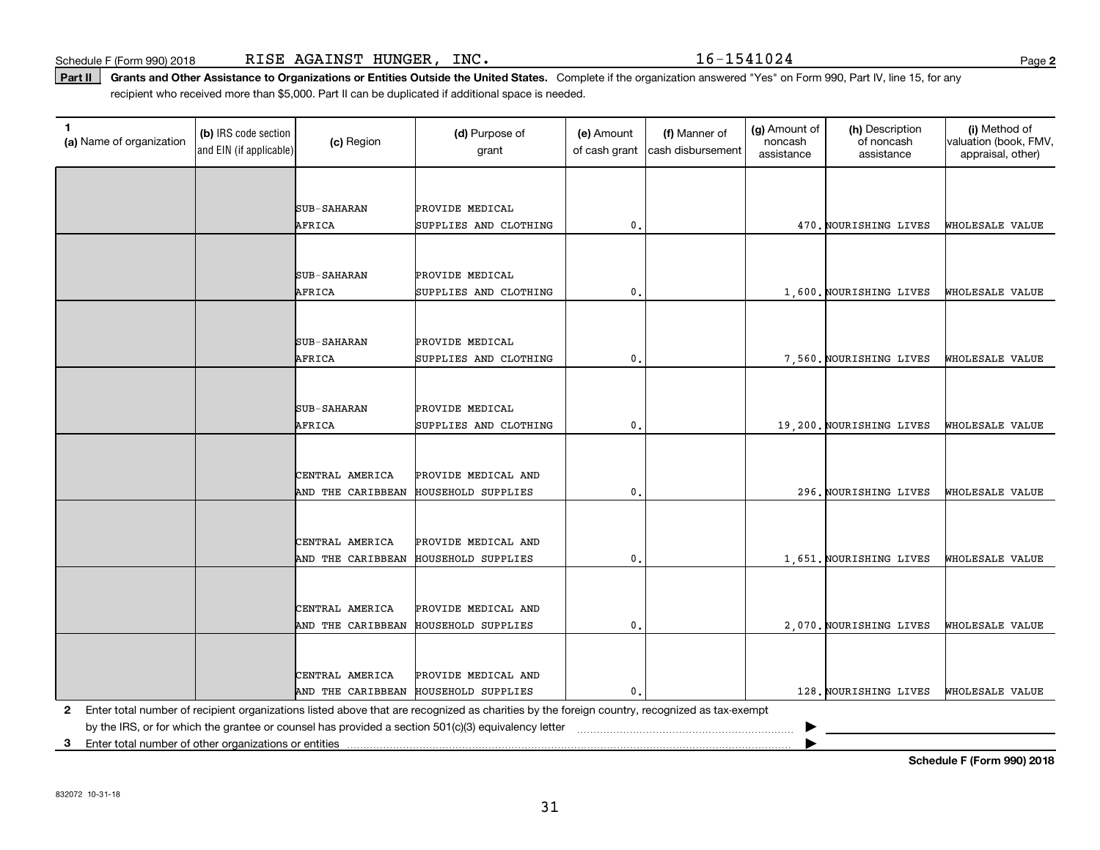Schedule F (Form 990) 2018 R ${\tt ISE}$   ${\tt AGAINST}$   ${\tt HUNGER}$  ,  ${\tt INC.}$   ${\tt NCC}$   ${\tt NSC}$   ${\tt NSC}$   ${\tt NSC}$   ${\tt NSC}$   ${\tt NSC}$   ${\tt NSC}$   ${\tt NSC}$   ${\tt NSC}$   ${\tt NSC}$   ${\tt NSC}$   ${\tt NSC}$   ${\tt NSC}$   ${\tt NSC}$   ${\tt NSC}$   ${\tt NSC}$   ${\tt NSC}$   ${\tt NSC}$   ${\tt NSC}$ 

**2**

Part II | Grants and Other Assistance to Organizations or Entities Outside the United States. Complete if the organization answered "Yes" on Form 990, Part IV, line 15, for any recipient who received more than \$5,000. Part II can be duplicated if additional space is needed.

| (a) Name of organization | (b) IRS code section<br>and EIN (if applicable) | (c) Region                           | (d) Purpose of<br>grant                                                                                                                      | (e) Amount<br>of cash grant | (f) Manner of<br>cash disbursement | (g) Amount of<br>noncash<br>assistance | (h) Description<br>of noncash<br>assistance | (i) Method of<br>valuation (book, FMV,<br>appraisal, other) |
|--------------------------|-------------------------------------------------|--------------------------------------|----------------------------------------------------------------------------------------------------------------------------------------------|-----------------------------|------------------------------------|----------------------------------------|---------------------------------------------|-------------------------------------------------------------|
|                          |                                                 |                                      |                                                                                                                                              |                             |                                    |                                        |                                             |                                                             |
|                          |                                                 | <b>SUB-SAHARAN</b>                   | PROVIDE MEDICAL                                                                                                                              |                             |                                    |                                        |                                             |                                                             |
|                          |                                                 | AFRICA                               | SUPPLIES AND CLOTHING                                                                                                                        | 0.                          |                                    |                                        | 470. NOURISHING LIVES                       | WHOLESALE VALUE                                             |
|                          |                                                 |                                      |                                                                                                                                              |                             |                                    |                                        |                                             |                                                             |
|                          |                                                 |                                      |                                                                                                                                              |                             |                                    |                                        |                                             |                                                             |
|                          |                                                 | <b>SUB-SAHARAN</b><br>AFRICA         | PROVIDE MEDICAL                                                                                                                              | $\mathfrak o$ .             |                                    |                                        |                                             |                                                             |
|                          |                                                 |                                      | SUPPLIES AND CLOTHING                                                                                                                        |                             |                                    |                                        | 1,600. NOURISHING LIVES                     | WHOLESALE VALUE                                             |
|                          |                                                 |                                      |                                                                                                                                              |                             |                                    |                                        |                                             |                                                             |
|                          |                                                 | <b>SUB-SAHARAN</b>                   | PROVIDE MEDICAL                                                                                                                              |                             |                                    |                                        |                                             |                                                             |
|                          |                                                 | AFRICA                               | SUPPLIES AND CLOTHING                                                                                                                        | 0.                          |                                    |                                        | 7,560. NOURISHING LIVES                     | WHOLESALE VALUE                                             |
|                          |                                                 |                                      |                                                                                                                                              |                             |                                    |                                        |                                             |                                                             |
|                          |                                                 | <b>SUB-SAHARAN</b>                   | PROVIDE MEDICAL                                                                                                                              |                             |                                    |                                        |                                             |                                                             |
|                          |                                                 | AFRICA                               | SUPPLIES AND CLOTHING                                                                                                                        | 0.                          |                                    |                                        | 19,200. NOURISHING LIVES                    | WHOLESALE VALUE                                             |
|                          |                                                 |                                      |                                                                                                                                              |                             |                                    |                                        |                                             |                                                             |
|                          |                                                 |                                      |                                                                                                                                              |                             |                                    |                                        |                                             |                                                             |
|                          |                                                 | CENTRAL AMERICA<br>AND THE CARIBBEAN | PROVIDE MEDICAL AND<br>HOUSEHOLD SUPPLIES                                                                                                    | 0                           |                                    |                                        | 296. NOURISHING LIVES                       | WHOLESALE VALUE                                             |
|                          |                                                 |                                      |                                                                                                                                              |                             |                                    |                                        |                                             |                                                             |
|                          |                                                 |                                      |                                                                                                                                              |                             |                                    |                                        |                                             |                                                             |
|                          |                                                 | CENTRAL AMERICA                      | PROVIDE MEDICAL AND                                                                                                                          |                             |                                    |                                        |                                             |                                                             |
|                          |                                                 | AND THE CARIBBEAN                    | <b>HOUSEHOLD SUPPLIES</b>                                                                                                                    | 0                           |                                    |                                        | 1,651. NOURISHING LIVES                     | WHOLESALE VALUE                                             |
|                          |                                                 |                                      |                                                                                                                                              |                             |                                    |                                        |                                             |                                                             |
|                          |                                                 | CENTRAL AMERICA                      | PROVIDE MEDICAL AND                                                                                                                          |                             |                                    |                                        |                                             |                                                             |
|                          |                                                 | AND THE CARIBBEAN                    | <b>HOUSEHOLD SUPPLIES</b>                                                                                                                    | $\mathbf{0}$                |                                    |                                        | 2,070. NOURISHING LIVES                     | WHOLESALE VALUE                                             |
|                          |                                                 |                                      |                                                                                                                                              |                             |                                    |                                        |                                             |                                                             |
|                          |                                                 |                                      |                                                                                                                                              |                             |                                    |                                        |                                             |                                                             |
|                          |                                                 | CENTRAL AMERICA                      | PROVIDE MEDICAL AND<br>AND THE CARIBBEAN HOUSEHOLD SUPPLIES                                                                                  | $\mathbf{0}$                |                                    |                                        | 128. NOURISHING LIVES                       | WHOLESALE VALUE                                             |
| 2                        |                                                 |                                      | Enter total number of recipient organizations listed above that are recognized as charities by the foreign country, recognized as tax-exempt |                             |                                    |                                        |                                             |                                                             |
|                          |                                                 |                                      | by the IRS, or for which the grantee or counsel has provided a section 501(c)(3) equivalency letter                                          |                             |                                    |                                        |                                             |                                                             |

**3**Enter total number of other organizations or entities |

**Schedule F (Form 990) 2018**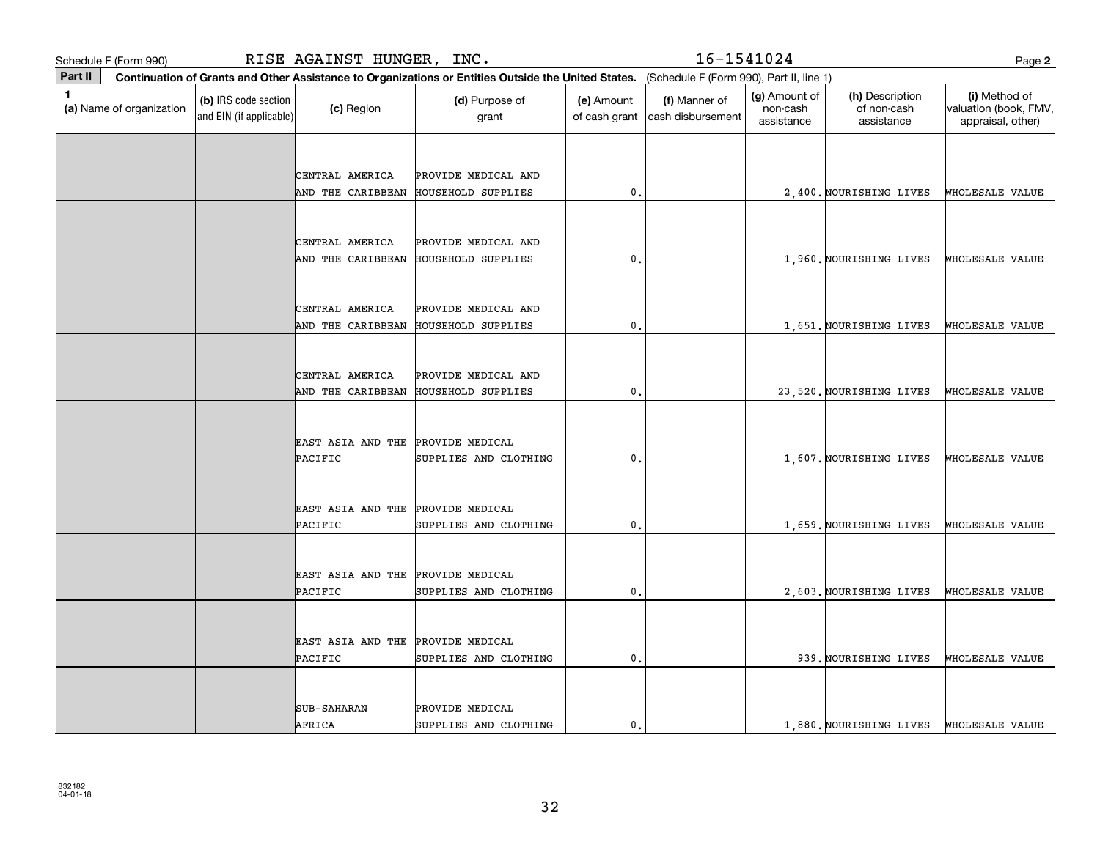|         | Schedule F (Form 990)    |                                                 | RISE AGAINST HUNGER, INC. |                                                                                                                                              |                             | 16-1541024                         |                                         |                                              | Page 2                                                      |
|---------|--------------------------|-------------------------------------------------|---------------------------|----------------------------------------------------------------------------------------------------------------------------------------------|-----------------------------|------------------------------------|-----------------------------------------|----------------------------------------------|-------------------------------------------------------------|
| Part II |                          |                                                 |                           | Continuation of Grants and Other Assistance to Organizations or Entities Outside the United States. (Schedule F (Form 990), Part II, line 1) |                             |                                    |                                         |                                              |                                                             |
| 1       | (a) Name of organization | (b) IRS code section<br>and EIN (if applicable) | (c) Region                | (d) Purpose of<br>grant                                                                                                                      | (e) Amount<br>of cash grant | (f) Manner of<br>cash disbursement | (g) Amount of<br>non-cash<br>assistance | (h) Description<br>of non-cash<br>assistance | (i) Method of<br>valuation (book, FMV,<br>appraisal, other) |
|         |                          |                                                 |                           |                                                                                                                                              |                             |                                    |                                         |                                              |                                                             |
|         |                          |                                                 | CENTRAL AMERICA           | PROVIDE MEDICAL AND                                                                                                                          |                             |                                    |                                         |                                              |                                                             |
|         |                          |                                                 | AND THE CARIBBEAN         | <b>HOUSEHOLD SUPPLIES</b>                                                                                                                    | $\mathbf{0}$ .              |                                    |                                         | 2,400. NOURISHING LIVES                      | WHOLESALE VALUE                                             |
|         |                          |                                                 |                           |                                                                                                                                              |                             |                                    |                                         |                                              |                                                             |
|         |                          |                                                 | CENTRAL AMERICA           | PROVIDE MEDICAL AND                                                                                                                          |                             |                                    |                                         |                                              |                                                             |
|         |                          |                                                 | AND THE CARIBBEAN         | HOUSEHOLD SUPPLIES                                                                                                                           | $\mathbf 0$ .               |                                    |                                         | 1,960. NOURISHING LIVES                      | WHOLESALE VALUE                                             |
|         |                          |                                                 |                           |                                                                                                                                              |                             |                                    |                                         |                                              |                                                             |
|         |                          |                                                 | CENTRAL AMERICA           | PROVIDE MEDICAL AND                                                                                                                          |                             |                                    |                                         |                                              |                                                             |
|         |                          |                                                 | AND THE CARIBBEAN         | HOUSEHOLD SUPPLIES                                                                                                                           | $\mathbf{0}$ .              |                                    |                                         | 1,651. NOURISHING LIVES                      | WHOLESALE VALUE                                             |
|         |                          |                                                 |                           |                                                                                                                                              |                             |                                    |                                         |                                              |                                                             |
|         |                          |                                                 | CENTRAL AMERICA           | PROVIDE MEDICAL AND                                                                                                                          |                             |                                    |                                         |                                              |                                                             |
|         |                          |                                                 | AND THE CARIBBEAN         | <b>HOUSEHOLD SUPPLIES</b>                                                                                                                    | $\mathfrak o$ .             |                                    |                                         | 23,520. NOURISHING LIVES                     | WHOLESALE VALUE                                             |
|         |                          |                                                 |                           |                                                                                                                                              |                             |                                    |                                         |                                              |                                                             |
|         |                          |                                                 | EAST ASIA AND THE         | PROVIDE MEDICAL                                                                                                                              |                             |                                    |                                         |                                              |                                                             |
|         |                          |                                                 | <b>PACIFIC</b>            | SUPPLIES AND CLOTHING                                                                                                                        | 0.                          |                                    |                                         | 1,607. NOURISHING LIVES                      | WHOLESALE VALUE                                             |
|         |                          |                                                 |                           |                                                                                                                                              |                             |                                    |                                         |                                              |                                                             |
|         |                          |                                                 | EAST ASIA AND THE         | PROVIDE MEDICAL                                                                                                                              |                             |                                    |                                         |                                              |                                                             |
|         |                          |                                                 | PACIFIC                   | SUPPLIES AND CLOTHING                                                                                                                        | 0.                          |                                    |                                         | 1,659. NOURISHING LIVES                      | WHOLESALE VALUE                                             |
|         |                          |                                                 |                           |                                                                                                                                              |                             |                                    |                                         |                                              |                                                             |
|         |                          |                                                 | EAST ASIA AND THE         | PROVIDE MEDICAL                                                                                                                              |                             |                                    |                                         |                                              |                                                             |
|         |                          |                                                 | PACIFIC                   | SUPPLIES AND CLOTHING                                                                                                                        | $\mathbf{0}$                |                                    |                                         | 2.603. NOURISHING LIVES                      | WHOLESALE VALUE                                             |
|         |                          |                                                 |                           |                                                                                                                                              |                             |                                    |                                         |                                              |                                                             |
|         |                          |                                                 | EAST ASIA AND THE         | PROVIDE MEDICAL                                                                                                                              |                             |                                    |                                         |                                              |                                                             |
|         |                          |                                                 | PACIFIC                   | SUPPLIES AND CLOTHING                                                                                                                        | 0.                          |                                    |                                         | 939. NOURISHING LIVES                        | WHOLESALE VALUE                                             |
|         |                          |                                                 |                           |                                                                                                                                              |                             |                                    |                                         |                                              |                                                             |
|         |                          |                                                 | <b>SUB-SAHARAN</b>        | PROVIDE MEDICAL                                                                                                                              |                             |                                    |                                         |                                              |                                                             |
|         |                          |                                                 | AFRICA                    | SUPPLIES AND CLOTHING                                                                                                                        | $\mathbf{0}$ .              |                                    |                                         | 1,880. NOURISHING LIVES                      | WHOLESALE VALUE                                             |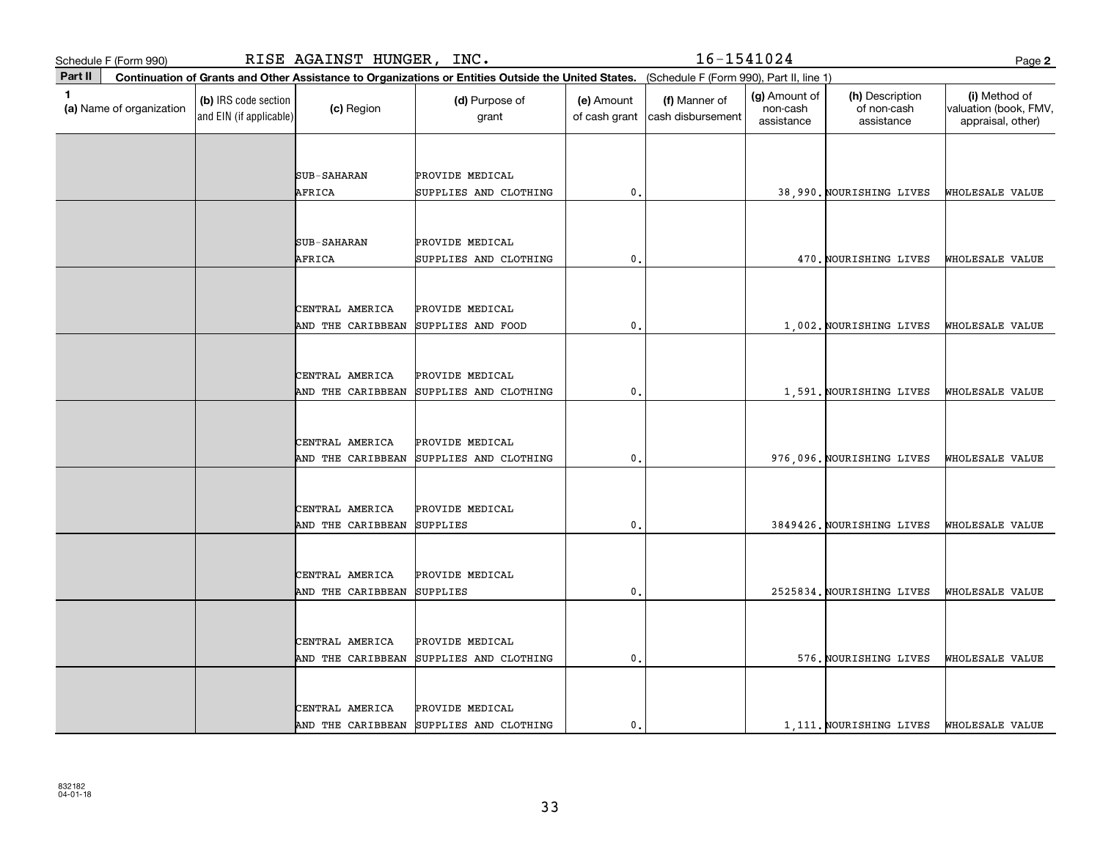| Schedule F (Form 990)                    | RISE AGAINST HUNGER, INC.                                                                                                                    |                                          |                             | 16-1541024                         |                                         |                                              | Page 2                                                      |
|------------------------------------------|----------------------------------------------------------------------------------------------------------------------------------------------|------------------------------------------|-----------------------------|------------------------------------|-----------------------------------------|----------------------------------------------|-------------------------------------------------------------|
| Part II                                  | Continuation of Grants and Other Assistance to Organizations or Entities Outside the United States. (Schedule F (Form 990), Part II, line 1) |                                          |                             |                                    |                                         |                                              |                                                             |
| $\mathbf{1}$<br>(a) Name of organization | (b) IRS code section<br>(c) Region<br>and EIN (if applicable)                                                                                | (d) Purpose of<br>grant                  | (e) Amount<br>of cash grant | (f) Manner of<br>cash disbursement | (g) Amount of<br>non-cash<br>assistance | (h) Description<br>of non-cash<br>assistance | (i) Method of<br>valuation (book, FMV,<br>appraisal, other) |
|                                          |                                                                                                                                              |                                          |                             |                                    |                                         |                                              |                                                             |
|                                          | <b>SUB-SAHARAN</b>                                                                                                                           | PROVIDE MEDICAL                          |                             |                                    |                                         |                                              |                                                             |
|                                          | AFRICA                                                                                                                                       | SUPPLIES AND CLOTHING                    | 0.                          |                                    |                                         | 38,990. NOURISHING LIVES                     | WHOLESALE VALUE                                             |
|                                          |                                                                                                                                              |                                          |                             |                                    |                                         |                                              |                                                             |
|                                          | <b>SUB-SAHARAN</b>                                                                                                                           | PROVIDE MEDICAL                          |                             |                                    |                                         |                                              |                                                             |
|                                          | AFRICA                                                                                                                                       | SUPPLIES AND CLOTHING                    | $\mathbf{0}$                |                                    |                                         | 470. NOURISHING LIVES                        | WHOLESALE VALUE                                             |
|                                          |                                                                                                                                              |                                          |                             |                                    |                                         |                                              |                                                             |
|                                          | CENTRAL AMERICA                                                                                                                              | PROVIDE MEDICAL                          |                             |                                    |                                         |                                              |                                                             |
|                                          | AND THE CARIBBEAN                                                                                                                            | SUPPLIES AND FOOD                        | $\mathbf{0}$                |                                    |                                         | 1,002. NOURISHING LIVES                      | WHOLESALE VALUE                                             |
|                                          |                                                                                                                                              |                                          |                             |                                    |                                         |                                              |                                                             |
|                                          |                                                                                                                                              |                                          |                             |                                    |                                         |                                              |                                                             |
|                                          | CENTRAL AMERICA<br>AND THE CARIBBEAN                                                                                                         | PROVIDE MEDICAL<br>SUPPLIES AND CLOTHING | 0                           |                                    |                                         | 1,591. NOURISHING LIVES                      | WHOLESALE VALUE                                             |
|                                          |                                                                                                                                              |                                          |                             |                                    |                                         |                                              |                                                             |
|                                          |                                                                                                                                              |                                          |                             |                                    |                                         |                                              |                                                             |
|                                          | CENTRAL AMERICA                                                                                                                              | PROVIDE MEDICAL                          |                             |                                    |                                         |                                              |                                                             |
|                                          | AND THE CARIBBEAN                                                                                                                            | SUPPLIES AND CLOTHING                    | $\mathbf{0}$                |                                    |                                         | 976,096. NOURISHING LIVES                    | WHOLESALE VALUE                                             |
|                                          |                                                                                                                                              |                                          |                             |                                    |                                         |                                              |                                                             |
|                                          | CENTRAL AMERICA                                                                                                                              | PROVIDE MEDICAL                          |                             |                                    |                                         |                                              |                                                             |
|                                          | AND THE CARIBBEAN                                                                                                                            | SUPPLIES                                 | 0.                          |                                    |                                         | 3849426. NOURISHING LIVES                    | WHOLESALE VALUE                                             |
|                                          |                                                                                                                                              |                                          |                             |                                    |                                         |                                              |                                                             |
|                                          | CENTRAL AMERICA                                                                                                                              | PROVIDE MEDICAL                          |                             |                                    |                                         |                                              |                                                             |
|                                          | AND THE CARIBBEAN                                                                                                                            | <b>SUPPLIES</b>                          | $\mathbf{0}$                |                                    |                                         | 2525834. NOURISHING LIVES                    | WHOLESALE VALUE                                             |
|                                          |                                                                                                                                              |                                          |                             |                                    |                                         |                                              |                                                             |
|                                          | CENTRAL AMERICA                                                                                                                              | PROVIDE MEDICAL                          |                             |                                    |                                         |                                              |                                                             |
|                                          | AND THE CARIBBEAN                                                                                                                            | SUPPLIES AND CLOTHING                    | 0                           |                                    |                                         | 576. NOURISHING LIVES                        | WHOLESALE VALUE                                             |
|                                          |                                                                                                                                              |                                          |                             |                                    |                                         |                                              |                                                             |
|                                          | CENTRAL AMERICA                                                                                                                              | PROVIDE MEDICAL                          |                             |                                    |                                         |                                              |                                                             |
|                                          |                                                                                                                                              | AND THE CARIBBEAN SUPPLIES AND CLOTHING  | $\mathbf{0}$ .              |                                    |                                         | 1.111. NOURISHING LIVES                      | WHOLESALE VALUE                                             |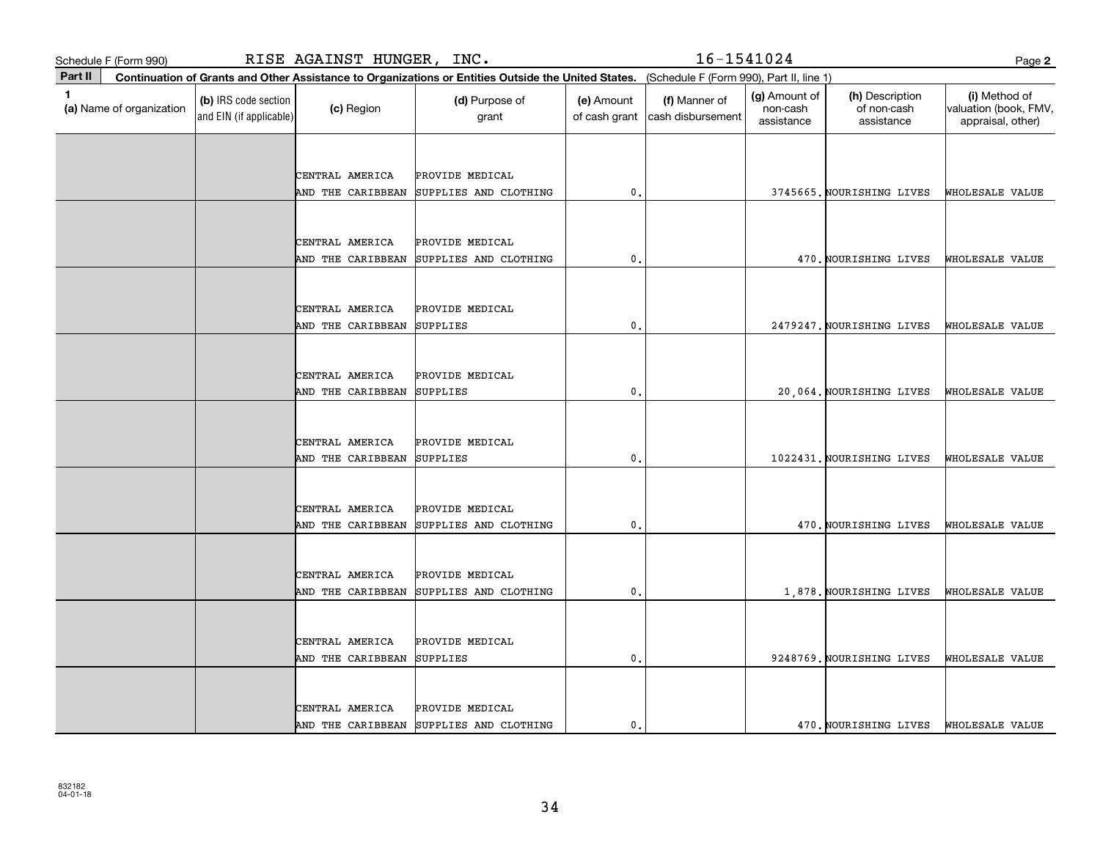| Schedule F (Form 990)                    |                                                 | RISE AGAINST HUNGER, INC. |                                                                                                                                              |                             | 16-1541024                         |                                         |                                              | Page 2                                                      |
|------------------------------------------|-------------------------------------------------|---------------------------|----------------------------------------------------------------------------------------------------------------------------------------------|-----------------------------|------------------------------------|-----------------------------------------|----------------------------------------------|-------------------------------------------------------------|
| Part II                                  |                                                 |                           | Continuation of Grants and Other Assistance to Organizations or Entities Outside the United States. (Schedule F (Form 990), Part II, line 1) |                             |                                    |                                         |                                              |                                                             |
| $\mathbf{1}$<br>(a) Name of organization | (b) IRS code section<br>and EIN (if applicable) | (c) Region                | (d) Purpose of<br>grant                                                                                                                      | (e) Amount<br>of cash grant | (f) Manner of<br>cash disbursement | (g) Amount of<br>non-cash<br>assistance | (h) Description<br>of non-cash<br>assistance | (i) Method of<br>valuation (book, FMV,<br>appraisal, other) |
|                                          |                                                 |                           |                                                                                                                                              |                             |                                    |                                         |                                              |                                                             |
|                                          |                                                 | CENTRAL AMERICA           | PROVIDE MEDICAL                                                                                                                              |                             |                                    |                                         |                                              |                                                             |
|                                          |                                                 | AND THE CARIBBEAN         | SUPPLIES AND CLOTHING                                                                                                                        | 0.                          |                                    |                                         | 3745665. NOURISHING LIVES                    | WHOLESALE VALUE                                             |
|                                          |                                                 |                           |                                                                                                                                              |                             |                                    |                                         |                                              |                                                             |
|                                          |                                                 | CENTRAL AMERICA           | PROVIDE MEDICAL                                                                                                                              |                             |                                    |                                         |                                              |                                                             |
|                                          |                                                 | AND THE CARIBBEAN         | SUPPLIES AND CLOTHING                                                                                                                        | $\mathbf{0}$                |                                    |                                         | 470. NOURISHING LIVES                        | WHOLESALE VALUE                                             |
|                                          |                                                 |                           |                                                                                                                                              |                             |                                    |                                         |                                              |                                                             |
|                                          |                                                 | CENTRAL AMERICA           | PROVIDE MEDICAL                                                                                                                              |                             |                                    |                                         |                                              |                                                             |
|                                          |                                                 | AND THE CARIBBEAN         | <b>SUPPLIES</b>                                                                                                                              | $\mathbf{0}$                |                                    |                                         | 2479247. NOURISHING LIVES                    | WHOLESALE VALUE                                             |
|                                          |                                                 |                           |                                                                                                                                              |                             |                                    |                                         |                                              |                                                             |
|                                          |                                                 | CENTRAL AMERICA           | PROVIDE MEDICAL                                                                                                                              |                             |                                    |                                         |                                              |                                                             |
|                                          |                                                 | AND THE CARIBBEAN         | <b>SUPPLIES</b>                                                                                                                              | 0.                          |                                    |                                         | 20,064. NOURISHING LIVES                     | WHOLESALE VALUE                                             |
|                                          |                                                 |                           |                                                                                                                                              |                             |                                    |                                         |                                              |                                                             |
|                                          |                                                 | CENTRAL AMERICA           | PROVIDE MEDICAL                                                                                                                              |                             |                                    |                                         |                                              |                                                             |
|                                          |                                                 | AND THE CARIBBEAN         | <b>SUPPLIES</b>                                                                                                                              | 0.                          |                                    |                                         | 1022431. NOURISHING LIVES                    | WHOLESALE VALUE                                             |
|                                          |                                                 |                           |                                                                                                                                              |                             |                                    |                                         |                                              |                                                             |
|                                          |                                                 | CENTRAL AMERICA           | PROVIDE MEDICAL                                                                                                                              |                             |                                    |                                         |                                              |                                                             |
|                                          |                                                 | AND THE CARIBBEAN         | SUPPLIES AND CLOTHING                                                                                                                        | 0.                          |                                    |                                         | 470. NOURISHING LIVES                        | WHOLESALE VALUE                                             |
|                                          |                                                 |                           |                                                                                                                                              |                             |                                    |                                         |                                              |                                                             |
|                                          |                                                 | CENTRAL AMERICA           | PROVIDE MEDICAL                                                                                                                              |                             |                                    |                                         |                                              |                                                             |
|                                          |                                                 | AND THE CARIBBEAN         | SUPPLIES AND CLOTHING                                                                                                                        | 0                           |                                    |                                         | 1,878. NOURISHING LIVES                      | WHOLESALE VALUE                                             |
|                                          |                                                 |                           |                                                                                                                                              |                             |                                    |                                         |                                              |                                                             |
|                                          |                                                 | CENTRAL AMERICA           | PROVIDE MEDICAL                                                                                                                              |                             |                                    |                                         |                                              |                                                             |
|                                          |                                                 | AND THE CARIBBEAN         | SUPPLIES                                                                                                                                     | 0.                          |                                    |                                         | 9248769. NOURISHING LIVES                    | WHOLESALE VALUE                                             |
|                                          |                                                 |                           |                                                                                                                                              |                             |                                    |                                         |                                              |                                                             |
|                                          |                                                 | CENTRAL AMERICA           | PROVIDE MEDICAL                                                                                                                              |                             |                                    |                                         |                                              |                                                             |
|                                          |                                                 | AND THE CARIBBEAN         | SUPPLIES AND CLOTHING                                                                                                                        | $\mathbf{0}$ .              |                                    |                                         | 470. NOURISHING LIVES                        | WHOLESALE VALUE                                             |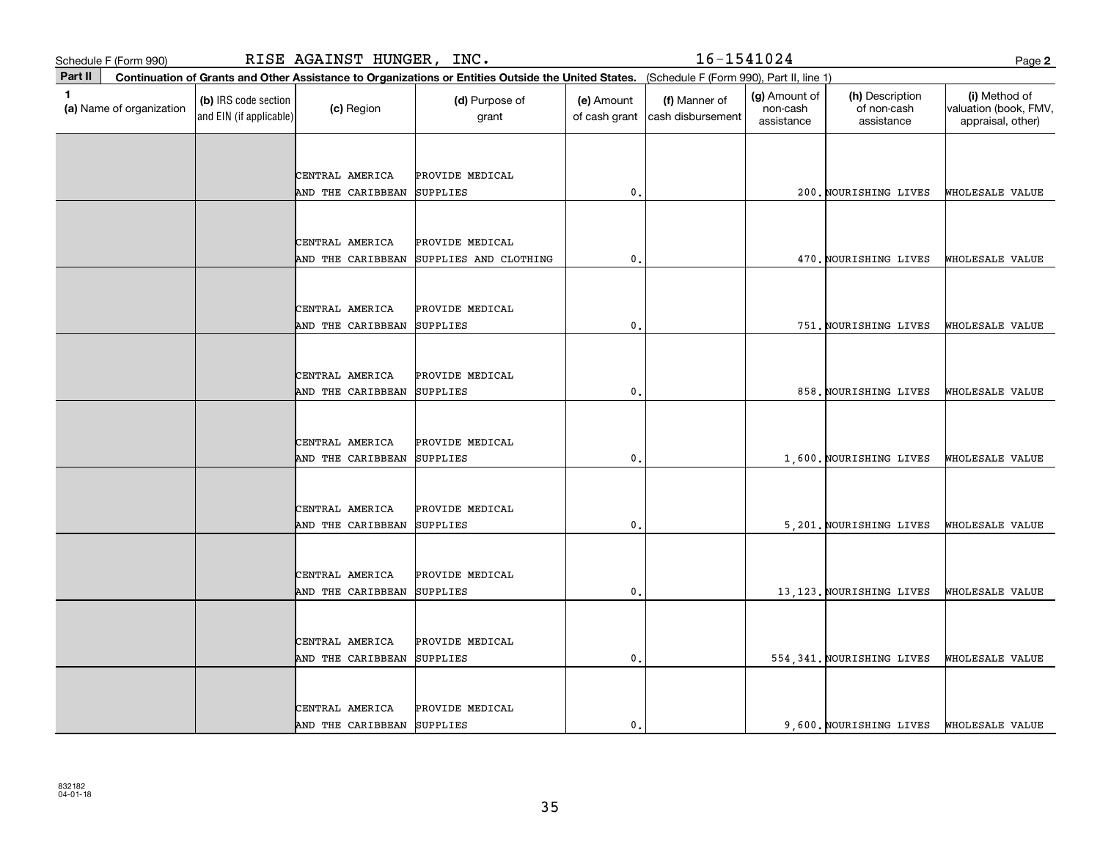| Schedule F (Form 990)                                                                                                                                   | RISE AGAINST HUNGER, INC.                       |                   |                         |                             | 16-1541024                         |                                         |                                              |                                                             |
|---------------------------------------------------------------------------------------------------------------------------------------------------------|-------------------------------------------------|-------------------|-------------------------|-----------------------------|------------------------------------|-----------------------------------------|----------------------------------------------|-------------------------------------------------------------|
| Part II<br>Continuation of Grants and Other Assistance to Organizations or Entities Outside the United States. (Schedule F (Form 990), Part II, line 1) |                                                 |                   |                         |                             |                                    |                                         |                                              |                                                             |
| $\mathbf{1}$<br>(a) Name of organization                                                                                                                | (b) IRS code section<br>and EIN (if applicable) | (c) Region        | (d) Purpose of<br>grant | (e) Amount<br>of cash grant | (f) Manner of<br>cash disbursement | (g) Amount of<br>non-cash<br>assistance | (h) Description<br>of non-cash<br>assistance | (i) Method of<br>valuation (book, FMV,<br>appraisal, other) |
|                                                                                                                                                         |                                                 |                   |                         |                             |                                    |                                         |                                              |                                                             |
|                                                                                                                                                         |                                                 | CENTRAL AMERICA   | PROVIDE MEDICAL         |                             |                                    |                                         |                                              |                                                             |
|                                                                                                                                                         |                                                 | AND THE CARIBBEAN | SUPPLIES                | $\mathbf{0}$ .              |                                    |                                         | 200. NOURISHING LIVES                        | WHOLESALE VALUE                                             |
|                                                                                                                                                         |                                                 |                   |                         |                             |                                    |                                         |                                              |                                                             |
|                                                                                                                                                         |                                                 | CENTRAL AMERICA   | PROVIDE MEDICAL         |                             |                                    |                                         |                                              |                                                             |
|                                                                                                                                                         |                                                 | AND THE CARIBBEAN | SUPPLIES AND CLOTHING   | $\mathbf{0}$                |                                    |                                         | 470. NOURISHING LIVES                        | WHOLESALE VALUE                                             |
|                                                                                                                                                         |                                                 |                   |                         |                             |                                    |                                         |                                              |                                                             |
|                                                                                                                                                         |                                                 | CENTRAL AMERICA   | PROVIDE MEDICAL         |                             |                                    |                                         |                                              |                                                             |
|                                                                                                                                                         |                                                 | AND THE CARIBBEAN | SUPPLIES                | $\mathbf{0}$                |                                    |                                         | 751. NOURISHING LIVES                        | WHOLESALE VALUE                                             |
|                                                                                                                                                         |                                                 |                   |                         |                             |                                    |                                         |                                              |                                                             |
|                                                                                                                                                         |                                                 | CENTRAL AMERICA   | PROVIDE MEDICAL         |                             |                                    |                                         |                                              |                                                             |
|                                                                                                                                                         |                                                 | AND THE CARIBBEAN | <b>SUPPLIES</b>         | 0.                          |                                    |                                         | 858. NOURISHING LIVES                        | WHOLESALE VALUE                                             |
|                                                                                                                                                         |                                                 |                   |                         |                             |                                    |                                         |                                              |                                                             |
|                                                                                                                                                         |                                                 | CENTRAL AMERICA   | PROVIDE MEDICAL         |                             |                                    |                                         |                                              |                                                             |
|                                                                                                                                                         |                                                 | AND THE CARIBBEAN | <b>SUPPLIES</b>         | 0.                          |                                    |                                         | 1,600. NOURISHING LIVES                      | WHOLESALE VALUE                                             |
|                                                                                                                                                         |                                                 |                   |                         |                             |                                    |                                         |                                              |                                                             |
|                                                                                                                                                         |                                                 | CENTRAL AMERICA   | PROVIDE MEDICAL         |                             |                                    |                                         |                                              |                                                             |
|                                                                                                                                                         |                                                 | AND THE CARIBBEAN | SUPPLIES                | 0.                          |                                    |                                         | 5,201. NOURISHING LIVES                      | WHOLESALE VALUE                                             |
|                                                                                                                                                         |                                                 |                   |                         |                             |                                    |                                         |                                              |                                                             |
|                                                                                                                                                         |                                                 | CENTRAL AMERICA   | PROVIDE MEDICAL         |                             |                                    |                                         |                                              |                                                             |
|                                                                                                                                                         |                                                 | AND THE CARIBBEAN | <b>SUPPLIES</b>         | 0                           |                                    |                                         | 13, 123. NOURISHING LIVES                    | WHOLESALE VALUE                                             |
|                                                                                                                                                         |                                                 |                   |                         |                             |                                    |                                         |                                              |                                                             |
|                                                                                                                                                         |                                                 | CENTRAL AMERICA   | PROVIDE MEDICAL         |                             |                                    |                                         |                                              |                                                             |
|                                                                                                                                                         |                                                 | AND THE CARIBBEAN | SUPPLIES                | 0.                          |                                    |                                         | 554, 341. NOURISHING LIVES                   | WHOLESALE VALUE                                             |
|                                                                                                                                                         |                                                 |                   |                         |                             |                                    |                                         |                                              |                                                             |
|                                                                                                                                                         |                                                 | CENTRAL AMERICA   | PROVIDE MEDICAL         |                             |                                    |                                         |                                              |                                                             |
|                                                                                                                                                         |                                                 | AND THE CARIBBEAN | SUPPLIES                | $\mathbf{0}$ .              |                                    |                                         | 9,600. NOURISHING LIVES                      | WHOLESALE VALUE                                             |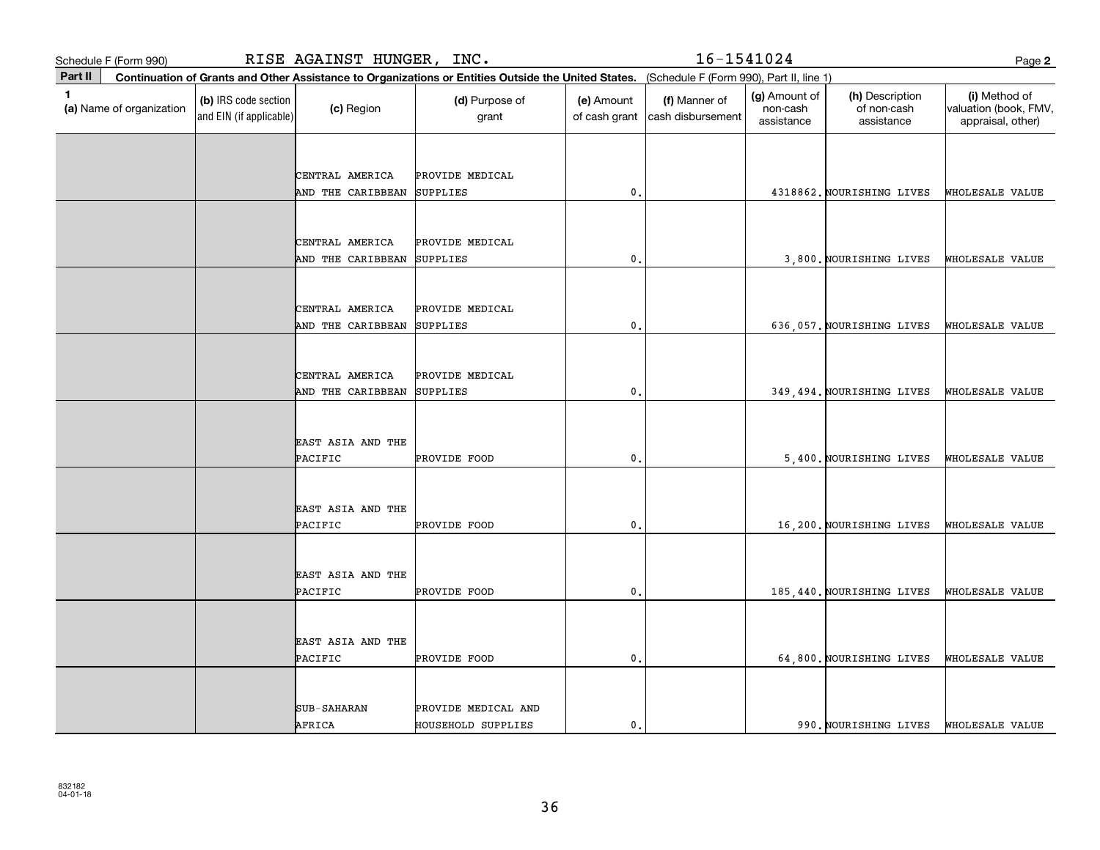| Schedule F (Form 990)                    | RISE AGAINST HUNGER, INC.                       |                    |                         |                                                                                                                                              | 16-1541024<br>Page 2               |                                         |                                              |                                                             |  |  |
|------------------------------------------|-------------------------------------------------|--------------------|-------------------------|----------------------------------------------------------------------------------------------------------------------------------------------|------------------------------------|-----------------------------------------|----------------------------------------------|-------------------------------------------------------------|--|--|
| Part II                                  |                                                 |                    |                         | Continuation of Grants and Other Assistance to Organizations or Entities Outside the United States. (Schedule F (Form 990), Part II, line 1) |                                    |                                         |                                              |                                                             |  |  |
| $\mathbf{1}$<br>(a) Name of organization | (b) IRS code section<br>and EIN (if applicable) | (c) Region         | (d) Purpose of<br>grant | (e) Amount<br>of cash grant                                                                                                                  | (f) Manner of<br>cash disbursement | (g) Amount of<br>non-cash<br>assistance | (h) Description<br>of non-cash<br>assistance | (i) Method of<br>valuation (book, FMV,<br>appraisal, other) |  |  |
|                                          |                                                 |                    |                         |                                                                                                                                              |                                    |                                         |                                              |                                                             |  |  |
|                                          |                                                 | CENTRAL AMERICA    | PROVIDE MEDICAL         |                                                                                                                                              |                                    |                                         |                                              |                                                             |  |  |
|                                          |                                                 | AND THE CARIBBEAN  | SUPPLIES                | 0.                                                                                                                                           |                                    |                                         | 4318862. NOURISHING LIVES                    | WHOLESALE VALUE                                             |  |  |
|                                          |                                                 |                    |                         |                                                                                                                                              |                                    |                                         |                                              |                                                             |  |  |
|                                          |                                                 | CENTRAL AMERICA    | PROVIDE MEDICAL         |                                                                                                                                              |                                    |                                         |                                              |                                                             |  |  |
|                                          |                                                 | AND THE CARIBBEAN  | <b>SUPPLIES</b>         | $\mathbf{0}$                                                                                                                                 |                                    |                                         | 3,800. NOURISHING LIVES                      | WHOLESALE VALUE                                             |  |  |
|                                          |                                                 |                    |                         |                                                                                                                                              |                                    |                                         |                                              |                                                             |  |  |
|                                          |                                                 | CENTRAL AMERICA    | PROVIDE MEDICAL         |                                                                                                                                              |                                    |                                         |                                              |                                                             |  |  |
|                                          |                                                 | AND THE CARIBBEAN  | SUPPLIES                | $\mathbf{0}$                                                                                                                                 |                                    |                                         | 636,057. NOURISHING LIVES                    | WHOLESALE VALUE                                             |  |  |
|                                          |                                                 |                    |                         |                                                                                                                                              |                                    |                                         |                                              |                                                             |  |  |
|                                          |                                                 | CENTRAL AMERICA    | PROVIDE MEDICAL         |                                                                                                                                              |                                    |                                         |                                              |                                                             |  |  |
|                                          |                                                 | AND THE CARIBBEAN  | <b>SUPPLIES</b>         | $\mathbf{0}$ .                                                                                                                               |                                    |                                         | 349, 494. NOURISHING LIVES                   | WHOLESALE VALUE                                             |  |  |
|                                          |                                                 |                    |                         |                                                                                                                                              |                                    |                                         |                                              |                                                             |  |  |
|                                          |                                                 | EAST ASIA AND THE  |                         |                                                                                                                                              |                                    |                                         |                                              |                                                             |  |  |
|                                          |                                                 | PACIFIC            | PROVIDE FOOD            | 0.                                                                                                                                           |                                    |                                         | 5,400. NOURISHING LIVES                      | WHOLESALE VALUE                                             |  |  |
|                                          |                                                 |                    |                         |                                                                                                                                              |                                    |                                         |                                              |                                                             |  |  |
|                                          |                                                 | EAST ASIA AND THE  |                         |                                                                                                                                              |                                    |                                         |                                              |                                                             |  |  |
|                                          |                                                 | PACIFIC            | PROVIDE FOOD            | 0.                                                                                                                                           |                                    |                                         | 16,200. NOURISHING LIVES                     | WHOLESALE VALUE                                             |  |  |
|                                          |                                                 |                    |                         |                                                                                                                                              |                                    |                                         |                                              |                                                             |  |  |
|                                          |                                                 | EAST ASIA AND THE  |                         |                                                                                                                                              |                                    |                                         |                                              |                                                             |  |  |
|                                          |                                                 | PACIFIC            | PROVIDE FOOD            | $\mathbf{0}$                                                                                                                                 |                                    |                                         | 185,440. NOURISHING LIVES                    | WHOLESALE VALUE                                             |  |  |
|                                          |                                                 |                    |                         |                                                                                                                                              |                                    |                                         |                                              |                                                             |  |  |
|                                          |                                                 | EAST ASIA AND THE  |                         |                                                                                                                                              |                                    |                                         |                                              |                                                             |  |  |
|                                          |                                                 | PACIFIC            | PROVIDE FOOD            | 0.                                                                                                                                           |                                    |                                         | 64,800. NOURISHING LIVES                     | WHOLESALE VALUE                                             |  |  |
|                                          |                                                 |                    |                         |                                                                                                                                              |                                    |                                         |                                              |                                                             |  |  |
|                                          |                                                 | <b>SUB-SAHARAN</b> | PROVIDE MEDICAL AND     |                                                                                                                                              |                                    |                                         |                                              |                                                             |  |  |
|                                          |                                                 | AFRICA             | HOUSEHOLD SUPPLIES      | 0.                                                                                                                                           |                                    |                                         | 990. NOURISHING LIVES                        | WHOLESALE VALUE                                             |  |  |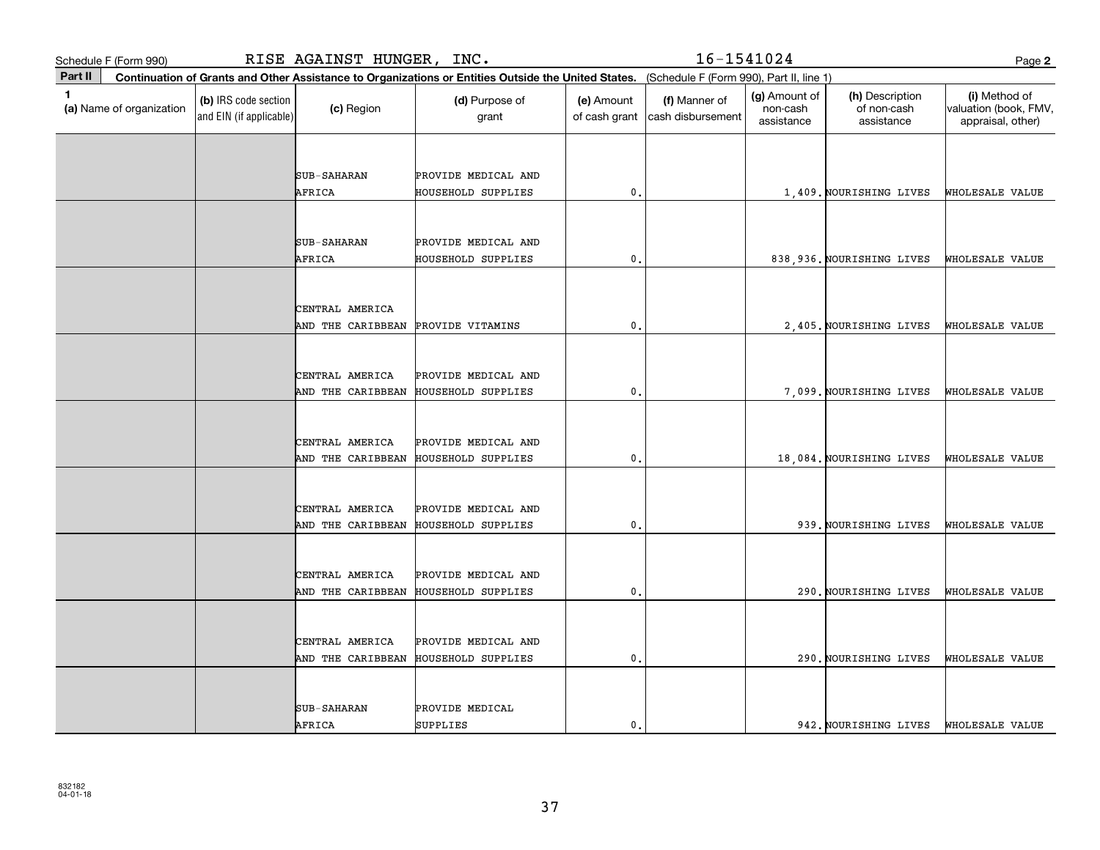| RISE AGAINST HUNGER, INC.<br>Schedule F (Form 990) |                                                 |                                      |                                           |                                                                                                                                              | 16-1541024<br>Page 2               |                                         |                                              |                                                             |  |  |
|----------------------------------------------------|-------------------------------------------------|--------------------------------------|-------------------------------------------|----------------------------------------------------------------------------------------------------------------------------------------------|------------------------------------|-----------------------------------------|----------------------------------------------|-------------------------------------------------------------|--|--|
| Part II                                            |                                                 |                                      |                                           | Continuation of Grants and Other Assistance to Organizations or Entities Outside the United States. (Schedule F (Form 990), Part II, line 1) |                                    |                                         |                                              |                                                             |  |  |
| 1.<br>(a) Name of organization                     | (b) IRS code section<br>and EIN (if applicable) | (c) Region                           | (d) Purpose of<br>grant                   | (e) Amount<br>of cash grant                                                                                                                  | (f) Manner of<br>cash disbursement | (g) Amount of<br>non-cash<br>assistance | (h) Description<br>of non-cash<br>assistance | (i) Method of<br>valuation (book, FMV,<br>appraisal, other) |  |  |
|                                                    |                                                 |                                      |                                           |                                                                                                                                              |                                    |                                         |                                              |                                                             |  |  |
|                                                    |                                                 | <b>SUB-SAHARAN</b>                   | PROVIDE MEDICAL AND                       |                                                                                                                                              |                                    |                                         |                                              |                                                             |  |  |
|                                                    |                                                 | AFRICA                               | HOUSEHOLD SUPPLIES                        | 0.                                                                                                                                           |                                    |                                         | 1,409. NOURISHING LIVES                      | WHOLESALE VALUE                                             |  |  |
|                                                    |                                                 |                                      |                                           |                                                                                                                                              |                                    |                                         |                                              |                                                             |  |  |
|                                                    |                                                 |                                      |                                           |                                                                                                                                              |                                    |                                         |                                              |                                                             |  |  |
|                                                    |                                                 | <b>SUB-SAHARAN</b><br>AFRICA         | PROVIDE MEDICAL AND<br>HOUSEHOLD SUPPLIES | 0.                                                                                                                                           |                                    |                                         | 838, 936. NOURISHING LIVES                   | WHOLESALE VALUE                                             |  |  |
|                                                    |                                                 |                                      |                                           |                                                                                                                                              |                                    |                                         |                                              |                                                             |  |  |
|                                                    |                                                 |                                      |                                           |                                                                                                                                              |                                    |                                         |                                              |                                                             |  |  |
|                                                    |                                                 | CENTRAL AMERICA                      |                                           | 0,                                                                                                                                           |                                    |                                         |                                              |                                                             |  |  |
|                                                    |                                                 | AND THE CARIBBEAN                    | PROVIDE VITAMINS                          |                                                                                                                                              |                                    |                                         | 2,405. NOURISHING LIVES                      | WHOLESALE VALUE                                             |  |  |
|                                                    |                                                 |                                      |                                           |                                                                                                                                              |                                    |                                         |                                              |                                                             |  |  |
|                                                    |                                                 | CENTRAL AMERICA                      | PROVIDE MEDICAL AND                       |                                                                                                                                              |                                    |                                         |                                              |                                                             |  |  |
|                                                    |                                                 | AND THE CARIBBEAN                    | <b>HOUSEHOLD SUPPLIES</b>                 | 0.                                                                                                                                           |                                    |                                         | 7,099. NOURISHING LIVES                      | WHOLESALE VALUE                                             |  |  |
|                                                    |                                                 |                                      |                                           |                                                                                                                                              |                                    |                                         |                                              |                                                             |  |  |
|                                                    |                                                 | CENTRAL AMERICA                      | PROVIDE MEDICAL AND                       |                                                                                                                                              |                                    |                                         |                                              |                                                             |  |  |
|                                                    |                                                 | AND THE CARIBBEAN                    | HOUSEHOLD SUPPLIES                        | 0.                                                                                                                                           |                                    |                                         | 18,084. NOURISHING LIVES                     | WHOLESALE VALUE                                             |  |  |
|                                                    |                                                 |                                      |                                           |                                                                                                                                              |                                    |                                         |                                              |                                                             |  |  |
|                                                    |                                                 | CENTRAL AMERICA                      | PROVIDE MEDICAL AND                       |                                                                                                                                              |                                    |                                         |                                              |                                                             |  |  |
|                                                    |                                                 | AND THE CARIBBEAN                    | HOUSEHOLD SUPPLIES                        | 0.                                                                                                                                           |                                    |                                         | 939. NOURISHING LIVES                        | WHOLESALE VALUE                                             |  |  |
|                                                    |                                                 |                                      |                                           |                                                                                                                                              |                                    |                                         |                                              |                                                             |  |  |
|                                                    |                                                 | CENTRAL AMERICA                      | PROVIDE MEDICAL AND                       |                                                                                                                                              |                                    |                                         |                                              |                                                             |  |  |
|                                                    |                                                 | AND THE CARIBBEAN                    | HOUSEHOLD SUPPLIES                        | 0,                                                                                                                                           |                                    |                                         | 290. NOURISHING LIVES                        | WHOLESALE VALUE                                             |  |  |
|                                                    |                                                 |                                      |                                           |                                                                                                                                              |                                    |                                         |                                              |                                                             |  |  |
|                                                    |                                                 |                                      |                                           |                                                                                                                                              |                                    |                                         |                                              |                                                             |  |  |
|                                                    |                                                 | CENTRAL AMERICA<br>AND THE CARIBBEAN | PROVIDE MEDICAL AND<br>HOUSEHOLD SUPPLIES | $\mathbf 0$ .                                                                                                                                |                                    |                                         | 290. NOURISHING LIVES                        | WHOLESALE VALUE                                             |  |  |
|                                                    |                                                 |                                      |                                           |                                                                                                                                              |                                    |                                         |                                              |                                                             |  |  |
|                                                    |                                                 |                                      |                                           |                                                                                                                                              |                                    |                                         |                                              |                                                             |  |  |
|                                                    |                                                 | <b>SUB-SAHARAN</b>                   | PROVIDE MEDICAL                           |                                                                                                                                              |                                    |                                         |                                              |                                                             |  |  |
|                                                    |                                                 | AFRICA                               | SUPPLIES                                  | 0.                                                                                                                                           |                                    |                                         | 942. NOURISHING LIVES                        | WHOLESALE VALUE                                             |  |  |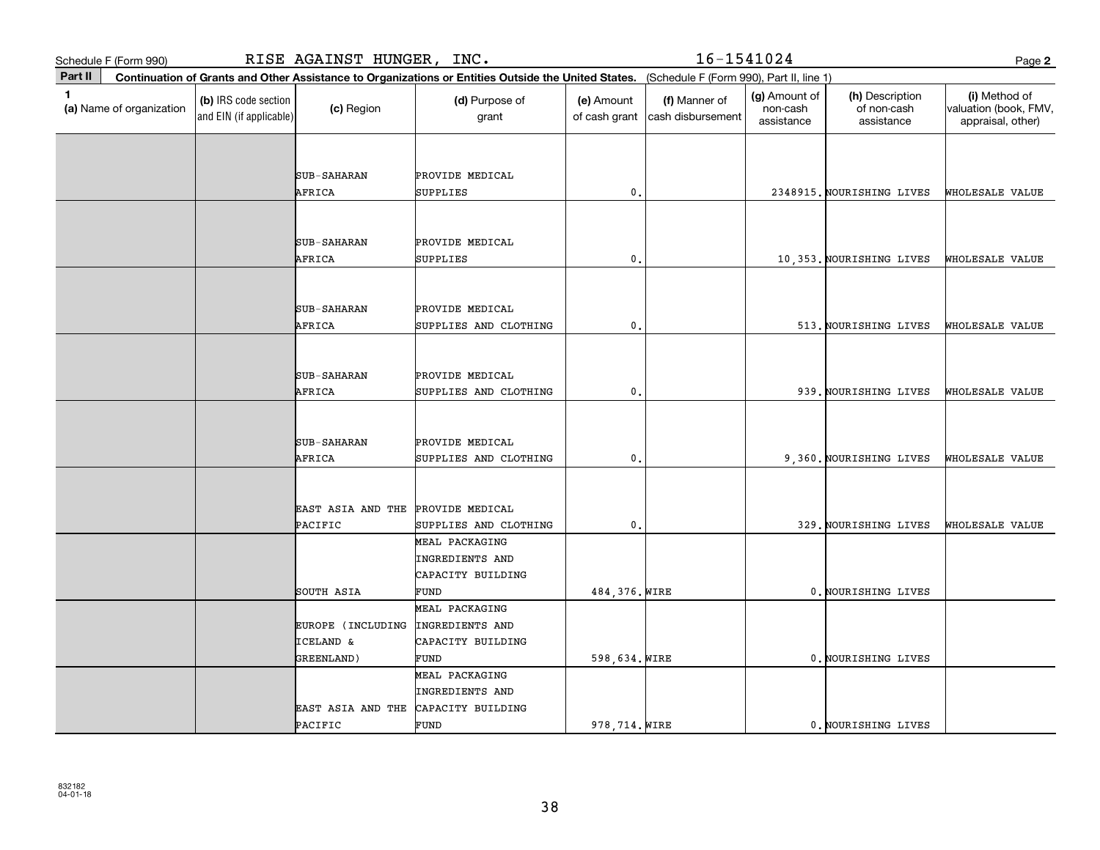| Schedule F (Form 990)                      |                                                 | RISE AGAINST HUNGER, INC.          |                             |                                                                                                                                              | 16-1541024                         |                                         |                                              | Page 2                                                      |
|--------------------------------------------|-------------------------------------------------|------------------------------------|-----------------------------|----------------------------------------------------------------------------------------------------------------------------------------------|------------------------------------|-----------------------------------------|----------------------------------------------|-------------------------------------------------------------|
| Part II                                    |                                                 |                                    |                             | Continuation of Grants and Other Assistance to Organizations or Entities Outside the United States. (Schedule F (Form 990), Part II, line 1) |                                    |                                         |                                              |                                                             |
| $\blacksquare$<br>(a) Name of organization | (b) IRS code section<br>and EIN (if applicable) | (c) Region                         | (d) Purpose of<br>grant     | (e) Amount<br>of cash grant                                                                                                                  | (f) Manner of<br>cash disbursement | (g) Amount of<br>non-cash<br>assistance | (h) Description<br>of non-cash<br>assistance | (i) Method of<br>valuation (book, FMV,<br>appraisal, other) |
|                                            |                                                 |                                    |                             |                                                                                                                                              |                                    |                                         |                                              |                                                             |
|                                            |                                                 |                                    |                             |                                                                                                                                              |                                    |                                         |                                              |                                                             |
|                                            |                                                 | <b>SUB-SAHARAN</b><br>AFRICA       | PROVIDE MEDICAL<br>SUPPLIES | $\mathbf{0}$ .                                                                                                                               |                                    |                                         | 2348915. NOURISHING LIVES                    | WHOLESALE VALUE                                             |
|                                            |                                                 |                                    |                             |                                                                                                                                              |                                    |                                         |                                              |                                                             |
|                                            |                                                 |                                    |                             |                                                                                                                                              |                                    |                                         |                                              |                                                             |
|                                            |                                                 | <b>SUB-SAHARAN</b>                 | PROVIDE MEDICAL             |                                                                                                                                              |                                    |                                         |                                              |                                                             |
|                                            |                                                 | AFRICA                             | SUPPLIES                    | 0.                                                                                                                                           |                                    |                                         | 10,353. NOURISHING LIVES                     | WHOLESALE VALUE                                             |
|                                            |                                                 |                                    |                             |                                                                                                                                              |                                    |                                         |                                              |                                                             |
|                                            |                                                 |                                    |                             |                                                                                                                                              |                                    |                                         |                                              |                                                             |
|                                            |                                                 | <b>SUB-SAHARAN</b>                 | PROVIDE MEDICAL             | 0.                                                                                                                                           |                                    |                                         |                                              |                                                             |
|                                            |                                                 | AFRICA                             | SUPPLIES AND CLOTHING       |                                                                                                                                              |                                    |                                         | 513. NOURISHING LIVES                        | WHOLESALE VALUE                                             |
|                                            |                                                 |                                    |                             |                                                                                                                                              |                                    |                                         |                                              |                                                             |
|                                            |                                                 | <b>SUB-SAHARAN</b>                 | PROVIDE MEDICAL             |                                                                                                                                              |                                    |                                         |                                              |                                                             |
|                                            |                                                 | AFRICA                             | SUPPLIES AND CLOTHING       | 0.                                                                                                                                           |                                    |                                         | 939. NOURISHING LIVES                        | WHOLESALE VALUE                                             |
|                                            |                                                 |                                    |                             |                                                                                                                                              |                                    |                                         |                                              |                                                             |
|                                            |                                                 |                                    |                             |                                                                                                                                              |                                    |                                         |                                              |                                                             |
|                                            |                                                 | <b>SUB-SAHARAN</b>                 | PROVIDE MEDICAL             |                                                                                                                                              |                                    |                                         |                                              |                                                             |
|                                            |                                                 | AFRICA                             | SUPPLIES AND CLOTHING       | $\mathbf{0}$ .                                                                                                                               |                                    |                                         | 9,360. NOURISHING LIVES                      | WHOLESALE VALUE                                             |
|                                            |                                                 |                                    |                             |                                                                                                                                              |                                    |                                         |                                              |                                                             |
|                                            |                                                 | EAST ASIA AND THE                  | PROVIDE MEDICAL             |                                                                                                                                              |                                    |                                         |                                              |                                                             |
|                                            |                                                 | PACIFIC                            | SUPPLIES AND CLOTHING       | 0.                                                                                                                                           |                                    |                                         | 329. NOURISHING LIVES                        | WHOLESALE VALUE                                             |
|                                            |                                                 |                                    | MEAL PACKAGING              |                                                                                                                                              |                                    |                                         |                                              |                                                             |
|                                            |                                                 |                                    | <b>INGREDIENTS AND</b>      |                                                                                                                                              |                                    |                                         |                                              |                                                             |
|                                            |                                                 |                                    | CAPACITY BUILDING           |                                                                                                                                              |                                    |                                         |                                              |                                                             |
|                                            |                                                 | SOUTH ASIA                         | FUND                        | 484, 376. WIRE                                                                                                                               |                                    |                                         | 0. NOURISHING LIVES                          |                                                             |
|                                            |                                                 |                                    | MEAL PACKAGING              |                                                                                                                                              |                                    |                                         |                                              |                                                             |
|                                            |                                                 | EUROPE (INCLUDING                  | INGREDIENTS AND             |                                                                                                                                              |                                    |                                         |                                              |                                                             |
|                                            |                                                 | <b>ICELAND &amp;</b><br>GREENLAND) | CAPACITY BUILDING<br>FUND   | 598,634. WIRE                                                                                                                                |                                    |                                         | 0. NOURISHING LIVES                          |                                                             |
|                                            |                                                 |                                    | MEAL PACKAGING              |                                                                                                                                              |                                    |                                         |                                              |                                                             |
|                                            |                                                 |                                    | INGREDIENTS AND             |                                                                                                                                              |                                    |                                         |                                              |                                                             |
|                                            |                                                 | EAST ASIA AND THE                  | CAPACITY BUILDING           |                                                                                                                                              |                                    |                                         |                                              |                                                             |
|                                            |                                                 | PACIFIC                            | FUND                        | 978, 714. WIRE                                                                                                                               |                                    |                                         | 0. NOURISHING LIVES                          |                                                             |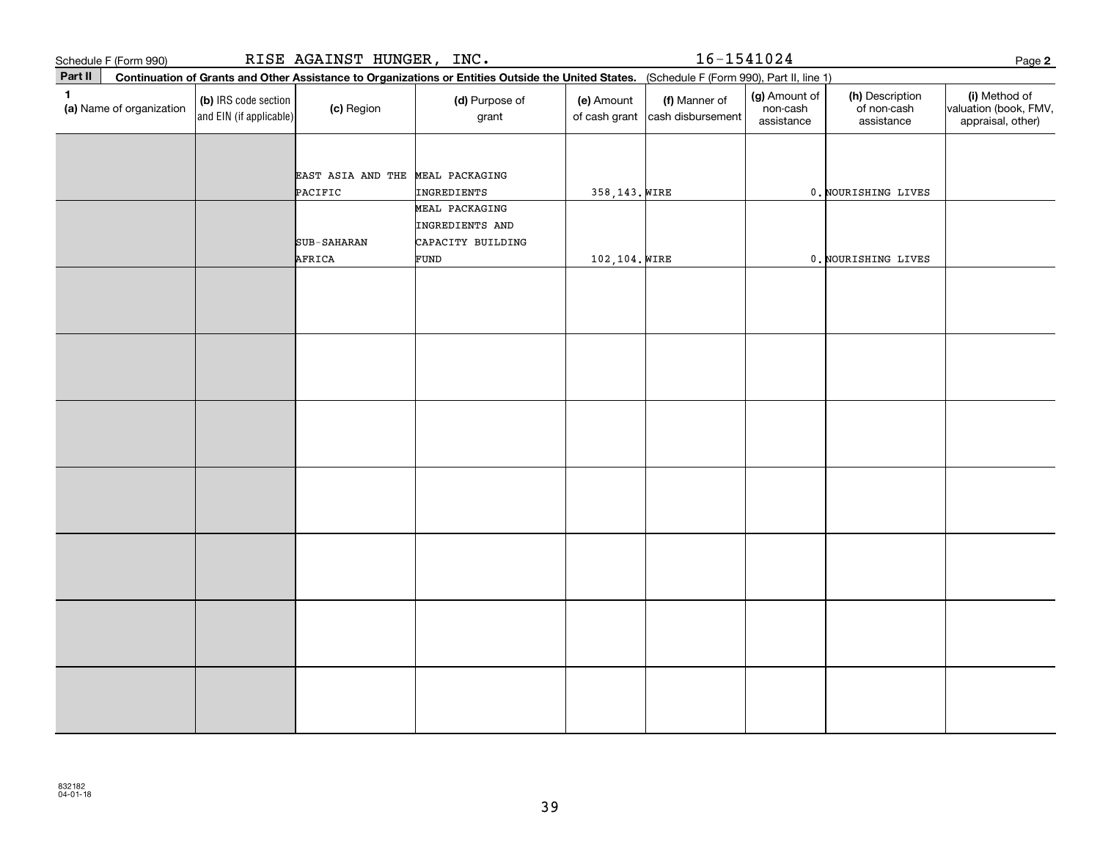|              | Schedule F (Form 990)    | RISE AGAINST HUNGER, INC.                       |                                  |                                                                       |                                                                                                                                              |                                                  | $16 - 1541024$                          |                                              |                                                             |  |
|--------------|--------------------------|-------------------------------------------------|----------------------------------|-----------------------------------------------------------------------|----------------------------------------------------------------------------------------------------------------------------------------------|--------------------------------------------------|-----------------------------------------|----------------------------------------------|-------------------------------------------------------------|--|
| Part II      |                          |                                                 |                                  |                                                                       | Continuation of Grants and Other Assistance to Organizations or Entities Outside the United States. (Schedule F (Form 990), Part II, line 1) |                                                  | Page 2                                  |                                              |                                                             |  |
| $\mathbf{1}$ | (a) Name of organization | (b) IRS code section<br>and EIN (if applicable) | (c) Region                       | (d) Purpose of<br>grant                                               | (e) Amount                                                                                                                                   | (f) Manner of<br>of cash grant cash disbursement | (g) Amount of<br>non-cash<br>assistance | (h) Description<br>of non-cash<br>assistance | (i) Method of<br>valuation (book, FMV,<br>appraisal, other) |  |
|              |                          |                                                 | EAST ASIA AND THE MEAL PACKAGING |                                                                       |                                                                                                                                              |                                                  |                                         |                                              |                                                             |  |
|              |                          |                                                 | PACIFIC                          | INGREDIENTS                                                           | 358,143. WIRE                                                                                                                                |                                                  |                                         | 0. NOURISHING LIVES                          |                                                             |  |
|              |                          |                                                 | SUB-SAHARAN<br>AFRICA            | MEAL PACKAGING<br>INGREDIENTS AND<br>CAPACITY BUILDING<br><b>FUND</b> | 102,104. WIRE                                                                                                                                |                                                  |                                         | 0. NOURISHING LIVES                          |                                                             |  |
|              |                          |                                                 |                                  |                                                                       |                                                                                                                                              |                                                  |                                         |                                              |                                                             |  |
|              |                          |                                                 |                                  |                                                                       |                                                                                                                                              |                                                  |                                         |                                              |                                                             |  |
|              |                          |                                                 |                                  |                                                                       |                                                                                                                                              |                                                  |                                         |                                              |                                                             |  |
|              |                          |                                                 |                                  |                                                                       |                                                                                                                                              |                                                  |                                         |                                              |                                                             |  |
|              |                          |                                                 |                                  |                                                                       |                                                                                                                                              |                                                  |                                         |                                              |                                                             |  |
|              |                          |                                                 |                                  |                                                                       |                                                                                                                                              |                                                  |                                         |                                              |                                                             |  |
|              |                          |                                                 |                                  |                                                                       |                                                                                                                                              |                                                  |                                         |                                              |                                                             |  |
|              |                          |                                                 |                                  |                                                                       |                                                                                                                                              |                                                  |                                         |                                              |                                                             |  |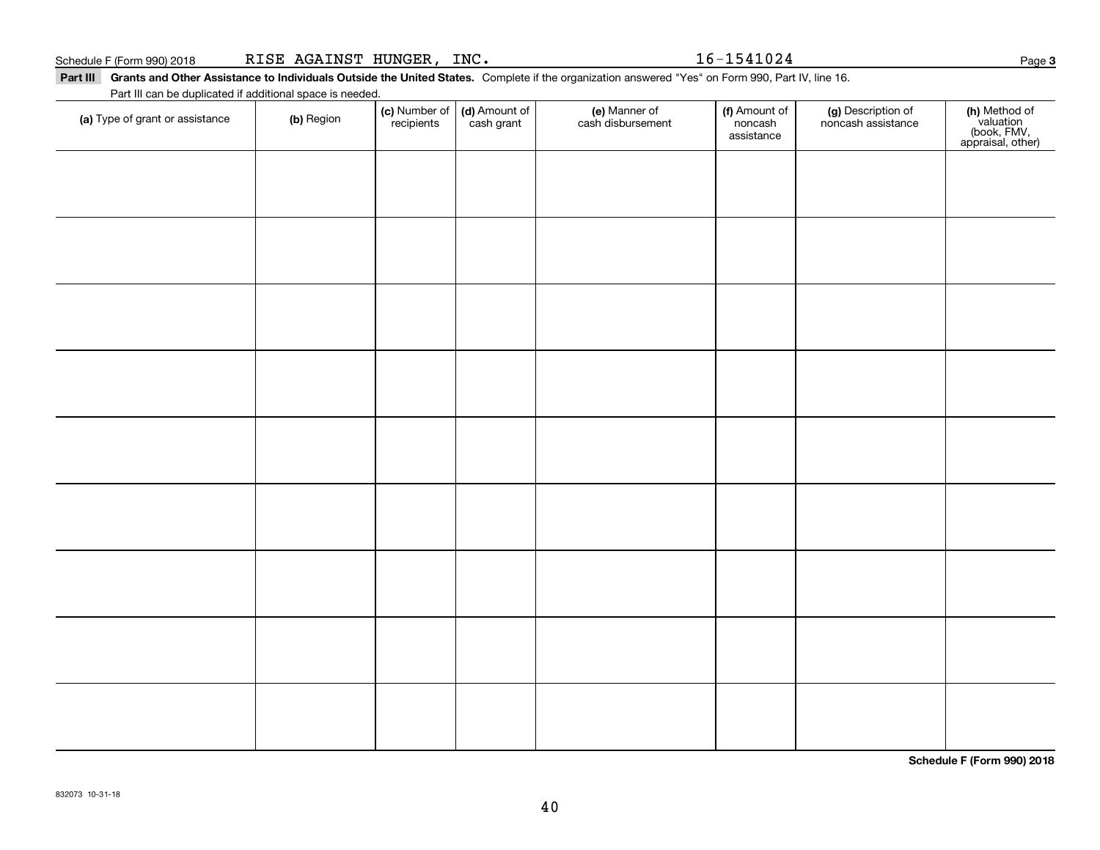### Schedule F (Form 990) 2018 Page RISE AGAINST HUNGER, INC. 16-1541024

Part III Grants and Other Assistance to Individuals Outside the United States. Complete if the organization answered "Yes" on Form 990, Part IV, line 16. Part III can be duplicated if additional space is needed.

| (a) Type of grant or assistance | (b) Region | (c) Number of<br>recipients | (d) Amount of<br>cash grant | (e) Manner of<br>cash disbursement | (f) Amount of<br>noncash<br>assistance | (g) Description of<br>noncash assistance | (h) Method of<br>valuation<br>(book, FMV,<br>appraisal, other) |
|---------------------------------|------------|-----------------------------|-----------------------------|------------------------------------|----------------------------------------|------------------------------------------|----------------------------------------------------------------|
|                                 |            |                             |                             |                                    |                                        |                                          |                                                                |
|                                 |            |                             |                             |                                    |                                        |                                          |                                                                |
|                                 |            |                             |                             |                                    |                                        |                                          |                                                                |
|                                 |            |                             |                             |                                    |                                        |                                          |                                                                |
|                                 |            |                             |                             |                                    |                                        |                                          |                                                                |
|                                 |            |                             |                             |                                    |                                        |                                          |                                                                |
|                                 |            |                             |                             |                                    |                                        |                                          |                                                                |
|                                 |            |                             |                             |                                    |                                        |                                          |                                                                |
|                                 |            |                             |                             |                                    |                                        |                                          |                                                                |
|                                 |            |                             |                             |                                    |                                        |                                          |                                                                |
|                                 |            |                             |                             |                                    |                                        |                                          |                                                                |
|                                 |            |                             |                             |                                    |                                        |                                          |                                                                |
|                                 |            |                             |                             |                                    |                                        |                                          |                                                                |
|                                 |            |                             |                             |                                    |                                        |                                          |                                                                |
|                                 |            |                             |                             |                                    |                                        |                                          |                                                                |

**Schedule F (Form 990) 2018**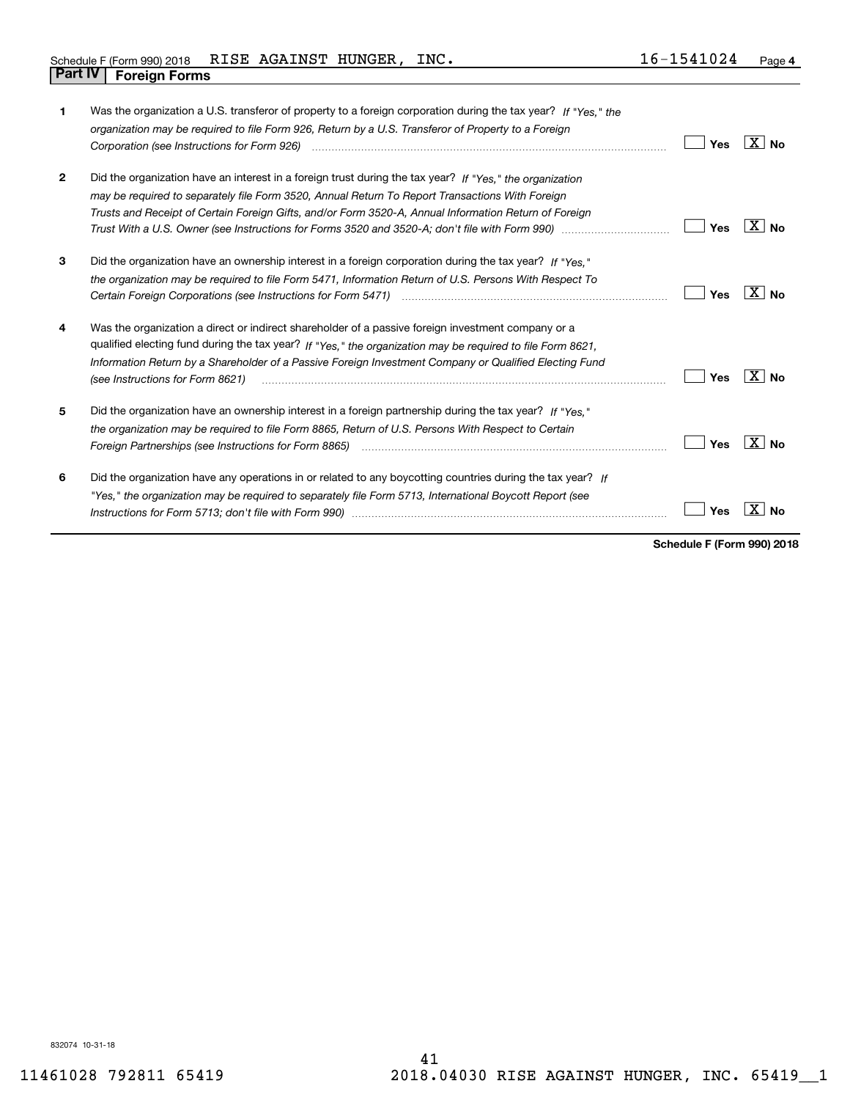| 1            | Was the organization a U.S. transferor of property to a foreign corporation during the tax year? If "Yes," the<br>organization may be required to file Form 926, Return by a U.S. Transferor of Property to a Foreign                                                                                                                                                                                                                       | Yes | ⊟X I No        |
|--------------|---------------------------------------------------------------------------------------------------------------------------------------------------------------------------------------------------------------------------------------------------------------------------------------------------------------------------------------------------------------------------------------------------------------------------------------------|-----|----------------|
| $\mathbf{2}$ | Did the organization have an interest in a foreign trust during the tax year? If "Yes," the organization<br>may be required to separately file Form 3520, Annual Return To Report Transactions With Foreign<br>Trusts and Receipt of Certain Foreign Gifts, and/or Form 3520-A, Annual Information Return of Foreign<br>Trust With a U.S. Owner (see Instructions for Forms 3520 and 3520-A; don't file with Form 990) manual manual manual | Yes | ∣X∣No          |
| 3            | Did the organization have an ownership interest in a foreign corporation during the tax year? If "Yes."<br>the organization may be required to file Form 5471, Information Return of U.S. Persons With Respect To                                                                                                                                                                                                                           | Yes | X∣No           |
| 4            | Was the organization a direct or indirect shareholder of a passive foreign investment company or a<br>qualified electing fund during the tax year? If "Yes," the organization may be required to file Form 8621,<br>Information Return by a Shareholder of a Passive Foreign Investment Company or Qualified Electing Fund<br>(see Instructions for Form 8621)                                                                              | Yes | ∣X∣no          |
| 5            | Did the organization have an ownership interest in a foreign partnership during the tax year? If "Yes."<br>the organization may be required to file Form 8865, Return of U.S. Persons With Respect to Certain<br>Foreign Partnerships (see Instructions for Form 8865)                                                                                                                                                                      | Yes | $X \mid N_{0}$ |
| 6            | Did the organization have any operations in or related to any boycotting countries during the tax year? If<br>"Yes," the organization may be required to separately file Form 5713, International Boycott Report (see                                                                                                                                                                                                                       | Yes | Nο             |

**Schedule F (Form 990) 2018**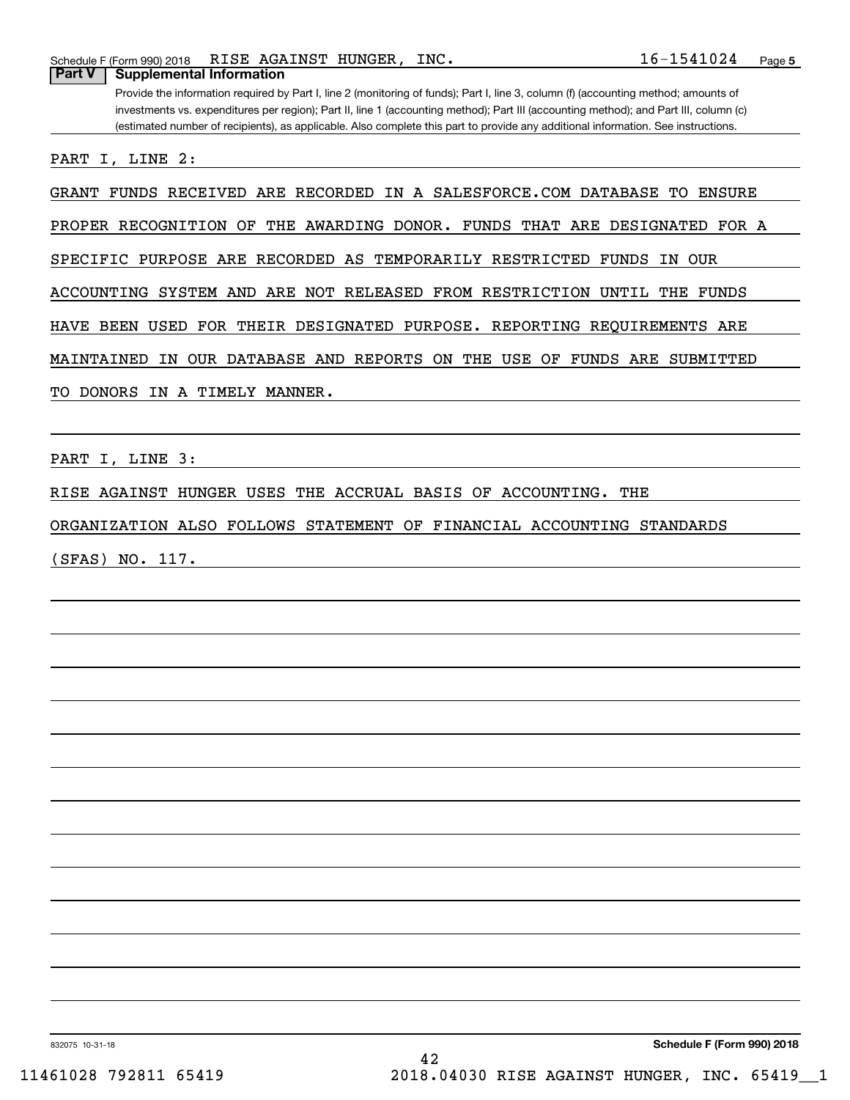Provide the information required by Part I, line 2 (monitoring of funds); Part I, line 3, column (f) (accounting method; amounts of investments vs. expenditures per region); Part II, line 1 (accounting method); Part III (accounting method); and Part III, column (c) (estimated number of recipients), as applicable. Also complete this part to provide any additional information. See instructions.

PART I, LINE 2:

GRANT FUNDS RECEIVED ARE RECORDED IN A SALESFORCE.COM DATABASE TO ENSURE

PROPER RECOGNITION OF THE AWARDING DONOR. FUNDS THAT ARE DESIGNATED FOR A

SPECIFIC PURPOSE ARE RECORDED AS TEMPORARILY RESTRICTED FUNDS IN OUR

ACCOUNTING SYSTEM AND ARE NOT RELEASED FROM RESTRICTION UNTIL THE FUNDS

HAVE BEEN USED FOR THEIR DESIGNATED PURPOSE. REPORTING REQUIREMENTS ARE

MAINTAINED IN OUR DATABASE AND REPORTS ON THE USE OF FUNDS ARE SUBMITTED

TO DONORS IN A TIMELY MANNER.

PART I, LINE 3:

RISE AGAINST HUNGER USES THE ACCRUAL BASIS OF ACCOUNTING. THE

ORGANIZATION ALSO FOLLOWS STATEMENT OF FINANCIAL ACCOUNTING STANDARDS

(SFAS) NO. 117.

832075 10-31-18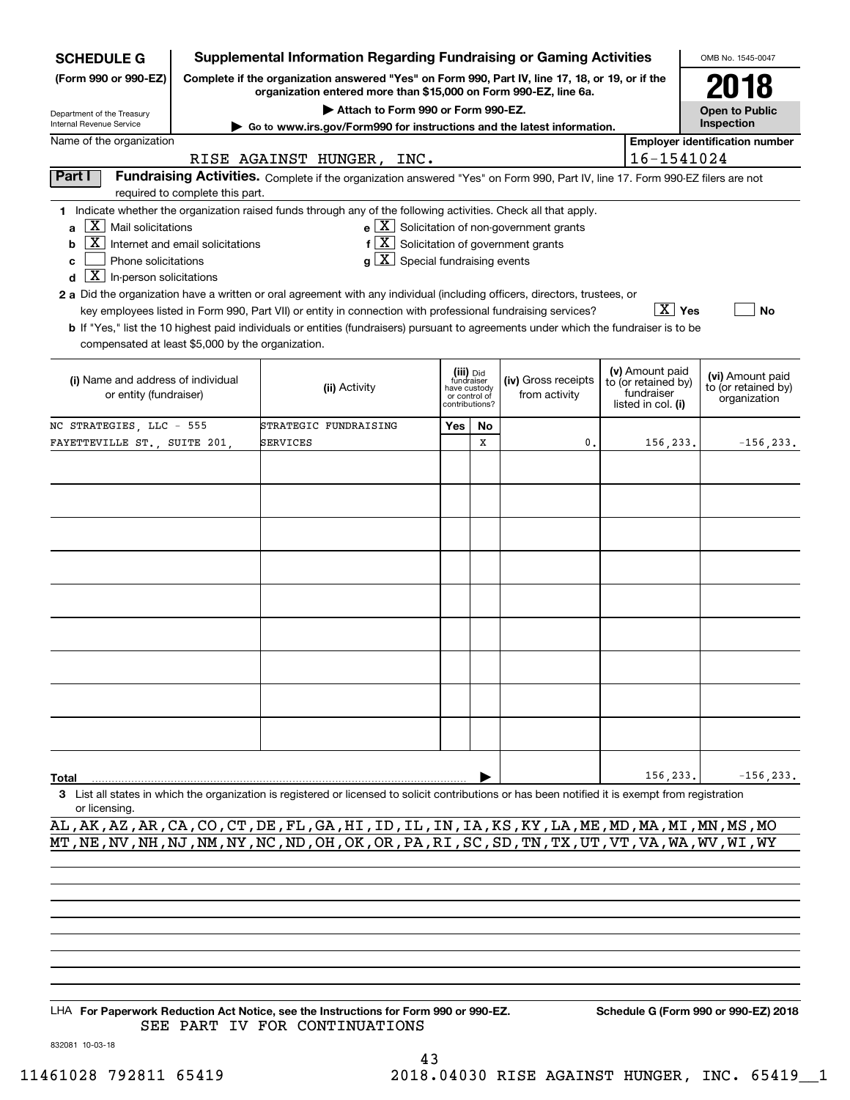| <b>SCHEDULE G</b>                                                                                                                                                                                                                                                                                                                                                                                                                                                                                                                                                                                                                                                                                                                                                                                                                                                |                                                                                                                                                                  | <b>Supplemental Information Regarding Fundraising or Gaming Activities</b>                                                                                          |                                                                                                                    |    |    |                                                                            |                                                         | OMB No. 1545-0047                     |
|------------------------------------------------------------------------------------------------------------------------------------------------------------------------------------------------------------------------------------------------------------------------------------------------------------------------------------------------------------------------------------------------------------------------------------------------------------------------------------------------------------------------------------------------------------------------------------------------------------------------------------------------------------------------------------------------------------------------------------------------------------------------------------------------------------------------------------------------------------------|------------------------------------------------------------------------------------------------------------------------------------------------------------------|---------------------------------------------------------------------------------------------------------------------------------------------------------------------|--------------------------------------------------------------------------------------------------------------------|----|----|----------------------------------------------------------------------------|---------------------------------------------------------|---------------------------------------|
| (Form 990 or 990-EZ)                                                                                                                                                                                                                                                                                                                                                                                                                                                                                                                                                                                                                                                                                                                                                                                                                                             |                                                                                                                                                                  | Complete if the organization answered "Yes" on Form 990, Part IV, line 17, 18, or 19, or if the<br>organization entered more than \$15,000 on Form 990-EZ, line 6a. |                                                                                                                    |    |    |                                                                            |                                                         | 2018                                  |
| Department of the Treasury                                                                                                                                                                                                                                                                                                                                                                                                                                                                                                                                                                                                                                                                                                                                                                                                                                       |                                                                                                                                                                  | Attach to Form 990 or Form 990-EZ.                                                                                                                                  |                                                                                                                    |    |    |                                                                            |                                                         | <b>Open to Public</b>                 |
| Internal Revenue Service                                                                                                                                                                                                                                                                                                                                                                                                                                                                                                                                                                                                                                                                                                                                                                                                                                         |                                                                                                                                                                  | ► Go to www.irs.gov/Form990 for instructions and the latest information.                                                                                            |                                                                                                                    |    |    |                                                                            |                                                         | Inspection                            |
| Name of the organization                                                                                                                                                                                                                                                                                                                                                                                                                                                                                                                                                                                                                                                                                                                                                                                                                                         |                                                                                                                                                                  |                                                                                                                                                                     |                                                                                                                    |    |    |                                                                            |                                                         | <b>Employer identification number</b> |
|                                                                                                                                                                                                                                                                                                                                                                                                                                                                                                                                                                                                                                                                                                                                                                                                                                                                  |                                                                                                                                                                  | RISE AGAINST HUNGER, INC.                                                                                                                                           |                                                                                                                    |    |    |                                                                            | 16-1541024                                              |                                       |
| Part I                                                                                                                                                                                                                                                                                                                                                                                                                                                                                                                                                                                                                                                                                                                                                                                                                                                           | Fundraising Activities. Complete if the organization answered "Yes" on Form 990, Part IV, line 17. Form 990-EZ filers are not<br>required to complete this part. |                                                                                                                                                                     |                                                                                                                    |    |    |                                                                            |                                                         |                                       |
| 1 Indicate whether the organization raised funds through any of the following activities. Check all that apply.<br>$e$ $\boxed{X}$ Solicitation of non-government grants<br>$\mathbf{X}$ Mail solicitations<br>a<br>$f[\overline{X}]$ Solicitation of government grants<br>Internet and email solicitations<br>b<br>$g\mid X$ Special fundraising events<br>Phone solicitations<br>c<br>$\boxed{\text{X}}$ In-person solicitations<br>d<br>2 a Did the organization have a written or oral agreement with any individual (including officers, directors, trustees, or<br>$\overline{X}$ Yes<br>key employees listed in Form 990, Part VII) or entity in connection with professional fundraising services?<br><b>No</b><br>b If "Yes," list the 10 highest paid individuals or entities (fundraisers) pursuant to agreements under which the fundraiser is to be |                                                                                                                                                                  |                                                                                                                                                                     |                                                                                                                    |    |    |                                                                            |                                                         |                                       |
| compensated at least \$5,000 by the organization.<br>(i) Name and address of individual<br>or entity (fundraiser)                                                                                                                                                                                                                                                                                                                                                                                                                                                                                                                                                                                                                                                                                                                                                |                                                                                                                                                                  | (ii) Activity                                                                                                                                                       | (iii) Did<br>fundraiser<br>(iv) Gross receipts<br>have custody<br>from activity<br>or control of<br>contributions? |    |    | (v) Amount paid<br>to (or retained by)<br>fundraiser<br>listed in col. (i) | (vi) Amount paid<br>to (or retained by)<br>organization |                                       |
| NC STRATEGIES, LLC - 555                                                                                                                                                                                                                                                                                                                                                                                                                                                                                                                                                                                                                                                                                                                                                                                                                                         |                                                                                                                                                                  | STRATEGIC FUNDRAISING                                                                                                                                               | Yes                                                                                                                | No |    |                                                                            |                                                         |                                       |
| FAYETTEVILLE ST., SUITE 201,                                                                                                                                                                                                                                                                                                                                                                                                                                                                                                                                                                                                                                                                                                                                                                                                                                     |                                                                                                                                                                  | SERVICES                                                                                                                                                            |                                                                                                                    | X  | 0. |                                                                            | 156,233.                                                | $-156, 233.$                          |
|                                                                                                                                                                                                                                                                                                                                                                                                                                                                                                                                                                                                                                                                                                                                                                                                                                                                  |                                                                                                                                                                  |                                                                                                                                                                     |                                                                                                                    |    |    |                                                                            |                                                         |                                       |
|                                                                                                                                                                                                                                                                                                                                                                                                                                                                                                                                                                                                                                                                                                                                                                                                                                                                  |                                                                                                                                                                  |                                                                                                                                                                     |                                                                                                                    |    |    |                                                                            |                                                         |                                       |
|                                                                                                                                                                                                                                                                                                                                                                                                                                                                                                                                                                                                                                                                                                                                                                                                                                                                  |                                                                                                                                                                  |                                                                                                                                                                     |                                                                                                                    |    |    |                                                                            |                                                         |                                       |
|                                                                                                                                                                                                                                                                                                                                                                                                                                                                                                                                                                                                                                                                                                                                                                                                                                                                  |                                                                                                                                                                  |                                                                                                                                                                     |                                                                                                                    |    |    |                                                                            |                                                         |                                       |
|                                                                                                                                                                                                                                                                                                                                                                                                                                                                                                                                                                                                                                                                                                                                                                                                                                                                  |                                                                                                                                                                  |                                                                                                                                                                     |                                                                                                                    |    |    |                                                                            |                                                         |                                       |
|                                                                                                                                                                                                                                                                                                                                                                                                                                                                                                                                                                                                                                                                                                                                                                                                                                                                  |                                                                                                                                                                  |                                                                                                                                                                     |                                                                                                                    |    |    |                                                                            |                                                         |                                       |
|                                                                                                                                                                                                                                                                                                                                                                                                                                                                                                                                                                                                                                                                                                                                                                                                                                                                  |                                                                                                                                                                  |                                                                                                                                                                     |                                                                                                                    |    |    |                                                                            |                                                         |                                       |
|                                                                                                                                                                                                                                                                                                                                                                                                                                                                                                                                                                                                                                                                                                                                                                                                                                                                  |                                                                                                                                                                  |                                                                                                                                                                     |                                                                                                                    |    |    |                                                                            |                                                         |                                       |
|                                                                                                                                                                                                                                                                                                                                                                                                                                                                                                                                                                                                                                                                                                                                                                                                                                                                  |                                                                                                                                                                  |                                                                                                                                                                     |                                                                                                                    |    |    |                                                                            |                                                         |                                       |
| 156,233.<br>$-156, 233.$<br>Total                                                                                                                                                                                                                                                                                                                                                                                                                                                                                                                                                                                                                                                                                                                                                                                                                                |                                                                                                                                                                  |                                                                                                                                                                     |                                                                                                                    |    |    |                                                                            |                                                         |                                       |
| or licensing.                                                                                                                                                                                                                                                                                                                                                                                                                                                                                                                                                                                                                                                                                                                                                                                                                                                    |                                                                                                                                                                  | 3 List all states in which the organization is registered or licensed to solicit contributions or has been notified it is exempt from registration                  |                                                                                                                    |    |    |                                                                            |                                                         |                                       |

AL,AK,AZ,AR,CA,CO,CT,DE,FL,GA,HI,ID,IL,IN,IA,KS,KY,LA,ME,MD,MA,MI,MN,MS,MO MT,NE,NV,NH,NJ,NM,NY,NC,ND,OH,OK,OR,PA,RI,SC,SD,TN,TX,UT,VT,VA,WA,WV,WI,WY

LHA For Paperwork Reduction Act Notice, see the Instructions for Form 990 or 990-EZ. Schedule G (Form 990 or 990-EZ) 2018 SEE PART IV FOR CONTINUATIONS

832081 10-03-18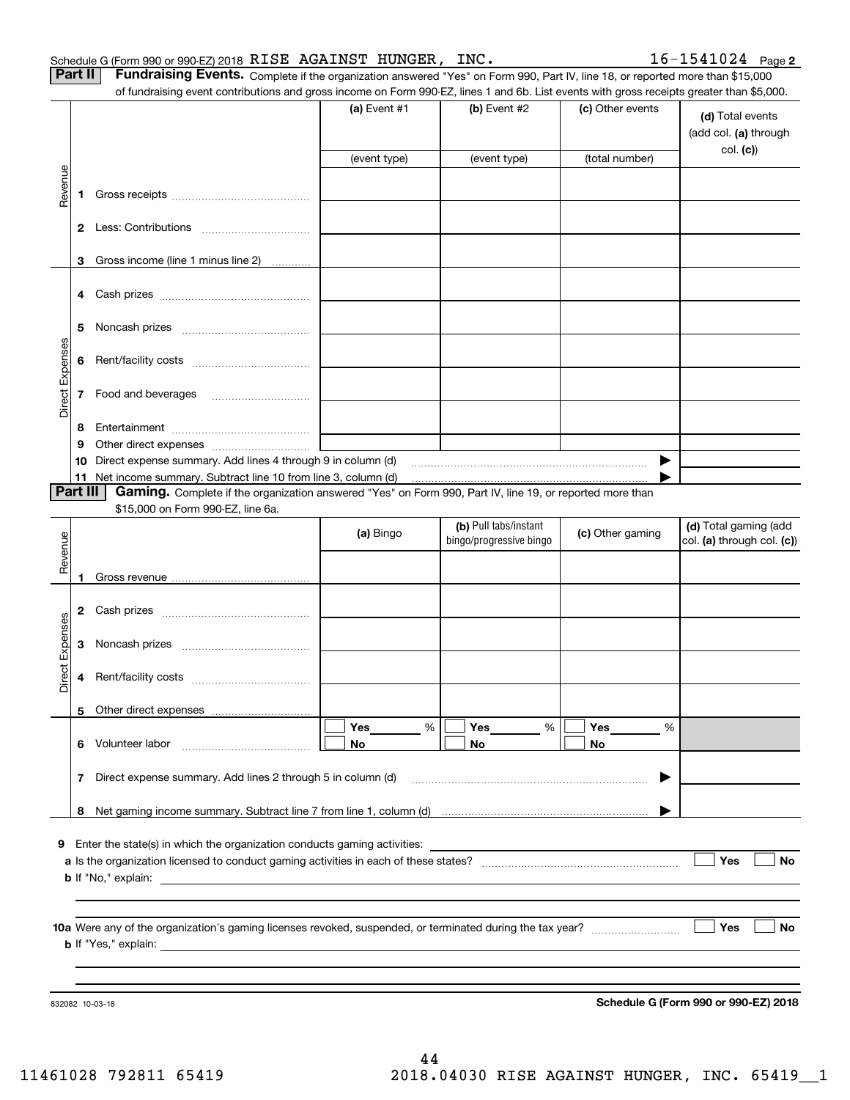| Part II   Fundraising Events. Complete if the organization answered "Yes" on Form 990, Part IV, line 18, or reported more than \$15,000 |
|-----------------------------------------------------------------------------------------------------------------------------------------|
| of fundraising event contributions and gross income on Form 990-F7 lines 1 and 6b. List events with gross receipts greater than \$5,000 |

|                 |    | of fundraising event contributions and gross income on Form 990-EZ, lines 1 and 6b. List events with gross receipts greater than \$5,000.                                   |                |                         |                  |                                           |
|-----------------|----|-----------------------------------------------------------------------------------------------------------------------------------------------------------------------------|----------------|-------------------------|------------------|-------------------------------------------|
|                 |    |                                                                                                                                                                             | (a) Event $#1$ | (b) Event #2            | (c) Other events | (d) Total events<br>(add col. (a) through |
|                 |    |                                                                                                                                                                             | (event type)   | (event type)            | (total number)   | col. (c)                                  |
|                 |    |                                                                                                                                                                             |                |                         |                  |                                           |
| Revenue         | 1  |                                                                                                                                                                             |                |                         |                  |                                           |
|                 | 2  |                                                                                                                                                                             |                |                         |                  |                                           |
|                 | 3  | Gross income (line 1 minus line 2)                                                                                                                                          |                |                         |                  |                                           |
|                 |    |                                                                                                                                                                             |                |                         |                  |                                           |
|                 | 5  |                                                                                                                                                                             |                |                         |                  |                                           |
|                 | 6  |                                                                                                                                                                             |                |                         |                  |                                           |
| Direct Expenses | 7  | Food and beverages                                                                                                                                                          |                |                         |                  |                                           |
|                 | 8  |                                                                                                                                                                             |                |                         |                  |                                           |
|                 | 9  |                                                                                                                                                                             |                |                         |                  |                                           |
|                 | 10 | Direct expense summary. Add lines 4 through 9 in column (d)                                                                                                                 |                |                         |                  |                                           |
| Part III        |    | 11 Net income summary. Subtract line 10 from line 3, column (d)<br>Gaming. Complete if the organization answered "Yes" on Form 990, Part IV, line 19, or reported more than |                |                         |                  |                                           |
|                 |    | \$15,000 on Form 990-EZ, line 6a.                                                                                                                                           |                |                         |                  |                                           |
|                 |    |                                                                                                                                                                             |                | (b) Pull tabs/instant   |                  | (d) Total gaming (add                     |
|                 |    |                                                                                                                                                                             | (a) Bingo      | bingo/progressive bingo | (c) Other gaming | col. (a) through col. (c))                |
| Revenue         |    |                                                                                                                                                                             |                |                         |                  |                                           |
|                 | 1  |                                                                                                                                                                             |                |                         |                  |                                           |
|                 | 2  |                                                                                                                                                                             |                |                         |                  |                                           |
| Expenses        | 3  |                                                                                                                                                                             |                |                         |                  |                                           |
| Direct          | 4  |                                                                                                                                                                             |                |                         |                  |                                           |
|                 |    | 5 Other direct expenses                                                                                                                                                     |                |                         |                  |                                           |
|                 |    |                                                                                                                                                                             | Yes<br>%       | %<br>Yes                | Yes<br>%         |                                           |
|                 |    | 6 Volunteer labor                                                                                                                                                           | No             | No                      | No               |                                           |
|                 | 7  | Direct expense summary. Add lines 2 through 5 in column (d)                                                                                                                 |                |                         | ▸                |                                           |
|                 |    |                                                                                                                                                                             |                |                         |                  |                                           |
| 9               |    | Enter the state(s) in which the organization conducts gaming activities:                                                                                                    |                |                         |                  |                                           |
|                 |    |                                                                                                                                                                             |                |                         |                  | Yes<br>No                                 |
|                 |    |                                                                                                                                                                             |                |                         |                  |                                           |
|                 |    |                                                                                                                                                                             |                |                         |                  |                                           |
|                 |    |                                                                                                                                                                             |                |                         |                  |                                           |
|                 |    |                                                                                                                                                                             |                |                         |                  | Yes<br>No                                 |
|                 |    |                                                                                                                                                                             |                |                         |                  |                                           |
|                 |    |                                                                                                                                                                             |                |                         |                  |                                           |
|                 |    |                                                                                                                                                                             |                |                         |                  |                                           |

**Schedule G (Form 990 or 990-EZ) 2018**

832082 10-03-18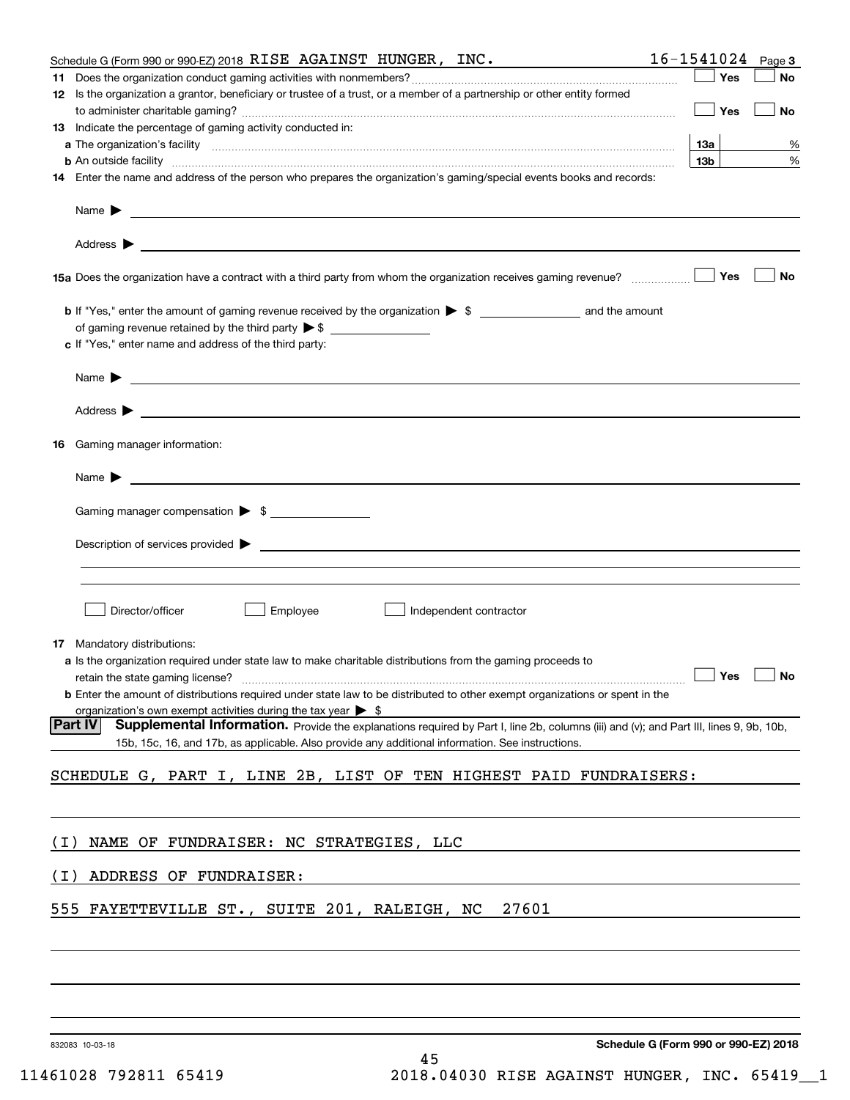|                                       | Schedule G (Form 990 or 990-EZ) 2018 RISE AGAINST HUNGER, INC.                                                                                                                                                      | $16 - 1541024$ Page 3                |    |
|---------------------------------------|---------------------------------------------------------------------------------------------------------------------------------------------------------------------------------------------------------------------|--------------------------------------|----|
|                                       |                                                                                                                                                                                                                     | Yes                                  | No |
|                                       | 12 Is the organization a grantor, beneficiary or trustee of a trust, or a member of a partnership or other entity formed                                                                                            |                                      |    |
|                                       |                                                                                                                                                                                                                     | Yes                                  | No |
|                                       | 13 Indicate the percentage of gaming activity conducted in:                                                                                                                                                         |                                      |    |
|                                       |                                                                                                                                                                                                                     | 13а                                  | %  |
|                                       | <b>b</b> An outside facility <i>www.communicality www.communicality.communicality www.communicality www.communicality.communicality www.communicality.com</i>                                                       | 13 <sub>b</sub>                      | %  |
|                                       | 14 Enter the name and address of the person who prepares the organization's gaming/special events books and records:                                                                                                |                                      |    |
|                                       |                                                                                                                                                                                                                     |                                      |    |
|                                       |                                                                                                                                                                                                                     |                                      |    |
|                                       | 15a Does the organization have a contract with a third party from whom the organization receives gaming revenue?                                                                                                    | Yes                                  | No |
|                                       |                                                                                                                                                                                                                     |                                      |    |
|                                       |                                                                                                                                                                                                                     |                                      |    |
|                                       | c If "Yes," enter name and address of the third party:                                                                                                                                                              |                                      |    |
|                                       |                                                                                                                                                                                                                     |                                      |    |
|                                       | Name $\blacktriangleright$ $\bot$                                                                                                                                                                                   |                                      |    |
|                                       |                                                                                                                                                                                                                     |                                      |    |
|                                       |                                                                                                                                                                                                                     |                                      |    |
| <b>16</b> Gaming manager information: |                                                                                                                                                                                                                     |                                      |    |
|                                       |                                                                                                                                                                                                                     |                                      |    |
|                                       | Name $\blacktriangleright$ $\lrcorner$                                                                                                                                                                              |                                      |    |
|                                       |                                                                                                                                                                                                                     |                                      |    |
|                                       | Gaming manager compensation > \$                                                                                                                                                                                    |                                      |    |
|                                       |                                                                                                                                                                                                                     |                                      |    |
|                                       |                                                                                                                                                                                                                     |                                      |    |
|                                       |                                                                                                                                                                                                                     |                                      |    |
|                                       |                                                                                                                                                                                                                     |                                      |    |
|                                       | Employee<br>Director/officer<br>Independent contractor                                                                                                                                                              |                                      |    |
|                                       |                                                                                                                                                                                                                     |                                      |    |
| <b>17</b> Mandatory distributions:    |                                                                                                                                                                                                                     |                                      |    |
|                                       | a Is the organization required under state law to make charitable distributions from the gaming proceeds to                                                                                                         |                                      |    |
|                                       | $\Box$ Yes $\Box$ No<br>retain the state gaming license?                                                                                                                                                            |                                      |    |
|                                       | <b>b</b> Enter the amount of distributions required under state law to be distributed to other exempt organizations or spent in the<br>organization's own exempt activities during the tax year $\triangleright$ \$ |                                      |    |
| Part IV                               | Supplemental Information. Provide the explanations required by Part I, line 2b, columns (iii) and (v); and Part III, lines 9, 9b, 10b,                                                                              |                                      |    |
|                                       | 15b, 15c, 16, and 17b, as applicable. Also provide any additional information. See instructions.                                                                                                                    |                                      |    |
|                                       |                                                                                                                                                                                                                     |                                      |    |
|                                       | SCHEDULE G, PART I, LINE 2B, LIST OF TEN HIGHEST PAID FUNDRAISERS:                                                                                                                                                  |                                      |    |
|                                       |                                                                                                                                                                                                                     |                                      |    |
|                                       |                                                                                                                                                                                                                     |                                      |    |
| ( I )                                 | NAME OF FUNDRAISER: NC STRATEGIES, LLC                                                                                                                                                                              |                                      |    |
|                                       |                                                                                                                                                                                                                     |                                      |    |
| ( I )                                 | ADDRESS OF FUNDRAISER:                                                                                                                                                                                              |                                      |    |
|                                       |                                                                                                                                                                                                                     |                                      |    |
| 555                                   | 27601<br>FAYETTEVILLE ST., SUITE 201, RALEIGH, NC                                                                                                                                                                   |                                      |    |
|                                       |                                                                                                                                                                                                                     |                                      |    |
|                                       |                                                                                                                                                                                                                     |                                      |    |
|                                       |                                                                                                                                                                                                                     |                                      |    |
|                                       |                                                                                                                                                                                                                     |                                      |    |
|                                       |                                                                                                                                                                                                                     |                                      |    |
|                                       |                                                                                                                                                                                                                     |                                      |    |
| 832083 10-03-18                       |                                                                                                                                                                                                                     | Schedule G (Form 990 or 990-EZ) 2018 |    |
|                                       | 45                                                                                                                                                                                                                  |                                      |    |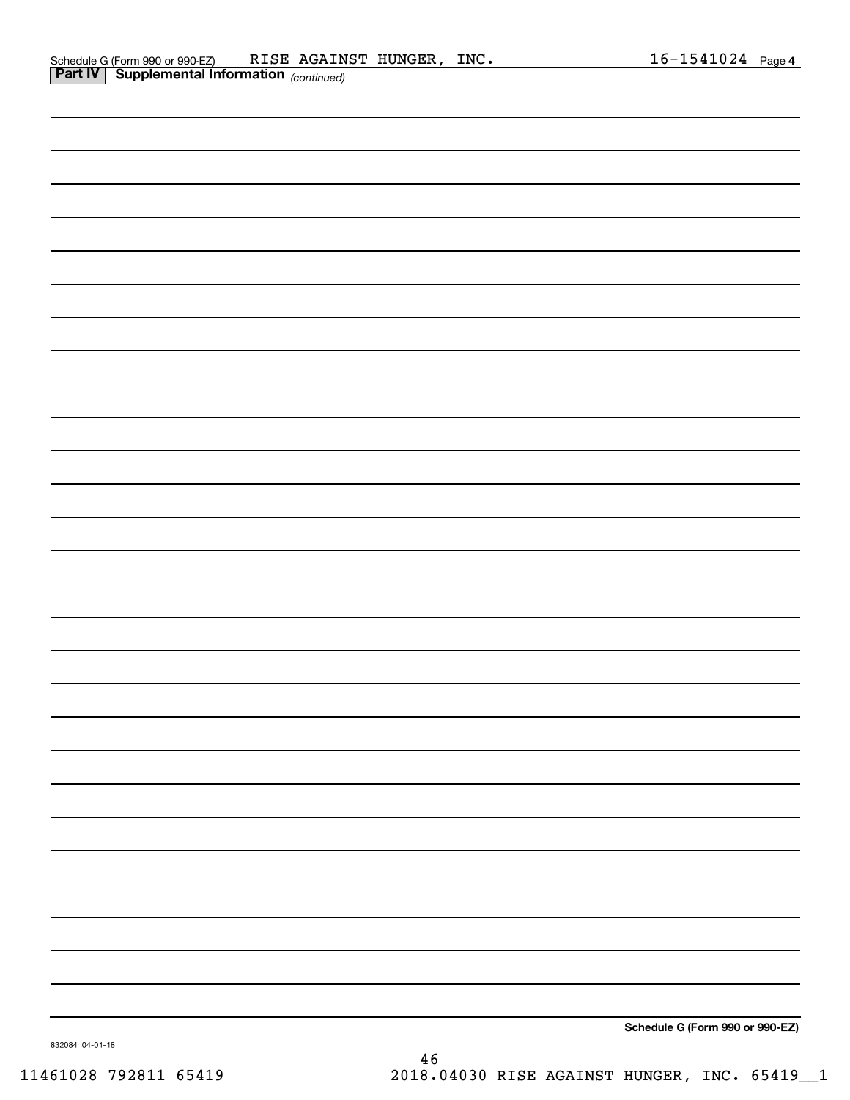|                | Schedule G (Form 990 or 990-EZ)                   | RISE | AGAINST HUNGER | INC. | 1541024<br>$h -$ | Page 4 |
|----------------|---------------------------------------------------|------|----------------|------|------------------|--------|
| <b>Part IV</b> | <sup>1</sup> Supplemental Information (continued) |      |                |      |                  |        |

| . . | [Conmutau] |                                 |
|-----|------------|---------------------------------|
|     |            |                                 |
|     |            |                                 |
|     |            |                                 |
|     |            |                                 |
|     |            |                                 |
|     |            |                                 |
|     |            |                                 |
|     |            |                                 |
|     |            |                                 |
|     |            |                                 |
|     |            |                                 |
|     |            |                                 |
|     |            |                                 |
|     |            |                                 |
|     |            |                                 |
|     |            |                                 |
|     |            |                                 |
|     |            |                                 |
|     |            |                                 |
|     |            |                                 |
|     |            |                                 |
|     |            |                                 |
|     |            |                                 |
|     |            |                                 |
|     |            |                                 |
|     |            |                                 |
|     |            |                                 |
|     |            |                                 |
|     |            |                                 |
|     |            |                                 |
|     |            |                                 |
|     |            |                                 |
|     |            |                                 |
|     |            |                                 |
|     |            |                                 |
|     |            |                                 |
|     |            |                                 |
|     |            |                                 |
|     |            | Schedule G (Form 990 or 990-EZ) |

46

832084 04-01-18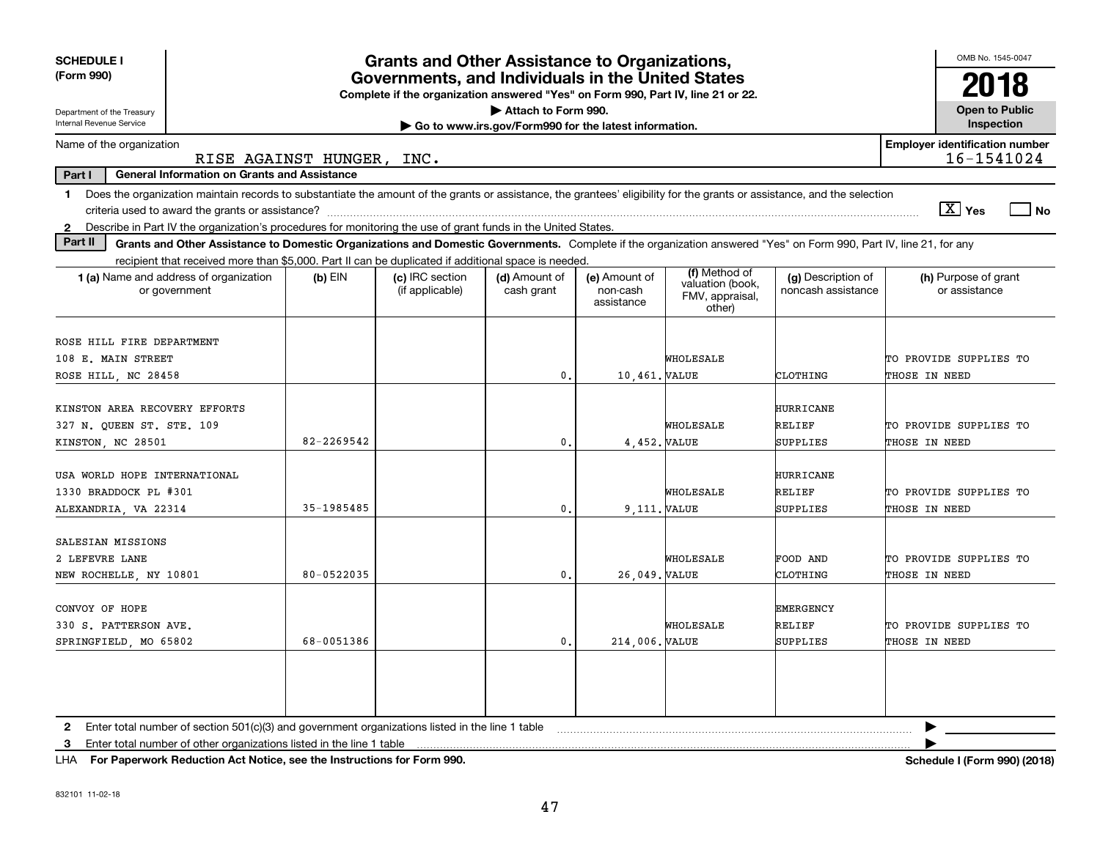| <b>SCHEDULE I</b><br>(Form 990)<br>Department of the Treasury<br>Internal Revenue Service                                                                                      | OMB No. 1545-0047<br>2018<br><b>Open to Public</b><br>Inspection |                                    |                             |                                         |                                                                |                                          |                                                |
|--------------------------------------------------------------------------------------------------------------------------------------------------------------------------------|------------------------------------------------------------------|------------------------------------|-----------------------------|-----------------------------------------|----------------------------------------------------------------|------------------------------------------|------------------------------------------------|
| Name of the organization                                                                                                                                                       |                                                                  |                                    |                             |                                         |                                                                |                                          | <b>Employer identification number</b>          |
|                                                                                                                                                                                | RISE AGAINST HUNGER, INC.                                        |                                    |                             |                                         |                                                                |                                          | 16-1541024                                     |
| Part I<br><b>General Information on Grants and Assistance</b>                                                                                                                  |                                                                  |                                    |                             |                                         |                                                                |                                          |                                                |
| Does the organization maintain records to substantiate the amount of the grants or assistance, the grantees' eligibility for the grants or assistance, and the selection<br>1  |                                                                  |                                    |                             |                                         |                                                                |                                          |                                                |
|                                                                                                                                                                                |                                                                  |                                    |                             |                                         |                                                                |                                          | $\boxed{\text{X}}$ Yes<br>  No                 |
| Describe in Part IV the organization's procedures for monitoring the use of grant funds in the United States.<br>$\mathbf{2}$<br>Part II                                       |                                                                  |                                    |                             |                                         |                                                                |                                          |                                                |
| Grants and Other Assistance to Domestic Organizations and Domestic Governments. Complete if the organization answered "Yes" on Form 990, Part IV, line 21, for any             |                                                                  |                                    |                             |                                         |                                                                |                                          |                                                |
| recipient that received more than \$5,000. Part II can be duplicated if additional space is needed.<br>1 (a) Name and address of organization<br>or government                 | $(b)$ EIN                                                        | (c) IRC section<br>(if applicable) | (d) Amount of<br>cash grant | (e) Amount of<br>non-cash<br>assistance | (f) Method of<br>valuation (book,<br>FMV, appraisal,<br>other) | (g) Description of<br>noncash assistance | (h) Purpose of grant<br>or assistance          |
| ROSE HILL FIRE DEPARTMENT                                                                                                                                                      |                                                                  |                                    |                             |                                         |                                                                |                                          |                                                |
| 108 E. MAIN STREET                                                                                                                                                             | WHOLESALE                                                        |                                    | TO PROVIDE SUPPLIES TO      |                                         |                                                                |                                          |                                                |
| ROSE HILL, NC 28458                                                                                                                                                            |                                                                  |                                    | $\mathbf{0}$ .              | 10,461. VALUE                           |                                                                | CLOTHING                                 | THOSE IN NEED                                  |
| KINSTON AREA RECOVERY EFFORTS<br>327 N. QUEEN ST. STE. 109<br>KINSTON, NC 28501                                                                                                | 82-2269542                                                       |                                    | $\mathbf{0}$ .              | 4,452. VALUE                            | WHOLESALE                                                      | <b>HURRICANE</b><br>RELIEF<br>SUPPLIES   | TO PROVIDE SUPPLIES TO<br><b>THOSE IN NEED</b> |
| USA WORLD HOPE INTERNATIONAL<br>1330 BRADDOCK PL #301<br>ALEXANDRIA, VA 22314                                                                                                  | 35-1985485                                                       |                                    | $\mathbf{0}$                | 9.111. VALUE                            | WHOLESALE                                                      | <b>HURRICANE</b><br>RELIEF<br>SUPPLIES   | TO PROVIDE SUPPLIES TO<br>THOSE IN NEED        |
| SALESIAN MISSIONS<br>2 LEFEVRE LANE<br>NEW ROCHELLE, NY 10801                                                                                                                  | 80-0522035                                                       |                                    | 0                           | 26,049. VALUE                           | WHOLESALE                                                      | FOOD AND<br>CLOTHING                     | TO PROVIDE SUPPLIES TO<br>THOSE IN NEED        |
| CONVOY OF HOPE<br>330 S. PATTERSON AVE.<br>SPRINGFIELD, MO 65802                                                                                                               | 68-0051386                                                       |                                    | $\mathbf{0}$ .              | 214,006. VALUE                          | WHOLESALE                                                      | <b>EMERGENCY</b><br>RELIEF<br>SUPPLIES   | TO PROVIDE SUPPLIES TO<br>THOSE IN NEED        |
| 2 Enter total number of section 501(c)(3) and government organizations listed in the line 1 table<br>Enter total number of other organizations listed in the line 1 table<br>3 |                                                                  |                                    |                             |                                         |                                                                |                                          |                                                |

**For Paperwork Reduction Act Notice, see the Instructions for Form 990. Schedule I (Form 990) (2018)** LHA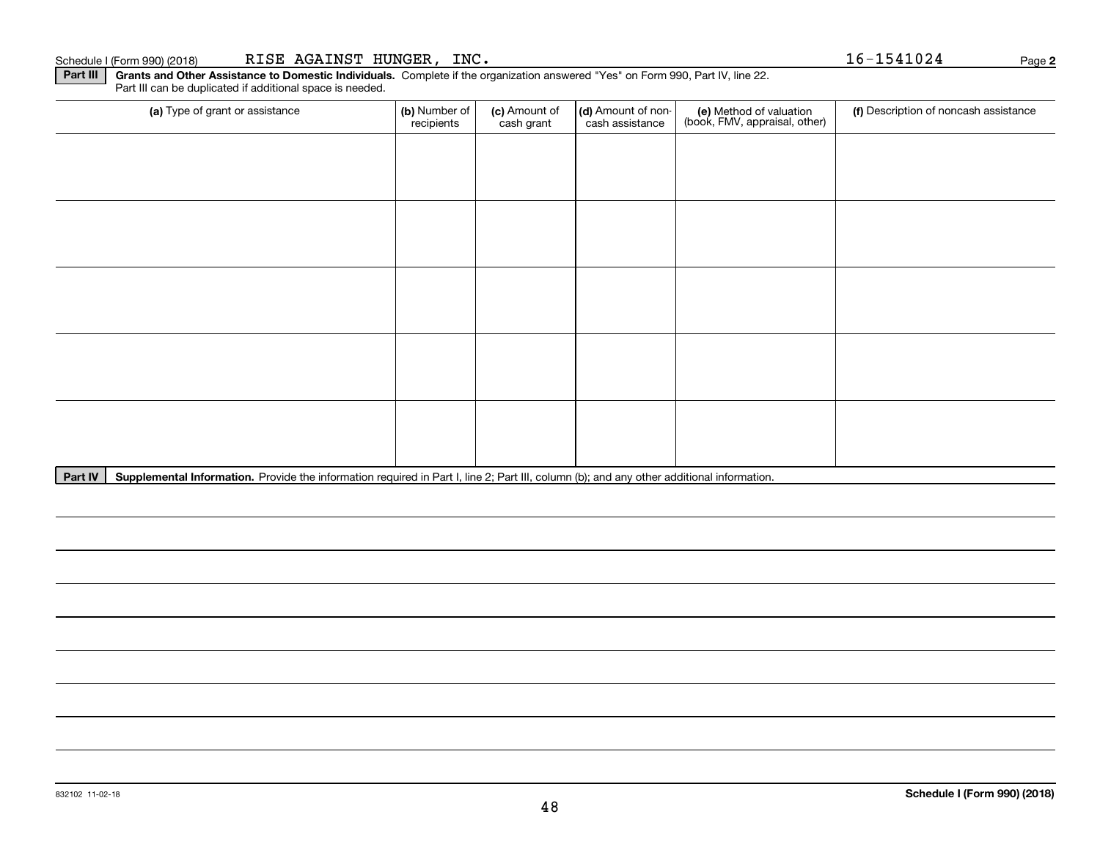**Part III | Grants and Other Assistance to Domestic Individuals. Complete if the organization answered "Yes" on Form 990, Part IV, line 22.** Part III can be duplicated if additional space is needed.

| (a) Type of grant or assistance | (b) Number of<br>recipients | (c) Amount of<br>cash grant | (d) Amount of non-<br>cash assistance | (e) Method of valuation<br>(book, FMV, appraisal, other) | (f) Description of noncash assistance |
|---------------------------------|-----------------------------|-----------------------------|---------------------------------------|----------------------------------------------------------|---------------------------------------|
|                                 |                             |                             |                                       |                                                          |                                       |
|                                 |                             |                             |                                       |                                                          |                                       |
|                                 |                             |                             |                                       |                                                          |                                       |
|                                 |                             |                             |                                       |                                                          |                                       |
|                                 |                             |                             |                                       |                                                          |                                       |
|                                 |                             |                             |                                       |                                                          |                                       |
|                                 |                             |                             |                                       |                                                          |                                       |
|                                 |                             |                             |                                       |                                                          |                                       |
|                                 |                             |                             |                                       |                                                          |                                       |
|                                 |                             |                             |                                       |                                                          |                                       |

Part IV | Supplemental Information. Provide the information required in Part I, line 2; Part III, column (b); and any other additional information.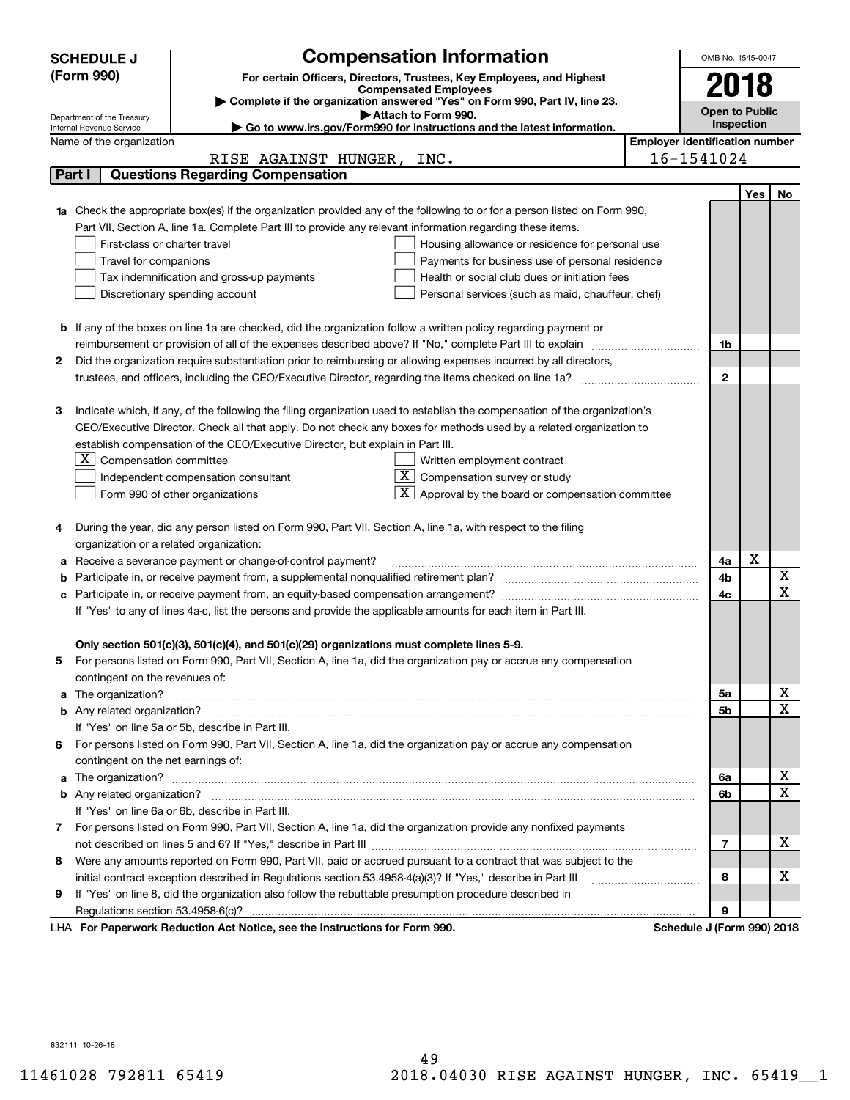|    | <b>Compensation Information</b><br><b>SCHEDULE J</b>                                                                                                 |                                       | OMB No. 1545-0047     |            |                              |
|----|------------------------------------------------------------------------------------------------------------------------------------------------------|---------------------------------------|-----------------------|------------|------------------------------|
|    | (Form 990)<br>For certain Officers, Directors, Trustees, Key Employees, and Highest                                                                  |                                       |                       |            |                              |
|    | <b>Compensated Employees</b>                                                                                                                         |                                       | 2018                  |            |                              |
|    | Complete if the organization answered "Yes" on Form 990, Part IV, line 23.<br>Attach to Form 990.                                                    |                                       | <b>Open to Public</b> |            |                              |
|    | Department of the Treasury<br>Go to www.irs.gov/Form990 for instructions and the latest information.<br>Internal Revenue Service                     |                                       | Inspection            |            |                              |
|    | Name of the organization                                                                                                                             | <b>Employer identification number</b> |                       |            |                              |
|    | RISE AGAINST HUNGER, INC.                                                                                                                            | 16-1541024                            |                       |            |                              |
|    | <b>Questions Regarding Compensation</b><br>Part I                                                                                                    |                                       |                       |            |                              |
|    |                                                                                                                                                      |                                       |                       | <b>Yes</b> | No                           |
|    | <b>1a</b> Check the appropriate box(es) if the organization provided any of the following to or for a person listed on Form 990,                     |                                       |                       |            |                              |
|    | Part VII, Section A, line 1a. Complete Part III to provide any relevant information regarding these items.                                           |                                       |                       |            |                              |
|    | First-class or charter travel<br>Housing allowance or residence for personal use                                                                     |                                       |                       |            |                              |
|    | Travel for companions<br>Payments for business use of personal residence                                                                             |                                       |                       |            |                              |
|    | Tax indemnification and gross-up payments<br>Health or social club dues or initiation fees                                                           |                                       |                       |            |                              |
|    | Discretionary spending account<br>Personal services (such as maid, chauffeur, chef)                                                                  |                                       |                       |            |                              |
|    |                                                                                                                                                      |                                       |                       |            |                              |
|    | <b>b</b> If any of the boxes on line 1a are checked, did the organization follow a written policy regarding payment or                               |                                       |                       |            |                              |
|    | reimbursement or provision of all of the expenses described above? If "No," complete Part III to explain                                             |                                       | 1b                    |            |                              |
| 2  | Did the organization require substantiation prior to reimbursing or allowing expenses incurred by all directors,                                     |                                       |                       |            |                              |
|    | trustees, and officers, including the CEO/Executive Director, regarding the items checked on line 1a?                                                |                                       | $\mathbf{2}$          |            |                              |
|    |                                                                                                                                                      |                                       |                       |            |                              |
| з  | Indicate which, if any, of the following the filing organization used to establish the compensation of the organization's                            |                                       |                       |            |                              |
|    | CEO/Executive Director. Check all that apply. Do not check any boxes for methods used by a related organization to                                   |                                       |                       |            |                              |
|    | establish compensation of the CEO/Executive Director, but explain in Part III.                                                                       |                                       |                       |            |                              |
|    | $X$ Compensation committee<br>Written employment contract                                                                                            |                                       |                       |            |                              |
|    | $\overline{X}$ Compensation survey or study<br>Independent compensation consultant                                                                   |                                       |                       |            |                              |
|    | $\lfloor x \rfloor$ Approval by the board or compensation committee<br>Form 990 of other organizations                                               |                                       |                       |            |                              |
|    |                                                                                                                                                      |                                       |                       |            |                              |
|    | During the year, did any person listed on Form 990, Part VII, Section A, line 1a, with respect to the filing                                         |                                       |                       |            |                              |
|    | organization or a related organization:                                                                                                              |                                       |                       |            |                              |
| а  | Receive a severance payment or change-of-control payment?                                                                                            |                                       | 4a                    | X          |                              |
| b  |                                                                                                                                                      |                                       | 4b                    |            | X                            |
| с  |                                                                                                                                                      |                                       | 4c                    |            | $\overline{\mathbf{x}}$      |
|    | If "Yes" to any of lines 4a-c, list the persons and provide the applicable amounts for each item in Part III.                                        |                                       |                       |            |                              |
|    |                                                                                                                                                      |                                       |                       |            |                              |
|    | Only section 501(c)(3), 501(c)(4), and 501(c)(29) organizations must complete lines 5-9.                                                             |                                       |                       |            |                              |
|    | For persons listed on Form 990, Part VII, Section A, line 1a, did the organization pay or accrue any compensation                                    |                                       |                       |            |                              |
|    | contingent on the revenues of:                                                                                                                       |                                       |                       |            |                              |
| a  |                                                                                                                                                      |                                       | 5a                    |            | x<br>$\overline{\mathbf{x}}$ |
|    |                                                                                                                                                      |                                       | 5b                    |            |                              |
|    | If "Yes" on line 5a or 5b, describe in Part III.                                                                                                     |                                       |                       |            |                              |
| 6. | For persons listed on Form 990, Part VII, Section A, line 1a, did the organization pay or accrue any compensation                                    |                                       |                       |            |                              |
|    | contingent on the net earnings of:                                                                                                                   |                                       |                       |            |                              |
| a  |                                                                                                                                                      |                                       | 6a                    |            | х<br>$\overline{\mathbf{x}}$ |
|    |                                                                                                                                                      |                                       | 6b                    |            |                              |
|    | If "Yes" on line 6a or 6b, describe in Part III.                                                                                                     |                                       |                       |            |                              |
|    | 7 For persons listed on Form 990, Part VII, Section A, line 1a, did the organization provide any nonfixed payments                                   |                                       |                       |            |                              |
|    |                                                                                                                                                      |                                       | 7                     |            | х                            |
| 8  | Were any amounts reported on Form 990, Part VII, paid or accrued pursuant to a contract that was subject to the                                      |                                       |                       |            |                              |
|    | initial contract exception described in Regulations section 53.4958-4(a)(3)? If "Yes," describe in Part III                                          |                                       | 8                     |            | х                            |
| 9  | If "Yes" on line 8, did the organization also follow the rebuttable presumption procedure described in                                               |                                       |                       |            |                              |
|    | Regulations section 53.4958-6(c)?<br><b>Departments Reduction Act Notice, can the Instructions for Form 000</b><br><b>Cohodulo I (Form 000) 2018</b> |                                       | 9                     |            |                              |

LHA For Paperwork Reduction Act Notice, see the Instructions for Form 990. Schedule J (Form 990) 2018

832111 10-26-18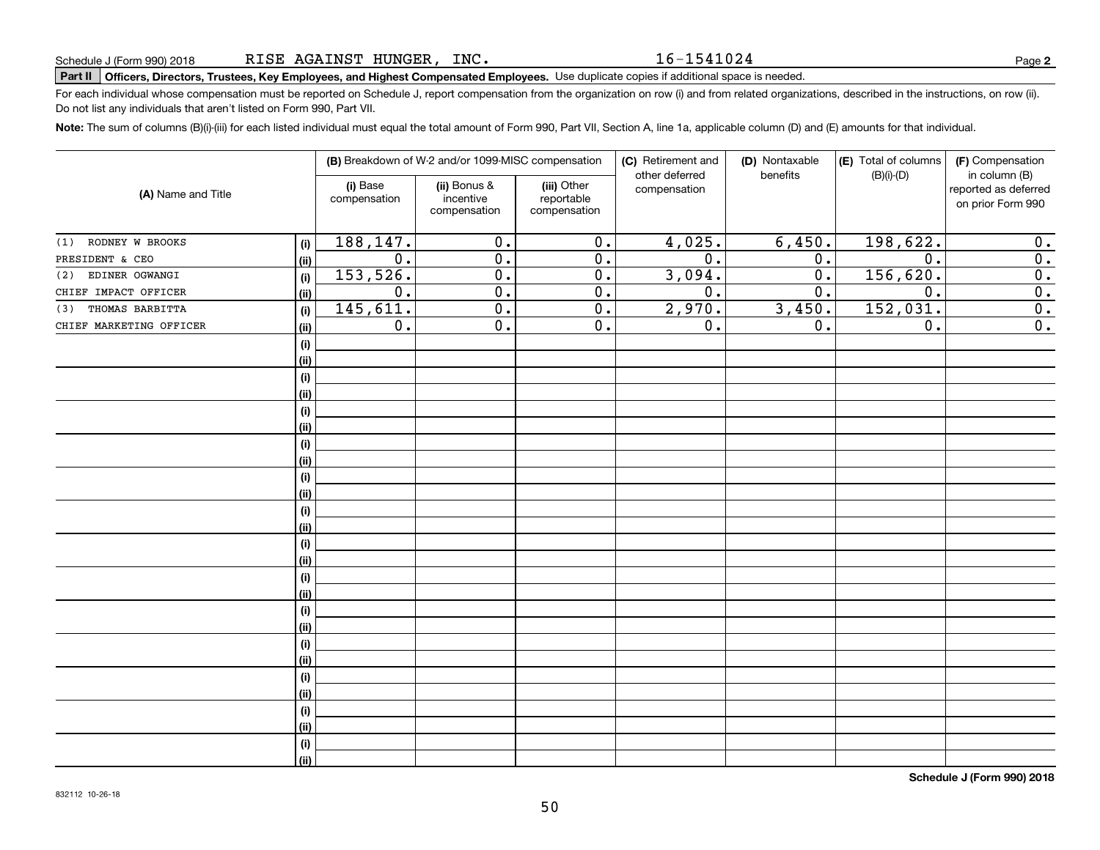16-1541024

# **Part II Officers, Directors, Trustees, Key Employees, and Highest Compensated Employees.**  Schedule J (Form 990) 2018 Page Use duplicate copies if additional space is needed.

For each individual whose compensation must be reported on Schedule J, report compensation from the organization on row (i) and from related organizations, described in the instructions, on row (ii). Do not list any individuals that aren't listed on Form 990, Part VII.

**Note:**  The sum of columns (B)(i)-(iii) for each listed individual must equal the total amount of Form 990, Part VII, Section A, line 1a, applicable column (D) and (E) amounts for that individual.

|                         |      |                          | (B) Breakdown of W-2 and/or 1099-MISC compensation |                                           | (C) Retirement and<br>(D) Nontaxable |                  | (E) Total of columns | (F) Compensation                                           |
|-------------------------|------|--------------------------|----------------------------------------------------|-------------------------------------------|--------------------------------------|------------------|----------------------|------------------------------------------------------------|
| (A) Name and Title      |      | (i) Base<br>compensation | (ii) Bonus &<br>incentive<br>compensation          | (iii) Other<br>reportable<br>compensation | other deferred<br>compensation       | benefits         | $(B)(i)-(D)$         | in column (B)<br>reported as deferred<br>on prior Form 990 |
| (1) RODNEY W BROOKS     | (i)  | 188, 147.                | 0.                                                 | $\overline{0}$ .                          | 4,025.                               | 6,450.           | 198,622.             | 0.                                                         |
| PRESIDENT & CEO         | (ii) | 0.                       | $\overline{0}$ .                                   | $\overline{0}$ .                          | 0.                                   | 0.               | 0.                   | $\overline{0}$ .                                           |
| EDINER OGWANGI<br>(2)   | (i)  | 153,526.                 | $\overline{0}$ .                                   | $\overline{0}$ .                          | 3,094.                               | $\overline{0}$ . | 156,620.             | $\overline{\mathbf{0}}$ .                                  |
| CHIEF IMPACT OFFICER    | (ii) | $\mathbf 0$ .            | $\overline{0}$ .                                   | $\overline{0}$ .                          | 0.                                   | 0.               | 0.                   | $\overline{\mathbf{0}}$ .                                  |
| THOMAS BARBITTA<br>(3)  | (i)  | 145,611.                 | $\overline{0}$ .                                   | $\overline{0}$ .                          | 2,970.                               | 3,450.           | 152,031.             | $\overline{\mathbf{0}}$ .                                  |
| CHIEF MARKETING OFFICER | (ii) | $\overline{0}$ .         | $\overline{0}$ .                                   | $\overline{0}$ .                          | $\overline{0}$ .                     | $\overline{0}$ . | $\overline{0}$ .     | $\overline{0}$ .                                           |
|                         | (i)  |                          |                                                    |                                           |                                      |                  |                      |                                                            |
|                         | (ii) |                          |                                                    |                                           |                                      |                  |                      |                                                            |
|                         | (i)  |                          |                                                    |                                           |                                      |                  |                      |                                                            |
|                         | (ii) |                          |                                                    |                                           |                                      |                  |                      |                                                            |
|                         | (i)  |                          |                                                    |                                           |                                      |                  |                      |                                                            |
|                         | (ii) |                          |                                                    |                                           |                                      |                  |                      |                                                            |
|                         | (i)  |                          |                                                    |                                           |                                      |                  |                      |                                                            |
|                         | (ii) |                          |                                                    |                                           |                                      |                  |                      |                                                            |
|                         | (i)  |                          |                                                    |                                           |                                      |                  |                      |                                                            |
|                         | (ii) |                          |                                                    |                                           |                                      |                  |                      |                                                            |
|                         | (i)  |                          |                                                    |                                           |                                      |                  |                      |                                                            |
|                         | (ii) |                          |                                                    |                                           |                                      |                  |                      |                                                            |
|                         | (i)  |                          |                                                    |                                           |                                      |                  |                      |                                                            |
|                         | (ii) |                          |                                                    |                                           |                                      |                  |                      |                                                            |
|                         | (i)  |                          |                                                    |                                           |                                      |                  |                      |                                                            |
|                         | (ii) |                          |                                                    |                                           |                                      |                  |                      |                                                            |
|                         | (i)  |                          |                                                    |                                           |                                      |                  |                      |                                                            |
|                         | (ii) |                          |                                                    |                                           |                                      |                  |                      |                                                            |
|                         | (i)  |                          |                                                    |                                           |                                      |                  |                      |                                                            |
|                         | (ii) |                          |                                                    |                                           |                                      |                  |                      |                                                            |
|                         | (i)  |                          |                                                    |                                           |                                      |                  |                      |                                                            |
|                         | (ii) |                          |                                                    |                                           |                                      |                  |                      |                                                            |
|                         | (i)  |                          |                                                    |                                           |                                      |                  |                      |                                                            |
|                         | (ii) |                          |                                                    |                                           |                                      |                  |                      |                                                            |
|                         | (i)  |                          |                                                    |                                           |                                      |                  |                      |                                                            |
|                         | (ii) |                          |                                                    |                                           |                                      |                  |                      |                                                            |
|                         |      |                          |                                                    |                                           |                                      |                  |                      |                                                            |

**Schedule J (Form 990) 2018**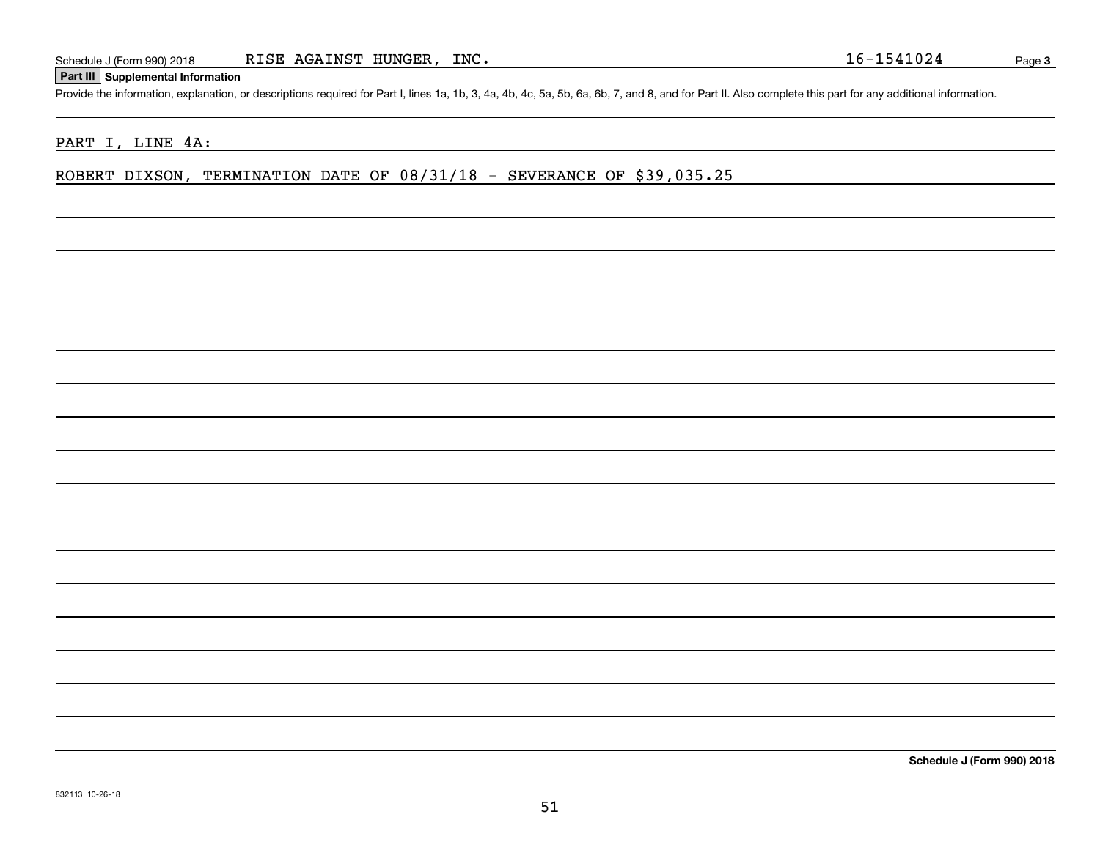## **Part III Supplemental Information**

Schedule J (Form 990) 2018 RISE AGAINST HUNGER, INC.<br>Part III Supplemental Information<br>Provide the information, explanation, or descriptions required for Part I, lines 1a, 1b, 3, 4a, 4b, 4c, 5a, 5b, 6a, 6b, 7, and 8, and f

### PART I, LINE 4A:

ROBERT DIXSON, TERMINATION DATE OF 08/31/18 - SEVERANCE OF \$39,035.25

**Schedule J (Form 990) 2018**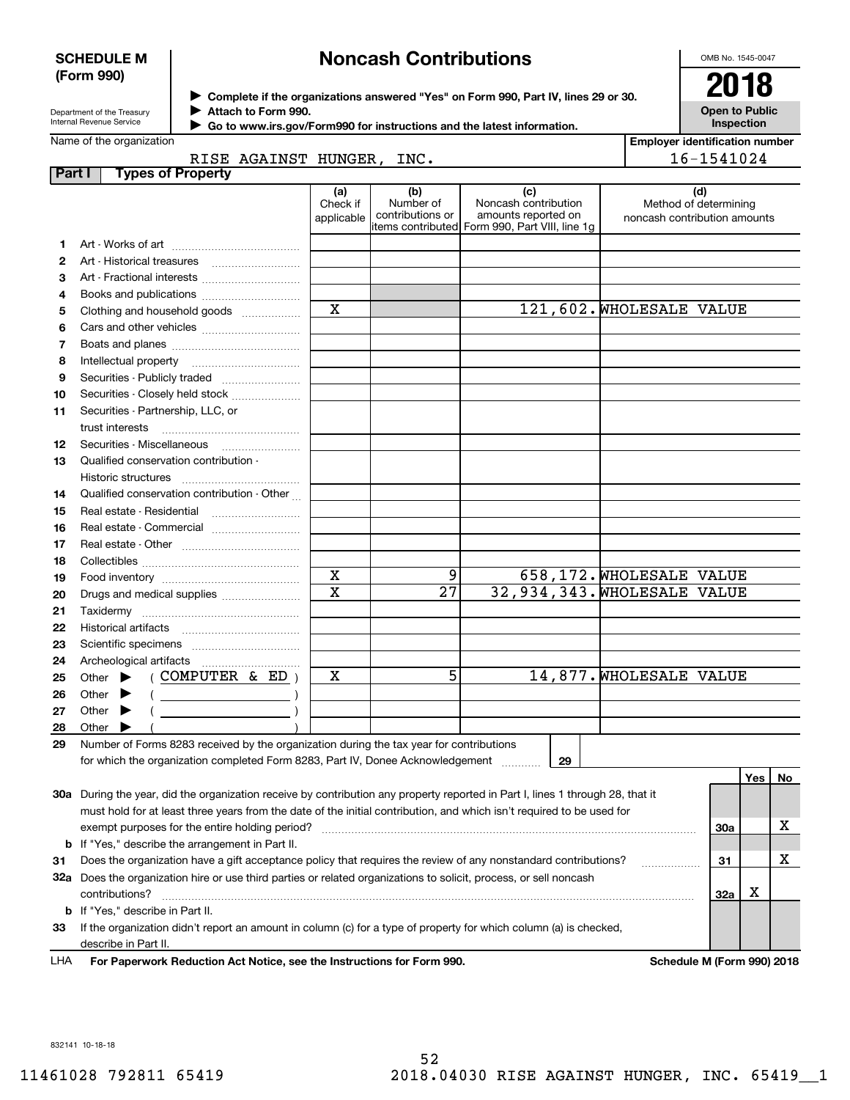### **SCHEDULE M (Form 990)**

# **Noncash Contributions**

OMB No. 1545-0047

| Department of the Treasury |
|----------------------------|
| Internal Revenue Service   |

**Complete if the organizations answered "Yes" on Form 990, Part IV, lines 29 or 30.** <sup>J</sup>**2018 Attach to Form 990.**  $\blacktriangleright$ 

**Open to Public Inspection**

|        | Name of the organization                                                                                                                                                                                                                                                                            |                               |                                      |                                                                                                       |                                                              | <b>Employer identification number</b> |     |    |  |
|--------|-----------------------------------------------------------------------------------------------------------------------------------------------------------------------------------------------------------------------------------------------------------------------------------------------------|-------------------------------|--------------------------------------|-------------------------------------------------------------------------------------------------------|--------------------------------------------------------------|---------------------------------------|-----|----|--|
|        | RISE AGAINST HUNGER, INC.                                                                                                                                                                                                                                                                           |                               |                                      |                                                                                                       | 16-1541024                                                   |                                       |     |    |  |
| Part I | <b>Types of Property</b>                                                                                                                                                                                                                                                                            |                               |                                      |                                                                                                       |                                                              |                                       |     |    |  |
|        |                                                                                                                                                                                                                                                                                                     | (a)<br>Check if<br>applicable | (b)<br>Number of<br>contributions or | (c)<br>Noncash contribution<br>amounts reported on<br>litems contributed Form 990, Part VIII, line 1q | (d)<br>Method of determining<br>noncash contribution amounts |                                       |     |    |  |
| 1      |                                                                                                                                                                                                                                                                                                     |                               |                                      |                                                                                                       |                                                              |                                       |     |    |  |
| 2      |                                                                                                                                                                                                                                                                                                     |                               |                                      |                                                                                                       |                                                              |                                       |     |    |  |
| з      | Art - Fractional interests                                                                                                                                                                                                                                                                          |                               |                                      |                                                                                                       |                                                              |                                       |     |    |  |
| 4      |                                                                                                                                                                                                                                                                                                     |                               |                                      |                                                                                                       |                                                              |                                       |     |    |  |
| 5      | Clothing and household goods                                                                                                                                                                                                                                                                        | $\overline{\mathbf{x}}$       |                                      |                                                                                                       | 121,602. WHOLESALE VALUE                                     |                                       |     |    |  |
| 6      |                                                                                                                                                                                                                                                                                                     |                               |                                      |                                                                                                       |                                                              |                                       |     |    |  |
| 7      |                                                                                                                                                                                                                                                                                                     |                               |                                      |                                                                                                       |                                                              |                                       |     |    |  |
| 8      |                                                                                                                                                                                                                                                                                                     |                               |                                      |                                                                                                       |                                                              |                                       |     |    |  |
| 9      | Securities - Publicly traded                                                                                                                                                                                                                                                                        |                               |                                      |                                                                                                       |                                                              |                                       |     |    |  |
| 10     | Securities - Closely held stock                                                                                                                                                                                                                                                                     |                               |                                      |                                                                                                       |                                                              |                                       |     |    |  |
| 11     | Securities - Partnership, LLC, or                                                                                                                                                                                                                                                                   |                               |                                      |                                                                                                       |                                                              |                                       |     |    |  |
|        | trust interests                                                                                                                                                                                                                                                                                     |                               |                                      |                                                                                                       |                                                              |                                       |     |    |  |
| 12     | Securities - Miscellaneous                                                                                                                                                                                                                                                                          |                               |                                      |                                                                                                       |                                                              |                                       |     |    |  |
| 13     | Qualified conservation contribution -                                                                                                                                                                                                                                                               |                               |                                      |                                                                                                       |                                                              |                                       |     |    |  |
|        | Historic structures                                                                                                                                                                                                                                                                                 |                               |                                      |                                                                                                       |                                                              |                                       |     |    |  |
| 14     | Qualified conservation contribution - Other                                                                                                                                                                                                                                                         |                               |                                      |                                                                                                       |                                                              |                                       |     |    |  |
| 15     |                                                                                                                                                                                                                                                                                                     |                               |                                      |                                                                                                       |                                                              |                                       |     |    |  |
| 16     | Real estate - Commercial                                                                                                                                                                                                                                                                            |                               |                                      |                                                                                                       |                                                              |                                       |     |    |  |
| 17     |                                                                                                                                                                                                                                                                                                     |                               |                                      |                                                                                                       |                                                              |                                       |     |    |  |
| 18     |                                                                                                                                                                                                                                                                                                     |                               |                                      |                                                                                                       |                                                              |                                       |     |    |  |
| 19     |                                                                                                                                                                                                                                                                                                     | $\overline{\mathbf{x}}$       | 9                                    |                                                                                                       | 658,172. WHOLESALE VALUE                                     |                                       |     |    |  |
| 20     | Drugs and medical supplies                                                                                                                                                                                                                                                                          | $\overline{\mathbf{x}}$       | 27                                   |                                                                                                       | 32,934,343. WHOLESALE VALUE                                  |                                       |     |    |  |
| 21     |                                                                                                                                                                                                                                                                                                     |                               |                                      |                                                                                                       |                                                              |                                       |     |    |  |
| 22     |                                                                                                                                                                                                                                                                                                     |                               |                                      |                                                                                                       |                                                              |                                       |     |    |  |
| 23     |                                                                                                                                                                                                                                                                                                     |                               |                                      |                                                                                                       |                                                              |                                       |     |    |  |
| 24     |                                                                                                                                                                                                                                                                                                     |                               |                                      |                                                                                                       |                                                              |                                       |     |    |  |
| 25     | Other $\blacktriangleright$ ( COMPUTER & ED )                                                                                                                                                                                                                                                       | x                             | 5                                    |                                                                                                       | 14,877. WHOLESALE VALUE                                      |                                       |     |    |  |
| 26     | Other $\blacktriangleright$<br>$($ $)$                                                                                                                                                                                                                                                              |                               |                                      |                                                                                                       |                                                              |                                       |     |    |  |
| 27     | Other $\blacktriangleright$                                                                                                                                                                                                                                                                         |                               |                                      |                                                                                                       |                                                              |                                       |     |    |  |
| 28     | Other                                                                                                                                                                                                                                                                                               |                               |                                      |                                                                                                       |                                                              |                                       |     |    |  |
| 29     | Number of Forms 8283 received by the organization during the tax year for contributions                                                                                                                                                                                                             |                               |                                      |                                                                                                       |                                                              |                                       |     |    |  |
|        |                                                                                                                                                                                                                                                                                                     |                               |                                      |                                                                                                       |                                                              |                                       |     |    |  |
|        |                                                                                                                                                                                                                                                                                                     |                               |                                      |                                                                                                       |                                                              |                                       | Yes | No |  |
|        | 30a During the year, did the organization receive by contribution any property reported in Part I, lines 1 through 28, that it                                                                                                                                                                      |                               |                                      |                                                                                                       |                                                              |                                       |     |    |  |
|        | must hold for at least three years from the date of the initial contribution, and which isn't required to be used for                                                                                                                                                                               |                               |                                      |                                                                                                       |                                                              |                                       |     |    |  |
|        |                                                                                                                                                                                                                                                                                                     |                               |                                      |                                                                                                       |                                                              | 30a                                   |     | X  |  |
|        | <b>b</b> If "Yes," describe the arrangement in Part II.                                                                                                                                                                                                                                             |                               |                                      |                                                                                                       |                                                              |                                       |     |    |  |
| 31     | Does the organization have a gift acceptance policy that requires the review of any nonstandard contributions?                                                                                                                                                                                      |                               |                                      |                                                                                                       |                                                              | 31                                    |     | X  |  |
|        |                                                                                                                                                                                                                                                                                                     |                               |                                      |                                                                                                       |                                                              |                                       |     |    |  |
|        |                                                                                                                                                                                                                                                                                                     |                               |                                      |                                                                                                       |                                                              |                                       |     |    |  |
|        |                                                                                                                                                                                                                                                                                                     |                               |                                      |                                                                                                       |                                                              |                                       |     |    |  |
|        | describe in Part II.                                                                                                                                                                                                                                                                                |                               |                                      |                                                                                                       |                                                              |                                       |     |    |  |
| 33     | 32a Does the organization hire or use third parties or related organizations to solicit, process, or sell noncash<br>contributions?<br><b>b</b> If "Yes," describe in Part II.<br>If the organization didn't report an amount in column (c) for a type of property for which column (a) is checked, |                               |                                      |                                                                                                       |                                                              | 32a                                   | х   |    |  |

**For Paperwork Reduction Act Notice, see the Instructions for Form 990. Schedule M (Form 990) 2018** LHA

832141 10-18-18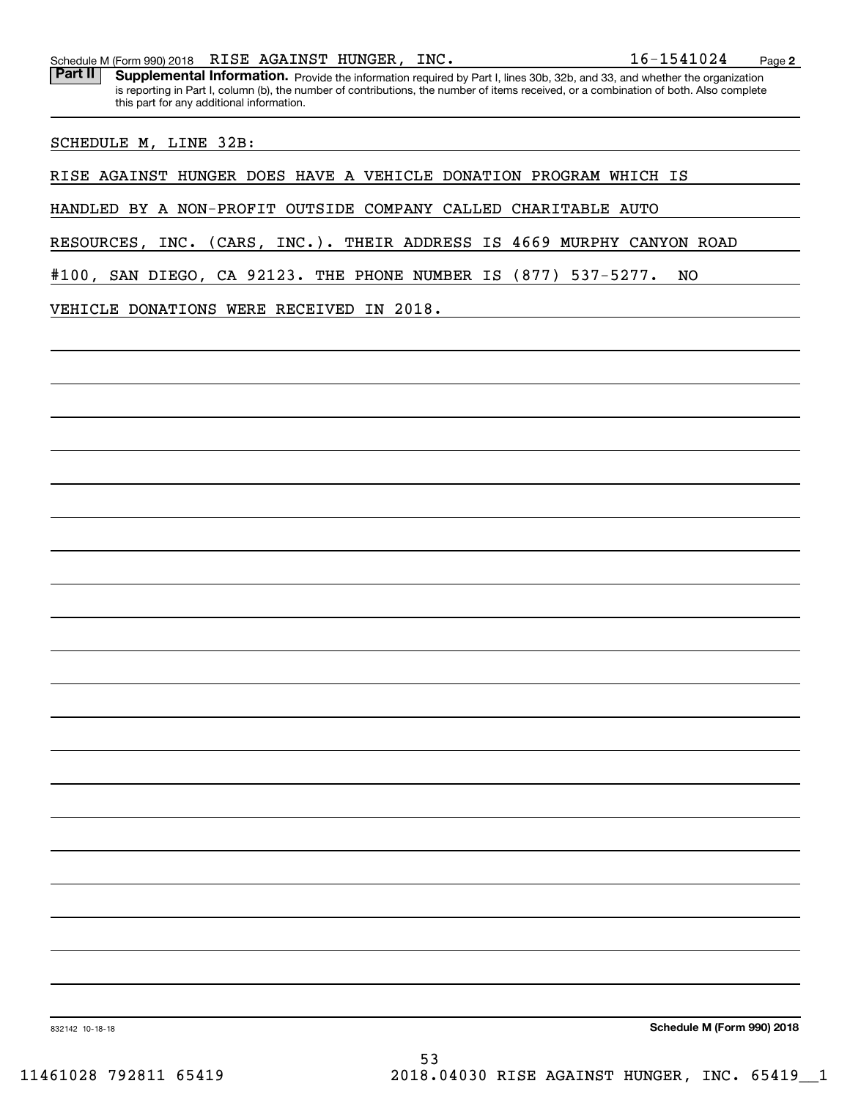Part II | Supplemental Information. Provide the information required by Part I, lines 30b, 32b, and 33, and whether the organization is reporting in Part I, column (b), the number of contributions, the number of items received, or a combination of both. Also complete this part for any additional information.

SCHEDULE M, LINE 32B:

RISE AGAINST HUNGER DOES HAVE A VEHICLE DONATION PROGRAM WHICH IS

HANDLED BY A NON-PROFIT OUTSIDE COMPANY CALLED CHARITABLE AUTO

RESOURCES, INC. (CARS, INC.). THEIR ADDRESS IS 4669 MURPHY CANYON ROAD

#100, SAN DIEGO, CA 92123. THE PHONE NUMBER IS (877) 537-5277. NO

VEHICLE DONATIONS WERE RECEIVED IN 2018.

**Schedule M (Form 990) 2018**

832142 10-18-18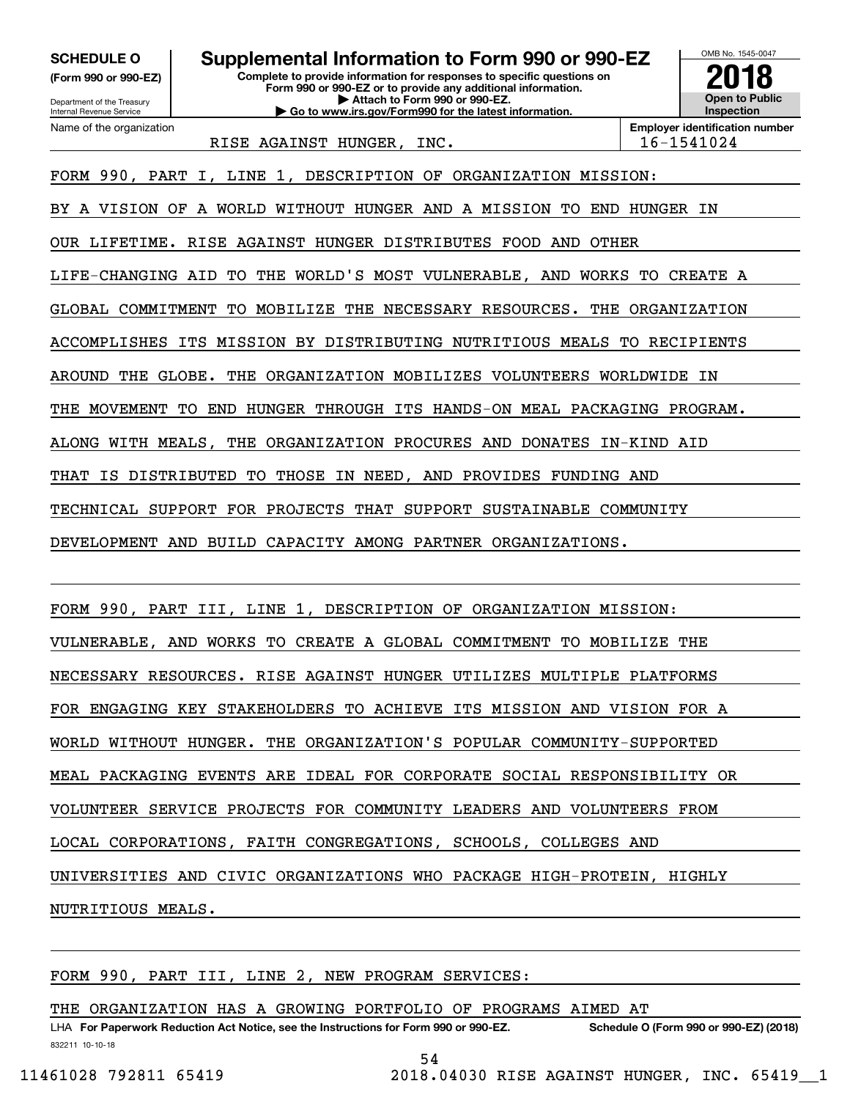**(Form 990 or 990-EZ)**

Department of the Treasury Internal Revenue Service Name of the organization

**Complete to provide information for responses to specific questions on Form 990 or 990-EZ or to provide any additional information. | Attach to Form 990 or 990-EZ. | Go to www.irs.gov/Form990 for the latest information. SCHEDULE O Supplemental Information to Form 990 or 990-EZ**



RISE AGAINST HUNGER, INC. 16-1541024

FORM 990, PART I, LINE 1, DESCRIPTION OF ORGANIZATION MISSION:

BY A VISION OF A WORLD WITHOUT HUNGER AND A MISSION TO END HUNGER IN

OUR LIFETIME. RISE AGAINST HUNGER DISTRIBUTES FOOD AND OTHER

LIFE-CHANGING AID TO THE WORLD'S MOST VULNERABLE, AND WORKS TO CREATE A

GLOBAL COMMITMENT TO MOBILIZE THE NECESSARY RESOURCES. THE ORGANIZATION

ACCOMPLISHES ITS MISSION BY DISTRIBUTING NUTRITIOUS MEALS TO RECIPIENTS

AROUND THE GLOBE. THE ORGANIZATION MOBILIZES VOLUNTEERS WORLDWIDE IN

THE MOVEMENT TO END HUNGER THROUGH ITS HANDS-ON MEAL PACKAGING PROGRAM.

ALONG WITH MEALS, THE ORGANIZATION PROCURES AND DONATES IN-KIND AID

THAT IS DISTRIBUTED TO THOSE IN NEED, AND PROVIDES FUNDING AND

TECHNICAL SUPPORT FOR PROJECTS THAT SUPPORT SUSTAINABLE COMMUNITY

DEVELOPMENT AND BUILD CAPACITY AMONG PARTNER ORGANIZATIONS.

FORM 990, PART III, LINE 1, DESCRIPTION OF ORGANIZATION MISSION:

VULNERABLE, AND WORKS TO CREATE A GLOBAL COMMITMENT TO MOBILIZE THE

NECESSARY RESOURCES. RISE AGAINST HUNGER UTILIZES MULTIPLE PLATFORMS

FOR ENGAGING KEY STAKEHOLDERS TO ACHIEVE ITS MISSION AND VISION FOR A

WORLD WITHOUT HUNGER. THE ORGANIZATION'S POPULAR COMMUNITY-SUPPORTED

MEAL PACKAGING EVENTS ARE IDEAL FOR CORPORATE SOCIAL RESPONSIBILITY OR

VOLUNTEER SERVICE PROJECTS FOR COMMUNITY LEADERS AND VOLUNTEERS FROM

LOCAL CORPORATIONS, FAITH CONGREGATIONS, SCHOOLS, COLLEGES AND

UNIVERSITIES AND CIVIC ORGANIZATIONS WHO PACKAGE HIGH-PROTEIN, HIGHLY

NUTRITIOUS MEALS.

FORM 990, PART III, LINE 2, NEW PROGRAM SERVICES:

THE ORGANIZATION HAS A GROWING PORTFOLIO OF PROGRAMS AIMED AT

832211 10-10-18 LHA For Paperwork Reduction Act Notice, see the Instructions for Form 990 or 990-EZ. Schedule O (Form 990 or 990-EZ) (2018)

54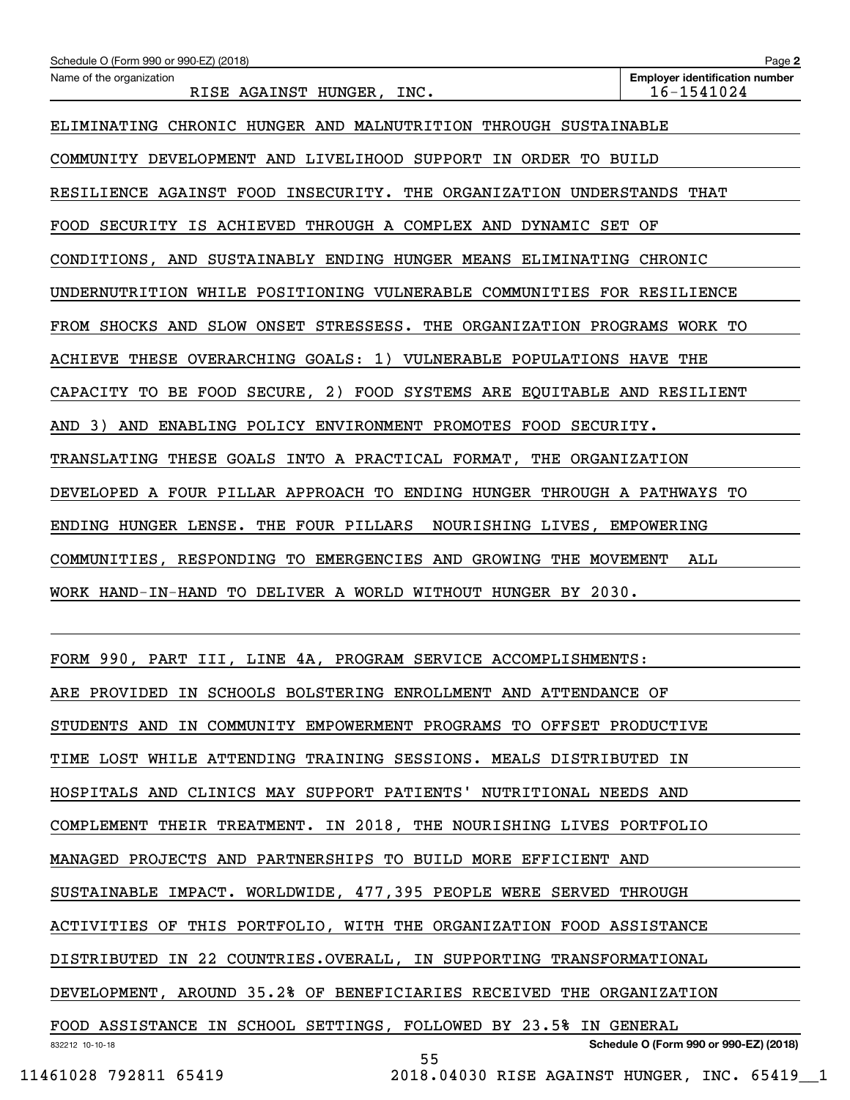| Schedule O (Form 990 or 990-EZ) (2018)                                           | Page 2                                              |
|----------------------------------------------------------------------------------|-----------------------------------------------------|
| Name of the organization<br>RISE AGAINST HUNGER,<br>INC.                         | <b>Employer identification number</b><br>16-1541024 |
| ELIMINATING CHRONIC HUNGER AND MALNUTRITION THROUGH SUSTAINABLE                  |                                                     |
| COMMUNITY DEVELOPMENT AND LIVELIHOOD SUPPORT<br>IN ORDER TO BUILD                |                                                     |
| RESILIENCE AGAINST FOOD<br>INSECURITY.<br>THE<br>ORGANIZATION UNDERSTANDS THAT   |                                                     |
| SECURITY IS ACHIEVED<br>THROUGH A COMPLEX AND DYNAMIC SET<br><b>FOOD</b>         | ОF                                                  |
| CONDITIONS, AND SUSTAINABLY ENDING HUNGER MEANS ELIMINATING                      | CHRONIC                                             |
| UNDERNUTRITION WHILE POSITIONING VULNERABLE COMMUNITIES FOR RESILIENCE           |                                                     |
| FROM SHOCKS AND<br>SLOW ONSET STRESSESS. THE ORGANIZATION PROGRAMS WORK TO       |                                                     |
| THESE<br>OVERARCHING GOALS: 1)<br>VULNERABLE POPULATIONS HAVE<br>ACHIEVE         | THE                                                 |
| TO BE FOOD<br>SECURE,<br>2) FOOD SYSTEMS ARE EOUITABLE AND RESILIENT<br>CAPACITY |                                                     |
| 3)<br>AND<br>ENABLING POLICY ENVIRONMENT PROMOTES FOOD SECURITY.<br>AND          |                                                     |
| TRANSLATING THESE GOALS INTO A PRACTICAL FORMAT,<br>THE ORGANIZATION             |                                                     |
| DEVELOPED A FOUR PILLAR APPROACH TO ENDING HUNGER                                | THROUGH A PATHWAYS<br>TО                            |
| ENDING HUNGER LENSE.<br>THE FOUR PILLARS<br>NOURISHING LIVES, EMPOWERING         |                                                     |
| COMMUNITIES, RESPONDING TO EMERGENCIES AND GROWING THE                           | MOVEMENT<br>ALL                                     |
| WORK HAND-IN-HAND TO DELIVER A WORLD WITHOUT HUNGER BY 2030.                     |                                                     |
|                                                                                  |                                                     |
| FORM 990, PART III, LINE 4A, PROGRAM SERVICE ACCOMPLISHMENTS:                    |                                                     |
| ARE PROVIDED IN SCHOOLS BOLSTERING ENROLLMENT AND ATTENDANCE OF                  |                                                     |
| STUDENTS AND IN COMMUNITY EMPOWERMENT PROGRAMS TO OFFSET PRODUCTIVE              |                                                     |
| TIME LOST WHILE ATTENDING TRAINING SESSIONS. MEALS DISTRIBUTED IN                |                                                     |
| HOSPITALS AND CLINICS MAY SUPPORT PATIENTS' NUTRITIONAL NEEDS AND                |                                                     |
| COMPLEMENT THEIR TREATMENT. IN 2018, THE NOURISHING LIVES PORTFOLIO              |                                                     |
| MANAGED PROJECTS AND PARTNERSHIPS TO BUILD MORE EFFICIENT AND                    |                                                     |
| SUSTAINABLE IMPACT. WORLDWIDE, 477,395 PEOPLE WERE SERVED THROUGH                |                                                     |

ACTIVITIES OF THIS PORTFOLIO, WITH THE ORGANIZATION FOOD ASSISTANCE

DISTRIBUTED IN 22 COUNTRIES.OVERALL, IN SUPPORTING TRANSFORMATIONAL

DEVELOPMENT, AROUND 35.2% OF BENEFICIARIES RECEIVED THE ORGANIZATION

832212 10-10-18 **Schedule O (Form 990 or 990-EZ) (2018)** FOOD ASSISTANCE IN SCHOOL SETTINGS, FOLLOWED BY 23.5% IN GENERAL

55

11461028 792811 65419 2018.04030 RISE AGAINST HUNGER, INC. 65419\_\_1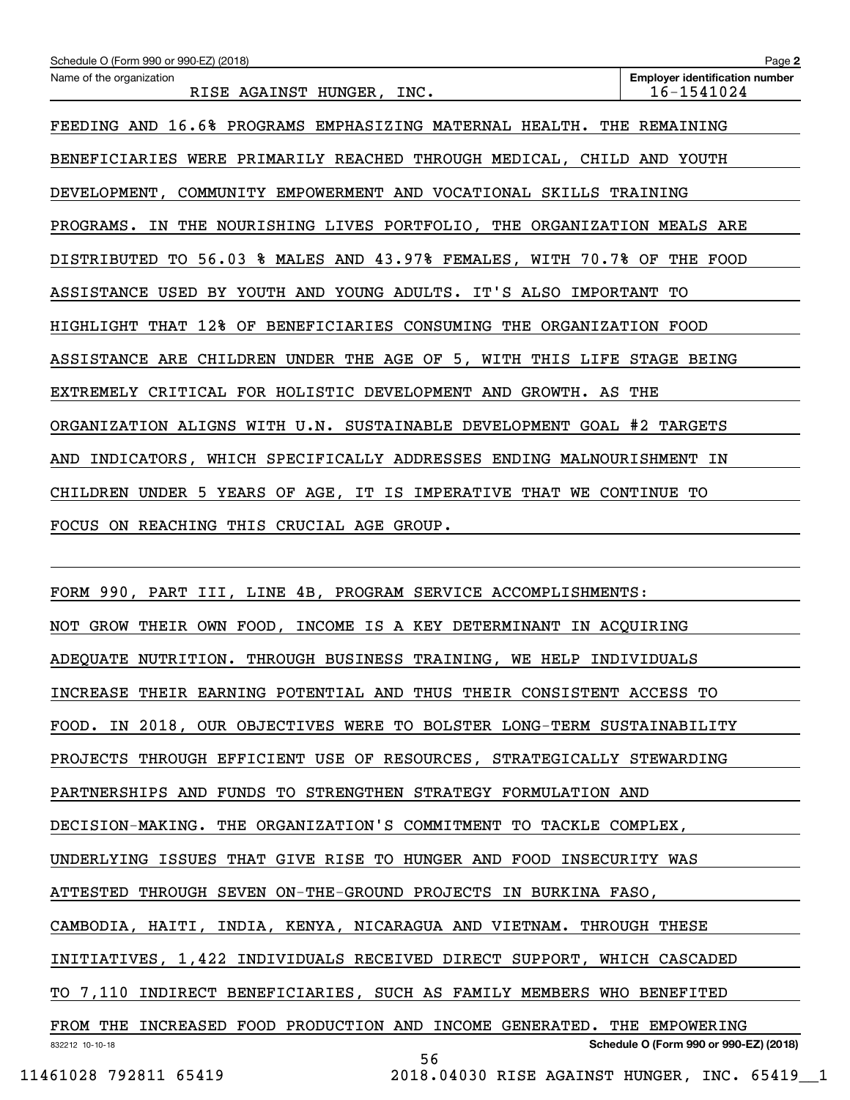| Schedule O (Form 990 or 990-EZ) (2018)                                   | Page 2                                              |  |  |  |
|--------------------------------------------------------------------------|-----------------------------------------------------|--|--|--|
| Name of the organization<br>RISE AGAINST HUNGER, INC.                    | <b>Employer identification number</b><br>16-1541024 |  |  |  |
| FEEDING AND 16.6% PROGRAMS EMPHASIZING MATERNAL HEALTH. THE REMAINING    |                                                     |  |  |  |
| BENEFICIARIES WERE PRIMARILY REACHED THROUGH MEDICAL, CHILD AND YOUTH    |                                                     |  |  |  |
| DEVELOPMENT, COMMUNITY EMPOWERMENT AND VOCATIONAL SKILLS TRAINING        |                                                     |  |  |  |
| PROGRAMS. IN THE NOURISHING LIVES PORTFOLIO, THE ORGANIZATION MEALS ARE  |                                                     |  |  |  |
| DISTRIBUTED TO 56.03 % MALES AND 43.97% FEMALES, WITH 70.7% OF THE FOOD  |                                                     |  |  |  |
| ASSISTANCE USED BY YOUTH AND YOUNG ADULTS. IT'S ALSO IMPORTANT TO        |                                                     |  |  |  |
| HIGHLIGHT THAT 12% OF BENEFICIARIES CONSUMING THE ORGANIZATION FOOD      |                                                     |  |  |  |
| ASSISTANCE ARE CHILDREN UNDER THE AGE OF 5, WITH THIS LIFE STAGE BEING   |                                                     |  |  |  |
| EXTREMELY CRITICAL FOR HOLISTIC DEVELOPMENT AND GROWTH. AS THE           |                                                     |  |  |  |
| ORGANIZATION ALIGNS WITH U.N. SUSTAINABLE DEVELOPMENT GOAL #2 TARGETS    |                                                     |  |  |  |
| INDICATORS, WHICH SPECIFICALLY ADDRESSES ENDING MALNOURISHMENT IN<br>AND |                                                     |  |  |  |
| CHILDREN UNDER 5 YEARS OF AGE, IT IS IMPERATIVE THAT WE CONTINUE TO      |                                                     |  |  |  |
| FOCUS ON REACHING THIS CRUCIAL AGE GROUP.                                |                                                     |  |  |  |
|                                                                          |                                                     |  |  |  |
| FORM 990, PART III, LINE 4B, PROGRAM SERVICE ACCOMPLISHMENTS:            |                                                     |  |  |  |
| NOT GROW THEIR OWN FOOD, INCOME IS A KEY DETERMINANT IN ACQUIRING        |                                                     |  |  |  |

ADEQUATE NUTRITION. THROUGH BUSINESS TRAINING, WE HELP INDIVIDUALS

INCREASE THEIR EARNING POTENTIAL AND THUS THEIR CONSISTENT ACCESS TO

FOOD. IN 2018, OUR OBJECTIVES WERE TO BOLSTER LONG-TERM SUSTAINABILITY

PROJECTS THROUGH EFFICIENT USE OF RESOURCES, STRATEGICALLY STEWARDING

PARTNERSHIPS AND FUNDS TO STRENGTHEN STRATEGY FORMULATION AND

DECISION-MAKING. THE ORGANIZATION'S COMMITMENT TO TACKLE COMPLEX,

UNDERLYING ISSUES THAT GIVE RISE TO HUNGER AND FOOD INSECURITY WAS

ATTESTED THROUGH SEVEN ON-THE-GROUND PROJECTS IN BURKINA FASO,

CAMBODIA, HAITI, INDIA, KENYA, NICARAGUA AND VIETNAM. THROUGH THESE

INITIATIVES, 1,422 INDIVIDUALS RECEIVED DIRECT SUPPORT, WHICH CASCADED

TO 7,110 INDIRECT BENEFICIARIES, SUCH AS FAMILY MEMBERS WHO BENEFITED

832212 10-10-18 **Schedule O (Form 990 or 990-EZ) (2018)** FROM THE INCREASED FOOD PRODUCTION AND INCOME GENERATED. THE EMPOWERING 56

```
 11461028 792811 65419 2018.04030 RISE AGAINST HUNGER, INC. 65419__1
```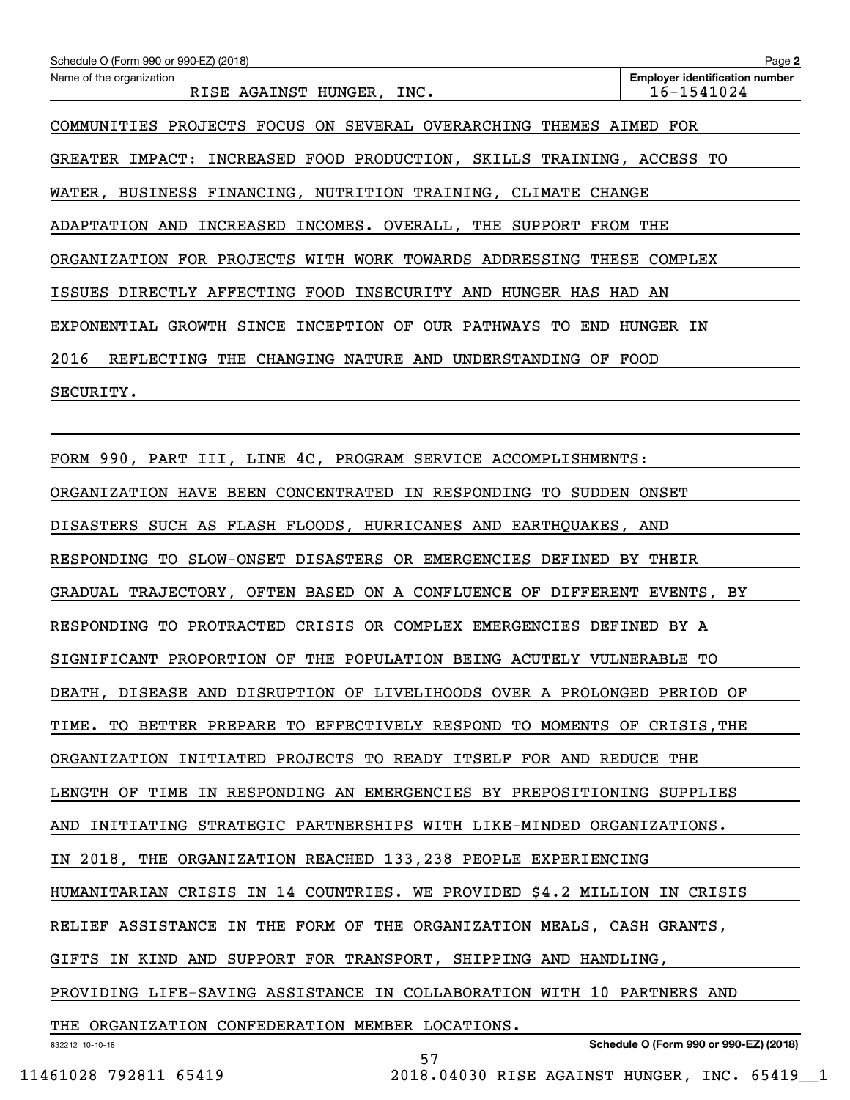| Schedule O (Form 990 or 990-EZ) (2018)                                   | Page 2                                              |
|--------------------------------------------------------------------------|-----------------------------------------------------|
| Name of the organization<br>RISE AGAINST HUNGER, INC.                    | <b>Employer identification number</b><br>16-1541024 |
| COMMUNITIES PROJECTS FOCUS ON SEVERAL OVERARCHING THEMES AIMED FOR       |                                                     |
| GREATER IMPACT: INCREASED FOOD PRODUCTION, SKILLS TRAINING, ACCESS TO    |                                                     |
| WATER, BUSINESS FINANCING, NUTRITION TRAINING, CLIMATE CHANGE            |                                                     |
| ADAPTATION AND INCREASED INCOMES. OVERALL, THE SUPPORT FROM THE          |                                                     |
| ORGANIZATION FOR PROJECTS WITH WORK TOWARDS ADDRESSING THESE COMPLEX     |                                                     |
| ISSUES DIRECTLY AFFECTING FOOD INSECURITY AND HUNGER HAS HAD AN          |                                                     |
| EXPONENTIAL GROWTH SINCE INCEPTION OF OUR PATHWAYS TO END HUNGER IN      |                                                     |
| 2016<br>REFLECTING THE CHANGING NATURE AND UNDERSTANDING OF FOOD         |                                                     |
| SECURITY.                                                                |                                                     |
|                                                                          |                                                     |
| FORM 990, PART III, LINE 4C, PROGRAM SERVICE ACCOMPLISHMENTS:            |                                                     |
| ORGANIZATION HAVE BEEN CONCENTRATED IN RESPONDING TO SUDDEN ONSET        |                                                     |
| DISASTERS SUCH AS FLASH FLOODS, HURRICANES AND EARTHQUAKES, AND          |                                                     |
| RESPONDING TO SLOW-ONSET DISASTERS OR EMERGENCIES DEFINED BY THEIR       |                                                     |
| GRADUAL TRAJECTORY, OFTEN BASED ON A CONFLUENCE OF DIFFERENT EVENTS, BY  |                                                     |
| RESPONDING TO PROTRACTED CRISIS OR COMPLEX EMERGENCIES DEFINED BY A      |                                                     |
| SIGNIFICANT PROPORTION OF THE POPULATION BEING ACUTELY VULNERABLE TO     |                                                     |
| DEATH, DISEASE AND DISRUPTION OF LIVELIHOODS OVER A PROLONGED PERIOD OF  |                                                     |
| TIME. TO BETTER PREPARE TO EFFECTIVELY RESPOND TO MOMENTS OF CRISIS, THE |                                                     |
| ORGANIZATION INITIATED PROJECTS TO READY ITSELF FOR AND REDUCE THE       |                                                     |
| LENGTH OF TIME IN RESPONDING AN EMERGENCIES BY PREPOSITIONING SUPPLIES   |                                                     |
| AND INITIATING STRATEGIC PARTNERSHIPS WITH LIKE-MINDED ORGANIZATIONS.    |                                                     |
| IN 2018, THE ORGANIZATION REACHED 133,238 PEOPLE EXPERIENCING            |                                                     |
| HUMANITARIAN CRISIS IN 14 COUNTRIES. WE PROVIDED \$4.2 MILLION IN CRISIS |                                                     |
| RELIEF ASSISTANCE IN THE FORM OF THE ORGANIZATION MEALS, CASH GRANTS,    |                                                     |
| GIFTS IN KIND AND SUPPORT FOR TRANSPORT, SHIPPING AND HANDLING,          |                                                     |
| PROVIDING LIFE-SAVING ASSISTANCE IN COLLABORATION WITH 10 PARTNERS AND   |                                                     |
| THE ORGANIZATION CONFEDERATION MEMBER LOCATIONS.                         |                                                     |
| 832212 10-10-18<br>57                                                    | Schedule O (Form 990 or 990-EZ) (2018)              |

11461028 792811 65419 2018.04030 RISE AGAINST HUNGER, INC. 65419\_\_1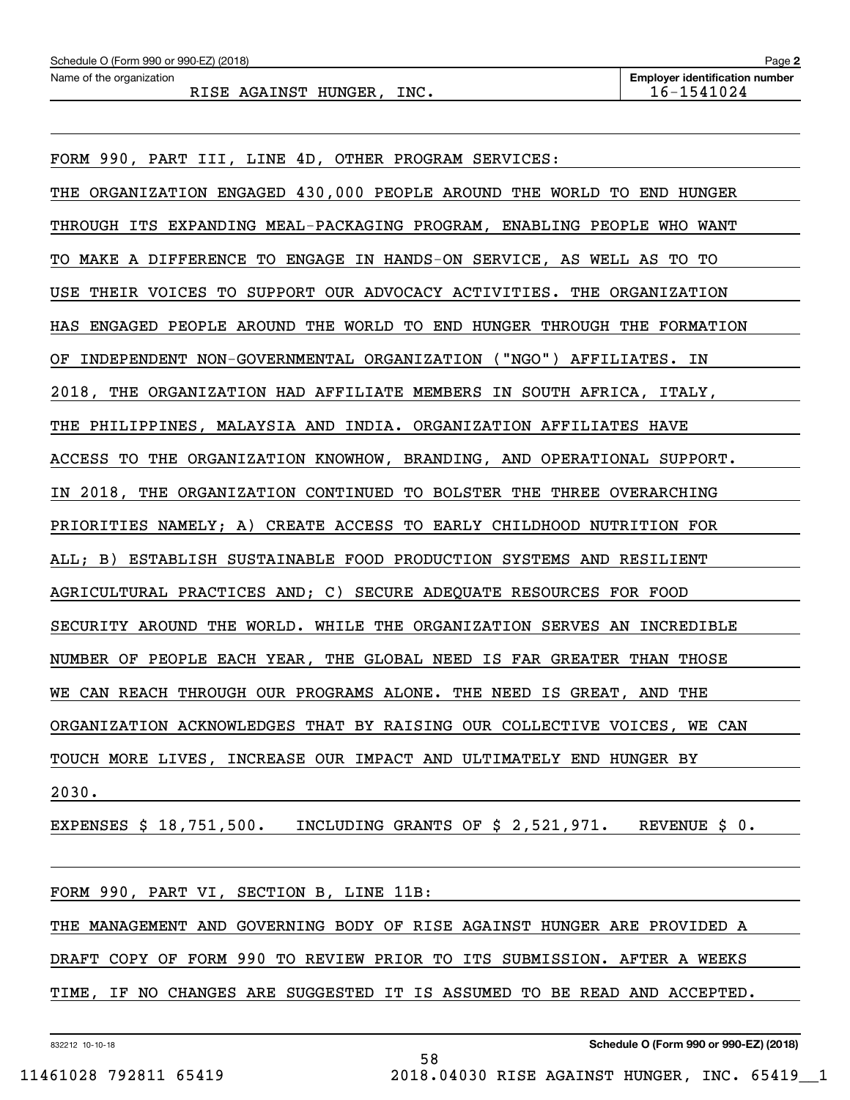FORM 990, PART III, LINE 4D, OTHER PROGRAM SERVICES: THE ORGANIZATION ENGAGED 430,000 PEOPLE AROUND THE WORLD TO END HUNGER THROUGH ITS EXPANDING MEAL-PACKAGING PROGRAM, ENABLING PEOPLE WHO WANT TO MAKE A DIFFERENCE TO ENGAGE IN HANDS-ON SERVICE, AS WELL AS TO TO USE THEIR VOICES TO SUPPORT OUR ADVOCACY ACTIVITIES. THE ORGANIZATION HAS ENGAGED PEOPLE AROUND THE WORLD TO END HUNGER THROUGH THE FORMATION OF INDEPENDENT NON-GOVERNMENTAL ORGANIZATION ("NGO") AFFILIATES. IN 2018, THE ORGANIZATION HAD AFFILIATE MEMBERS IN SOUTH AFRICA, ITALY, THE PHILIPPINES, MALAYSIA AND INDIA. ORGANIZATION AFFILIATES HAVE ACCESS TO THE ORGANIZATION KNOWHOW, BRANDING, AND OPERATIONAL SUPPORT. IN 2018, THE ORGANIZATION CONTINUED TO BOLSTER THE THREE OVERARCHING PRIORITIES NAMELY; A) CREATE ACCESS TO EARLY CHILDHOOD NUTRITION FOR ALL; B) ESTABLISH SUSTAINABLE FOOD PRODUCTION SYSTEMS AND RESILIENT AGRICULTURAL PRACTICES AND; C) SECURE ADEQUATE RESOURCES FOR FOOD SECURITY AROUND THE WORLD. WHILE THE ORGANIZATION SERVES AN INCREDIBLE NUMBER OF PEOPLE EACH YEAR, THE GLOBAL NEED IS FAR GREATER THAN THOSE WE CAN REACH THROUGH OUR PROGRAMS ALONE. THE NEED IS GREAT, AND THE ORGANIZATION ACKNOWLEDGES THAT BY RAISING OUR COLLECTIVE VOICES, WE CAN TOUCH MORE LIVES, INCREASE OUR IMPACT AND ULTIMATELY END HUNGER BY 2030.

EXPENSES \$ 18,751,500. INCLUDING GRANTS OF \$ 2,521,971. REVENUE \$ 0.

FORM 990, PART VI, SECTION B, LINE 11B: THE MANAGEMENT AND GOVERNING BODY OF RISE AGAINST HUNGER ARE PROVIDED A DRAFT COPY OF FORM 990 TO REVIEW PRIOR TO ITS SUBMISSION. AFTER A WEEKS TIME, IF NO CHANGES ARE SUGGESTED IT IS ASSUMED TO BE READ AND ACCEPTED.

58

832212 10-10-18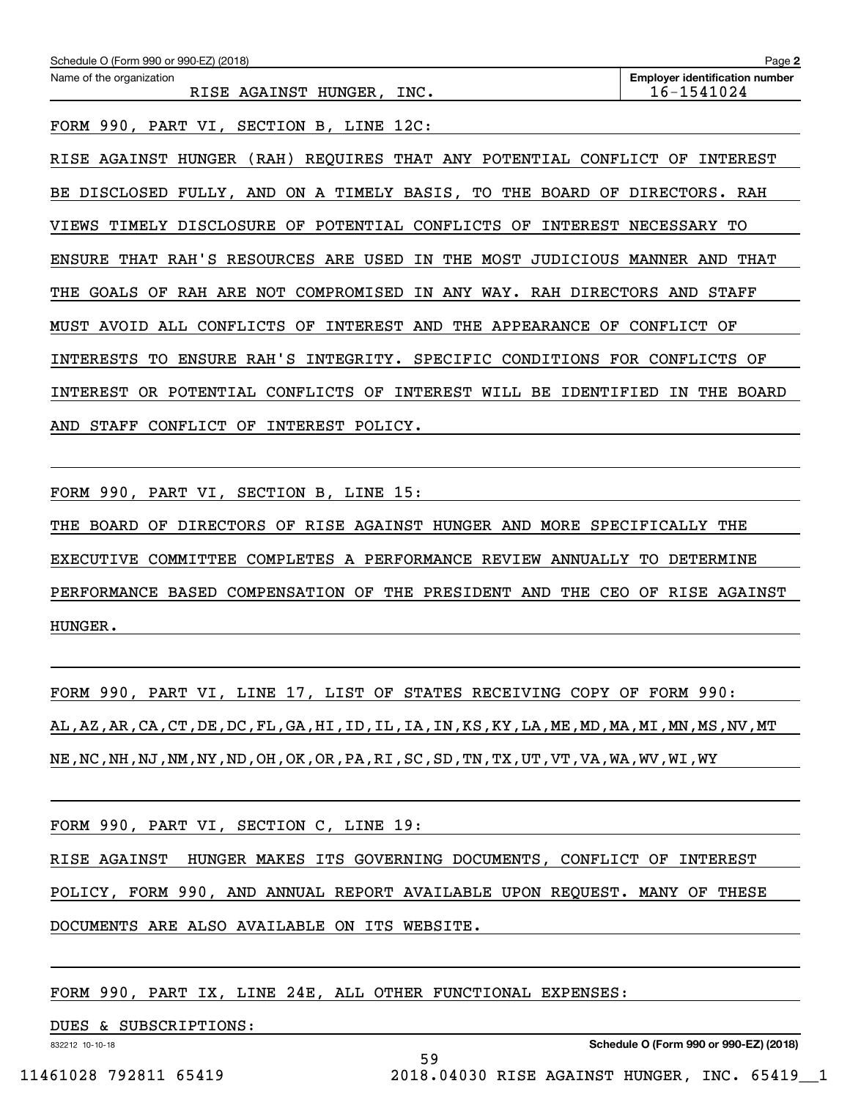| Schedule O (Form 990 or 990-EZ) (2018)                                                  | Page 2                                              |
|-----------------------------------------------------------------------------------------|-----------------------------------------------------|
| Name of the organization<br>RISE AGAINST HUNGER, INC.                                   | <b>Employer identification number</b><br>16-1541024 |
| FORM 990, PART VI,<br>SECTION<br>B, LINE<br>12C:                                        |                                                     |
| REQUIRES THAT ANY POTENTIAL<br>CONFLICT<br>AGAINST<br>HUNGER<br>(RAH)<br>RISE           | OF<br>INTEREST                                      |
| AND ON A TIMELY BASIS,<br>TO THE BOARD<br>OF<br>DISCLOSED<br>FULLY,<br>BE.              | DIRECTORS. RAH                                      |
| TIMELY<br>DISCLOSURE<br>POTENTIAL<br>CONFLICTS<br>INTEREST<br>OF<br>OF<br>VIEWS         | <b>NECESSARY</b><br>TО                              |
| THAT RAH'S RESOURCES ARE USED<br>IN<br>THE<br>MOST<br><b>ENSURE</b><br>JUDICIOUS        | MANNER<br>THAT<br>AND                               |
| GOALS<br>OF<br>RAH ARE<br>NOT<br>COMPROMISED<br>IN ANY WAY. RAH DIRECTORS<br>THE        | AND<br>STAFF                                        |
| CONFLICTS<br>INTEREST AND<br>MUST AVOID<br>ALL<br>OF<br>THE<br>APPEARANCE<br>OF         | CONFLICT<br>OF                                      |
| RAH'S<br><b>INTERESTS</b><br><b>ENSURE</b><br>INTEGRITY. SPECIFIC<br>CONDITIONS<br>TО   | FOR<br>CONFLICTS<br>OF                              |
| OR.<br>POTENTIAL<br>CONFLICTS<br>INTEREST<br>WILL<br>BE<br>IDENTIFIED<br>INTEREST<br>OF | ΙN<br>THE<br><b>BOARD</b>                           |
| STAFF<br>INTEREST<br>AND<br>CONFLICT<br>ΟF<br>POLICY.                                   |                                                     |

FORM 990, PART VI, SECTION B, LINE 15:

THE BOARD OF DIRECTORS OF RISE AGAINST HUNGER AND MORE SPECIFICALLY THE EXECUTIVE COMMITTEE COMPLETES A PERFORMANCE REVIEW ANNUALLY TO DETERMINE PERFORMANCE BASED COMPENSATION OF THE PRESIDENT AND THE CEO OF RISE AGAINST HUNGER.

FORM 990, PART VI, LINE 17, LIST OF STATES RECEIVING COPY OF FORM 990: AL,AZ,AR,CA,CT,DE,DC,FL,GA,HI,ID,IL,IA,IN,KS,KY,LA,ME,MD,MA,MI,MN,MS,NV,MT NE,NC,NH,NJ,NM,NY,ND,OH,OK,OR,PA,RI,SC,SD,TN,TX,UT,VT,VA,WA,WV,WI,WY

FORM 990, PART VI, SECTION C, LINE 19:

RISE AGAINST HUNGER MAKES ITS GOVERNING DOCUMENTS, CONFLICT OF INTEREST

POLICY, FORM 990, AND ANNUAL REPORT AVAILABLE UPON REQUEST. MANY OF THESE

59

DOCUMENTS ARE ALSO AVAILABLE ON ITS WEBSITE.

FORM 990, PART IX, LINE 24E, ALL OTHER FUNCTIONAL EXPENSES:

DUES & SUBSCRIPTIONS:

832212 10-10-18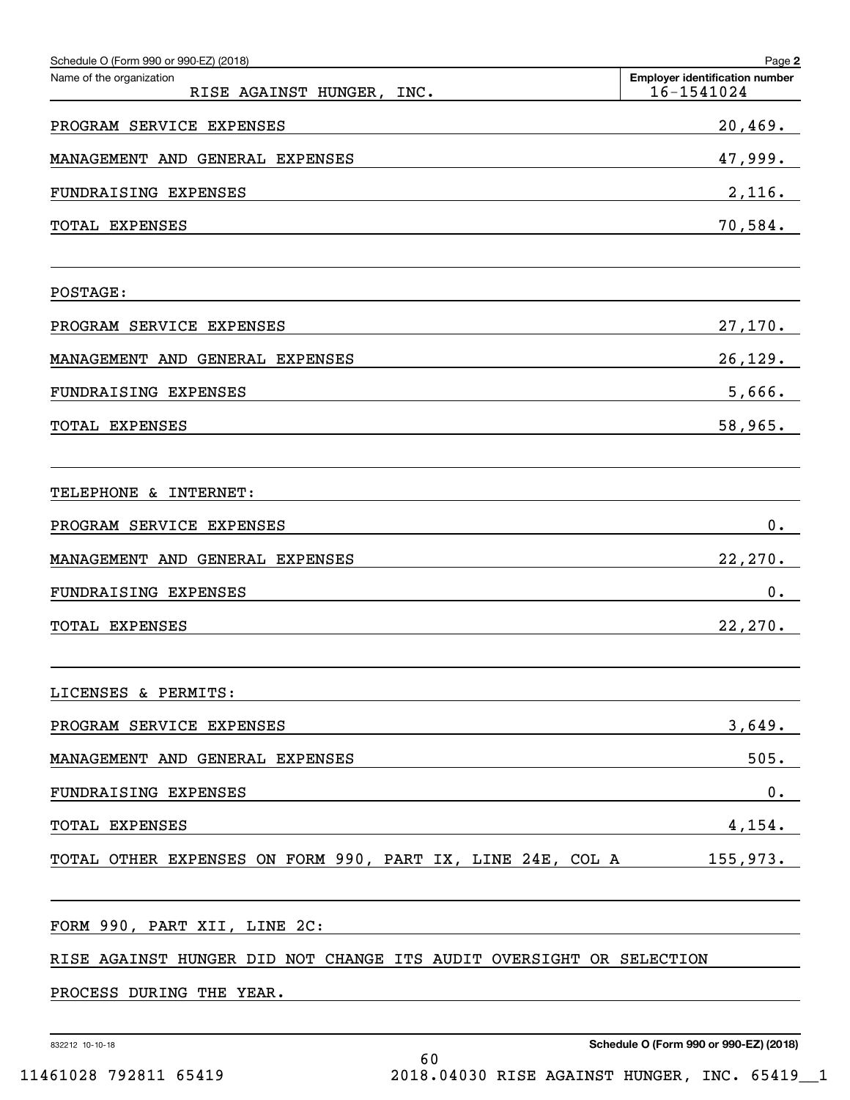| Schedule O (Form 990 or 990-EZ) (2018)                               | Page 2                                              |
|----------------------------------------------------------------------|-----------------------------------------------------|
| Name of the organization<br>RISE AGAINST HUNGER, INC.                | <b>Employer identification number</b><br>16-1541024 |
| PROGRAM SERVICE EXPENSES                                             | 20,469.                                             |
| MANAGEMENT AND GENERAL EXPENSES                                      | 47,999.                                             |
| FUNDRAISING EXPENSES                                                 | 2,116.                                              |
| TOTAL EXPENSES                                                       | 70,584.                                             |
| POSTAGE:                                                             |                                                     |
| PROGRAM SERVICE EXPENSES                                             | 27,170.                                             |
| MANAGEMENT AND GENERAL EXPENSES                                      | 26, 129.                                            |
| FUNDRAISING EXPENSES                                                 | 5,666.                                              |
| TOTAL EXPENSES                                                       | 58,965.                                             |
|                                                                      |                                                     |
| TELEPHONE & INTERNET:                                                |                                                     |
| PROGRAM SERVICE EXPENSES                                             | 0.                                                  |
| MANAGEMENT AND GENERAL EXPENSES                                      | 22, 270.                                            |
| FUNDRAISING EXPENSES                                                 | 0.                                                  |
| TOTAL EXPENSES                                                       | 22, 270.                                            |
| LICENSES & PERMITS:                                                  |                                                     |
| PROGRAM SERVICE EXPENSES                                             | 3,649.                                              |
| MANAGEMENT AND GENERAL EXPENSES                                      | 505.                                                |
| FUNDRAISING EXPENSES                                                 | 0.                                                  |
| TOTAL EXPENSES                                                       | 4,154.                                              |
| TOTAL OTHER EXPENSES ON FORM 990, PART IX, LINE 24E, COL A 155, 973. |                                                     |
| FORM 990, PART XII, LINE 2C:                                         |                                                     |
| RISE AGAINST HUNGER DID NOT CHANGE ITS AUDIT OVERSIGHT OR SELECTION  |                                                     |
| PROCESS DURING THE YEAR.                                             |                                                     |
|                                                                      |                                                     |

832212 10-10-18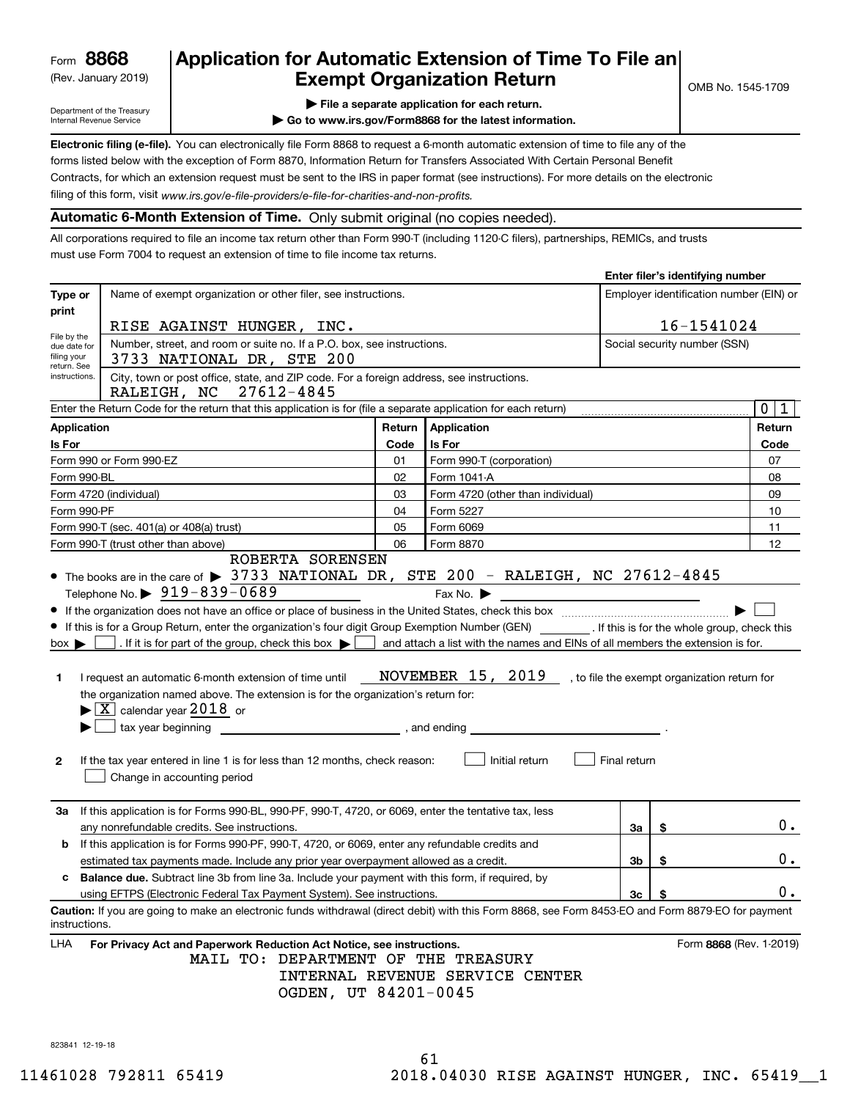(Rev. January 2019)

## **Application for Automatic Extension of Time To File an Exempt Organization Return**

Department of the Treasury Internal Revenue Service

**| File a separate application for each return.**

**| Go to www.irs.gov/Form8868 for the latest information.**

**Electronic filing (e-file).**  You can electronically file Form 8868 to request a 6-month automatic extension of time to file any of the filing of this form, visit www.irs.gov/e-file-providers/e-file-for-charities-and-non-profits. forms listed below with the exception of Form 8870, Information Return for Transfers Associated With Certain Personal Benefit Contracts, for which an extension request must be sent to the IRS in paper format (see instructions). For more details on the electronic

**Automatic 6-Month Extension of Time.** Only submit original (no copies needed).

All corporations required to file an income tax return other than Form 990-T (including 1120-C filers), partnerships, REMICs, and trusts must use Form 7004 to request an extension of time to file income tax returns.

|                                                           |                                                                                                                                                                     |                                                                                                        |                                                                                                                                                                                                                                |              | Enter filer's identifying number        |               |  |  |  |
|-----------------------------------------------------------|---------------------------------------------------------------------------------------------------------------------------------------------------------------------|--------------------------------------------------------------------------------------------------------|--------------------------------------------------------------------------------------------------------------------------------------------------------------------------------------------------------------------------------|--------------|-----------------------------------------|---------------|--|--|--|
| Type or<br>print                                          | Name of exempt organization or other filer, see instructions.                                                                                                       |                                                                                                        |                                                                                                                                                                                                                                |              | Employer identification number (EIN) or |               |  |  |  |
|                                                           |                                                                                                                                                                     | 16-1541024<br>RISE AGAINST HUNGER, INC.                                                                |                                                                                                                                                                                                                                |              |                                         |               |  |  |  |
| File by the<br>due date for<br>filing your<br>return. See | 3733 NATIONAL DR, STE 200                                                                                                                                           | Number, street, and room or suite no. If a P.O. box, see instructions.<br>Social security number (SSN) |                                                                                                                                                                                                                                |              |                                         |               |  |  |  |
| instructions.                                             | City, town or post office, state, and ZIP code. For a foreign address, see instructions.<br>RALEIGH, NC<br>27612-4845                                               |                                                                                                        |                                                                                                                                                                                                                                |              |                                         |               |  |  |  |
|                                                           | Enter the Return Code for the return that this application is for (file a separate application for each return)                                                     |                                                                                                        |                                                                                                                                                                                                                                |              |                                         | 0 1           |  |  |  |
|                                                           | <b>Application</b>                                                                                                                                                  | Return                                                                                                 | <b>Application</b>                                                                                                                                                                                                             |              |                                         | Return        |  |  |  |
| Is For                                                    |                                                                                                                                                                     | Code                                                                                                   | Is For                                                                                                                                                                                                                         |              |                                         | Code          |  |  |  |
|                                                           | Form 990 or Form 990-EZ                                                                                                                                             | 01                                                                                                     | Form 990-T (corporation)                                                                                                                                                                                                       |              |                                         | 07            |  |  |  |
|                                                           | Form 990-BL                                                                                                                                                         | 02                                                                                                     | Form 1041-A                                                                                                                                                                                                                    |              |                                         | 08            |  |  |  |
|                                                           | Form 4720 (individual)                                                                                                                                              | 03                                                                                                     | Form 4720 (other than individual)                                                                                                                                                                                              |              |                                         | 09            |  |  |  |
|                                                           | Form 990-PF                                                                                                                                                         | 04                                                                                                     | Form 5227                                                                                                                                                                                                                      |              |                                         | 10            |  |  |  |
|                                                           | Form 990-T (sec. 401(a) or 408(a) trust)                                                                                                                            | 05                                                                                                     | Form 6069                                                                                                                                                                                                                      |              |                                         | 11            |  |  |  |
|                                                           | Form 990-T (trust other than above)                                                                                                                                 | 06                                                                                                     | Form 8870                                                                                                                                                                                                                      |              |                                         | 12            |  |  |  |
|                                                           | ROBERTA SORENSEN                                                                                                                                                    |                                                                                                        |                                                                                                                                                                                                                                |              |                                         |               |  |  |  |
|                                                           | • The books are in the care of > 3733 NATIONAL DR, STE 200 - RALEIGH, NC 27612-4845                                                                                 |                                                                                                        |                                                                                                                                                                                                                                |              |                                         |               |  |  |  |
|                                                           | Telephone No. ▶ $919 - 839 - 0689$                                                                                                                                  |                                                                                                        | Fax No. $\blacktriangleright$<br><u> 1989 - Andrea Barbara, política esta</u>                                                                                                                                                  |              |                                         |               |  |  |  |
|                                                           |                                                                                                                                                                     |                                                                                                        |                                                                                                                                                                                                                                |              |                                         |               |  |  |  |
|                                                           | If this is for a Group Return, enter the organization's four digit Group Exemption Number (GEN) [15] If this is for the whole group, check this                     |                                                                                                        |                                                                                                                                                                                                                                |              |                                         |               |  |  |  |
| $box \blacktriangleright$                                 | . If it is for part of the group, check this box $\blacktriangleright$                                                                                              |                                                                                                        | and attach a list with the names and EINs of all members the extension is for.                                                                                                                                                 |              |                                         |               |  |  |  |
| 1.                                                        | I request an automatic 6-month extension of time until                                                                                                              |                                                                                                        | NOVEMBER 15, 2019 , to file the exempt organization return for                                                                                                                                                                 |              |                                         |               |  |  |  |
|                                                           | the organization named above. The extension is for the organization's return for:<br>$\blacktriangleright$ $\lfloor$ X $\rfloor$ calendar year 2018 or              |                                                                                                        |                                                                                                                                                                                                                                |              |                                         |               |  |  |  |
|                                                           | tax year beginning                                                                                                                                                  |                                                                                                        | , and ending the contract of the contract of the contract of the contract of the contract of the contract of the contract of the contract of the contract of the contract of the contract of the contract of the contract of t |              |                                         |               |  |  |  |
|                                                           |                                                                                                                                                                     |                                                                                                        |                                                                                                                                                                                                                                |              |                                         |               |  |  |  |
| 2                                                         | If the tax year entered in line 1 is for less than 12 months, check reason:<br>Change in accounting period                                                          |                                                                                                        | Initial return                                                                                                                                                                                                                 | Final return |                                         |               |  |  |  |
| За                                                        | If this application is for Forms 990-BL, 990-PF, 990-T, 4720, or 6069, enter the tentative tax, less                                                                |                                                                                                        |                                                                                                                                                                                                                                |              |                                         |               |  |  |  |
|                                                           | any nonrefundable credits. See instructions.                                                                                                                        |                                                                                                        |                                                                                                                                                                                                                                | За           | \$                                      | $0$ .         |  |  |  |
| b                                                         | If this application is for Forms 990-PF, 990-T, 4720, or 6069, enter any refundable credits and                                                                     |                                                                                                        |                                                                                                                                                                                                                                |              |                                         |               |  |  |  |
|                                                           | estimated tax payments made. Include any prior year overpayment allowed as a credit.                                                                                |                                                                                                        |                                                                                                                                                                                                                                | 3b           | \$                                      | $0$ .         |  |  |  |
|                                                           | <b>Balance due.</b> Subtract line 3b from line 3a. Include your payment with this form, if required, by                                                             |                                                                                                        |                                                                                                                                                                                                                                |              |                                         |               |  |  |  |
|                                                           | using EFTPS (Electronic Federal Tax Payment System). See instructions.                                                                                              |                                                                                                        |                                                                                                                                                                                                                                | $3c$   \$    |                                         | $\mathbf 0$ . |  |  |  |
|                                                           | Caution: If you are going to make an electronic funds withdrawal (direct debit) with this Form 8868, see Form 8453-EO and Form 8879-EO for payment<br>instructions. |                                                                                                        |                                                                                                                                                                                                                                |              |                                         |               |  |  |  |
| LHA                                                       | For Privacy Act and Paperwork Reduction Act Notice, see instructions.<br>MAIL TO: DEPARTMENT OF THE TREASURY<br>OGDEN, UT 84201-0045                                |                                                                                                        | INTERNAL REVENUE SERVICE CENTER                                                                                                                                                                                                |              | Form 8868 (Rev. 1-2019)                 |               |  |  |  |

823841 12-19-18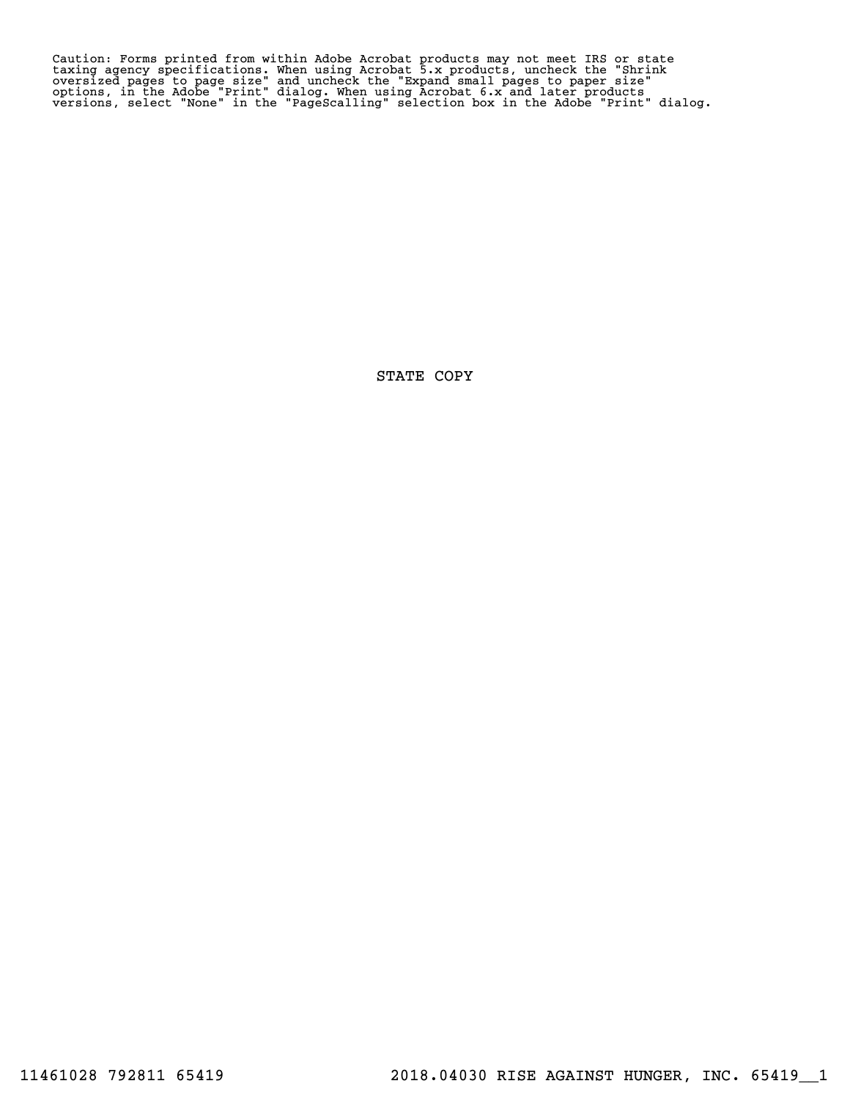Caution: Forms printed from within Adobe Acrobat products may not meet IRS or state<br>taxing agency specifications. When using Acrobat 5.x products, uncheck the "Shrink<br>oversized pages to page size" and uncheck the "Expand s

STATE COPY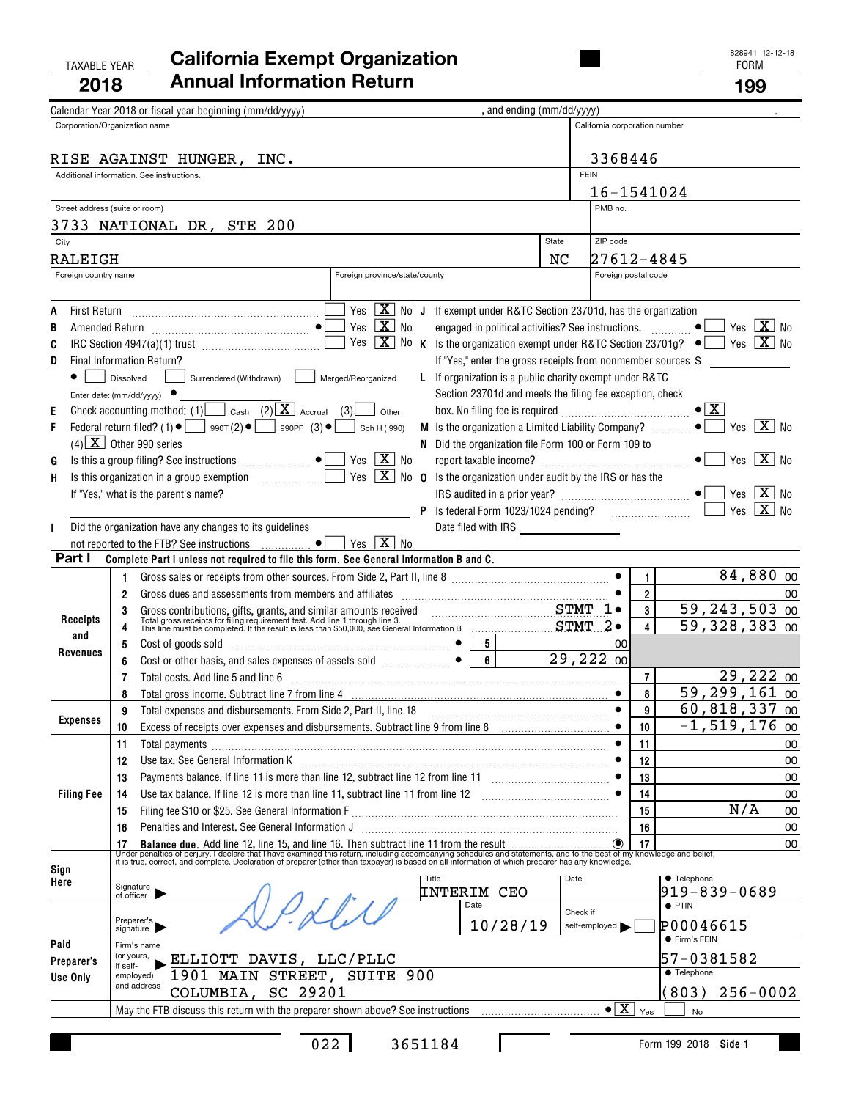### TAXABLE YEAR FORM **California Exempt Organization 2018Annual Information Return <sup>199</sup>**

| Calendar Year 2018 or fiscal year beginning (mm/dd/yyyy)<br>Corporation/Organization name<br>California corporation number<br>3368446<br>RISE AGAINST HUNGER, INC.<br><b>FEIN</b><br>Additional information. See instructions.<br>16-1541024<br>PMB no.<br>Street address (suite or room)<br>3733 NATIONAL DR, STE 200<br>ZIP code<br>State<br>City<br>NC<br> 27612-4845<br><b>RALEIGH</b><br>Foreign country name<br>Foreign province/state/county<br>Foreign postal code<br>$Yes \ \boxed{X}$<br>No l<br>J If exempt under R&TC Section 23701d, has the organization<br>First Return<br>A<br>Yes $\boxed{\mathbf{X}}$ No<br>Yes $X$ No<br>engaged in political activities? See instructions.<br>$\bullet$<br>В<br>Yes $\boxed{\mathbf{X}}$ No   K Is the organization exempt under R&TC Section 23701g? $\bullet$<br>Yes $X$ No<br>C<br>If "Yes," enter the gross receipts from nonmember sources \$<br>D<br>Final Information Return?<br>Surrendered (Withdrawn)<br>L If organization is a public charity exempt under R&TC<br>Dissolved<br>Merged/Reorganized<br>Section 23701d and meets the filing fee exception, check<br>Enter date: $(mm/dd/yyyy)$<br>Check accounting method: (1) Cash (2) $\boxed{\mathbf{X}}$ Accrual (3)<br>$\bullet$ $\mathbf{X}$<br>Ε<br>Other<br>Yes $\overline{X}$ No<br>Federal return filed? (1) $\bullet$ $\Box$ 990T (2) $\bullet$ $\Box$ 990PF (3) $\bullet$<br>F<br>Sch H (990)<br>$(4)$ $X$ Other 990 series<br>N Did the organization file Form 100 or Form 109 to<br>Yes $\boxed{\mathbf{X}}$ No<br>Yes $\overline{\mathbf{X}}$ No<br>G<br>$\boxed{\text{X}}$ No<br>Yes<br><b>0</b> Is the organization under audit by the IRS or has the<br>н<br>Yes $ \overline{X} $<br>If "Yes," what is the parent's name?<br>- No<br>Yes $X$ No<br>Did the organization have any changes to its guidelines<br>Date filed with IRS ____________________<br>Yes $\boxed{\mathbf{X}}$ No<br>not reported to the FTB? See instructions  • [<br>Part I<br>Complete Part I unless not required to file this form. See General Information B and C.<br>$84,880 _{00}$<br>$\mathbf{1}$<br>1.<br>$\overline{\mathbf{2}}$<br>00<br>2<br>Gross dues and assessments from members and affiliates [111] [11] contain an assessments from members and affiliates<br>$\overline{59,243,503 _{00}}$<br>3<br>STMT 1.<br>3<br>Gross contributions, gifts, grants, and similar amounts received<br>Total gross receipts for filing requirement test. Add line 1 through line 3.<br>This line must be completed. If the result is less than \$50,000, see General Inf<br><b>Receipts</b><br>$\overline{59}$ , 328, 383 00<br>4<br>4<br>and<br>5 <br>00<br>5<br>Cost of goods sold in the contract of the sold of the cost of goods sold<br>Revenues<br>Cost or other basis, and sales expenses of assets sold $\begin{bmatrix} 1 & 0 & 0 \\ 0 & 1 & 0 \\ 0 & 0 & 0 \end{bmatrix}$<br>$\overline{6}$<br>29,222 00<br>6<br>$\overline{29,222 00}$<br>$\overline{7}$<br>Total costs. Add line 5 and line 6<br>7<br>59,299,161<br>00<br>8<br>8<br>60,818,337<br>9<br>00<br>Total expenses and disbursements. From Side 2, Part II, line 18<br>9<br>$\bullet$<br>Expenses<br>$-1,519,176$ 00<br>Excess of receipts over expenses and disbursements. Subtract line 9 from line 8<br>$\bullet$<br>10<br>10<br>11<br>11<br>Total payments<br>00<br>Use tax. See General Information K <b>manufacture in the contract of the Contract A</b><br>12<br>00<br>12<br>Payments balance. If line 11 is more than line 12, subtract line 12 from line 11<br>13<br>00<br>13<br>00<br><b>Filing Fee</b><br>Use tax balance. If line 12 is more than line 11, subtract line 11 from line 12 [11, 11, 11, 11, 11, 11, 11, 1<br>14<br>14<br>N/A<br>15<br>00<br>15<br>Penalties and Interest. See General Information J<br>16<br>00<br>16<br>00<br>Sign<br>Title<br>Date<br><b>• Telephone</b><br>Here<br>Signature<br><b>INTERIM CEO</b><br>919-839-0689<br>of officer<br>Date<br>$\bullet$ PTIN<br>Check if<br>Preparer's<br>signature<br>10/28/19<br>P00046615<br>self-employed<br>● Firm's FEIN<br>Paid<br>Firm's name<br>(or yours,<br>57-0381582<br>ELLIOTT DAVIS, LLC/PLLC<br>Preparer's<br>if self-<br>$\overline{\bullet}$ Telephone<br>1901 MAIN STREET, SUITE 900<br>employed)<br>Use Only<br>and address<br>COLUMBIA, SC 29201<br>(803)<br>$256 - 0002$<br>$\bullet$ $\boxed{\mathbf{X}}$ $\forall$ es<br><b>No</b> |  |  |  |  |  |  |  |  |  |  | , and ending (mm/dd/yyyy) |  |  |  |  |
|----------------------------------------------------------------------------------------------------------------------------------------------------------------------------------------------------------------------------------------------------------------------------------------------------------------------------------------------------------------------------------------------------------------------------------------------------------------------------------------------------------------------------------------------------------------------------------------------------------------------------------------------------------------------------------------------------------------------------------------------------------------------------------------------------------------------------------------------------------------------------------------------------------------------------------------------------------------------------------------------------------------------------------------------------------------------------------------------------------------------------------------------------------------------------------------------------------------------------------------------------------------------------------------------------------------------------------------------------------------------------------------------------------------------------------------------------------------------------------------------------------------------------------------------------------------------------------------------------------------------------------------------------------------------------------------------------------------------------------------------------------------------------------------------------------------------------------------------------------------------------------------------------------------------------------------------------------------------------------------------------------------------------------------------------------------------------------------------------------------------------------------------------------------------------------------------------------------------------------------------------------------------------------------------------------------------------------------------------------------------------------------------------------------------------------------------------------------------------------------------------------------------------------------------------------------------------------------------------------------------------------------------------------------------------------------------------------------------------------------------------------------------------------------------------------------------------------------------------------------------------------------------------------------------------------------------------------------------------------------------------------------------------------------------------------------------------------------------------------------------------------------------------------------------------------------------------------------------------------------------------------------------------------------------------------------------------------------------------------------------------------------------------------------------------------------------------------------------------------------------------------------------------------------------------------------------------------------------------------------------------------------------------------------------------------------------------------------------------------------------------------------------------------------------------------------------------------------------------------------------------------------------------------------------------------------------------------------------------------------------------------------------------------------------------------------------------------------------------------------------------------------------------------------------------------------------------------------------------------------------------------------------------------------------------------------------------------------------------------------------------------------------------------------------|--|--|--|--|--|--|--|--|--|--|---------------------------|--|--|--|--|
|                                                                                                                                                                                                                                                                                                                                                                                                                                                                                                                                                                                                                                                                                                                                                                                                                                                                                                                                                                                                                                                                                                                                                                                                                                                                                                                                                                                                                                                                                                                                                                                                                                                                                                                                                                                                                                                                                                                                                                                                                                                                                                                                                                                                                                                                                                                                                                                                                                                                                                                                                                                                                                                                                                                                                                                                                                                                                                                                                                                                                                                                                                                                                                                                                                                                                                                                                                                                                                                                                                                                                                                                                                                                                                                                                                                                                                                                                                                                                                                                                                                                                                                                                                                                                                                                                                                                                                                                                      |  |  |  |  |  |  |  |  |  |  |                           |  |  |  |  |
|                                                                                                                                                                                                                                                                                                                                                                                                                                                                                                                                                                                                                                                                                                                                                                                                                                                                                                                                                                                                                                                                                                                                                                                                                                                                                                                                                                                                                                                                                                                                                                                                                                                                                                                                                                                                                                                                                                                                                                                                                                                                                                                                                                                                                                                                                                                                                                                                                                                                                                                                                                                                                                                                                                                                                                                                                                                                                                                                                                                                                                                                                                                                                                                                                                                                                                                                                                                                                                                                                                                                                                                                                                                                                                                                                                                                                                                                                                                                                                                                                                                                                                                                                                                                                                                                                                                                                                                                                      |  |  |  |  |  |  |  |  |  |  |                           |  |  |  |  |
|                                                                                                                                                                                                                                                                                                                                                                                                                                                                                                                                                                                                                                                                                                                                                                                                                                                                                                                                                                                                                                                                                                                                                                                                                                                                                                                                                                                                                                                                                                                                                                                                                                                                                                                                                                                                                                                                                                                                                                                                                                                                                                                                                                                                                                                                                                                                                                                                                                                                                                                                                                                                                                                                                                                                                                                                                                                                                                                                                                                                                                                                                                                                                                                                                                                                                                                                                                                                                                                                                                                                                                                                                                                                                                                                                                                                                                                                                                                                                                                                                                                                                                                                                                                                                                                                                                                                                                                                                      |  |  |  |  |  |  |  |  |  |  |                           |  |  |  |  |
|                                                                                                                                                                                                                                                                                                                                                                                                                                                                                                                                                                                                                                                                                                                                                                                                                                                                                                                                                                                                                                                                                                                                                                                                                                                                                                                                                                                                                                                                                                                                                                                                                                                                                                                                                                                                                                                                                                                                                                                                                                                                                                                                                                                                                                                                                                                                                                                                                                                                                                                                                                                                                                                                                                                                                                                                                                                                                                                                                                                                                                                                                                                                                                                                                                                                                                                                                                                                                                                                                                                                                                                                                                                                                                                                                                                                                                                                                                                                                                                                                                                                                                                                                                                                                                                                                                                                                                                                                      |  |  |  |  |  |  |  |  |  |  |                           |  |  |  |  |
|                                                                                                                                                                                                                                                                                                                                                                                                                                                                                                                                                                                                                                                                                                                                                                                                                                                                                                                                                                                                                                                                                                                                                                                                                                                                                                                                                                                                                                                                                                                                                                                                                                                                                                                                                                                                                                                                                                                                                                                                                                                                                                                                                                                                                                                                                                                                                                                                                                                                                                                                                                                                                                                                                                                                                                                                                                                                                                                                                                                                                                                                                                                                                                                                                                                                                                                                                                                                                                                                                                                                                                                                                                                                                                                                                                                                                                                                                                                                                                                                                                                                                                                                                                                                                                                                                                                                                                                                                      |  |  |  |  |  |  |  |  |  |  |                           |  |  |  |  |
|                                                                                                                                                                                                                                                                                                                                                                                                                                                                                                                                                                                                                                                                                                                                                                                                                                                                                                                                                                                                                                                                                                                                                                                                                                                                                                                                                                                                                                                                                                                                                                                                                                                                                                                                                                                                                                                                                                                                                                                                                                                                                                                                                                                                                                                                                                                                                                                                                                                                                                                                                                                                                                                                                                                                                                                                                                                                                                                                                                                                                                                                                                                                                                                                                                                                                                                                                                                                                                                                                                                                                                                                                                                                                                                                                                                                                                                                                                                                                                                                                                                                                                                                                                                                                                                                                                                                                                                                                      |  |  |  |  |  |  |  |  |  |  |                           |  |  |  |  |
|                                                                                                                                                                                                                                                                                                                                                                                                                                                                                                                                                                                                                                                                                                                                                                                                                                                                                                                                                                                                                                                                                                                                                                                                                                                                                                                                                                                                                                                                                                                                                                                                                                                                                                                                                                                                                                                                                                                                                                                                                                                                                                                                                                                                                                                                                                                                                                                                                                                                                                                                                                                                                                                                                                                                                                                                                                                                                                                                                                                                                                                                                                                                                                                                                                                                                                                                                                                                                                                                                                                                                                                                                                                                                                                                                                                                                                                                                                                                                                                                                                                                                                                                                                                                                                                                                                                                                                                                                      |  |  |  |  |  |  |  |  |  |  |                           |  |  |  |  |
|                                                                                                                                                                                                                                                                                                                                                                                                                                                                                                                                                                                                                                                                                                                                                                                                                                                                                                                                                                                                                                                                                                                                                                                                                                                                                                                                                                                                                                                                                                                                                                                                                                                                                                                                                                                                                                                                                                                                                                                                                                                                                                                                                                                                                                                                                                                                                                                                                                                                                                                                                                                                                                                                                                                                                                                                                                                                                                                                                                                                                                                                                                                                                                                                                                                                                                                                                                                                                                                                                                                                                                                                                                                                                                                                                                                                                                                                                                                                                                                                                                                                                                                                                                                                                                                                                                                                                                                                                      |  |  |  |  |  |  |  |  |  |  |                           |  |  |  |  |
|                                                                                                                                                                                                                                                                                                                                                                                                                                                                                                                                                                                                                                                                                                                                                                                                                                                                                                                                                                                                                                                                                                                                                                                                                                                                                                                                                                                                                                                                                                                                                                                                                                                                                                                                                                                                                                                                                                                                                                                                                                                                                                                                                                                                                                                                                                                                                                                                                                                                                                                                                                                                                                                                                                                                                                                                                                                                                                                                                                                                                                                                                                                                                                                                                                                                                                                                                                                                                                                                                                                                                                                                                                                                                                                                                                                                                                                                                                                                                                                                                                                                                                                                                                                                                                                                                                                                                                                                                      |  |  |  |  |  |  |  |  |  |  |                           |  |  |  |  |
|                                                                                                                                                                                                                                                                                                                                                                                                                                                                                                                                                                                                                                                                                                                                                                                                                                                                                                                                                                                                                                                                                                                                                                                                                                                                                                                                                                                                                                                                                                                                                                                                                                                                                                                                                                                                                                                                                                                                                                                                                                                                                                                                                                                                                                                                                                                                                                                                                                                                                                                                                                                                                                                                                                                                                                                                                                                                                                                                                                                                                                                                                                                                                                                                                                                                                                                                                                                                                                                                                                                                                                                                                                                                                                                                                                                                                                                                                                                                                                                                                                                                                                                                                                                                                                                                                                                                                                                                                      |  |  |  |  |  |  |  |  |  |  |                           |  |  |  |  |
|                                                                                                                                                                                                                                                                                                                                                                                                                                                                                                                                                                                                                                                                                                                                                                                                                                                                                                                                                                                                                                                                                                                                                                                                                                                                                                                                                                                                                                                                                                                                                                                                                                                                                                                                                                                                                                                                                                                                                                                                                                                                                                                                                                                                                                                                                                                                                                                                                                                                                                                                                                                                                                                                                                                                                                                                                                                                                                                                                                                                                                                                                                                                                                                                                                                                                                                                                                                                                                                                                                                                                                                                                                                                                                                                                                                                                                                                                                                                                                                                                                                                                                                                                                                                                                                                                                                                                                                                                      |  |  |  |  |  |  |  |  |  |  |                           |  |  |  |  |
|                                                                                                                                                                                                                                                                                                                                                                                                                                                                                                                                                                                                                                                                                                                                                                                                                                                                                                                                                                                                                                                                                                                                                                                                                                                                                                                                                                                                                                                                                                                                                                                                                                                                                                                                                                                                                                                                                                                                                                                                                                                                                                                                                                                                                                                                                                                                                                                                                                                                                                                                                                                                                                                                                                                                                                                                                                                                                                                                                                                                                                                                                                                                                                                                                                                                                                                                                                                                                                                                                                                                                                                                                                                                                                                                                                                                                                                                                                                                                                                                                                                                                                                                                                                                                                                                                                                                                                                                                      |  |  |  |  |  |  |  |  |  |  |                           |  |  |  |  |
|                                                                                                                                                                                                                                                                                                                                                                                                                                                                                                                                                                                                                                                                                                                                                                                                                                                                                                                                                                                                                                                                                                                                                                                                                                                                                                                                                                                                                                                                                                                                                                                                                                                                                                                                                                                                                                                                                                                                                                                                                                                                                                                                                                                                                                                                                                                                                                                                                                                                                                                                                                                                                                                                                                                                                                                                                                                                                                                                                                                                                                                                                                                                                                                                                                                                                                                                                                                                                                                                                                                                                                                                                                                                                                                                                                                                                                                                                                                                                                                                                                                                                                                                                                                                                                                                                                                                                                                                                      |  |  |  |  |  |  |  |  |  |  |                           |  |  |  |  |
|                                                                                                                                                                                                                                                                                                                                                                                                                                                                                                                                                                                                                                                                                                                                                                                                                                                                                                                                                                                                                                                                                                                                                                                                                                                                                                                                                                                                                                                                                                                                                                                                                                                                                                                                                                                                                                                                                                                                                                                                                                                                                                                                                                                                                                                                                                                                                                                                                                                                                                                                                                                                                                                                                                                                                                                                                                                                                                                                                                                                                                                                                                                                                                                                                                                                                                                                                                                                                                                                                                                                                                                                                                                                                                                                                                                                                                                                                                                                                                                                                                                                                                                                                                                                                                                                                                                                                                                                                      |  |  |  |  |  |  |  |  |  |  |                           |  |  |  |  |
|                                                                                                                                                                                                                                                                                                                                                                                                                                                                                                                                                                                                                                                                                                                                                                                                                                                                                                                                                                                                                                                                                                                                                                                                                                                                                                                                                                                                                                                                                                                                                                                                                                                                                                                                                                                                                                                                                                                                                                                                                                                                                                                                                                                                                                                                                                                                                                                                                                                                                                                                                                                                                                                                                                                                                                                                                                                                                                                                                                                                                                                                                                                                                                                                                                                                                                                                                                                                                                                                                                                                                                                                                                                                                                                                                                                                                                                                                                                                                                                                                                                                                                                                                                                                                                                                                                                                                                                                                      |  |  |  |  |  |  |  |  |  |  |                           |  |  |  |  |
|                                                                                                                                                                                                                                                                                                                                                                                                                                                                                                                                                                                                                                                                                                                                                                                                                                                                                                                                                                                                                                                                                                                                                                                                                                                                                                                                                                                                                                                                                                                                                                                                                                                                                                                                                                                                                                                                                                                                                                                                                                                                                                                                                                                                                                                                                                                                                                                                                                                                                                                                                                                                                                                                                                                                                                                                                                                                                                                                                                                                                                                                                                                                                                                                                                                                                                                                                                                                                                                                                                                                                                                                                                                                                                                                                                                                                                                                                                                                                                                                                                                                                                                                                                                                                                                                                                                                                                                                                      |  |  |  |  |  |  |  |  |  |  |                           |  |  |  |  |
|                                                                                                                                                                                                                                                                                                                                                                                                                                                                                                                                                                                                                                                                                                                                                                                                                                                                                                                                                                                                                                                                                                                                                                                                                                                                                                                                                                                                                                                                                                                                                                                                                                                                                                                                                                                                                                                                                                                                                                                                                                                                                                                                                                                                                                                                                                                                                                                                                                                                                                                                                                                                                                                                                                                                                                                                                                                                                                                                                                                                                                                                                                                                                                                                                                                                                                                                                                                                                                                                                                                                                                                                                                                                                                                                                                                                                                                                                                                                                                                                                                                                                                                                                                                                                                                                                                                                                                                                                      |  |  |  |  |  |  |  |  |  |  |                           |  |  |  |  |
|                                                                                                                                                                                                                                                                                                                                                                                                                                                                                                                                                                                                                                                                                                                                                                                                                                                                                                                                                                                                                                                                                                                                                                                                                                                                                                                                                                                                                                                                                                                                                                                                                                                                                                                                                                                                                                                                                                                                                                                                                                                                                                                                                                                                                                                                                                                                                                                                                                                                                                                                                                                                                                                                                                                                                                                                                                                                                                                                                                                                                                                                                                                                                                                                                                                                                                                                                                                                                                                                                                                                                                                                                                                                                                                                                                                                                                                                                                                                                                                                                                                                                                                                                                                                                                                                                                                                                                                                                      |  |  |  |  |  |  |  |  |  |  |                           |  |  |  |  |
|                                                                                                                                                                                                                                                                                                                                                                                                                                                                                                                                                                                                                                                                                                                                                                                                                                                                                                                                                                                                                                                                                                                                                                                                                                                                                                                                                                                                                                                                                                                                                                                                                                                                                                                                                                                                                                                                                                                                                                                                                                                                                                                                                                                                                                                                                                                                                                                                                                                                                                                                                                                                                                                                                                                                                                                                                                                                                                                                                                                                                                                                                                                                                                                                                                                                                                                                                                                                                                                                                                                                                                                                                                                                                                                                                                                                                                                                                                                                                                                                                                                                                                                                                                                                                                                                                                                                                                                                                      |  |  |  |  |  |  |  |  |  |  |                           |  |  |  |  |
|                                                                                                                                                                                                                                                                                                                                                                                                                                                                                                                                                                                                                                                                                                                                                                                                                                                                                                                                                                                                                                                                                                                                                                                                                                                                                                                                                                                                                                                                                                                                                                                                                                                                                                                                                                                                                                                                                                                                                                                                                                                                                                                                                                                                                                                                                                                                                                                                                                                                                                                                                                                                                                                                                                                                                                                                                                                                                                                                                                                                                                                                                                                                                                                                                                                                                                                                                                                                                                                                                                                                                                                                                                                                                                                                                                                                                                                                                                                                                                                                                                                                                                                                                                                                                                                                                                                                                                                                                      |  |  |  |  |  |  |  |  |  |  |                           |  |  |  |  |
|                                                                                                                                                                                                                                                                                                                                                                                                                                                                                                                                                                                                                                                                                                                                                                                                                                                                                                                                                                                                                                                                                                                                                                                                                                                                                                                                                                                                                                                                                                                                                                                                                                                                                                                                                                                                                                                                                                                                                                                                                                                                                                                                                                                                                                                                                                                                                                                                                                                                                                                                                                                                                                                                                                                                                                                                                                                                                                                                                                                                                                                                                                                                                                                                                                                                                                                                                                                                                                                                                                                                                                                                                                                                                                                                                                                                                                                                                                                                                                                                                                                                                                                                                                                                                                                                                                                                                                                                                      |  |  |  |  |  |  |  |  |  |  |                           |  |  |  |  |
|                                                                                                                                                                                                                                                                                                                                                                                                                                                                                                                                                                                                                                                                                                                                                                                                                                                                                                                                                                                                                                                                                                                                                                                                                                                                                                                                                                                                                                                                                                                                                                                                                                                                                                                                                                                                                                                                                                                                                                                                                                                                                                                                                                                                                                                                                                                                                                                                                                                                                                                                                                                                                                                                                                                                                                                                                                                                                                                                                                                                                                                                                                                                                                                                                                                                                                                                                                                                                                                                                                                                                                                                                                                                                                                                                                                                                                                                                                                                                                                                                                                                                                                                                                                                                                                                                                                                                                                                                      |  |  |  |  |  |  |  |  |  |  |                           |  |  |  |  |
|                                                                                                                                                                                                                                                                                                                                                                                                                                                                                                                                                                                                                                                                                                                                                                                                                                                                                                                                                                                                                                                                                                                                                                                                                                                                                                                                                                                                                                                                                                                                                                                                                                                                                                                                                                                                                                                                                                                                                                                                                                                                                                                                                                                                                                                                                                                                                                                                                                                                                                                                                                                                                                                                                                                                                                                                                                                                                                                                                                                                                                                                                                                                                                                                                                                                                                                                                                                                                                                                                                                                                                                                                                                                                                                                                                                                                                                                                                                                                                                                                                                                                                                                                                                                                                                                                                                                                                                                                      |  |  |  |  |  |  |  |  |  |  |                           |  |  |  |  |
|                                                                                                                                                                                                                                                                                                                                                                                                                                                                                                                                                                                                                                                                                                                                                                                                                                                                                                                                                                                                                                                                                                                                                                                                                                                                                                                                                                                                                                                                                                                                                                                                                                                                                                                                                                                                                                                                                                                                                                                                                                                                                                                                                                                                                                                                                                                                                                                                                                                                                                                                                                                                                                                                                                                                                                                                                                                                                                                                                                                                                                                                                                                                                                                                                                                                                                                                                                                                                                                                                                                                                                                                                                                                                                                                                                                                                                                                                                                                                                                                                                                                                                                                                                                                                                                                                                                                                                                                                      |  |  |  |  |  |  |  |  |  |  |                           |  |  |  |  |
|                                                                                                                                                                                                                                                                                                                                                                                                                                                                                                                                                                                                                                                                                                                                                                                                                                                                                                                                                                                                                                                                                                                                                                                                                                                                                                                                                                                                                                                                                                                                                                                                                                                                                                                                                                                                                                                                                                                                                                                                                                                                                                                                                                                                                                                                                                                                                                                                                                                                                                                                                                                                                                                                                                                                                                                                                                                                                                                                                                                                                                                                                                                                                                                                                                                                                                                                                                                                                                                                                                                                                                                                                                                                                                                                                                                                                                                                                                                                                                                                                                                                                                                                                                                                                                                                                                                                                                                                                      |  |  |  |  |  |  |  |  |  |  |                           |  |  |  |  |
|                                                                                                                                                                                                                                                                                                                                                                                                                                                                                                                                                                                                                                                                                                                                                                                                                                                                                                                                                                                                                                                                                                                                                                                                                                                                                                                                                                                                                                                                                                                                                                                                                                                                                                                                                                                                                                                                                                                                                                                                                                                                                                                                                                                                                                                                                                                                                                                                                                                                                                                                                                                                                                                                                                                                                                                                                                                                                                                                                                                                                                                                                                                                                                                                                                                                                                                                                                                                                                                                                                                                                                                                                                                                                                                                                                                                                                                                                                                                                                                                                                                                                                                                                                                                                                                                                                                                                                                                                      |  |  |  |  |  |  |  |  |  |  |                           |  |  |  |  |
|                                                                                                                                                                                                                                                                                                                                                                                                                                                                                                                                                                                                                                                                                                                                                                                                                                                                                                                                                                                                                                                                                                                                                                                                                                                                                                                                                                                                                                                                                                                                                                                                                                                                                                                                                                                                                                                                                                                                                                                                                                                                                                                                                                                                                                                                                                                                                                                                                                                                                                                                                                                                                                                                                                                                                                                                                                                                                                                                                                                                                                                                                                                                                                                                                                                                                                                                                                                                                                                                                                                                                                                                                                                                                                                                                                                                                                                                                                                                                                                                                                                                                                                                                                                                                                                                                                                                                                                                                      |  |  |  |  |  |  |  |  |  |  |                           |  |  |  |  |
|                                                                                                                                                                                                                                                                                                                                                                                                                                                                                                                                                                                                                                                                                                                                                                                                                                                                                                                                                                                                                                                                                                                                                                                                                                                                                                                                                                                                                                                                                                                                                                                                                                                                                                                                                                                                                                                                                                                                                                                                                                                                                                                                                                                                                                                                                                                                                                                                                                                                                                                                                                                                                                                                                                                                                                                                                                                                                                                                                                                                                                                                                                                                                                                                                                                                                                                                                                                                                                                                                                                                                                                                                                                                                                                                                                                                                                                                                                                                                                                                                                                                                                                                                                                                                                                                                                                                                                                                                      |  |  |  |  |  |  |  |  |  |  |                           |  |  |  |  |
|                                                                                                                                                                                                                                                                                                                                                                                                                                                                                                                                                                                                                                                                                                                                                                                                                                                                                                                                                                                                                                                                                                                                                                                                                                                                                                                                                                                                                                                                                                                                                                                                                                                                                                                                                                                                                                                                                                                                                                                                                                                                                                                                                                                                                                                                                                                                                                                                                                                                                                                                                                                                                                                                                                                                                                                                                                                                                                                                                                                                                                                                                                                                                                                                                                                                                                                                                                                                                                                                                                                                                                                                                                                                                                                                                                                                                                                                                                                                                                                                                                                                                                                                                                                                                                                                                                                                                                                                                      |  |  |  |  |  |  |  |  |  |  |                           |  |  |  |  |
|                                                                                                                                                                                                                                                                                                                                                                                                                                                                                                                                                                                                                                                                                                                                                                                                                                                                                                                                                                                                                                                                                                                                                                                                                                                                                                                                                                                                                                                                                                                                                                                                                                                                                                                                                                                                                                                                                                                                                                                                                                                                                                                                                                                                                                                                                                                                                                                                                                                                                                                                                                                                                                                                                                                                                                                                                                                                                                                                                                                                                                                                                                                                                                                                                                                                                                                                                                                                                                                                                                                                                                                                                                                                                                                                                                                                                                                                                                                                                                                                                                                                                                                                                                                                                                                                                                                                                                                                                      |  |  |  |  |  |  |  |  |  |  |                           |  |  |  |  |
|                                                                                                                                                                                                                                                                                                                                                                                                                                                                                                                                                                                                                                                                                                                                                                                                                                                                                                                                                                                                                                                                                                                                                                                                                                                                                                                                                                                                                                                                                                                                                                                                                                                                                                                                                                                                                                                                                                                                                                                                                                                                                                                                                                                                                                                                                                                                                                                                                                                                                                                                                                                                                                                                                                                                                                                                                                                                                                                                                                                                                                                                                                                                                                                                                                                                                                                                                                                                                                                                                                                                                                                                                                                                                                                                                                                                                                                                                                                                                                                                                                                                                                                                                                                                                                                                                                                                                                                                                      |  |  |  |  |  |  |  |  |  |  |                           |  |  |  |  |
|                                                                                                                                                                                                                                                                                                                                                                                                                                                                                                                                                                                                                                                                                                                                                                                                                                                                                                                                                                                                                                                                                                                                                                                                                                                                                                                                                                                                                                                                                                                                                                                                                                                                                                                                                                                                                                                                                                                                                                                                                                                                                                                                                                                                                                                                                                                                                                                                                                                                                                                                                                                                                                                                                                                                                                                                                                                                                                                                                                                                                                                                                                                                                                                                                                                                                                                                                                                                                                                                                                                                                                                                                                                                                                                                                                                                                                                                                                                                                                                                                                                                                                                                                                                                                                                                                                                                                                                                                      |  |  |  |  |  |  |  |  |  |  |                           |  |  |  |  |
|                                                                                                                                                                                                                                                                                                                                                                                                                                                                                                                                                                                                                                                                                                                                                                                                                                                                                                                                                                                                                                                                                                                                                                                                                                                                                                                                                                                                                                                                                                                                                                                                                                                                                                                                                                                                                                                                                                                                                                                                                                                                                                                                                                                                                                                                                                                                                                                                                                                                                                                                                                                                                                                                                                                                                                                                                                                                                                                                                                                                                                                                                                                                                                                                                                                                                                                                                                                                                                                                                                                                                                                                                                                                                                                                                                                                                                                                                                                                                                                                                                                                                                                                                                                                                                                                                                                                                                                                                      |  |  |  |  |  |  |  |  |  |  |                           |  |  |  |  |
|                                                                                                                                                                                                                                                                                                                                                                                                                                                                                                                                                                                                                                                                                                                                                                                                                                                                                                                                                                                                                                                                                                                                                                                                                                                                                                                                                                                                                                                                                                                                                                                                                                                                                                                                                                                                                                                                                                                                                                                                                                                                                                                                                                                                                                                                                                                                                                                                                                                                                                                                                                                                                                                                                                                                                                                                                                                                                                                                                                                                                                                                                                                                                                                                                                                                                                                                                                                                                                                                                                                                                                                                                                                                                                                                                                                                                                                                                                                                                                                                                                                                                                                                                                                                                                                                                                                                                                                                                      |  |  |  |  |  |  |  |  |  |  |                           |  |  |  |  |
|                                                                                                                                                                                                                                                                                                                                                                                                                                                                                                                                                                                                                                                                                                                                                                                                                                                                                                                                                                                                                                                                                                                                                                                                                                                                                                                                                                                                                                                                                                                                                                                                                                                                                                                                                                                                                                                                                                                                                                                                                                                                                                                                                                                                                                                                                                                                                                                                                                                                                                                                                                                                                                                                                                                                                                                                                                                                                                                                                                                                                                                                                                                                                                                                                                                                                                                                                                                                                                                                                                                                                                                                                                                                                                                                                                                                                                                                                                                                                                                                                                                                                                                                                                                                                                                                                                                                                                                                                      |  |  |  |  |  |  |  |  |  |  |                           |  |  |  |  |
|                                                                                                                                                                                                                                                                                                                                                                                                                                                                                                                                                                                                                                                                                                                                                                                                                                                                                                                                                                                                                                                                                                                                                                                                                                                                                                                                                                                                                                                                                                                                                                                                                                                                                                                                                                                                                                                                                                                                                                                                                                                                                                                                                                                                                                                                                                                                                                                                                                                                                                                                                                                                                                                                                                                                                                                                                                                                                                                                                                                                                                                                                                                                                                                                                                                                                                                                                                                                                                                                                                                                                                                                                                                                                                                                                                                                                                                                                                                                                                                                                                                                                                                                                                                                                                                                                                                                                                                                                      |  |  |  |  |  |  |  |  |  |  |                           |  |  |  |  |
|                                                                                                                                                                                                                                                                                                                                                                                                                                                                                                                                                                                                                                                                                                                                                                                                                                                                                                                                                                                                                                                                                                                                                                                                                                                                                                                                                                                                                                                                                                                                                                                                                                                                                                                                                                                                                                                                                                                                                                                                                                                                                                                                                                                                                                                                                                                                                                                                                                                                                                                                                                                                                                                                                                                                                                                                                                                                                                                                                                                                                                                                                                                                                                                                                                                                                                                                                                                                                                                                                                                                                                                                                                                                                                                                                                                                                                                                                                                                                                                                                                                                                                                                                                                                                                                                                                                                                                                                                      |  |  |  |  |  |  |  |  |  |  |                           |  |  |  |  |
|                                                                                                                                                                                                                                                                                                                                                                                                                                                                                                                                                                                                                                                                                                                                                                                                                                                                                                                                                                                                                                                                                                                                                                                                                                                                                                                                                                                                                                                                                                                                                                                                                                                                                                                                                                                                                                                                                                                                                                                                                                                                                                                                                                                                                                                                                                                                                                                                                                                                                                                                                                                                                                                                                                                                                                                                                                                                                                                                                                                                                                                                                                                                                                                                                                                                                                                                                                                                                                                                                                                                                                                                                                                                                                                                                                                                                                                                                                                                                                                                                                                                                                                                                                                                                                                                                                                                                                                                                      |  |  |  |  |  |  |  |  |  |  |                           |  |  |  |  |
|                                                                                                                                                                                                                                                                                                                                                                                                                                                                                                                                                                                                                                                                                                                                                                                                                                                                                                                                                                                                                                                                                                                                                                                                                                                                                                                                                                                                                                                                                                                                                                                                                                                                                                                                                                                                                                                                                                                                                                                                                                                                                                                                                                                                                                                                                                                                                                                                                                                                                                                                                                                                                                                                                                                                                                                                                                                                                                                                                                                                                                                                                                                                                                                                                                                                                                                                                                                                                                                                                                                                                                                                                                                                                                                                                                                                                                                                                                                                                                                                                                                                                                                                                                                                                                                                                                                                                                                                                      |  |  |  |  |  |  |  |  |  |  |                           |  |  |  |  |
|                                                                                                                                                                                                                                                                                                                                                                                                                                                                                                                                                                                                                                                                                                                                                                                                                                                                                                                                                                                                                                                                                                                                                                                                                                                                                                                                                                                                                                                                                                                                                                                                                                                                                                                                                                                                                                                                                                                                                                                                                                                                                                                                                                                                                                                                                                                                                                                                                                                                                                                                                                                                                                                                                                                                                                                                                                                                                                                                                                                                                                                                                                                                                                                                                                                                                                                                                                                                                                                                                                                                                                                                                                                                                                                                                                                                                                                                                                                                                                                                                                                                                                                                                                                                                                                                                                                                                                                                                      |  |  |  |  |  |  |  |  |  |  |                           |  |  |  |  |
|                                                                                                                                                                                                                                                                                                                                                                                                                                                                                                                                                                                                                                                                                                                                                                                                                                                                                                                                                                                                                                                                                                                                                                                                                                                                                                                                                                                                                                                                                                                                                                                                                                                                                                                                                                                                                                                                                                                                                                                                                                                                                                                                                                                                                                                                                                                                                                                                                                                                                                                                                                                                                                                                                                                                                                                                                                                                                                                                                                                                                                                                                                                                                                                                                                                                                                                                                                                                                                                                                                                                                                                                                                                                                                                                                                                                                                                                                                                                                                                                                                                                                                                                                                                                                                                                                                                                                                                                                      |  |  |  |  |  |  |  |  |  |  |                           |  |  |  |  |
|                                                                                                                                                                                                                                                                                                                                                                                                                                                                                                                                                                                                                                                                                                                                                                                                                                                                                                                                                                                                                                                                                                                                                                                                                                                                                                                                                                                                                                                                                                                                                                                                                                                                                                                                                                                                                                                                                                                                                                                                                                                                                                                                                                                                                                                                                                                                                                                                                                                                                                                                                                                                                                                                                                                                                                                                                                                                                                                                                                                                                                                                                                                                                                                                                                                                                                                                                                                                                                                                                                                                                                                                                                                                                                                                                                                                                                                                                                                                                                                                                                                                                                                                                                                                                                                                                                                                                                                                                      |  |  |  |  |  |  |  |  |  |  |                           |  |  |  |  |
|                                                                                                                                                                                                                                                                                                                                                                                                                                                                                                                                                                                                                                                                                                                                                                                                                                                                                                                                                                                                                                                                                                                                                                                                                                                                                                                                                                                                                                                                                                                                                                                                                                                                                                                                                                                                                                                                                                                                                                                                                                                                                                                                                                                                                                                                                                                                                                                                                                                                                                                                                                                                                                                                                                                                                                                                                                                                                                                                                                                                                                                                                                                                                                                                                                                                                                                                                                                                                                                                                                                                                                                                                                                                                                                                                                                                                                                                                                                                                                                                                                                                                                                                                                                                                                                                                                                                                                                                                      |  |  |  |  |  |  |  |  |  |  |                           |  |  |  |  |
|                                                                                                                                                                                                                                                                                                                                                                                                                                                                                                                                                                                                                                                                                                                                                                                                                                                                                                                                                                                                                                                                                                                                                                                                                                                                                                                                                                                                                                                                                                                                                                                                                                                                                                                                                                                                                                                                                                                                                                                                                                                                                                                                                                                                                                                                                                                                                                                                                                                                                                                                                                                                                                                                                                                                                                                                                                                                                                                                                                                                                                                                                                                                                                                                                                                                                                                                                                                                                                                                                                                                                                                                                                                                                                                                                                                                                                                                                                                                                                                                                                                                                                                                                                                                                                                                                                                                                                                                                      |  |  |  |  |  |  |  |  |  |  |                           |  |  |  |  |
|                                                                                                                                                                                                                                                                                                                                                                                                                                                                                                                                                                                                                                                                                                                                                                                                                                                                                                                                                                                                                                                                                                                                                                                                                                                                                                                                                                                                                                                                                                                                                                                                                                                                                                                                                                                                                                                                                                                                                                                                                                                                                                                                                                                                                                                                                                                                                                                                                                                                                                                                                                                                                                                                                                                                                                                                                                                                                                                                                                                                                                                                                                                                                                                                                                                                                                                                                                                                                                                                                                                                                                                                                                                                                                                                                                                                                                                                                                                                                                                                                                                                                                                                                                                                                                                                                                                                                                                                                      |  |  |  |  |  |  |  |  |  |  |                           |  |  |  |  |
|                                                                                                                                                                                                                                                                                                                                                                                                                                                                                                                                                                                                                                                                                                                                                                                                                                                                                                                                                                                                                                                                                                                                                                                                                                                                                                                                                                                                                                                                                                                                                                                                                                                                                                                                                                                                                                                                                                                                                                                                                                                                                                                                                                                                                                                                                                                                                                                                                                                                                                                                                                                                                                                                                                                                                                                                                                                                                                                                                                                                                                                                                                                                                                                                                                                                                                                                                                                                                                                                                                                                                                                                                                                                                                                                                                                                                                                                                                                                                                                                                                                                                                                                                                                                                                                                                                                                                                                                                      |  |  |  |  |  |  |  |  |  |  |                           |  |  |  |  |
|                                                                                                                                                                                                                                                                                                                                                                                                                                                                                                                                                                                                                                                                                                                                                                                                                                                                                                                                                                                                                                                                                                                                                                                                                                                                                                                                                                                                                                                                                                                                                                                                                                                                                                                                                                                                                                                                                                                                                                                                                                                                                                                                                                                                                                                                                                                                                                                                                                                                                                                                                                                                                                                                                                                                                                                                                                                                                                                                                                                                                                                                                                                                                                                                                                                                                                                                                                                                                                                                                                                                                                                                                                                                                                                                                                                                                                                                                                                                                                                                                                                                                                                                                                                                                                                                                                                                                                                                                      |  |  |  |  |  |  |  |  |  |  |                           |  |  |  |  |
|                                                                                                                                                                                                                                                                                                                                                                                                                                                                                                                                                                                                                                                                                                                                                                                                                                                                                                                                                                                                                                                                                                                                                                                                                                                                                                                                                                                                                                                                                                                                                                                                                                                                                                                                                                                                                                                                                                                                                                                                                                                                                                                                                                                                                                                                                                                                                                                                                                                                                                                                                                                                                                                                                                                                                                                                                                                                                                                                                                                                                                                                                                                                                                                                                                                                                                                                                                                                                                                                                                                                                                                                                                                                                                                                                                                                                                                                                                                                                                                                                                                                                                                                                                                                                                                                                                                                                                                                                      |  |  |  |  |  |  |  |  |  |  |                           |  |  |  |  |
|                                                                                                                                                                                                                                                                                                                                                                                                                                                                                                                                                                                                                                                                                                                                                                                                                                                                                                                                                                                                                                                                                                                                                                                                                                                                                                                                                                                                                                                                                                                                                                                                                                                                                                                                                                                                                                                                                                                                                                                                                                                                                                                                                                                                                                                                                                                                                                                                                                                                                                                                                                                                                                                                                                                                                                                                                                                                                                                                                                                                                                                                                                                                                                                                                                                                                                                                                                                                                                                                                                                                                                                                                                                                                                                                                                                                                                                                                                                                                                                                                                                                                                                                                                                                                                                                                                                                                                                                                      |  |  |  |  |  |  |  |  |  |  |                           |  |  |  |  |
|                                                                                                                                                                                                                                                                                                                                                                                                                                                                                                                                                                                                                                                                                                                                                                                                                                                                                                                                                                                                                                                                                                                                                                                                                                                                                                                                                                                                                                                                                                                                                                                                                                                                                                                                                                                                                                                                                                                                                                                                                                                                                                                                                                                                                                                                                                                                                                                                                                                                                                                                                                                                                                                                                                                                                                                                                                                                                                                                                                                                                                                                                                                                                                                                                                                                                                                                                                                                                                                                                                                                                                                                                                                                                                                                                                                                                                                                                                                                                                                                                                                                                                                                                                                                                                                                                                                                                                                                                      |  |  |  |  |  |  |  |  |  |  |                           |  |  |  |  |

 $\mathbf I$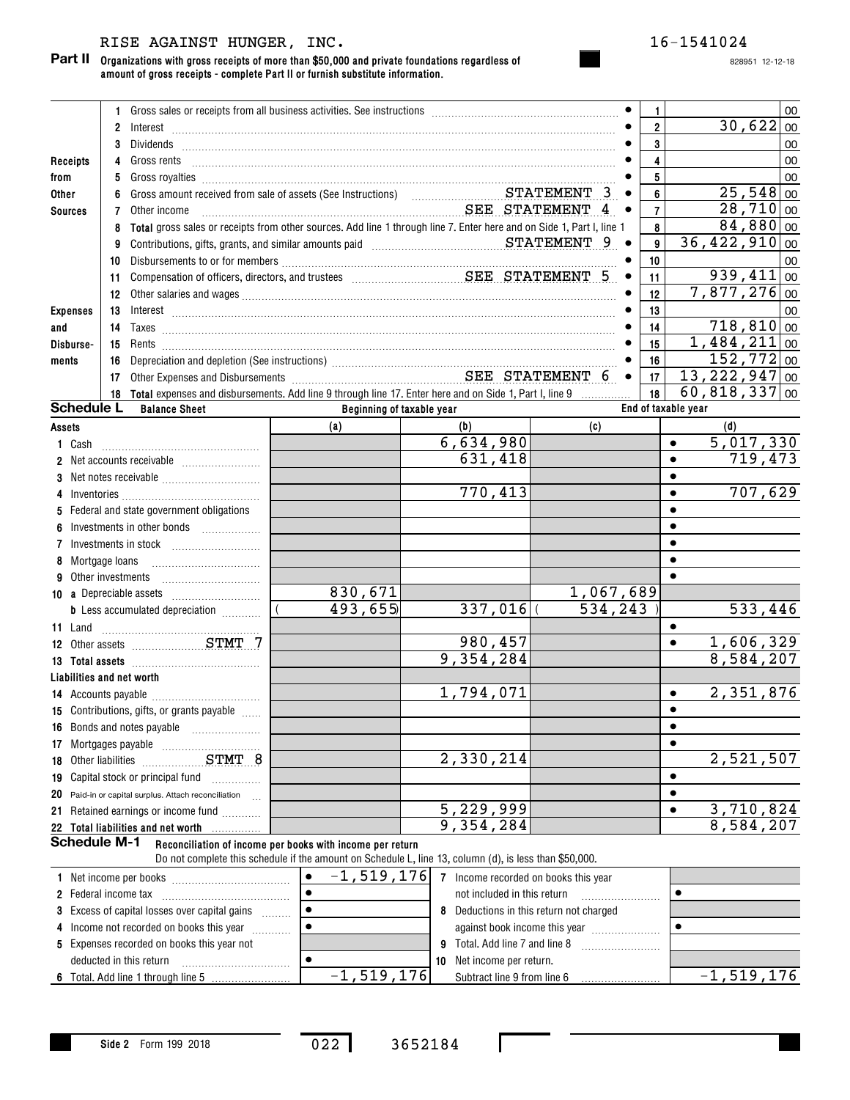## RISE AGAINST HUNGER, INC. 16-1541024

**Organizations with gross receipts of more than \$50,000 and private foundations regardless of amount of gross receipts - complete Part II or furnish substitute information. Part II**

|                                |                 |                                                                                                           |                                                                                                                                                                                                                                      |                        |           | $\mathbf{1}$            | 00                            |
|--------------------------------|-----------------|-----------------------------------------------------------------------------------------------------------|--------------------------------------------------------------------------------------------------------------------------------------------------------------------------------------------------------------------------------------|------------------------|-----------|-------------------------|-------------------------------|
|                                | $\overline{2}$  | Interest                                                                                                  |                                                                                                                                                                                                                                      |                        |           | $\overline{2}$          | 30,622 00                     |
|                                | 3               |                                                                                                           | Dividends <b>with the contract of the contract of the contract of the contract of the contract of the contract of the contract of the contract of the contract of the contract of the contract of the contract of the contract o</b> |                        |           | $\mathbf{3}$            | 00                            |
| Receipts                       |                 |                                                                                                           |                                                                                                                                                                                                                                      |                        |           | $\overline{\mathbf{4}}$ | 00                            |
| from                           | 5               |                                                                                                           | Gross royalties <b>Material Constructs</b> and a construction of the construction of the construction of the construction of the construction of the construction of the construction of the construction of the construction of th  |                        |           | $5\phantom{a}$          | 00                            |
| Other                          |                 |                                                                                                           | Gross amount received from sale of assets (See Instructions) STATEMENT 3                                                                                                                                                             |                        |           | 6                       | $25,548$ 00                   |
| <b>Sources</b>                 | 7               | Other income                                                                                              | SEE STATEMENT 4                                                                                                                                                                                                                      |                        |           | $\overline{7}$          | 28,710 00                     |
|                                |                 |                                                                                                           | Total gross sales or receipts from other sources. Add line 1 through line 7. Enter here and on Side 1, Part I, line 1                                                                                                                |                        |           | 8                       | $84,880$ 00                   |
|                                | 9               |                                                                                                           | Contributions, gifts, grants, and similar amounts paid Matheman STATEMENT 9                                                                                                                                                          |                        |           | 9                       | $\overline{36,422}$ , 910 00  |
|                                | 10              |                                                                                                           |                                                                                                                                                                                                                                      |                        |           | 10                      | 00                            |
|                                | 11              |                                                                                                           |                                                                                                                                                                                                                                      |                        |           | 11                      | $939,411$ 00                  |
|                                | 12 <sup>°</sup> |                                                                                                           |                                                                                                                                                                                                                                      |                        |           | 12                      | $7,877,276$ 00                |
| <b>Expenses</b>                | 13              |                                                                                                           |                                                                                                                                                                                                                                      |                        |           | 13                      | 00                            |
| and                            | 14              |                                                                                                           | $\boxed{a} \texttt{xe} \texttt{s}$                                                                                                                                                                                                   |                        |           | 14                      | 718,810 00                    |
| Disburse-                      | 15              |                                                                                                           |                                                                                                                                                                                                                                      |                        |           | 15                      | $1,484,211$ 00                |
| ments                          | 16              |                                                                                                           |                                                                                                                                                                                                                                      |                        |           | 16                      | 152, 772 00                   |
|                                | 17              |                                                                                                           |                                                                                                                                                                                                                                      |                        |           | 17                      | $\overline{13,222,947 _{00}}$ |
|                                |                 | 18 Total expenses and disbursements. Add line 9 through line 17. Enter here and on Side 1, Part I, line 9 |                                                                                                                                                                                                                                      |                        |           | 18                      | $60,818,337$ 00               |
| <b>Schedule L</b>              |                 | <b>Balance Sheet</b>                                                                                      | Beginning of taxable year                                                                                                                                                                                                            |                        |           |                         | End of taxable year           |
| Assets                         |                 |                                                                                                           | (a)                                                                                                                                                                                                                                  | (b)                    | (c)       |                         | (d)                           |
| 1 Cash                         |                 |                                                                                                           |                                                                                                                                                                                                                                      | 6,634,980              |           |                         | 5,017,330                     |
|                                |                 |                                                                                                           |                                                                                                                                                                                                                                      | 631,418                |           |                         | 719,473<br>$\bullet$          |
| 3                              |                 |                                                                                                           |                                                                                                                                                                                                                                      |                        |           |                         |                               |
|                                |                 |                                                                                                           |                                                                                                                                                                                                                                      | 770,413                |           |                         | 707,629                       |
|                                |                 | Federal and state government obligations                                                                  |                                                                                                                                                                                                                                      |                        |           |                         |                               |
|                                |                 |                                                                                                           |                                                                                                                                                                                                                                      |                        |           |                         |                               |
|                                |                 | Investments in stock                                                                                      |                                                                                                                                                                                                                                      |                        |           |                         |                               |
|                                | Mortgage loans  |                                                                                                           |                                                                                                                                                                                                                                      |                        |           |                         |                               |
|                                |                 | Other investments                                                                                         |                                                                                                                                                                                                                                      |                        |           |                         |                               |
| <b>10 a</b> Depreciable assets |                 |                                                                                                           | 830,671                                                                                                                                                                                                                              |                        | 1,067,689 |                         |                               |
|                                |                 | <b>b</b> Less accumulated depreciation <i></i>                                                            | 493,655                                                                                                                                                                                                                              | 337,016                | 534, 243  |                         | 533,446                       |
| 11 Land                        |                 |                                                                                                           |                                                                                                                                                                                                                                      |                        |           |                         | $\bullet$                     |
|                                |                 | 12 Other assets STMT 7                                                                                    |                                                                                                                                                                                                                                      | 980,457                |           |                         | 1,606,329<br>$\bullet$        |
|                                |                 |                                                                                                           |                                                                                                                                                                                                                                      | 9,354,284              |           |                         | 8,584,207                     |
| Liabilities and net worth      |                 |                                                                                                           |                                                                                                                                                                                                                                      |                        |           |                         |                               |
|                                |                 |                                                                                                           |                                                                                                                                                                                                                                      | 1,794,071              |           |                         | 2,351,876<br>$\bullet$        |
|                                |                 | 15 Contributions, gifts, or grants payable                                                                |                                                                                                                                                                                                                                      |                        |           |                         |                               |
|                                |                 | 16 Bonds and notes payable                                                                                |                                                                                                                                                                                                                                      |                        |           |                         | $\bullet$                     |
| 17 Mortgages payable           |                 |                                                                                                           |                                                                                                                                                                                                                                      |                        |           |                         | $\bullet$                     |
| 18 Other liabilities           |                 | STMT 8                                                                                                    |                                                                                                                                                                                                                                      | 2,330,214              |           |                         | 2,521,507                     |
|                                |                 | 19 Capital stock or principal fund                                                                        |                                                                                                                                                                                                                                      |                        |           |                         | $\bullet$                     |
|                                |                 | 20 Paid-in or capital surplus. Attach reconciliation                                                      |                                                                                                                                                                                                                                      |                        |           |                         | $\bullet$                     |
|                                |                 | 21 Retained earnings or income fund                                                                       |                                                                                                                                                                                                                                      | $\overline{5,229,999}$ |           |                         | 3,710,824<br>$\bullet$        |
|                                |                 | 22 Total liabilities and net worth                                                                        |                                                                                                                                                                                                                                      | 9,354,284              |           |                         | 8,584,207                     |
| <b>Schedule M-1</b>            |                 |                                                                                                           | Reconciliation of income per books with income per return                                                                                                                                                                            |                        |           |                         |                               |
|                                |                 |                                                                                                           | Do not complete this schedule if the amount on Schedule L, line 13, column (d), is less than \$50,000.<br>$\frac{1}{2}$ 1 E10 176 -                                                                                                  |                        |           |                         |                               |

| 1 Net income per books                               | $-1,519,176$ |      | Income recorded on books this year    |              |
|------------------------------------------------------|--------------|------|---------------------------------------|--------------|
| 2 Federal income tax                                 |              |      | not included in this return           |              |
| <b>3</b> Excess of capital losses over capital gains |              |      | Deductions in this return not charged |              |
| 4 Income not recorded on books this year             |              |      | against book income this year         |              |
| 5 Expenses recorded on books this year not           |              | 9.   | Total. Add line 7 and line 8          |              |
| deducted in this return                              |              | ່ 10 | Net income per return.                |              |
| 6 Total. Add line 1 through line 5                   | $-1,519,176$ |      | Subtract line 9 from line 6           | $-1,519,176$ |

022 3652184

 $\mathbf{I}$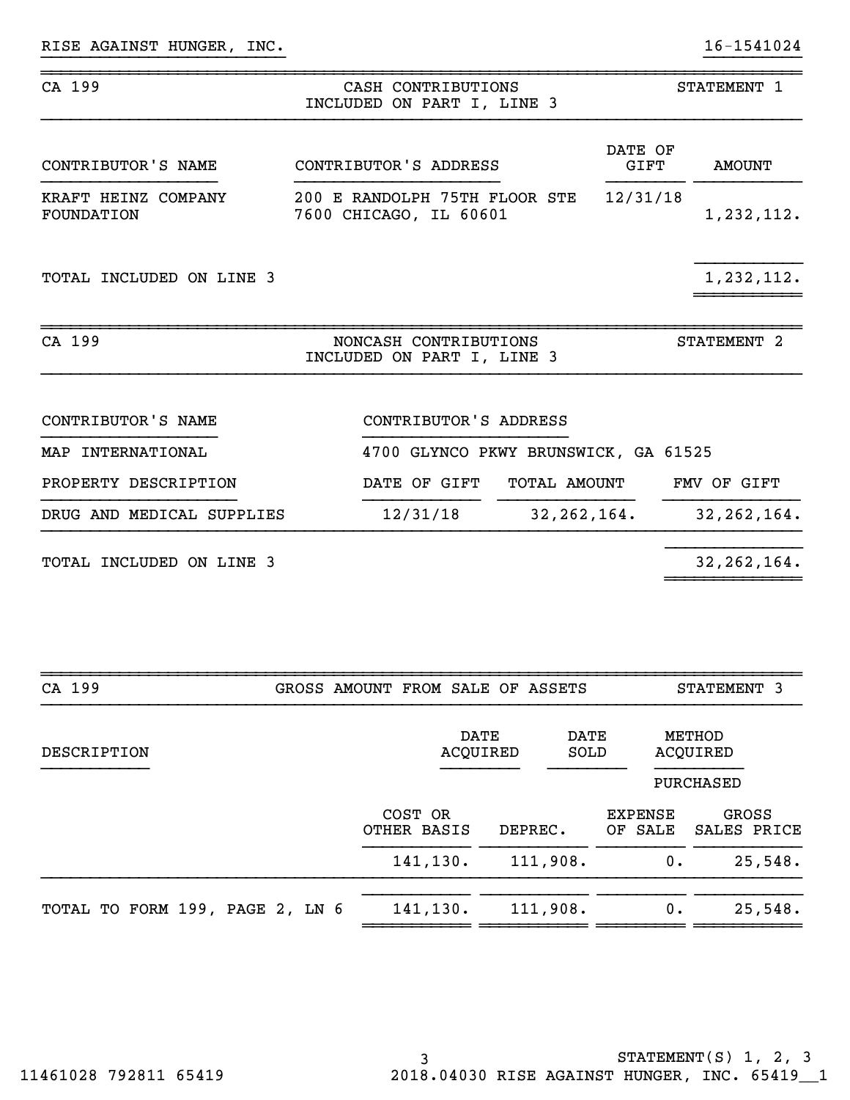| CA 199                                   |                                                         | CASH CONTRIBUTIONS<br>INCLUDED ON PART I, LINE 3    |               |                 | STATEMENT 1            |
|------------------------------------------|---------------------------------------------------------|-----------------------------------------------------|---------------|-----------------|------------------------|
| CONTRIBUTOR'S NAME                       | CONTRIBUTOR'S ADDRESS                                   |                                                     |               | DATE OF<br>GIFT | <b>AMOUNT</b>          |
| KRAFT HEINZ COMPANY<br><b>FOUNDATION</b> | 200 E RANDOLPH 75TH FLOOR STE<br>7600 CHICAGO, IL 60601 |                                                     |               | 12/31/18        | 1,232,112.             |
| TOTAL INCLUDED ON LINE 3                 |                                                         |                                                     |               |                 | 1,232,112.             |
| CA 199                                   |                                                         | NONCASH CONTRIBUTIONS<br>INCLUDED ON PART I, LINE 3 |               |                 | STATEMENT <sub>2</sub> |
| CONTRIBUTOR'S NAME                       |                                                         | CONTRIBUTOR'S ADDRESS                               |               |                 |                        |
| MAP INTERNATIONAL                        |                                                         | 4700 GLYNCO PKWY BRUNSWICK, GA 61525                |               |                 |                        |
| PROPERTY DESCRIPTION                     |                                                         | DATE OF GIFT                                        | TOTAL AMOUNT  |                 | FMV OF GIFT            |
| DRUG AND MEDICAL SUPPLIES                |                                                         | 12/31/18                                            | 32, 262, 164. |                 | 32, 262, 164.          |
| TOTAL INCLUDED ON LINE 3                 |                                                         |                                                     |               |                 | 32, 262, 164.          |
|                                          |                                                         |                                                     |               |                 |                        |
| CA 199                                   | GROSS AMOUNT FROM SALE OF ASSETS                        |                                                     |               |                 | STATEMENT 3            |

}}}}}}}}}}}}}}}}}}}}}}}}} }}}}}}}}}}

| DESCRIPTION                     |                        | DATE<br><b>DATE</b><br>ACQUIRED<br>SOLD |                           | METHOD<br>ACQUIRED                |
|---------------------------------|------------------------|-----------------------------------------|---------------------------|-----------------------------------|
|                                 | COST OR<br>OTHER BASIS | DEPREC.                                 | <b>EXPENSE</b><br>OF SALE | PURCHASED<br>GROSS<br>SALES PRICE |
|                                 | 141, 130.              | 111,908.                                | 0.                        | 25,548.                           |
| TOTAL TO FORM 199, PAGE 2, LN 6 | 141,130.               | 111,908.                                | 0.                        | 25,548.                           |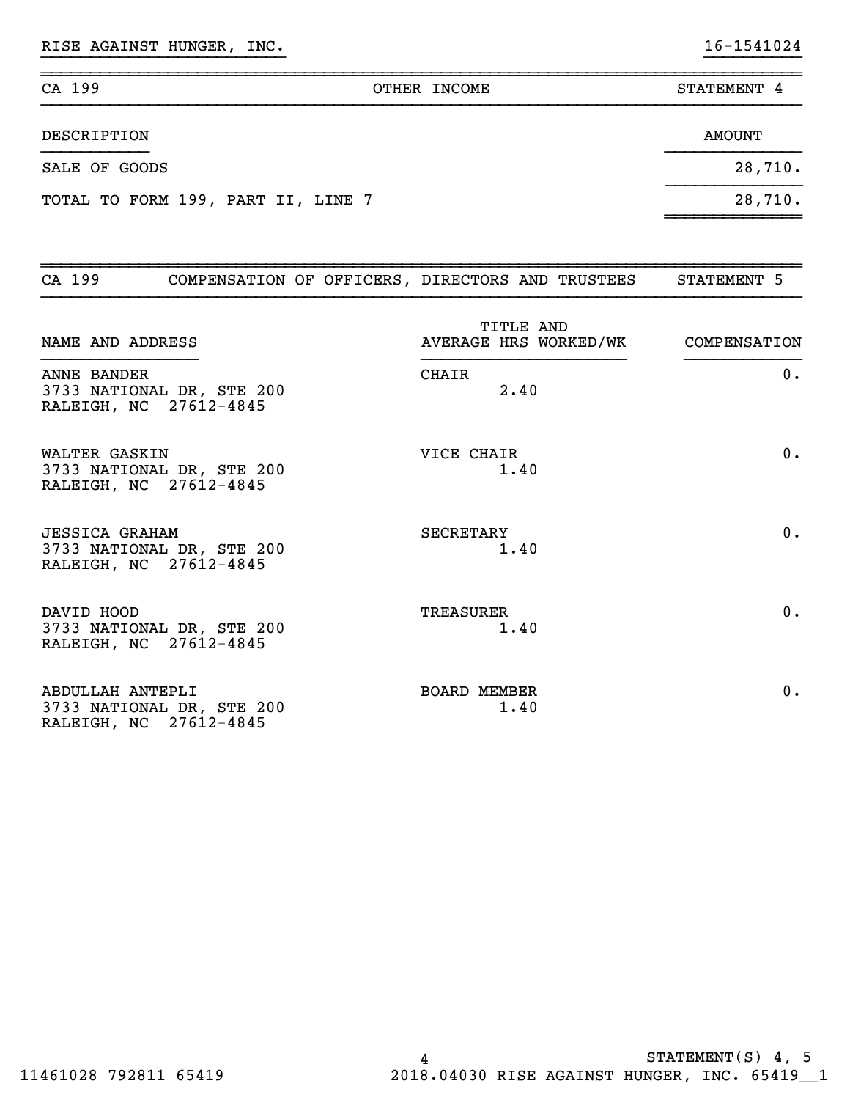RISE AGAINST HUNGER, INC. 16-1541024

| CA 199                             | OTHER INCOME | STATEMENT 4 |
|------------------------------------|--------------|-------------|
| DESCRIPTION                        |              | AMOUNT      |
| SALE OF GOODS                      |              | 28,710.     |
| TOTAL TO FORM 199, PART II, LINE 7 |              | 28,710.     |

~~~~~~~~~~~~~~

}}}}}}}}}}}}}}}}}}}}}}}}} }}}}}}}}}}

| CA 199                |                                                     | COMPENSATION OF OFFICERS, DIRECTORS AND TRUSTEES | STATEMENT 5 |
|-----------------------|-----------------------------------------------------|--------------------------------------------------|-------------|
| NAME AND ADDRESS      |                                                     | TITLE AND<br>AVERAGE HRS WORKED/WK COMPENSATION  |             |
| <b>ANNE BANDER</b>    | 3733 NATIONAL DR, STE 200<br>RALEIGH, NC 27612-4845 | <b>CHAIR</b><br>2.40                             | 0.          |
| WALTER GASKIN         | 3733 NATIONAL DR, STE 200<br>RALEIGH, NC 27612-4845 | VICE CHAIR<br>1.40                               | 0.          |
| <b>JESSICA GRAHAM</b> | 3733 NATIONAL DR, STE 200<br>RALEIGH, NC 27612-4845 | <b>SECRETARY</b><br>1.40                         | 0.          |
| DAVID HOOD            | 3733 NATIONAL DR, STE 200<br>RALEIGH, NC 27612-4845 | TREASURER<br>1.40                                | $0$ .       |
| ABDULLAH ANTEPLI      | 3733 NATIONAL DR, STE 200<br>RALEIGH, NC 27612-4845 | <b>BOARD MEMBER</b><br>1.40                      | 0.          |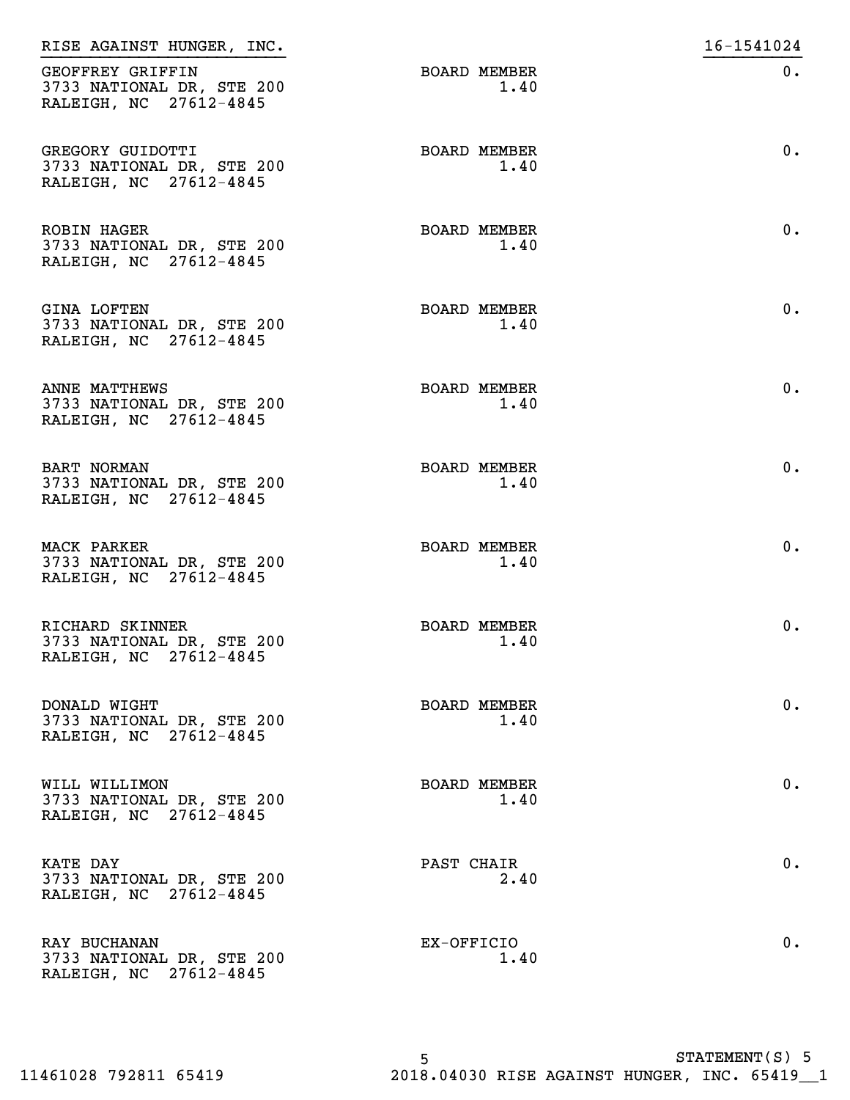| RISE AGAINST HUNGER, INC.                                                 |                             | 16-1541024 |
|---------------------------------------------------------------------------|-----------------------------|------------|
| GEOFFREY GRIFFIN<br>3733 NATIONAL DR, STE 200<br>RALEIGH, NC 27612-4845   | <b>BOARD MEMBER</b><br>1.40 | $0$ .      |
| GREGORY GUIDOTTI<br>3733 NATIONAL DR, STE 200<br>RALEIGH, NC 27612-4845   | <b>BOARD MEMBER</b><br>1.40 | $0$ .      |
| <b>ROBIN HAGER</b><br>3733 NATIONAL DR, STE 200<br>RALEIGH, NC 27612-4845 | <b>BOARD MEMBER</b><br>1.40 | $0$ .      |
| <b>GINA LOFTEN</b><br>3733 NATIONAL DR, STE 200<br>RALEIGH, NC 27612-4845 | <b>BOARD MEMBER</b><br>1.40 | $0$ .      |
| ANNE MATTHEWS<br>3733 NATIONAL DR, STE 200<br>RALEIGH, NC 27612-4845      | <b>BOARD MEMBER</b><br>1.40 | $0$ .      |
| <b>BART NORMAN</b><br>3733 NATIONAL DR, STE 200<br>RALEIGH, NC 27612-4845 | <b>BOARD MEMBER</b><br>1.40 | $0$ .      |
| MACK PARKER<br>3733 NATIONAL DR, STE 200<br>RALEIGH, NC 27612-4845        | <b>BOARD MEMBER</b><br>1.40 | $0$ .      |
| RICHARD SKINNER<br>3733 NATIONAL DR, STE 200<br>RALEIGH, NC 27612-4845    | <b>BOARD MEMBER</b><br>1.40 | $0$ .      |
| DONALD WIGHT<br>3733 NATIONAL DR, STE 200<br>RALEIGH, NC 27612-4845       | <b>BOARD MEMBER</b><br>1.40 | $0$ .      |
| WILL WILLIMON<br>3733 NATIONAL DR, STE 200<br>RALEIGH, NC 27612-4845      | <b>BOARD MEMBER</b><br>1.40 | $0$ .      |
| <b>KATE DAY</b><br>3733 NATIONAL DR, STE 200<br>RALEIGH, NC 27612-4845    | PAST CHAIR<br>2.40          | $0$ .      |
| RAY BUCHANAN<br>3733 NATIONAL DR, STE 200<br>RALEIGH, NC 27612-4845       | EX-OFFICIO<br>1.40          | $0$ .      |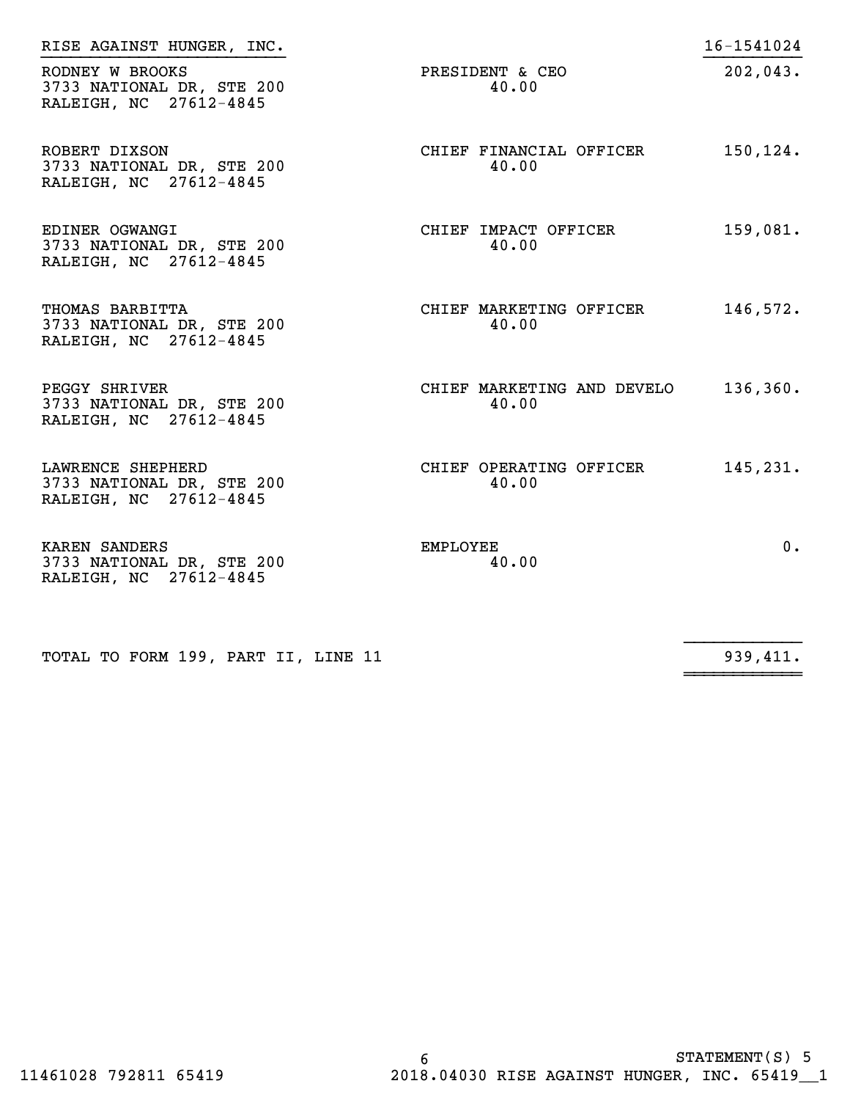| RISE AGAINST HUNGER, INC.                                                |                                     | 16-1541024 |
|--------------------------------------------------------------------------|-------------------------------------|------------|
| RODNEY W BROOKS<br>3733 NATIONAL DR, STE 200<br>RALEIGH, NC 27612-4845   | PRESIDENT & CEO<br>40.00            | 202,043.   |
| ROBERT DIXSON<br>3733 NATIONAL DR, STE 200<br>RALEIGH, NC 27612-4845     | CHIEF FINANCIAL OFFICER<br>40.00    | 150,124.   |
| EDINER OGWANGI<br>3733 NATIONAL DR, STE 200<br>RALEIGH, NC 27612-4845    | CHIEF IMPACT OFFICER<br>40.00       | 159,081.   |
| THOMAS BARBITTA<br>3733 NATIONAL DR, STE 200<br>RALEIGH, NC 27612-4845   | CHIEF MARKETING OFFICER<br>40.00    | 146,572.   |
| PEGGY SHRIVER<br>3733 NATIONAL DR, STE 200<br>RALEIGH, NC 27612-4845     | CHIEF MARKETING AND DEVELO<br>40.00 | 136,360.   |
| LAWRENCE SHEPHERD<br>3733 NATIONAL DR, STE 200<br>RALEIGH, NC 27612-4845 | CHIEF OPERATING OFFICER<br>40.00    | 145,231.   |
| KAREN SANDERS<br>3733 NATIONAL DR, STE 200<br>RALEIGH, NC 27612-4845     | EMPLOYEE<br>40.00                   | 0.         |

TOTAL TO FORM 199, PART II, LINE 11

 $\frac{1}{939,411}$ 

~~~~~~~~~~~~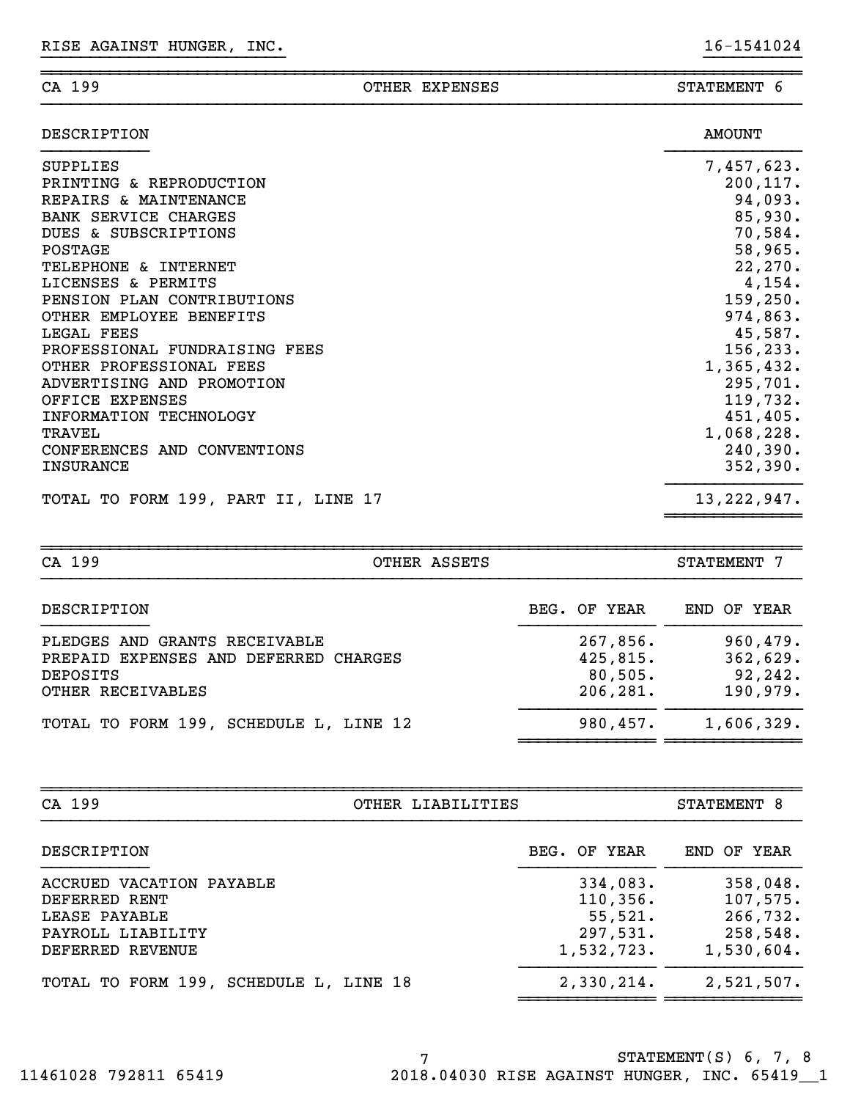|--|

### ~~~~~~~~~~~~~~~~~~~~~~~~~~~~~~~~~~~~~~~~~~~~~~~~~~~~~~~~~~~~~~~~~~~~~~~~~~~~~~OTHER EXPENSES STATEMENT 6

}}}}}}}}}}}}}}}}}}}}}}}}} }}}}}}}}}}

| DESCRIPTION                         | <b>AMOUNT</b> |
|-------------------------------------|---------------|
| SUPPLIES                            | 7,457,623.    |
| PRINTING & REPRODUCTION             | 200, 117.     |
| REPAIRS & MAINTENANCE               | 94,093.       |
| <b>BANK SERVICE CHARGES</b>         | 85,930.       |
| DUES & SUBSCRIPTIONS                | 70,584.       |
| POSTAGE                             | 58,965.       |
| TELEPHONE & INTERNET                | 22, 270.      |
| LICENSES & PERMITS                  | 4,154.        |
| PENSION PLAN CONTRIBUTIONS          | 159, 250.     |
| OTHER EMPLOYEE BENEFITS             | 974,863.      |
| LEGAL FEES                          | 45,587.       |
| PROFESSIONAL FUNDRAISING FEES       | 156,233.      |
| OTHER PROFESSIONAL FEES             | 1,365,432.    |
| ADVERTISING AND PROMOTION           | 295,701.      |
| OFFICE EXPENSES                     | 119,732.      |
| INFORMATION TECHNOLOGY              | 451, 405.     |
| TRAVEL                              | 1,068,228.    |
| CONFERENCES AND CONVENTIONS         | 240,390.      |
| INSURANCE                           | 352,390.      |
| TOTAL TO FORM 199, PART II, LINE 17 | 13, 222, 947. |

| CA 199<br>OTHER ASSETS                                                                                  |                                              | STATEMENT 7                                  |  |  |
|---------------------------------------------------------------------------------------------------------|----------------------------------------------|----------------------------------------------|--|--|
| DESCRIPTION                                                                                             | BEG. OF YEAR                                 | END OF YEAR                                  |  |  |
| PLEDGES AND GRANTS RECEIVABLE<br>PREPAID EXPENSES AND DEFERRED CHARGES<br>DEPOSITS<br>OTHER RECEIVABLES | 267,856.<br>425,815.<br>80,505.<br>206, 281. | 960,479.<br>362,629.<br>92, 242.<br>190,979. |  |  |
| TOTAL TO FORM 199, SCHEDULE L, LINE 12                                                                  | 980,457.                                     | 1,606,329.                                   |  |  |

~~~~~~~~~~~~~~

| CA 199                                                                                              | OTHER LIABILITIES                                          | STATEMENT <sub>8</sub>                                     |
|-----------------------------------------------------------------------------------------------------|------------------------------------------------------------|------------------------------------------------------------|
| DESCRIPTION                                                                                         | BEG. OF YEAR                                               | END OF YEAR                                                |
| ACCRUED VACATION PAYABLE<br>DEFERRED RENT<br>LEASE PAYABLE<br>PAYROLL LIABILITY<br>DEFERRED REVENUE | 334,083.<br>110, 356.<br>55,521.<br>297,531.<br>1,532,723. | 358,048.<br>107,575.<br>266,732.<br>258,548.<br>1,530,604. |
| TOTAL TO FORM 199, SCHEDULE L, LINE 18                                                              | 2,330,214.                                                 | 2,521,507.                                                 |

7 STATEMENT(S) 6, 7, 8 11461028 792811 65419 2018.04030 RISE AGAINST HUNGER, INC. 65419\_\_1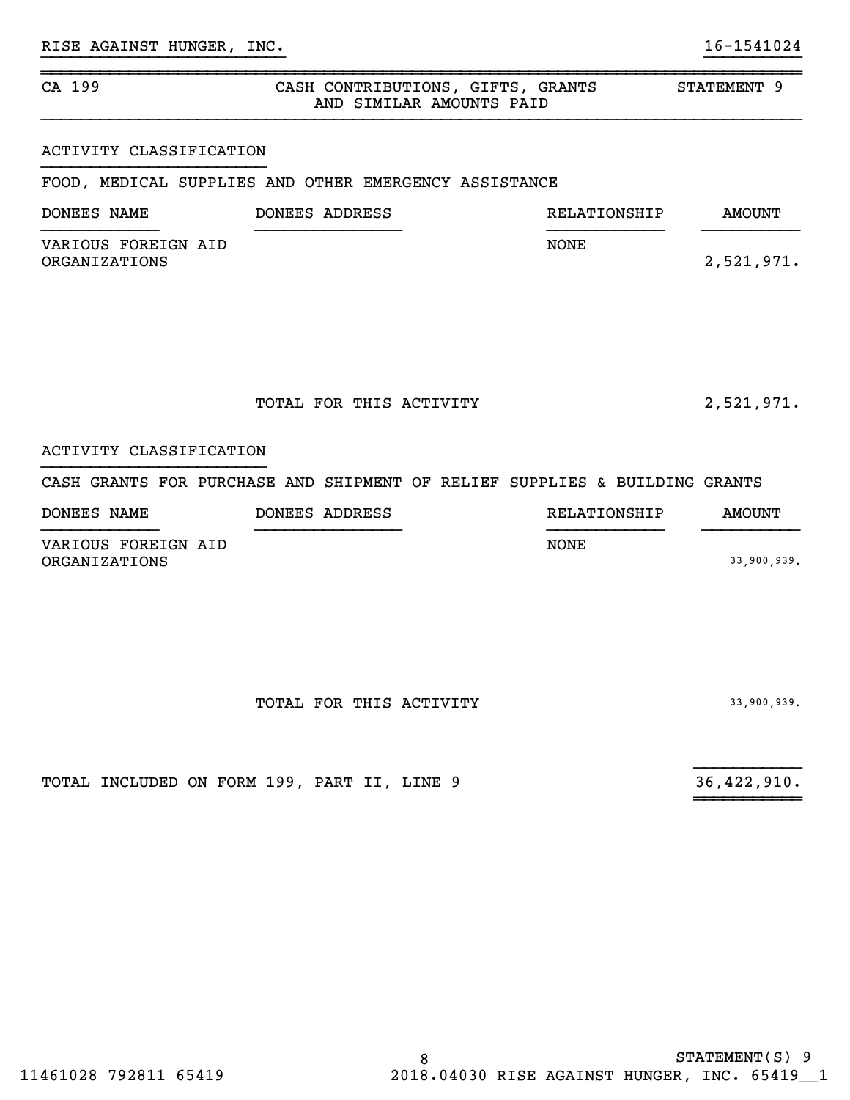### ~~~~~~~~~~~~~~~~~~~~~~~~~~~~~~~~~~~~~~~~~~~~~~~~~~~~~~~~~~~~~~~~~~~~~~~~~~~~~~CA 199 CASH CONTRIBUTIONS, GIFTS, GRANTS STATEMENT 9 AND SIMILAR AMOUNTS PAID

}}}}}}}}}}}}}}}}}}}}}}}}} }}}}}}}}}}

### ACTIVITY CLASSIFICATION

FOOD, MEDICAL SUPPLIES AND OTHER EMERGENCY ASSISTANCE

| DONEES NAME                          | DONEES ADDRESS | RELATIONSHIP | AMOUNT     |
|--------------------------------------|----------------|--------------|------------|
| VARIOUS FOREIGN AID<br>ORGANIZATIONS |                | <b>NONE</b>  | 2,521,971. |

TOTAL FOR THIS ACTIVITY 2,521,971.

## ACTIVITY CLASSIFICATION

### CASH GRANTS FOR PURCHASE AND SHIPMENT OF RELIEF SUPPLIES & BUILDING GRANTS

| DONEES NAME         | DONEES ADDRESS | RELATIONSHIP | AMOUNT      |
|---------------------|----------------|--------------|-------------|
| VARIOUS FOREIGN AID |                | NONE         |             |
| ORGANIZATIONS       |                |              | 33,900,939. |

 ${}_{\text{1}}$   ${}_{\text{2}}$   ${}_{\text{3}}$   ${}_{\text{4}}$   ${}_{\text{5}}$   ${}_{\text{6}}$   ${}_{\text{7}}$   ${}_{\text{8}}$   ${}_{\text{9}}$   ${}_{\text{10}}$   ${}_{\text{11}}$   ${}_{\text{12}}$   ${}_{\text{13}}$   ${}_{\text{14}}$   ${}_{\text{15}}$   ${}_{\text{16}}$   ${}_{\text{17}}$   ${}_{\text{18}}$   ${}_{\text{19}}$   ${}_{\text{19}}$   ${}_{\text{10}}$ 

~~~~~~~~~~~

|  | TOTAL FOR THIS ACTIVITY | 33,900,939. |  |
|--|-------------------------|-------------|--|
|  |                         |             |  |

TOTAL INCLUDED ON FORM 199, PART II, LINE 9 36,422,910.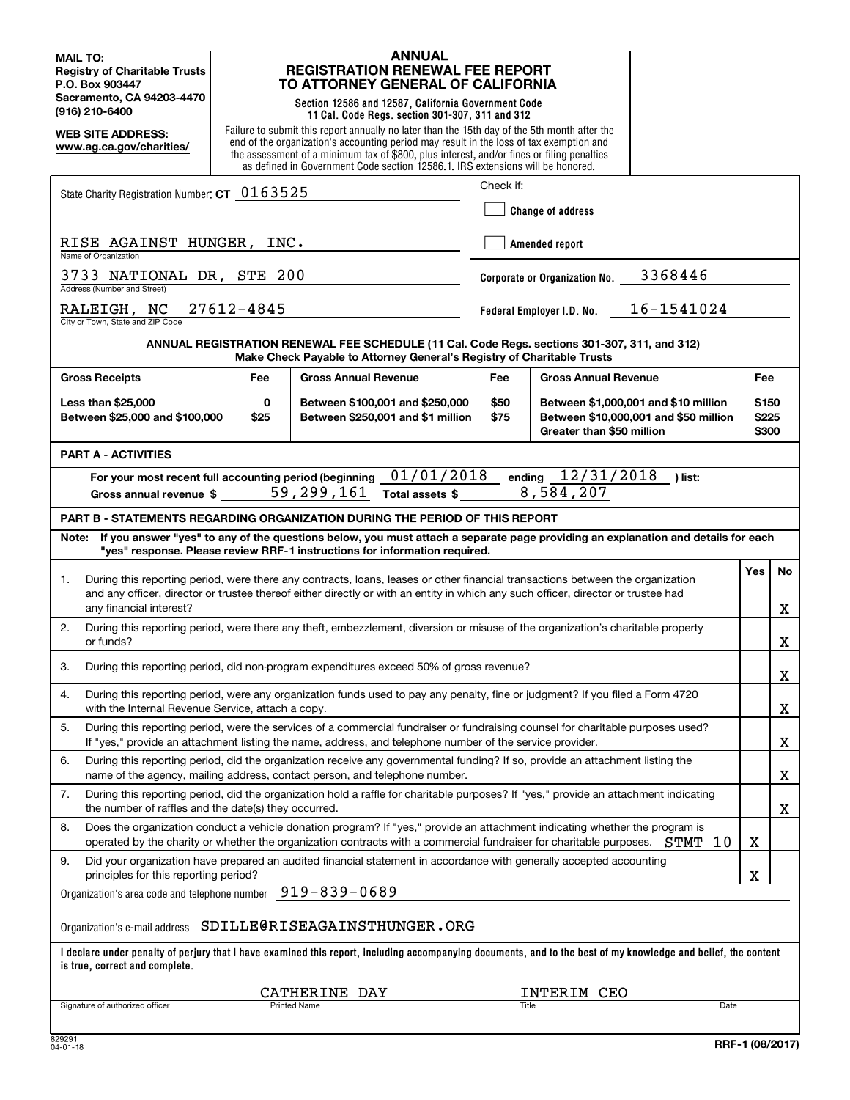**MAIL TO: Registry of Charitable Trusts P.O. Box 903447 Sacramento, CA 94203-4470 (916) 210-6400**

**WEB SITE ADDRESS: www.ag.ca.gov/charities/**

### **ANNUAL REGISTRATION RENEWAL FEE REPORT TO ATTORNEY GENERAL OF CALIFORNIA**

**Section 12586 and 12587, California Government Code 11 Cal. Code Regs. section 301-307, 311 and 312**

Failure to submit this report annually no later than the 15th day of the 5th month after the end of the organization's accounting period may result in the loss of tax exemption and the assessment of a minimum tax of \$800, plus interest, and/or fines or filing penalties as defined in Government Code section 12586.1. IRS extensions will be honored.

| State Charity Registration Number: CT 0163525                                                                                                                                                                                                                       |                                                                                                                                                                                                    | Check if:         |                                |                         |     |    |
|---------------------------------------------------------------------------------------------------------------------------------------------------------------------------------------------------------------------------------------------------------------------|----------------------------------------------------------------------------------------------------------------------------------------------------------------------------------------------------|-------------------|--------------------------------|-------------------------|-----|----|
|                                                                                                                                                                                                                                                                     |                                                                                                                                                                                                    | Change of address |                                |                         |     |    |
| RISE AGAINST HUNGER, INC.<br>Name of Organization                                                                                                                                                                                                                   |                                                                                                                                                                                                    | Amended report    |                                |                         |     |    |
| 3733 NATIONAL DR, STE 200<br>Address (Number and Street)                                                                                                                                                                                                            |                                                                                                                                                                                                    |                   | Corporate or Organization No.  | 3368446                 |     |    |
| 27612-4845<br>RALEIGH, NC<br>City or Town, State and ZIP Code                                                                                                                                                                                                       |                                                                                                                                                                                                    |                   | Federal Employer I.D. No.      | 16-1541024              |     |    |
|                                                                                                                                                                                                                                                                     | ANNUAL REGISTRATION RENEWAL FEE SCHEDULE (11 Cal. Code Regs. sections 301-307, 311, and 312)<br>Make Check Payable to Attorney General's Registry of Charitable Trusts                             |                   |                                |                         |     |    |
| <b>Gross Receipts</b><br>Fee                                                                                                                                                                                                                                        | <b>Gross Annual Revenue</b>                                                                                                                                                                        | Fee               | <b>Gross Annual Revenue</b>    |                         | Fee |    |
| <b>Less than \$25,000</b><br>0<br>Between \$25,000 and \$100,000<br>\$25                                                                                                                                                                                            | \$50<br>Between \$100,001 and \$250,000<br>Between \$1,000,001 and \$10 million<br>Between \$250,001 and \$1 million<br>\$75<br>Between \$10,000,001 and \$50 million<br>Greater than \$50 million |                   |                                | \$150<br>\$225<br>\$300 |     |    |
| <b>PART A - ACTIVITIES</b>                                                                                                                                                                                                                                          |                                                                                                                                                                                                    |                   |                                |                         |     |    |
| For your most recent full accounting period (beginning<br>Gross annual revenue $\frac{1}{2}$ 59, 299, 161                                                                                                                                                           | 01/01/2018<br>Total assets \$                                                                                                                                                                      |                   | ending 12/31/2018<br>8,584,207 | ) list:                 |     |    |
| PART B - STATEMENTS REGARDING ORGANIZATION DURING THE PERIOD OF THIS REPORT                                                                                                                                                                                         |                                                                                                                                                                                                    |                   |                                |                         |     |    |
| If you answer "yes" to any of the questions below, you must attach a separate page providing an explanation and details for each<br>Note:<br>"yes" response. Please review RRF-1 instructions for information required.                                             |                                                                                                                                                                                                    |                   |                                |                         |     |    |
| During this reporting period, were there any contracts, loans, leases or other financial transactions between the organization<br>1.                                                                                                                                |                                                                                                                                                                                                    |                   |                                |                         | Yes | No |
| and any officer, director or trustee thereof either directly or with an entity in which any such officer, director or trustee had<br>any financial interest?                                                                                                        |                                                                                                                                                                                                    |                   |                                |                         |     | X  |
| During this reporting period, were there any theft, embezzlement, diversion or misuse of the organization's charitable property<br>2.<br>or funds?                                                                                                                  |                                                                                                                                                                                                    |                   |                                |                         | X   |    |
| During this reporting period, did non-program expenditures exceed 50% of gross revenue?<br>3.                                                                                                                                                                       |                                                                                                                                                                                                    |                   |                                |                         |     | X  |
| During this reporting period, were any organization funds used to pay any penalty, fine or judgment? If you filed a Form 4720<br>4.<br>with the Internal Revenue Service, attach a copy.                                                                            |                                                                                                                                                                                                    |                   |                                |                         |     | X  |
| During this reporting period, were the services of a commercial fundraiser or fundraising counsel for charitable purposes used?<br>5.<br>If "yes," provide an attachment listing the name, address, and telephone number of the service provider.                   |                                                                                                                                                                                                    |                   |                                |                         | X   |    |
| During this reporting period, did the organization receive any governmental funding? If so, provide an attachment listing the<br>6.<br>name of the agency, mailing address, contact person, and telephone number.                                                   |                                                                                                                                                                                                    |                   |                                |                         | X   |    |
| During this reporting period, did the organization hold a raffle for charitable purposes? If "yes," provide an attachment indicating<br>7.<br>the number of raffles and the date(s) they occurred.                                                                  |                                                                                                                                                                                                    |                   |                                |                         |     | x  |
| Does the organization conduct a vehicle donation program? If "yes," provide an attachment indicating whether the program is<br>8.<br>operated by the charity or whether the organization contracts with a commercial fundraiser for charitable purposes.<br>STMT 10 |                                                                                                                                                                                                    |                   |                                | х                       |     |    |
| 9.<br>Did your organization have prepared an audited financial statement in accordance with generally accepted accounting<br>principles for this reporting period?                                                                                                  |                                                                                                                                                                                                    |                   | X                              |                         |     |    |
| Organization's area code and telephone number                                                                                                                                                                                                                       | 919-839-0689                                                                                                                                                                                       |                   |                                |                         |     |    |
| Organization's e-mail address SDILLE@RISEAGAINSTHUNGER.ORG                                                                                                                                                                                                          |                                                                                                                                                                                                    |                   |                                |                         |     |    |
| l declare under penalty of perjury that I have examined this report, including accompanying documents, and to the best of my knowledge and belief, the content<br>is true, correct and complete.                                                                    |                                                                                                                                                                                                    |                   |                                |                         |     |    |
|                                                                                                                                                                                                                                                                     | CATHERINE DAY                                                                                                                                                                                      |                   | INTERIM CEO                    |                         |     |    |
| Signature of authorized officer                                                                                                                                                                                                                                     | <b>Printed Name</b>                                                                                                                                                                                | Title             |                                | Date                    |     |    |